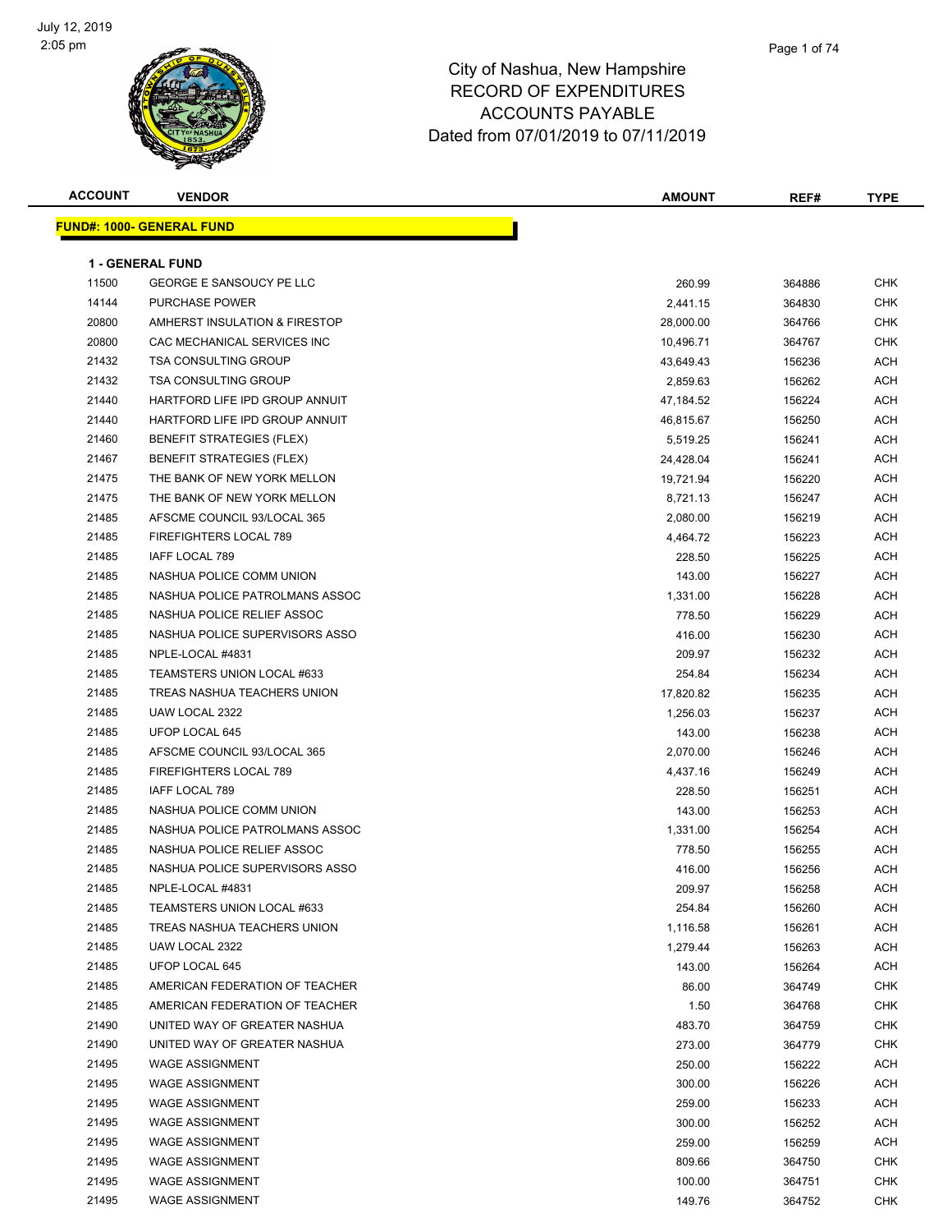

| <b>ACCOUNT</b> | <b>VENDOR</b>                     | <b>AMOUNT</b> | REF#   | <b>TYPE</b> |
|----------------|-----------------------------------|---------------|--------|-------------|
|                | <u> FUND#: 1000- GENERAL FUND</u> |               |        |             |
|                |                                   |               |        |             |
|                | <b>1 - GENERAL FUND</b>           |               |        |             |
| 11500          | <b>GEORGE E SANSOUCY PE LLC</b>   | 260.99        | 364886 | <b>CHK</b>  |
| 14144          | PURCHASE POWER                    | 2,441.15      | 364830 | <b>CHK</b>  |
| 20800          | AMHERST INSULATION & FIRESTOP     | 28,000.00     | 364766 | <b>CHK</b>  |
| 20800          | CAC MECHANICAL SERVICES INC       | 10,496.71     | 364767 | <b>CHK</b>  |
| 21432          | <b>TSA CONSULTING GROUP</b>       | 43,649.43     | 156236 | <b>ACH</b>  |
| 21432          | <b>TSA CONSULTING GROUP</b>       | 2,859.63      | 156262 | <b>ACH</b>  |
| 21440          | HARTFORD LIFE IPD GROUP ANNUIT    | 47,184.52     | 156224 | <b>ACH</b>  |
| 21440          | HARTFORD LIFE IPD GROUP ANNUIT    | 46,815.67     | 156250 | <b>ACH</b>  |
| 21460          | <b>BENEFIT STRATEGIES (FLEX)</b>  | 5,519.25      | 156241 | <b>ACH</b>  |
| 21467          | <b>BENEFIT STRATEGIES (FLEX)</b>  | 24,428.04     | 156241 | <b>ACH</b>  |
| 21475          | THE BANK OF NEW YORK MELLON       | 19,721.94     | 156220 | <b>ACH</b>  |
| 21475          | THE BANK OF NEW YORK MELLON       | 8,721.13      | 156247 | <b>ACH</b>  |
| 21485          | AFSCME COUNCIL 93/LOCAL 365       | 2,080.00      | 156219 | ACH         |
| 21485          | <b>FIREFIGHTERS LOCAL 789</b>     | 4,464.72      | 156223 | ACH         |
| 21485          | <b>IAFF LOCAL 789</b>             | 228.50        | 156225 | <b>ACH</b>  |
| 21485          | NASHUA POLICE COMM UNION          | 143.00        | 156227 | ACH         |
| 21485          | NASHUA POLICE PATROLMANS ASSOC    | 1,331.00      | 156228 | <b>ACH</b>  |
| 21485          | NASHUA POLICE RELIEF ASSOC        | 778.50        | 156229 | <b>ACH</b>  |
| 21485          | NASHUA POLICE SUPERVISORS ASSO    | 416.00        | 156230 | ACH         |
| 21485          | NPLE-LOCAL #4831                  | 209.97        | 156232 | ACH         |
| 21485          | TEAMSTERS UNION LOCAL #633        | 254.84        | 156234 | ACH         |
| 21485          | TREAS NASHUA TEACHERS UNION       | 17,820.82     | 156235 | <b>ACH</b>  |
| 21485          | UAW LOCAL 2322                    | 1,256.03      | 156237 | <b>ACH</b>  |
| 21485          | UFOP LOCAL 645                    | 143.00        | 156238 | ACH         |
| 21485          | AFSCME COUNCIL 93/LOCAL 365       | 2,070.00      | 156246 | ACH         |
| 21485          | FIREFIGHTERS LOCAL 789            | 4,437.16      | 156249 | <b>ACH</b>  |
| 21485          | IAFF LOCAL 789                    | 228.50        | 156251 | ACH         |
| 21485          | NASHUA POLICE COMM UNION          | 143.00        | 156253 | <b>ACH</b>  |
| 21485          | NASHUA POLICE PATROLMANS ASSOC    | 1,331.00      | 156254 | ACH         |
| 21485          | NASHUA POLICE RELIEF ASSOC        | 778.50        | 156255 | ACH         |
| 21485          | NASHUA POLICE SUPERVISORS ASSO    | 416.00        | 156256 | <b>ACH</b>  |
| 21485          | NPLE-LOCAL #4831                  | 209.97        | 156258 | <b>ACH</b>  |
| 21485          | TEAMSTERS UNION LOCAL #633        | 254.84        | 156260 | ACH         |
| 21485          | TREAS NASHUA TEACHERS UNION       | 1,116.58      | 156261 | <b>ACH</b>  |
| 21485          | UAW LOCAL 2322                    | 1,279.44      | 156263 | ACH         |
| 21485          | UFOP LOCAL 645                    | 143.00        | 156264 | <b>ACH</b>  |
| 21485          | AMERICAN FEDERATION OF TEACHER    | 86.00         | 364749 | <b>CHK</b>  |
| 21485          | AMERICAN FEDERATION OF TEACHER    | 1.50          | 364768 | <b>CHK</b>  |
| 21490          | UNITED WAY OF GREATER NASHUA      | 483.70        | 364759 | <b>CHK</b>  |
| 21490          | UNITED WAY OF GREATER NASHUA      | 273.00        | 364779 | <b>CHK</b>  |
| 21495          | <b>WAGE ASSIGNMENT</b>            | 250.00        | 156222 | <b>ACH</b>  |
| 21495          | <b>WAGE ASSIGNMENT</b>            | 300.00        | 156226 | <b>ACH</b>  |
| 21495          | <b>WAGE ASSIGNMENT</b>            | 259.00        | 156233 | <b>ACH</b>  |
| 21495          | <b>WAGE ASSIGNMENT</b>            | 300.00        | 156252 | <b>ACH</b>  |
| 21495          | <b>WAGE ASSIGNMENT</b>            | 259.00        | 156259 | <b>ACH</b>  |
| 21495          | <b>WAGE ASSIGNMENT</b>            | 809.66        | 364750 | CHK         |
| 21495          |                                   |               |        | <b>CHK</b>  |
|                | <b>WAGE ASSIGNMENT</b>            | 100.00        | 364751 |             |
| 21495          | <b>WAGE ASSIGNMENT</b>            | 149.76        | 364752 | <b>CHK</b>  |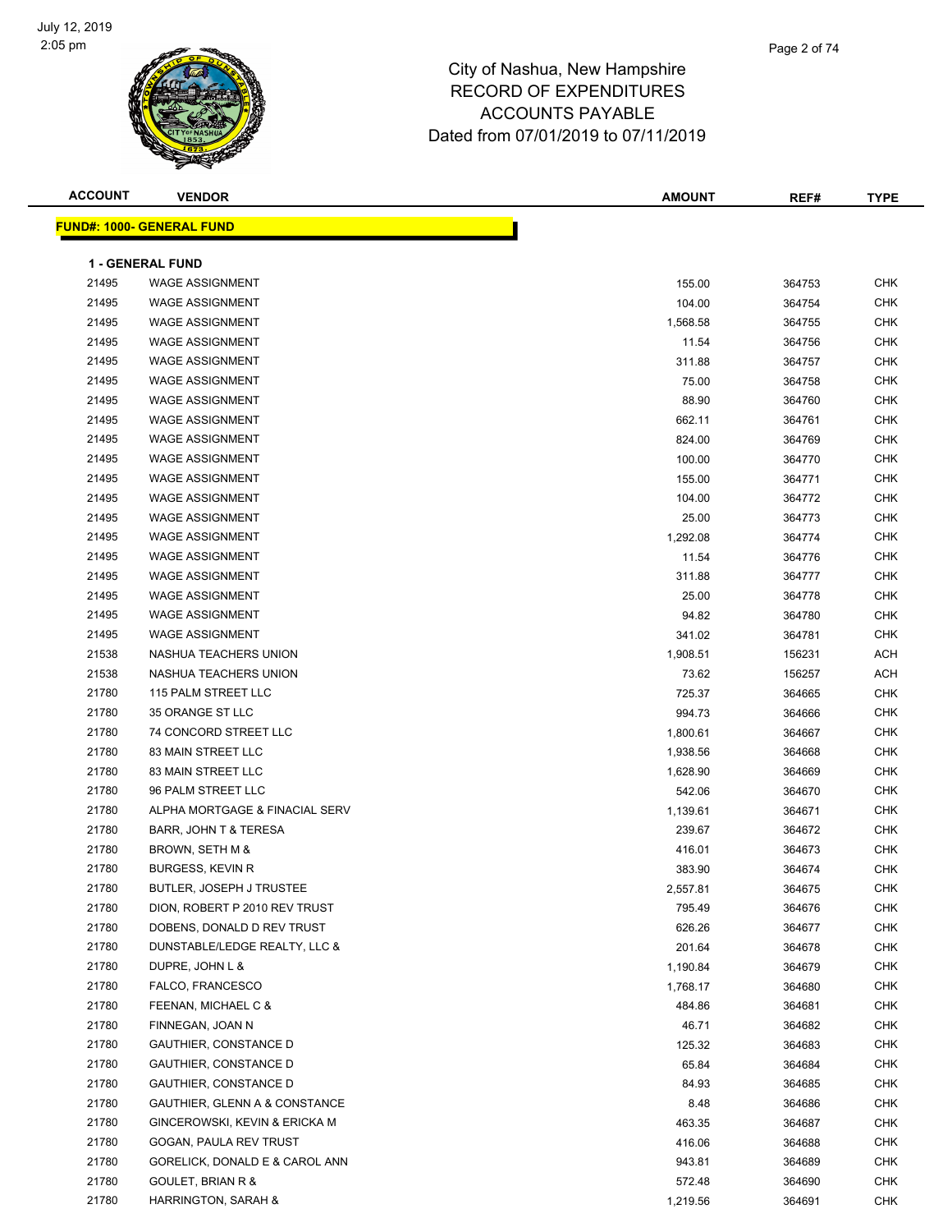

| <b>ACCOUNT</b> | <b>VENDOR</b>                    | <b>AMOUNT</b> | REF#   | <b>TYPE</b> |
|----------------|----------------------------------|---------------|--------|-------------|
|                | <b>FUND#: 1000- GENERAL FUND</b> |               |        |             |
|                |                                  |               |        |             |
|                | <b>1 - GENERAL FUND</b>          |               |        |             |
| 21495          | <b>WAGE ASSIGNMENT</b>           | 155.00        | 364753 | <b>CHK</b>  |
| 21495          | <b>WAGE ASSIGNMENT</b>           | 104.00        | 364754 | <b>CHK</b>  |
| 21495          | <b>WAGE ASSIGNMENT</b>           | 1,568.58      | 364755 | CHK         |
| 21495          | <b>WAGE ASSIGNMENT</b>           | 11.54         | 364756 | CHK         |
| 21495          | <b>WAGE ASSIGNMENT</b>           | 311.88        | 364757 | CHK         |
| 21495          | <b>WAGE ASSIGNMENT</b>           | 75.00         | 364758 | CHK         |
| 21495          | <b>WAGE ASSIGNMENT</b>           | 88.90         | 364760 | <b>CHK</b>  |
| 21495          | <b>WAGE ASSIGNMENT</b>           | 662.11        | 364761 | CHK         |
| 21495          | <b>WAGE ASSIGNMENT</b>           | 824.00        | 364769 | <b>CHK</b>  |
| 21495          | <b>WAGE ASSIGNMENT</b>           | 100.00        | 364770 | CHK         |
| 21495          | <b>WAGE ASSIGNMENT</b>           | 155.00        | 364771 | CHK         |
| 21495          | <b>WAGE ASSIGNMENT</b>           | 104.00        | 364772 | CHK         |
| 21495          | <b>WAGE ASSIGNMENT</b>           | 25.00         | 364773 | CHK         |
| 21495          | <b>WAGE ASSIGNMENT</b>           | 1,292.08      | 364774 | CHK         |
| 21495          | <b>WAGE ASSIGNMENT</b>           | 11.54         | 364776 | CHK         |
| 21495          | <b>WAGE ASSIGNMENT</b>           | 311.88        | 364777 | CHK         |
| 21495          | <b>WAGE ASSIGNMENT</b>           | 25.00         | 364778 | CHK         |
| 21495          | <b>WAGE ASSIGNMENT</b>           | 94.82         | 364780 | <b>CHK</b>  |
| 21495          | <b>WAGE ASSIGNMENT</b>           | 341.02        | 364781 | CHK         |
| 21538          | NASHUA TEACHERS UNION            | 1,908.51      | 156231 | <b>ACH</b>  |
| 21538          | NASHUA TEACHERS UNION            | 73.62         | 156257 | <b>ACH</b>  |
| 21780          | 115 PALM STREET LLC              | 725.37        | 364665 | <b>CHK</b>  |
| 21780          | 35 ORANGE ST LLC                 | 994.73        | 364666 | <b>CHK</b>  |
| 21780          | 74 CONCORD STREET LLC            | 1,800.61      | 364667 | CHK         |
| 21780          | 83 MAIN STREET LLC               | 1,938.56      | 364668 | CHK         |
| 21780          | 83 MAIN STREET LLC               | 1,628.90      | 364669 | CHK         |
| 21780          | 96 PALM STREET LLC               | 542.06        | 364670 | CHK         |
| 21780          | ALPHA MORTGAGE & FINACIAL SERV   | 1,139.61      | 364671 | CHK         |
| 21780          | BARR, JOHN T & TERESA            | 239.67        | 364672 | <b>CHK</b>  |
| 21780          | BROWN, SETH M &                  | 416.01        | 364673 | <b>CHK</b>  |
| 21780          | <b>BURGESS, KEVIN R</b>          | 383.90        | 364674 | <b>CHK</b>  |
| 21780          | BUTLER, JOSEPH J TRUSTEE         | 2,557.81      | 364675 | CHK         |
| 21780          | DION, ROBERT P 2010 REV TRUST    | 795.49        | 364676 | CHK         |
| 21780          | DOBENS, DONALD D REV TRUST       | 626.26        | 364677 | CHK         |
| 21780          | DUNSTABLE/LEDGE REALTY, LLC &    | 201.64        | 364678 | CHK         |
| 21780          | DUPRE, JOHN L &                  | 1,190.84      | 364679 | <b>CHK</b>  |
| 21780          | FALCO, FRANCESCO                 | 1,768.17      | 364680 | <b>CHK</b>  |
| 21780          | FEENAN, MICHAEL C &              | 484.86        | 364681 | CHK         |
| 21780          | FINNEGAN, JOAN N                 | 46.71         | 364682 | <b>CHK</b>  |
| 21780          |                                  |               |        | <b>CHK</b>  |
|                | GAUTHIER, CONSTANCE D            | 125.32        | 364683 |             |
| 21780          | <b>GAUTHIER, CONSTANCE D</b>     | 65.84         | 364684 | CHK         |
| 21780          | <b>GAUTHIER, CONSTANCE D</b>     | 84.93         | 364685 | CHK         |
| 21780          | GAUTHIER, GLENN A & CONSTANCE    | 8.48          | 364686 | CHK         |
| 21780          | GINCEROWSKI, KEVIN & ERICKA M    | 463.35        | 364687 | CHK         |
| 21780          | GOGAN, PAULA REV TRUST           | 416.06        | 364688 | CHK         |
| 21780          | GORELICK, DONALD E & CAROL ANN   | 943.81        | 364689 | CHK         |
| 21780          | GOULET, BRIAN R &                | 572.48        | 364690 | CHK         |
| 21780          | HARRINGTON, SARAH &              | 1,219.56      | 364691 | CHK         |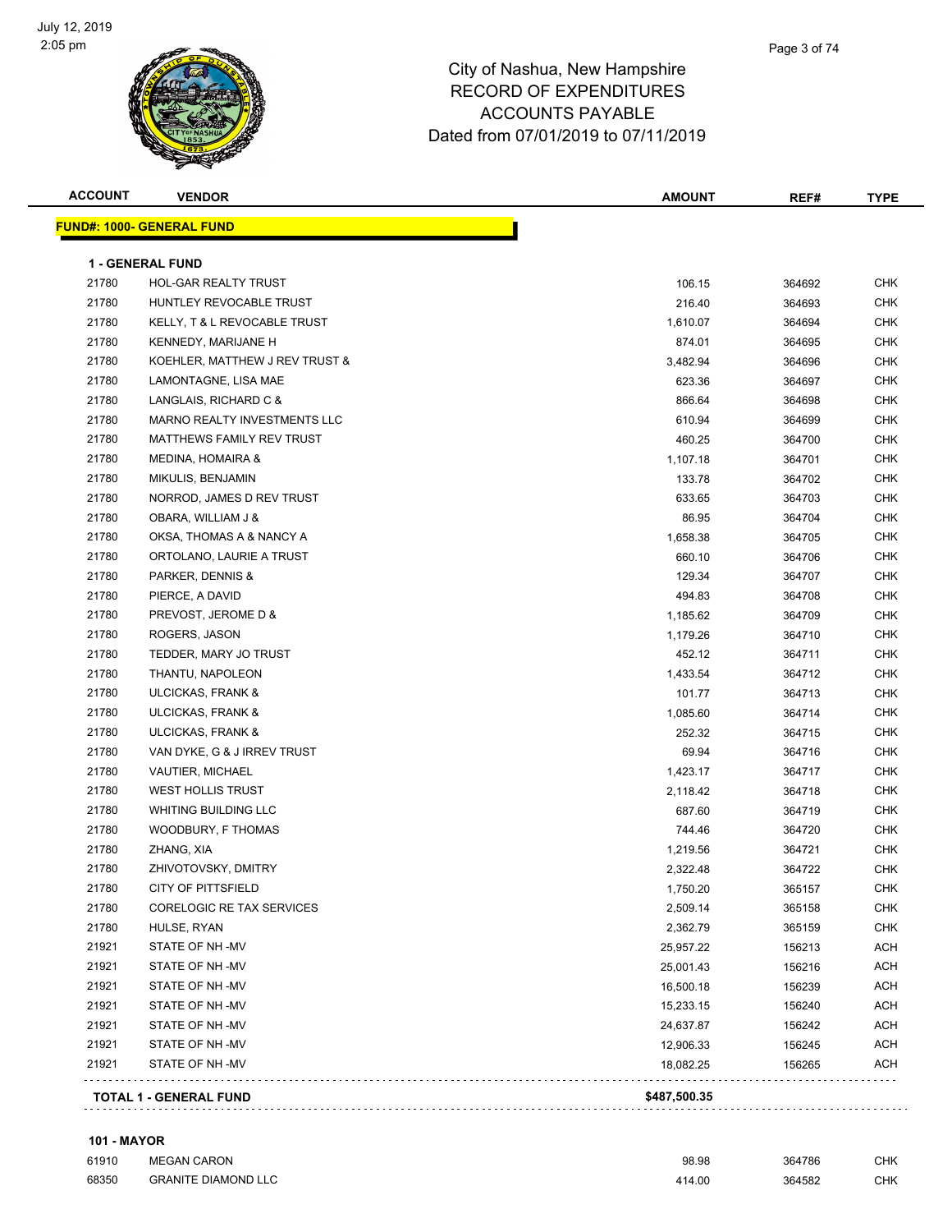

| <b>ACCOUNT</b> | <b>VENDOR</b>                    | <b>AMOUNT</b> | REF#   | <b>TYPE</b> |
|----------------|----------------------------------|---------------|--------|-------------|
|                | <b>FUND#: 1000- GENERAL FUND</b> |               |        |             |
|                | <b>1 - GENERAL FUND</b>          |               |        |             |
| 21780          | HOL-GAR REALTY TRUST             | 106.15        | 364692 | CHK         |
| 21780          | HUNTLEY REVOCABLE TRUST          | 216.40        | 364693 | CHK         |
| 21780          | KELLY, T & L REVOCABLE TRUST     | 1,610.07      | 364694 | <b>CHK</b>  |
| 21780          | KENNEDY, MARIJANE H              | 874.01        | 364695 | <b>CHK</b>  |
| 21780          | KOEHLER, MATTHEW J REV TRUST &   | 3,482.94      | 364696 | <b>CHK</b>  |
| 21780          | LAMONTAGNE, LISA MAE             | 623.36        | 364697 | <b>CHK</b>  |
| 21780          | LANGLAIS, RICHARD C &            | 866.64        | 364698 | <b>CHK</b>  |
| 21780          | MARNO REALTY INVESTMENTS LLC     | 610.94        | 364699 | <b>CHK</b>  |
| 21780          | MATTHEWS FAMILY REV TRUST        | 460.25        | 364700 | <b>CHK</b>  |
| 21780          | <b>MEDINA, HOMAIRA &amp;</b>     | 1,107.18      | 364701 | <b>CHK</b>  |
| 21780          | MIKULIS, BENJAMIN                | 133.78        | 364702 | <b>CHK</b>  |
| 21780          | NORROD, JAMES D REV TRUST        | 633.65        | 364703 | <b>CHK</b>  |
| 21780          | OBARA, WILLIAM J &               | 86.95         | 364704 | <b>CHK</b>  |
| 21780          | OKSA, THOMAS A & NANCY A         | 1,658.38      | 364705 | <b>CHK</b>  |
| 21780          | ORTOLANO, LAURIE A TRUST         | 660.10        | 364706 | <b>CHK</b>  |
| 21780          | PARKER, DENNIS &                 | 129.34        | 364707 | <b>CHK</b>  |
| 21780          | PIERCE, A DAVID                  | 494.83        | 364708 | <b>CHK</b>  |
| 21780          | PREVOST, JEROME D &              | 1,185.62      | 364709 | CHK         |
| 21780          | ROGERS, JASON                    | 1,179.26      | 364710 | <b>CHK</b>  |
| 21780          | TEDDER, MARY JO TRUST            | 452.12        | 364711 | <b>CHK</b>  |
| 21780          | THANTU, NAPOLEON                 | 1,433.54      | 364712 | CHK         |
| 21780          | ULCICKAS, FRANK &                | 101.77        | 364713 | <b>CHK</b>  |
| 21780          | ULCICKAS, FRANK &                | 1,085.60      | 364714 | CHK         |
| 21780          | ULCICKAS, FRANK &                | 252.32        | 364715 | CHK         |
| 21780          | VAN DYKE, G & J IRREV TRUST      | 69.94         | 364716 | <b>CHK</b>  |
| 21780          | VAUTIER, MICHAEL                 | 1,423.17      | 364717 | CHK         |
| 21780          | WEST HOLLIS TRUST                | 2,118.42      | 364718 | <b>CHK</b>  |
| 21780          | <b>WHITING BUILDING LLC</b>      | 687.60        | 364719 | <b>CHK</b>  |
| 21780          | WOODBURY, F THOMAS               | 744.46        | 364720 | <b>CHK</b>  |
| 21780          | ZHANG, XIA                       | 1,219.56      | 364721 | <b>CHK</b>  |
| 21780          | ZHIVOTOVSKY, DMITRY              | 2,322.48      | 364722 | <b>CHK</b>  |
| 21780          | CITY OF PITTSFIELD               | 1,750.20      | 365157 | <b>CHK</b>  |
| 21780          | CORELOGIC RE TAX SERVICES        | 2,509.14      | 365158 | CHK         |
| 21780          | HULSE, RYAN                      | 2,362.79      | 365159 | CHK         |
| 21921          | STATE OF NH-MV                   | 25,957.22     | 156213 | ACH         |
| 21921          | STATE OF NH-MV                   | 25,001.43     | 156216 | <b>ACH</b>  |
| 21921          | STATE OF NH -MV                  | 16,500.18     | 156239 | ACH         |
| 21921          | STATE OF NH-MV                   | 15,233.15     | 156240 | ACH         |
| 21921          | STATE OF NH -MV                  | 24,637.87     | 156242 | <b>ACH</b>  |
| 21921          | STATE OF NH-MV                   | 12,906.33     | 156245 | <b>ACH</b>  |
| 21921          | STATE OF NH-MV                   | 18,082.25     | 156265 | <b>ACH</b>  |
|                | <b>TOTAL 1 - GENERAL FUND</b>    | \$487,500.35  |        |             |
|                |                                  |               |        |             |

#### **101 - MAYOR**

| 61910 | <b>MEGAN CARON</b>         | 98.98  | 364786 | <b>CHK</b> |
|-------|----------------------------|--------|--------|------------|
| 68350 | <b>GRANITE DIAMOND LLC</b> | 414.00 | 364582 | <b>CHK</b> |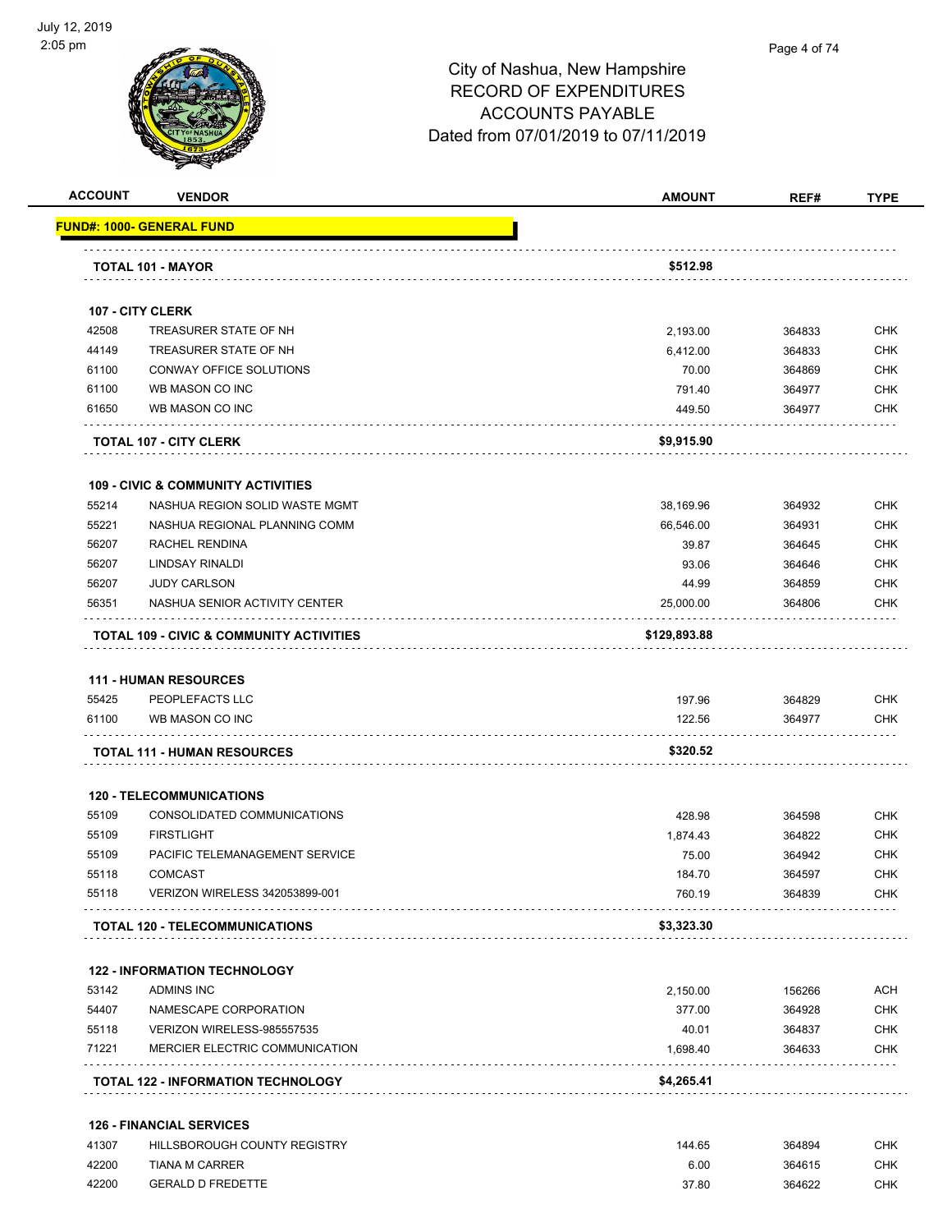

#### Page 4 of 74

### City of Nashua, New Hampshire RECORD OF EXPENDITURES ACCOUNTS PAYABLE Dated from 07/01/2019 to 07/11/2019

| <b>ACCOUNT</b> | <b>VENDOR</b>                                       | <b>AMOUNT</b> | REF#             | <b>TYPE</b> |
|----------------|-----------------------------------------------------|---------------|------------------|-------------|
|                | <u> FUND#: 1000- GENERAL FUND</u>                   |               |                  |             |
|                | TOTAL 101 - MAYOR                                   | \$512.98      |                  |             |
|                |                                                     |               |                  |             |
|                | 107 - CITY CLERK                                    |               |                  |             |
| 42508          | TREASURER STATE OF NH                               | 2,193.00      | 364833           | CHK         |
| 44149          | TREASURER STATE OF NH                               | 6,412.00      | 364833           | <b>CHK</b>  |
| 61100          | CONWAY OFFICE SOLUTIONS                             | 70.00         | 364869           | <b>CHK</b>  |
| 61100          | WB MASON CO INC                                     | 791.40        | 364977           | CHK         |
| 61650          | WB MASON CO INC                                     | 449.50        | 364977           | CHK         |
|                | <b>TOTAL 107 - CITY CLERK</b>                       | \$9,915.90    |                  |             |
|                | <b>109 - CIVIC &amp; COMMUNITY ACTIVITIES</b>       |               |                  |             |
| 55214          | NASHUA REGION SOLID WASTE MGMT                      | 38,169.96     | 364932           | <b>CHK</b>  |
| 55221          | NASHUA REGIONAL PLANNING COMM                       | 66,546.00     | 364931           | <b>CHK</b>  |
| 56207          | RACHEL RENDINA                                      | 39.87         | 364645           | CHK         |
| 56207          | LINDSAY RINALDI                                     | 93.06         | 364646           | CHK         |
| 56207          | <b>JUDY CARLSON</b>                                 | 44.99         | 364859           | <b>CHK</b>  |
| 56351          | NASHUA SENIOR ACTIVITY CENTER                       | 25,000.00     | 364806           | CHK         |
|                | <b>TOTAL 109 - CIVIC &amp; COMMUNITY ACTIVITIES</b> | \$129,893.88  |                  |             |
|                |                                                     |               |                  |             |
|                | <b>111 - HUMAN RESOURCES</b>                        |               |                  |             |
| 55425          | PEOPLEFACTS LLC                                     | 197.96        | 364829           | CHK         |
| 61100          | WB MASON CO INC                                     | 122.56        | 364977           | <b>CHK</b>  |
|                | <b>TOTAL 111 - HUMAN RESOURCES</b>                  | \$320.52      |                  |             |
|                | <b>120 - TELECOMMUNICATIONS</b>                     |               |                  |             |
| 55109          | CONSOLIDATED COMMUNICATIONS                         | 428.98        | 364598           | <b>CHK</b>  |
| 55109          | <b>FIRSTLIGHT</b>                                   | 1,874.43      | 364822           | <b>CHK</b>  |
| 55109          | PACIFIC TELEMANAGEMENT SERVICE                      | 75.00         | 364942           | <b>CHK</b>  |
| 55118          | <b>COMCAST</b>                                      | 184.70        | 364597           | <b>CHK</b>  |
| 55118          | VERIZON WIRELESS 342053899-001                      | 760.19        | 364839           | CHK         |
|                | <b>TOTAL 120 - TELECOMMUNICATIONS</b>               | \$3,323.30    |                  |             |
|                | <b>122 - INFORMATION TECHNOLOGY</b>                 |               |                  |             |
| 53142          | <b>ADMINS INC</b>                                   | 2,150.00      | 156266           | <b>ACH</b>  |
| 54407          | NAMESCAPE CORPORATION                               | 377.00        | 364928           | <b>CHK</b>  |
| 55118          | VERIZON WIRELESS-985557535                          | 40.01         |                  | <b>CHK</b>  |
| 71221          | MERCIER ELECTRIC COMMUNICATION                      | 1,698.40      | 364837<br>364633 | CHK         |
|                | <b>TOTAL 122 - INFORMATION TECHNOLOGY</b>           | \$4,265.41    |                  |             |
|                | <b>126 - FINANCIAL SERVICES</b>                     |               |                  |             |
| 41307          | HILLSBOROUGH COUNTY REGISTRY                        | 144.65        | 364894           | CHK         |
| 42200          | TIANA M CARRER                                      | 6.00          | 364615           | <b>CHK</b>  |

erald by the GERALD D FREDETTE CHINESE STATE And the STATE STATE STATE STATE STATE STATE STATE STATE STATE STATE STATE STATE STATE STATE STATE STATE STATE STATE STATE STATE STATE STATE STATE STATE STATE STATE STATE STATE S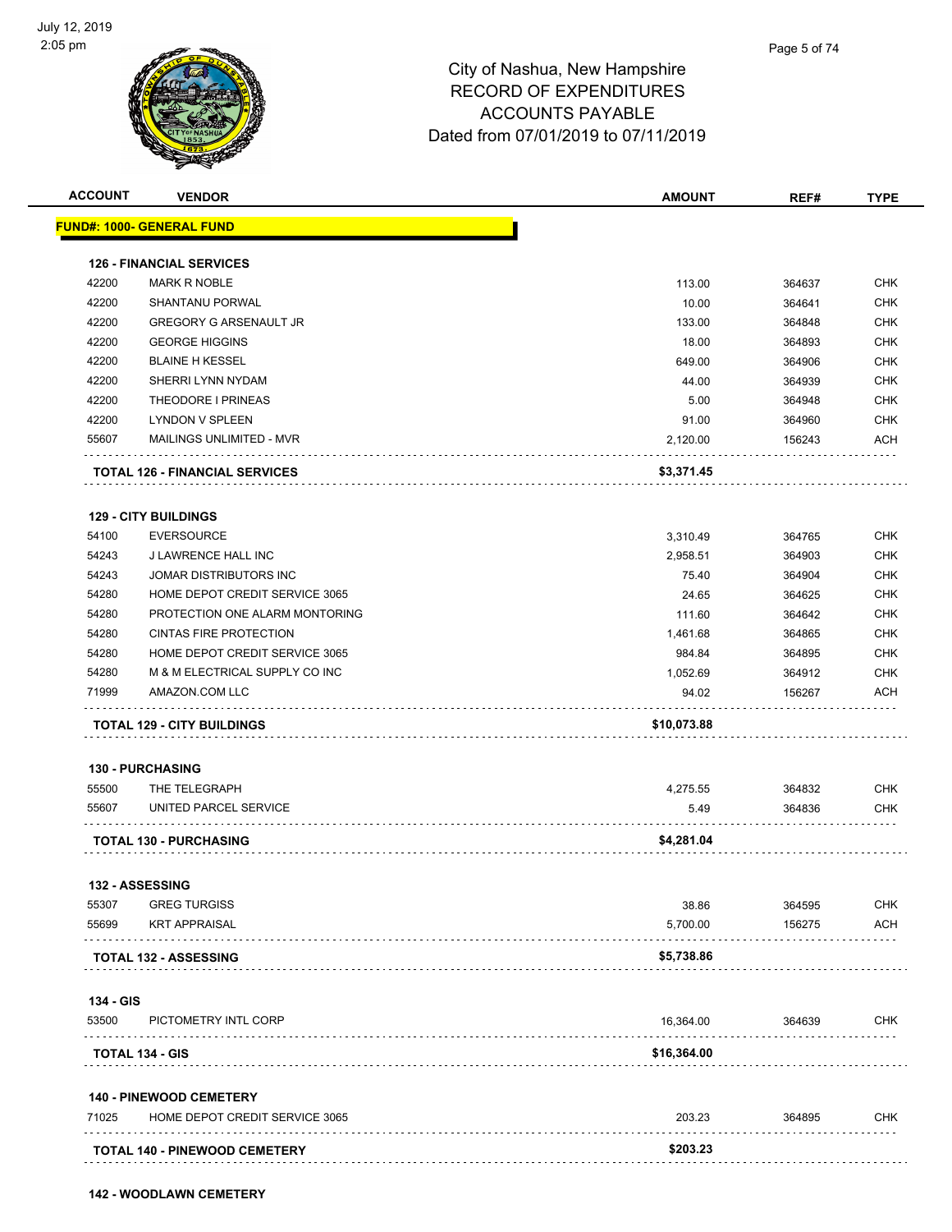

|                    | <b>VENDOR</b>                               | <b>AMOUNT</b>     | REF#             | <b>TYPE</b>              |
|--------------------|---------------------------------------------|-------------------|------------------|--------------------------|
|                    | FUND#: 1000- GENERAL FUND                   |                   |                  |                          |
|                    |                                             |                   |                  |                          |
|                    | <b>126 - FINANCIAL SERVICES</b>             |                   |                  |                          |
| 42200              | <b>MARK R NOBLE</b>                         | 113.00            | 364637           | <b>CHK</b>               |
| 42200              | <b>SHANTANU PORWAL</b>                      | 10.00             | 364641           | <b>CHK</b>               |
| 42200              | <b>GREGORY G ARSENAULT JR</b>               | 133.00            | 364848           | <b>CHK</b>               |
| 42200              | <b>GEORGE HIGGINS</b>                       | 18.00             | 364893           | <b>CHK</b>               |
| 42200              | <b>BLAINE H KESSEL</b>                      | 649.00            | 364906           | <b>CHK</b>               |
| 42200              | SHERRI LYNN NYDAM                           | 44.00             | 364939           | <b>CHK</b>               |
| 42200              | THEODORE I PRINEAS                          | 5.00              | 364948           | <b>CHK</b>               |
| 42200              | <b>LYNDON V SPLEEN</b>                      | 91.00             | 364960           | <b>CHK</b>               |
| 55607              | MAILINGS UNLIMITED - MVR                    | 2,120.00          | 156243           | ACH                      |
|                    | <b>TOTAL 126 - FINANCIAL SERVICES</b>       | \$3,371.45        |                  |                          |
|                    | <b>129 - CITY BUILDINGS</b>                 |                   |                  |                          |
| 54100              | <b>EVERSOURCE</b>                           | 3,310.49          | 364765           | <b>CHK</b>               |
| 54243              | J LAWRENCE HALL INC                         | 2,958.51          | 364903           | <b>CHK</b>               |
| 54243              | JOMAR DISTRIBUTORS INC                      | 75.40             | 364904           | <b>CHK</b>               |
| 54280              | HOME DEPOT CREDIT SERVICE 3065              | 24.65             | 364625           | <b>CHK</b>               |
| 54280              | PROTECTION ONE ALARM MONTORING              | 111.60            | 364642           | <b>CHK</b>               |
| 54280              | <b>CINTAS FIRE PROTECTION</b>               | 1,461.68          | 364865           | <b>CHK</b>               |
| 54280              | HOME DEPOT CREDIT SERVICE 3065              | 984.84            | 364895           | <b>CHK</b>               |
| 54280              | M & M ELECTRICAL SUPPLY CO INC              | 1,052.69          | 364912           | <b>CHK</b>               |
| 71999              | AMAZON.COM LLC                              | 94.02             | 156267           | <b>ACH</b>               |
|                    | TOTAL 129 - CITY BUILDINGS                  | \$10,073.88       |                  |                          |
|                    |                                             |                   |                  |                          |
|                    | 130 - PURCHASING                            |                   |                  |                          |
| 55500              | THE TELEGRAPH                               | 4,275.55          | 364832           | <b>CHK</b>               |
|                    | UNITED PARCEL SERVICE                       | 5.49              | 364836           | CHK                      |
|                    |                                             |                   |                  |                          |
| 55607              | <b>TOTAL 130 - PURCHASING</b>               | \$4,281.04        |                  |                          |
|                    |                                             |                   |                  |                          |
|                    | <b>132 - ASSESSING</b>                      |                   |                  |                          |
|                    | <b>GREG TURGISS</b><br><b>KRT APPRAISAL</b> | 38.86<br>5,700.00 | 364595<br>156275 | <b>CHK</b><br><b>ACH</b> |
| 55307<br>55699     |                                             |                   |                  |                          |
|                    | <b>TOTAL 132 - ASSESSING</b>                | \$5,738.86        |                  |                          |
|                    |                                             |                   |                  |                          |
|                    | PICTOMETRY INTL CORP                        | 16,364.00         | 364639           | <b>CHK</b>               |
| 134 - GIS<br>53500 | TOTAL 134 - GIS                             | \$16,364.00       |                  |                          |
|                    | <b>140 - PINEWOOD CEMETERY</b>              |                   |                  |                          |
| 71025              | HOME DEPOT CREDIT SERVICE 3065              | 203.23            | 364895           | <b>CHK</b>               |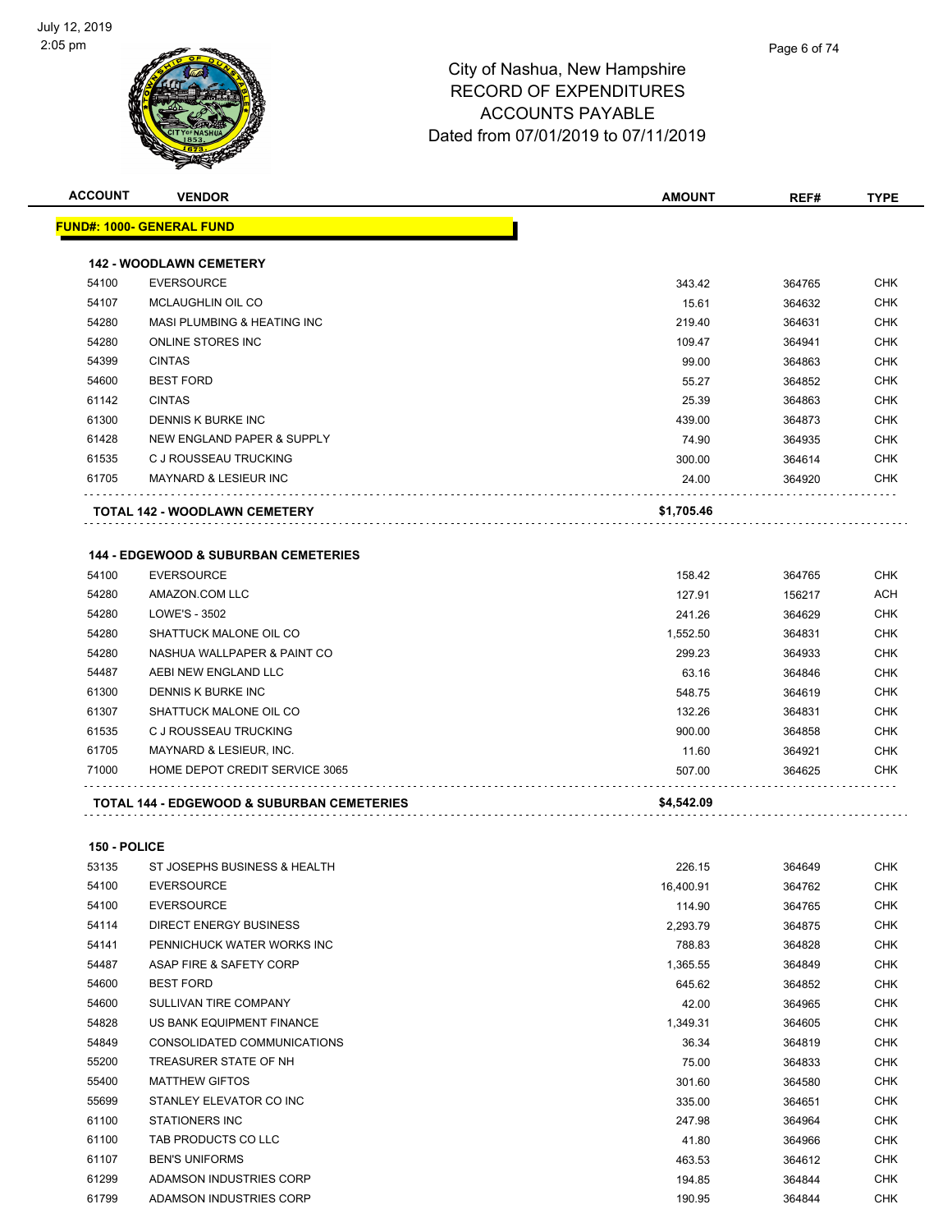

**ACCOUNT VENDOR AMOUNT REF# TYPE**

|              | <b>FUND#: 1000- GENERAL FUND</b>                |            |        |            |
|--------------|-------------------------------------------------|------------|--------|------------|
|              | <b>142 - WOODLAWN CEMETERY</b>                  |            |        |            |
| 54100        | <b>EVERSOURCE</b>                               | 343.42     | 364765 | CHK        |
| 54107        | MCLAUGHLIN OIL CO                               | 15.61      | 364632 | <b>CHK</b> |
| 54280        | MASI PLUMBING & HEATING INC                     | 219.40     | 364631 | <b>CHK</b> |
| 54280        | ONLINE STORES INC                               | 109.47     | 364941 | <b>CHK</b> |
| 54399        | <b>CINTAS</b>                                   | 99.00      | 364863 | <b>CHK</b> |
| 54600        | <b>BEST FORD</b>                                | 55.27      | 364852 | <b>CHK</b> |
| 61142        | <b>CINTAS</b>                                   | 25.39      | 364863 | <b>CHK</b> |
| 61300        | DENNIS K BURKE INC                              | 439.00     | 364873 | <b>CHK</b> |
| 61428        | NEW ENGLAND PAPER & SUPPLY                      | 74.90      | 364935 | <b>CHK</b> |
| 61535        | C J ROUSSEAU TRUCKING                           | 300.00     | 364614 | <b>CHK</b> |
| 61705        | <b>MAYNARD &amp; LESIEUR INC</b>                | 24.00      | 364920 | <b>CHK</b> |
|              | TOTAL 142 - WOODLAWN CEMETERY                   | \$1,705.46 |        |            |
|              | <b>144 - EDGEWOOD &amp; SUBURBAN CEMETERIES</b> |            |        |            |
| 54100        | <b>EVERSOURCE</b>                               | 158.42     | 364765 | CHK        |
| 54280        | AMAZON.COM LLC                                  | 127.91     | 156217 | ACH        |
| 54280        | LOWE'S - 3502                                   | 241.26     | 364629 | <b>CHK</b> |
| 54280        | SHATTUCK MALONE OIL CO                          | 1,552.50   | 364831 | <b>CHK</b> |
| 54280        | NASHUA WALLPAPER & PAINT CO                     | 299.23     | 364933 | <b>CHK</b> |
| 54487        | AEBI NEW ENGLAND LLC                            | 63.16      | 364846 | <b>CHK</b> |
| 61300        | DENNIS K BURKE INC                              | 548.75     | 364619 | <b>CHK</b> |
| 61307        | SHATTUCK MALONE OIL CO                          | 132.26     | 364831 | <b>CHK</b> |
| 61535        | C J ROUSSEAU TRUCKING                           | 900.00     | 364858 | <b>CHK</b> |
| 61705        | MAYNARD & LESIEUR, INC.                         | 11.60      | 364921 | <b>CHK</b> |
| 71000        | HOME DEPOT CREDIT SERVICE 3065                  | 507.00     | 364625 | CHK        |
|              | TOTAL 144 - EDGEWOOD & SUBURBAN CEMETERIES      | \$4,542.09 |        |            |
| 150 - POLICE |                                                 |            |        |            |
| 53135        | ST JOSEPHS BUSINESS & HEALTH                    | 226.15     | 364649 | CHK        |
| 54100        | <b>EVERSOURCE</b>                               | 16,400.91  | 364762 | <b>CHK</b> |
| 54100        | <b>EVERSOURCE</b>                               | 114.90     | 364765 | CHK        |
| 54114        | <b>DIRECT ENERGY BUSINESS</b>                   | 2,293.79   | 364875 | <b>CHK</b> |
| 54141        | PENNICHUCK WATER WORKS INC                      | 788.83     | 364828 | <b>CHK</b> |
| 54487        | ASAP FIRE & SAFETY CORP                         | 1,365.55   | 364849 | CHK        |
| 54600        | <b>BEST FORD</b>                                | 645.62     | 364852 | <b>CHK</b> |
| 54600        | SULLIVAN TIRE COMPANY                           | 42.00      | 364965 | <b>CHK</b> |
| 54828        | US BANK EQUIPMENT FINANCE                       | 1,349.31   | 364605 | <b>CHK</b> |
| 54849        | CONSOLIDATED COMMUNICATIONS                     | 36.34      | 364819 | CHK        |
| 55200        | TREASURER STATE OF NH                           | 75.00      | 364833 | CHK        |
| 55400        | <b>MATTHEW GIFTOS</b>                           | 301.60     | 364580 | <b>CHK</b> |
| 55699        | STANLEY ELEVATOR CO INC                         | 335.00     | 364651 | <b>CHK</b> |
| 61100        | <b>STATIONERS INC</b>                           | 247.98     | 364964 | CHK        |
| 61100        | TAB PRODUCTS CO LLC                             | 41.80      | 364966 | <b>CHK</b> |
| 61107        | <b>BEN'S UNIFORMS</b>                           | 463.53     | 364612 | <b>CHK</b> |
| 61299        | ADAMSON INDUSTRIES CORP                         | 194.85     | 364844 | CHK        |
| 61799        | ADAMSON INDUSTRIES CORP                         | 190.95     | 364844 | <b>CHK</b> |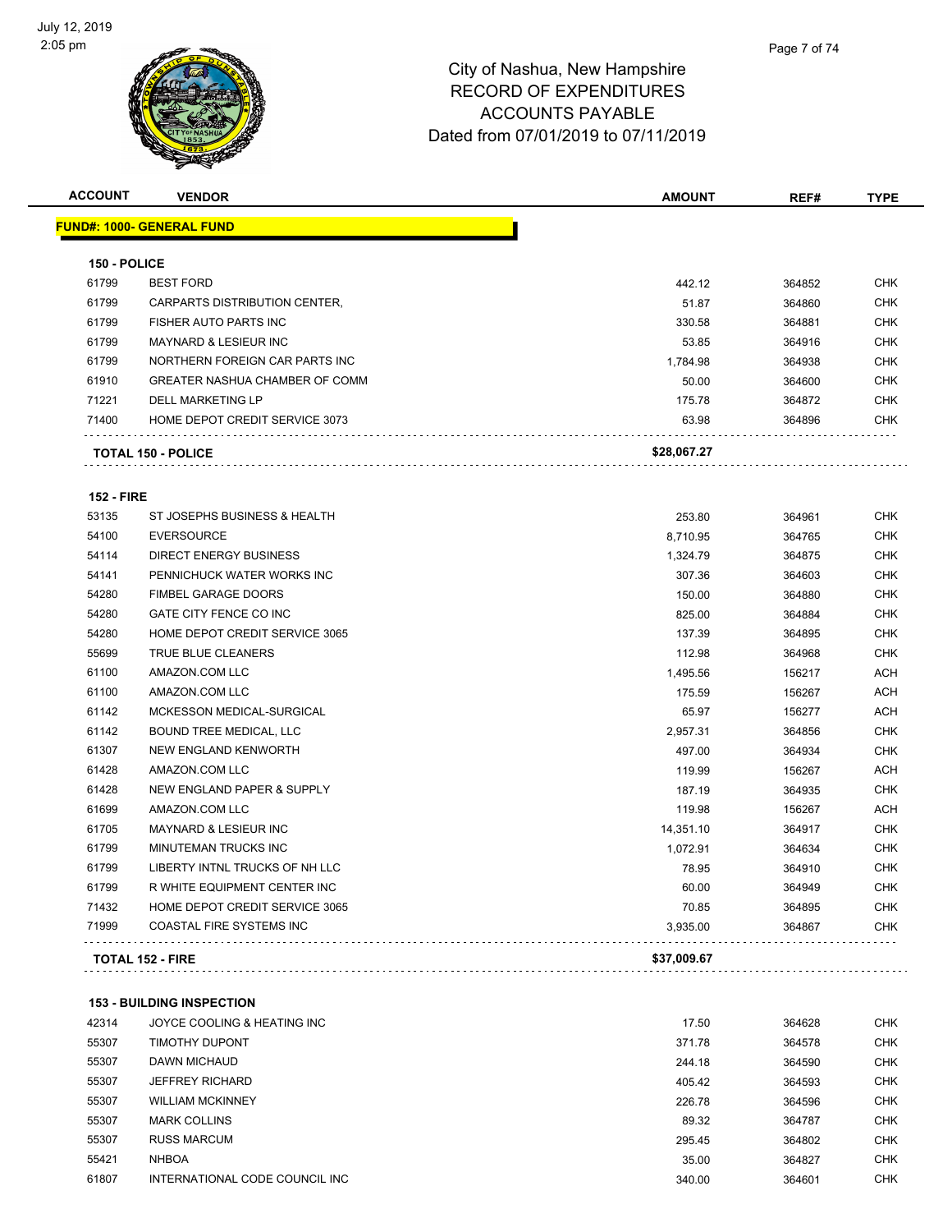

| <b>ACCOUNT</b>    | <b>VENDOR</b>                         | AMOUNT      | REF#   | <b>TYPE</b> |
|-------------------|---------------------------------------|-------------|--------|-------------|
|                   | <b>FUND#: 1000- GENERAL FUND</b>      |             |        |             |
| 150 - POLICE      |                                       |             |        |             |
| 61799             | <b>BEST FORD</b>                      | 442.12      | 364852 | <b>CHK</b>  |
| 61799             | CARPARTS DISTRIBUTION CENTER,         | 51.87       | 364860 | <b>CHK</b>  |
| 61799             | FISHER AUTO PARTS INC                 | 330.58      | 364881 | <b>CHK</b>  |
| 61799             | <b>MAYNARD &amp; LESIEUR INC</b>      | 53.85       | 364916 | <b>CHK</b>  |
| 61799             | NORTHERN FOREIGN CAR PARTS INC        | 1,784.98    | 364938 | <b>CHK</b>  |
| 61910             | <b>GREATER NASHUA CHAMBER OF COMM</b> | 50.00       | 364600 | <b>CHK</b>  |
| 71221             | <b>DELL MARKETING LP</b>              | 175.78      | 364872 | <b>CHK</b>  |
| 71400             | HOME DEPOT CREDIT SERVICE 3073        | 63.98       | 364896 | <b>CHK</b>  |
|                   | <b>TOTAL 150 - POLICE</b>             | \$28,067.27 |        |             |
| <b>152 - FIRE</b> |                                       |             |        |             |
| 53135             | ST JOSEPHS BUSINESS & HEALTH          | 253.80      | 364961 | <b>CHK</b>  |
| 54100             | <b>EVERSOURCE</b>                     | 8,710.95    | 364765 | <b>CHK</b>  |
| 54114             | <b>DIRECT ENERGY BUSINESS</b>         | 1,324.79    | 364875 | CHK         |
| 54141             | PENNICHUCK WATER WORKS INC            | 307.36      | 364603 | <b>CHK</b>  |
| 54280             | <b>FIMBEL GARAGE DOORS</b>            | 150.00      | 364880 | <b>CHK</b>  |
| 54280             | GATE CITY FENCE CO INC                | 825.00      | 364884 | <b>CHK</b>  |
| 54280             | HOME DEPOT CREDIT SERVICE 3065        | 137.39      | 364895 | <b>CHK</b>  |
| 55699             | TRUE BLUE CLEANERS                    | 112.98      | 364968 | <b>CHK</b>  |
| 61100             | AMAZON.COM LLC                        | 1,495.56    | 156217 | ACH         |
| 61100             | AMAZON.COM LLC                        | 175.59      | 156267 | ACH         |
| 61142             | MCKESSON MEDICAL-SURGICAL             | 65.97       | 156277 | ACH         |
| 61142             | BOUND TREE MEDICAL, LLC               | 2,957.31    | 364856 | <b>CHK</b>  |
| 61307             | NEW ENGLAND KENWORTH                  | 497.00      | 364934 | <b>CHK</b>  |
| 61428             | AMAZON.COM LLC                        | 119.99      | 156267 | <b>ACH</b>  |
| 61428             | NEW ENGLAND PAPER & SUPPLY            | 187.19      | 364935 | <b>CHK</b>  |
| 61699             | AMAZON.COM LLC                        | 119.98      | 156267 | ACH         |
| 61705             | <b>MAYNARD &amp; LESIEUR INC</b>      | 14,351.10   | 364917 | CHK         |
| 61799             | MINUTEMAN TRUCKS INC                  | 1,072.91    | 364634 | CHK         |
| 61799             | LIBERTY INTNL TRUCKS OF NH LLC        | 78.95       | 364910 | <b>CHK</b>  |
| 61799             | R WHITE EQUIPMENT CENTER INC          | 60.00       | 364949 | <b>CHK</b>  |
| 71432             | HOME DEPOT CREDIT SERVICE 3065        | 70.85       | 364895 | <b>CHK</b>  |
| 71999             | COASTAL FIRE SYSTEMS INC              | 3,935.00    | 364867 | <b>CHK</b>  |
|                   | <b>TOTAL 152 - FIRE</b>               | \$37,009.67 |        |             |
|                   | <b>153 - BUILDING INSPECTION</b>      |             |        |             |
| 42314             | JOYCE COOLING & HEATING INC           | 17.50       | 364628 | <b>CHK</b>  |
| 55307             | TIMOTHY DUPONT                        | 371.78      | 364578 | <b>CHK</b>  |
| 55307             | <b>DAWN MICHAUD</b>                   | 244.18      | 364590 | CHK         |
| 55307             | <b>JEFFREY RICHARD</b>                | 405.42      | 364593 | <b>CHK</b>  |
| 55307             | <b>WILLIAM MCKINNEY</b>               | 226.78      | 364596 | <b>CHK</b>  |
| 55307             | <b>MARK COLLINS</b>                   | 89.32       | 364787 | <b>CHK</b>  |

RUSS MARCUM 295.45 364802 CHK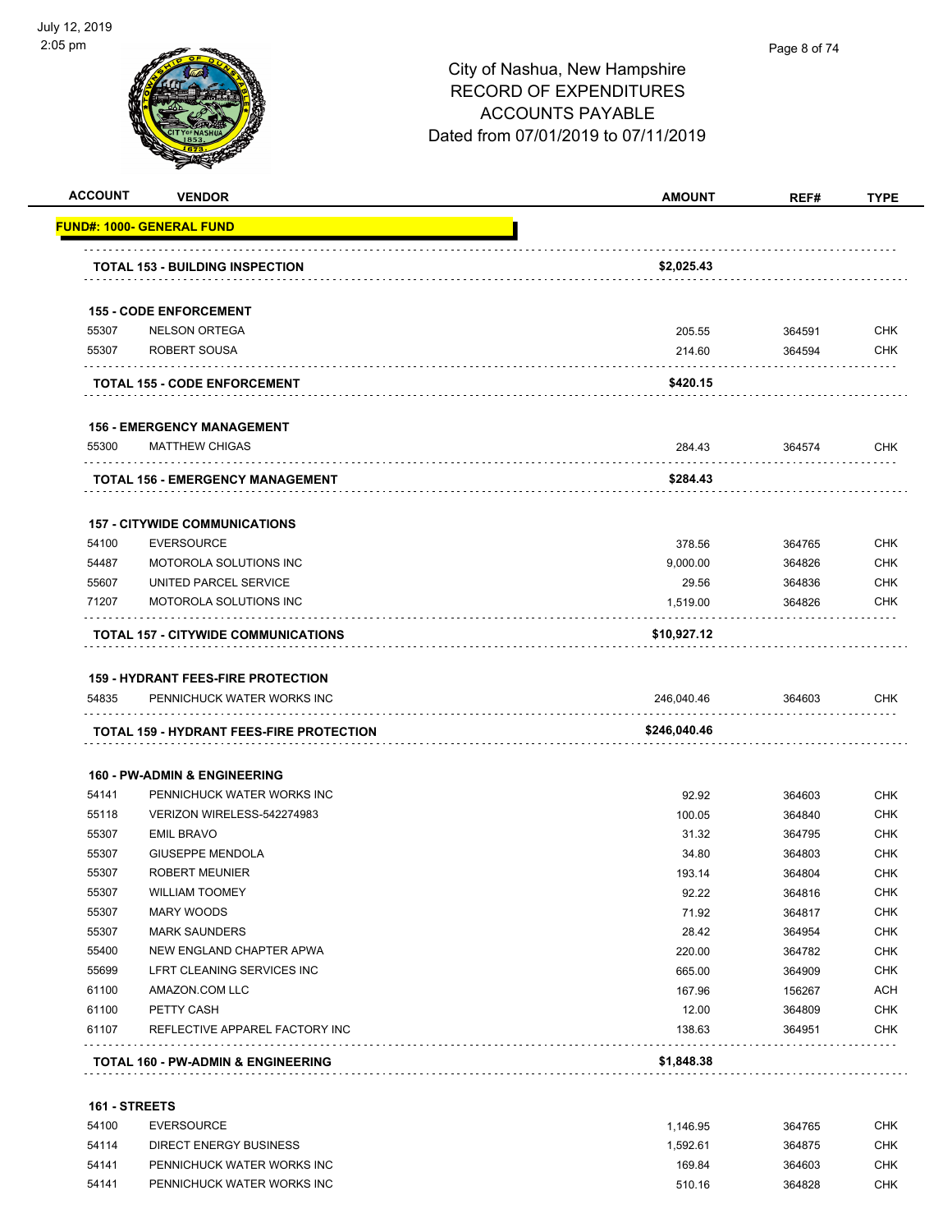

#### Page 8 of 74

#### City of Nashua, New Hampshire RECORD OF EXPENDITURES ACCOUNTS PAYABLE Dated from 07/01/2019 to 07/11/2019

|                         | <b>VENDOR</b>                                   | <b>AMOUNT</b>  | REF#             | <b>TYPE</b>                                                                                                                                            |
|-------------------------|-------------------------------------------------|----------------|------------------|--------------------------------------------------------------------------------------------------------------------------------------------------------|
|                         | <u> FUND#: 1000- GENERAL FUND</u>               |                |                  |                                                                                                                                                        |
|                         |                                                 |                |                  |                                                                                                                                                        |
|                         | <b>TOTAL 153 - BUILDING INSPECTION</b>          | \$2,025.43     |                  |                                                                                                                                                        |
|                         | <b>155 - CODE ENFORCEMENT</b>                   |                |                  |                                                                                                                                                        |
| 55307                   | <b>NELSON ORTEGA</b>                            | 205.55         | 364591           | <b>CHK</b>                                                                                                                                             |
| 55307                   | ROBERT SOUSA                                    | 214.60         | 364594           | <b>CHK</b>                                                                                                                                             |
|                         | <b>TOTAL 155 - CODE ENFORCEMENT</b>             | \$420.15       |                  |                                                                                                                                                        |
|                         | <b>156 - EMERGENCY MANAGEMENT</b>               |                |                  |                                                                                                                                                        |
| 55300                   | <b>MATTHEW CHIGAS</b>                           | 284.43         | 364574           | CHK                                                                                                                                                    |
|                         | .<br>TOTAL 156 - EMERGENCY MANAGEMENT           | \$284.43       |                  |                                                                                                                                                        |
|                         | <b>157 - CITYWIDE COMMUNICATIONS</b>            |                |                  |                                                                                                                                                        |
| 54100                   | <b>EVERSOURCE</b>                               | 378.56         | 364765           | <b>CHK</b>                                                                                                                                             |
| 54487                   | MOTOROLA SOLUTIONS INC                          | 9,000.00       | 364826           | <b>CHK</b>                                                                                                                                             |
| 55607                   | UNITED PARCEL SERVICE                           | 29.56          | 364836           | <b>CHK</b>                                                                                                                                             |
| 71207                   | MOTOROLA SOLUTIONS INC                          | 1,519.00       | 364826           | CHK                                                                                                                                                    |
|                         | TOTAL 157 - CITYWIDE COMMUNICATIONS             |                |                  |                                                                                                                                                        |
|                         |                                                 | \$10,927.12    |                  |                                                                                                                                                        |
|                         |                                                 |                |                  |                                                                                                                                                        |
|                         | <b>159 - HYDRANT FEES-FIRE PROTECTION</b>       |                |                  |                                                                                                                                                        |
| 54835                   | PENNICHUCK WATER WORKS INC                      | 246,040.46     | 364603           |                                                                                                                                                        |
|                         | <b>TOTAL 159 - HYDRANT FEES-FIRE PROTECTION</b> | \$246,040.46   |                  | <b>CHK</b>                                                                                                                                             |
|                         |                                                 |                |                  |                                                                                                                                                        |
|                         | <b>160 - PW-ADMIN &amp; ENGINEERING</b>         |                |                  |                                                                                                                                                        |
| 54141                   | PENNICHUCK WATER WORKS INC                      | 92.92          | 364603           |                                                                                                                                                        |
| 55118                   | VERIZON WIRELESS-542274983                      | 100.05         | 364840           |                                                                                                                                                        |
| 55307                   | <b>EMIL BRAVO</b>                               | 31.32          | 364795           |                                                                                                                                                        |
| 55307                   | <b>GIUSEPPE MENDOLA</b>                         | 34.80          | 364803           |                                                                                                                                                        |
| 55307                   | <b>ROBERT MEUNIER</b>                           | 193.14         | 364804           |                                                                                                                                                        |
| 55307<br>55307          | <b>WILLIAM TOOMEY</b><br>MARY WOODS             | 92.22<br>71.92 | 364816<br>364817 |                                                                                                                                                        |
|                         | <b>MARK SAUNDERS</b>                            | 28.42          | 364954           |                                                                                                                                                        |
|                         | NEW ENGLAND CHAPTER APWA                        | 220.00         | 364782           |                                                                                                                                                        |
|                         | LFRT CLEANING SERVICES INC                      | 665.00         | 364909           |                                                                                                                                                        |
| 55307<br>55400<br>55699 | AMAZON.COM LLC                                  | 167.96         | 156267           |                                                                                                                                                        |
| 61100<br>61100          | PETTY CASH                                      | 12.00          | 364809           |                                                                                                                                                        |
| 61107                   | REFLECTIVE APPAREL FACTORY INC                  | 138.63         | 364951           | <b>CHK</b><br><b>CHK</b><br>CHK<br>CHK<br><b>CHK</b><br>CHK<br><b>CHK</b><br><b>CHK</b><br><b>CHK</b><br><b>CHK</b><br>ACH<br><b>CHK</b><br><b>CHK</b> |
|                         | <b>TOTAL 160 - PW-ADMIN &amp; ENGINEERING</b>   | \$1,848.38     |                  |                                                                                                                                                        |

 EVERSOURCE 1,146.95 364765 CHK DIRECT ENERGY BUSINESS 1,592.61 364875 CHK 54141 PENNICHUCK WATER WORKS INC<br>
CHK PENNICHUCK WATER WORKS INC 510.16 364828 CHK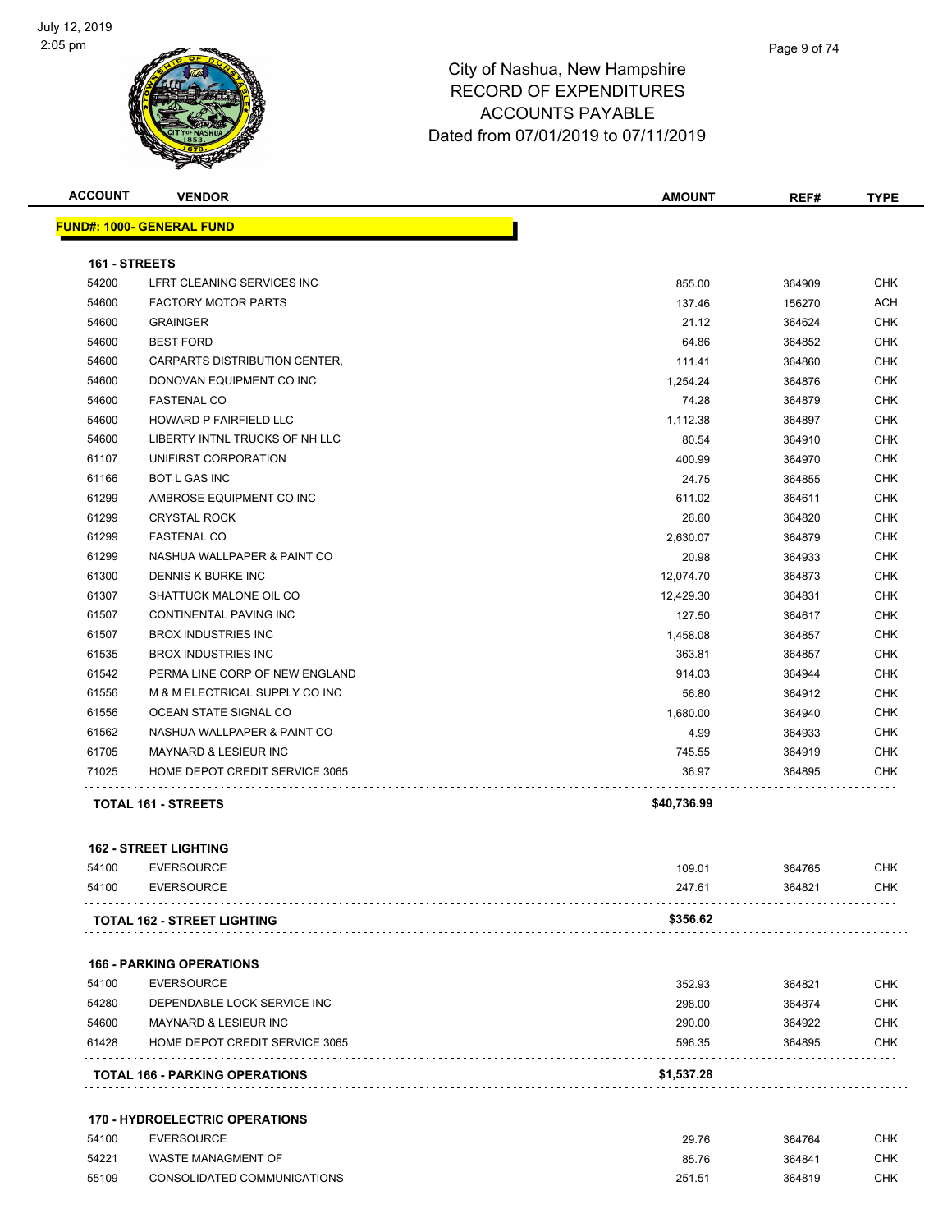

| <b>ACCOUNT</b> | <b>VENDOR</b>                                   | <b>AMOUNT</b>   | REF#             | <b>TYPE</b>              |
|----------------|-------------------------------------------------|-----------------|------------------|--------------------------|
|                | <b>FUND#: 1000- GENERAL FUND</b>                |                 |                  |                          |
|                |                                                 |                 |                  |                          |
| 161 - STREETS  |                                                 |                 |                  |                          |
| 54200          | LFRT CLEANING SERVICES INC                      | 855.00          | 364909           | CHK                      |
| 54600          | <b>FACTORY MOTOR PARTS</b>                      | 137.46          | 156270           | <b>ACH</b>               |
| 54600          | <b>GRAINGER</b>                                 | 21.12           | 364624           | CHK                      |
| 54600          | <b>BEST FORD</b>                                | 64.86           | 364852           | CHK                      |
| 54600          | CARPARTS DISTRIBUTION CENTER,                   | 111.41          | 364860           | <b>CHK</b>               |
| 54600          | DONOVAN EQUIPMENT CO INC                        | 1,254.24        | 364876           | CHK                      |
| 54600          | <b>FASTENAL CO</b>                              | 74.28           | 364879           | CHK                      |
| 54600          | HOWARD P FAIRFIELD LLC                          | 1,112.38        | 364897           | CHK                      |
| 54600          | LIBERTY INTNL TRUCKS OF NH LLC                  | 80.54           | 364910           | CHK                      |
| 61107          | UNIFIRST CORPORATION                            | 400.99          | 364970           | <b>CHK</b><br><b>CHK</b> |
| 61166          | <b>BOT L GAS INC</b>                            | 24.75           | 364855           |                          |
| 61299<br>61299 | AMBROSE EQUIPMENT CO INC<br><b>CRYSTAL ROCK</b> | 611.02<br>26.60 | 364611<br>364820 | CHK<br>CHK               |
| 61299          | <b>FASTENAL CO</b>                              | 2,630.07        | 364879           | CHK                      |
| 61299          | NASHUA WALLPAPER & PAINT CO                     | 20.98           | 364933           | CHK                      |
| 61300          | DENNIS K BURKE INC                              | 12,074.70       | 364873           | <b>CHK</b>               |
| 61307          | SHATTUCK MALONE OIL CO                          | 12,429.30       | 364831           | CHK                      |
| 61507          | CONTINENTAL PAVING INC                          | 127.50          | 364617           | CHK                      |
| 61507          | <b>BROX INDUSTRIES INC</b>                      | 1,458.08        | 364857           | CHK                      |
| 61535          | <b>BROX INDUSTRIES INC</b>                      | 363.81          | 364857           | CHK                      |
| 61542          | PERMA LINE CORP OF NEW ENGLAND                  | 914.03          | 364944           | CHK                      |
| 61556          | M & M ELECTRICAL SUPPLY CO INC                  | 56.80           | 364912           | CHK                      |
| 61556          | OCEAN STATE SIGNAL CO                           | 1,680.00        | 364940           | CHK                      |
| 61562          | NASHUA WALLPAPER & PAINT CO                     | 4.99            | 364933           | <b>CHK</b>               |
| 61705          | MAYNARD & LESIEUR INC                           | 745.55          | 364919           | CHK                      |
| 71025          | HOME DEPOT CREDIT SERVICE 3065                  | 36.97           | 364895           | CHK                      |
|                |                                                 |                 |                  |                          |
|                | TOTAL 161 - STREETS                             | \$40,736.99     |                  |                          |
|                | <b>162 - STREET LIGHTING</b>                    |                 |                  |                          |
| 54100          | <b>EVERSOURCE</b>                               | 109.01          | 364765           | CHK                      |
| 54100          | EVERSOURCE                                      | 247.61          | 364821           | <b>CHK</b>               |
|                | TOTAL 162 - STREET LIGHTING                     | \$356.62        |                  |                          |
|                |                                                 |                 |                  |                          |
|                | <b>166 - PARKING OPERATIONS</b>                 |                 |                  |                          |
| 54100          | <b>EVERSOURCE</b>                               | 352.93          | 364821           | CHK                      |
| 54280          | DEPENDABLE LOCK SERVICE INC                     | 298.00          | 364874           | CHK                      |
| 54600          | MAYNARD & LESIEUR INC                           | 290.00          | 364922           | CHK                      |
| 61428          | HOME DEPOT CREDIT SERVICE 3065                  | 596.35          | 364895           | CHK                      |
|                | <b>TOTAL 166 - PARKING OPERATIONS</b>           | \$1,537.28      |                  |                          |
|                |                                                 |                 |                  |                          |
|                | <b>170 - HYDROELECTRIC OPERATIONS</b>           |                 |                  |                          |
| 54100          | <b>EVERSOURCE</b>                               | 29.76           | 364764           | CHK                      |

 EVERSOURCE 29.76 364764 CHK WASTE MANAGMENT OF 85.76 364841 CHK CONSOLIDATED COMMUNICATIONS 251.51 364819 CHK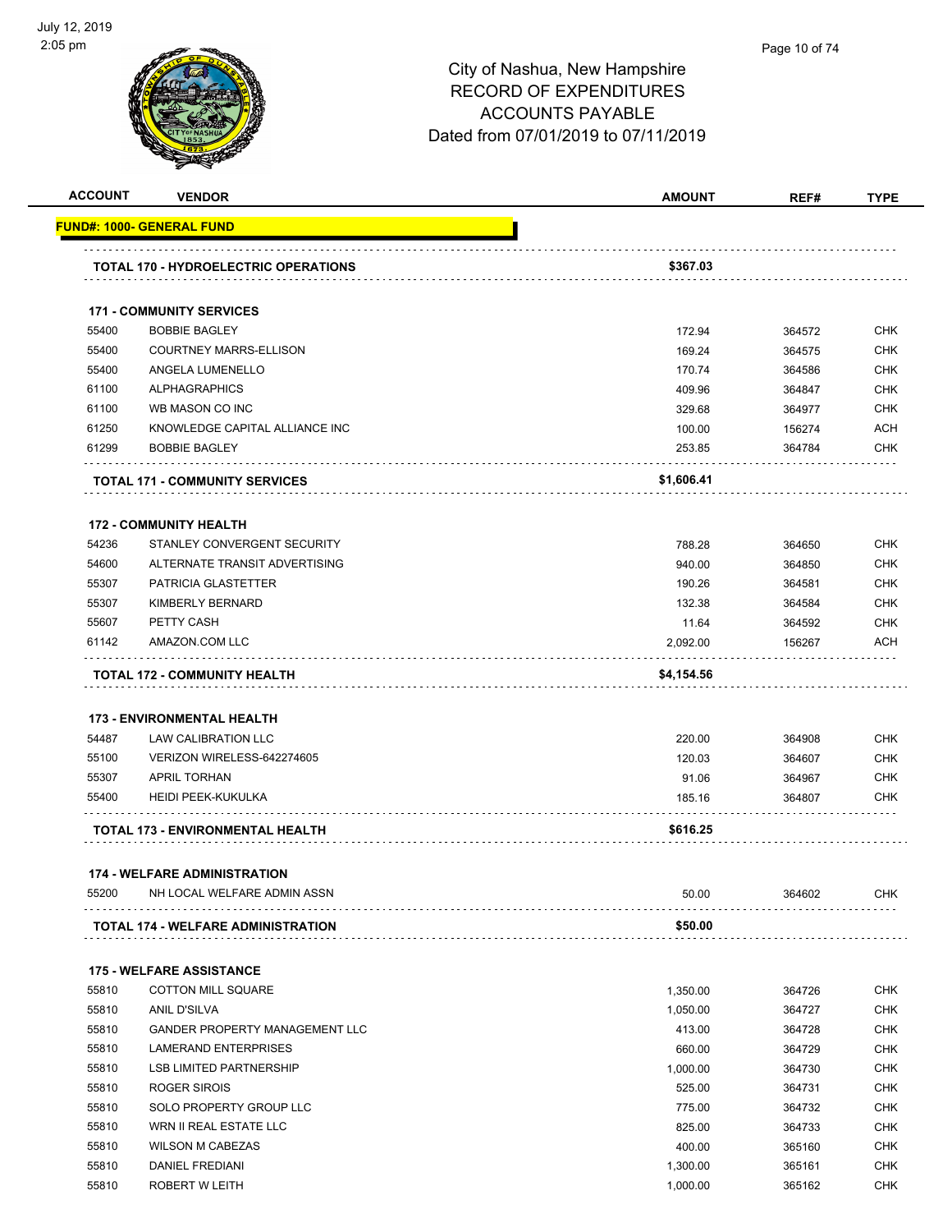

| <b>ACCOUNT</b> | <b>VENDOR</b>                                            | <b>AMOUNT</b> | REF#   | <b>TYPE</b> |
|----------------|----------------------------------------------------------|---------------|--------|-------------|
|                | FUND#: 1000- GENERAL FUND                                |               |        |             |
|                | <b>TOTAL 170 - HYDROELECTRIC OPERATIONS</b>              | \$367.03      |        |             |
|                | <b>171 - COMMUNITY SERVICES</b>                          |               |        |             |
| 55400          | <b>BOBBIE BAGLEY</b>                                     | 172.94        | 364572 | <b>CHK</b>  |
| 55400          | <b>COURTNEY MARRS-ELLISON</b>                            | 169.24        | 364575 | <b>CHK</b>  |
| 55400          | ANGELA LUMENELLO                                         | 170.74        | 364586 | CHK         |
| 61100          | <b>ALPHAGRAPHICS</b>                                     | 409.96        | 364847 | <b>CHK</b>  |
| 61100          | WB MASON CO INC                                          | 329.68        | 364977 | <b>CHK</b>  |
| 61250          | KNOWLEDGE CAPITAL ALLIANCE INC                           | 100.00        | 156274 | ACH         |
| 61299          | <b>BOBBIE BAGLEY</b>                                     | 253.85        | 364784 | CHK         |
|                | <b>TOTAL 171 - COMMUNITY SERVICES</b>                    | \$1,606.41    |        |             |
|                | <b>172 - COMMUNITY HEALTH</b>                            |               |        |             |
| 54236          | STANLEY CONVERGENT SECURITY                              | 788.28        | 364650 | CHK         |
| 54600          | ALTERNATE TRANSIT ADVERTISING                            | 940.00        | 364850 | CHK         |
| 55307          | <b>PATRICIA GLASTETTER</b>                               | 190.26        | 364581 | CHK         |
| 55307          | KIMBERLY BERNARD                                         | 132.38        | 364584 | CHK         |
| 55607          | PETTY CASH                                               | 11.64         | 364592 | <b>CHK</b>  |
| 61142          | AMAZON.COM LLC                                           | 2,092.00      | 156267 | ACH         |
| 54487          | <b>173 - ENVIRONMENTAL HEALTH</b><br>LAW CALIBRATION LLC | 220.00        | 364908 |             |
|                |                                                          |               |        | CHK         |
| 55100          | VERIZON WIRELESS-642274605                               | 120.03        | 364607 | <b>CHK</b>  |
| 55307          | <b>APRIL TORHAN</b>                                      | 91.06         | 364967 | CHK         |
| 55400          | HEIDI PEEK-KUKULKA                                       | 185.16        | 364807 | CHK         |
|                | TOTAL 173 - ENVIRONMENTAL HEALTH                         | \$616.25      |        |             |
|                | <b>174 - WELFARE ADMINISTRATION</b>                      |               |        |             |
| 55200          | NH LOCAL WELFARE ADMIN ASSN                              | 50.00         | 364602 | <b>CHK</b>  |
|                | TOTAL 174 - WELFARE ADMINISTRATION                       | \$50.00       |        |             |
|                | <b>175 - WELFARE ASSISTANCE</b>                          |               |        |             |
| 55810          | COTTON MILL SQUARE                                       | 1,350.00      | 364726 | <b>CHK</b>  |
| 55810          | ANIL D'SILVA                                             | 1,050.00      | 364727 | <b>CHK</b>  |
| 55810          | GANDER PROPERTY MANAGEMENT LLC                           | 413.00        | 364728 | CHK         |
| 55810          | <b>LAMERAND ENTERPRISES</b>                              | 660.00        | 364729 | <b>CHK</b>  |
| 55810          | <b>LSB LIMITED PARTNERSHIP</b>                           | 1,000.00      | 364730 | <b>CHK</b>  |
| 55810          | ROGER SIROIS                                             | 525.00        | 364731 | <b>CHK</b>  |
| 55810          | SOLO PROPERTY GROUP LLC                                  | 775.00        | 364732 | <b>CHK</b>  |
| 55810          | WRN II REAL ESTATE LLC                                   | 825.00        | 364733 | <b>CHK</b>  |
| 55810          | <b>WILSON M CABEZAS</b>                                  | 400.00        | 365160 | CHK         |
| 55810          | <b>DANIEL FREDIANI</b>                                   | 1,300.00      | 365161 | CHK         |
| 55810          | ROBERT W LEITH                                           | 1,000.00      | 365162 | CHK         |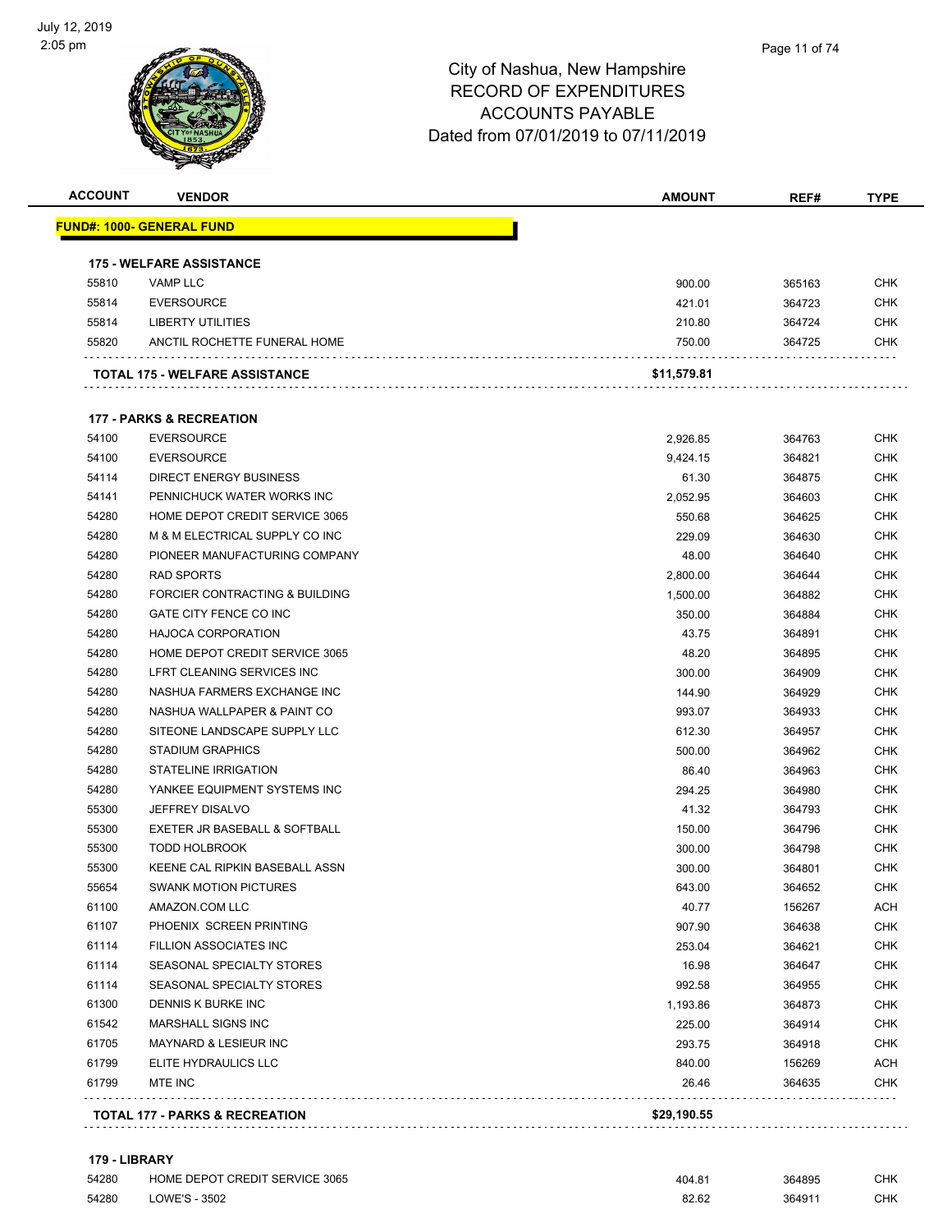

#### Page 11 of 74

#### City of Nashua, New Hampshire RECORD OF EXPENDITURES ACCOUNTS PAYABLE Dated from 07/01/2019 to 07/11/2019

| <b>ACCOUNT</b> | <b>VENDOR</b>                             | <b>AMOUNT</b> | REF#   | <b>TYPE</b> |
|----------------|-------------------------------------------|---------------|--------|-------------|
|                | <u> FUND#: 1000- GENERAL FUND</u>         |               |        |             |
|                | <b>175 - WELFARE ASSISTANCE</b>           |               |        |             |
| 55810          | <b>VAMP LLC</b>                           | 900.00        | 365163 | <b>CHK</b>  |
| 55814          | <b>EVERSOURCE</b>                         | 421.01        | 364723 | <b>CHK</b>  |
| 55814          | <b>LIBERTY UTILITIES</b>                  | 210.80        | 364724 | CHK         |
| 55820          | ANCTIL ROCHETTE FUNERAL HOME              | 750.00        | 364725 | CHK         |
|                | TOTAL 175 - WELFARE ASSISTANCE            | \$11,579.81   |        |             |
|                | <b>177 - PARKS &amp; RECREATION</b>       |               |        |             |
| 54100          | <b>EVERSOURCE</b>                         | 2,926.85      | 364763 | <b>CHK</b>  |
| 54100          | <b>EVERSOURCE</b>                         | 9,424.15      | 364821 | <b>CHK</b>  |
| 54114          | <b>DIRECT ENERGY BUSINESS</b>             | 61.30         | 364875 | <b>CHK</b>  |
| 54141          | PENNICHUCK WATER WORKS INC                | 2,052.95      | 364603 | <b>CHK</b>  |
| 54280          | HOME DEPOT CREDIT SERVICE 3065            | 550.68        | 364625 | <b>CHK</b>  |
| 54280          | M & M ELECTRICAL SUPPLY CO INC            | 229.09        | 364630 | <b>CHK</b>  |
| 54280          | PIONEER MANUFACTURING COMPANY             | 48.00         | 364640 | CHK         |
| 54280          | <b>RAD SPORTS</b>                         | 2,800.00      | 364644 | <b>CHK</b>  |
| 54280          | FORCIER CONTRACTING & BUILDING            | 1,500.00      | 364882 | <b>CHK</b>  |
| 54280          | GATE CITY FENCE CO INC                    | 350.00        | 364884 | <b>CHK</b>  |
| 54280          | <b>HAJOCA CORPORATION</b>                 | 43.75         | 364891 | CHK         |
| 54280          | HOME DEPOT CREDIT SERVICE 3065            | 48.20         | 364895 | <b>CHK</b>  |
| 54280          | LFRT CLEANING SERVICES INC                | 300.00        | 364909 | <b>CHK</b>  |
| 54280          | NASHUA FARMERS EXCHANGE INC               | 144.90        | 364929 | <b>CHK</b>  |
| 54280          | NASHUA WALLPAPER & PAINT CO               | 993.07        | 364933 | <b>CHK</b>  |
| 54280          | SITEONE LANDSCAPE SUPPLY LLC              | 612.30        | 364957 | <b>CHK</b>  |
| 54280          | <b>STADIUM GRAPHICS</b>                   | 500.00        | 364962 | <b>CHK</b>  |
| 54280          | <b>STATELINE IRRIGATION</b>               | 86.40         | 364963 | <b>CHK</b>  |
| 54280          | YANKEE EQUIPMENT SYSTEMS INC              | 294.25        | 364980 | <b>CHK</b>  |
| 55300          | <b>JEFFREY DISALVO</b>                    | 41.32         | 364793 | <b>CHK</b>  |
| 55300          | EXETER JR BASEBALL & SOFTBALL             | 150.00        | 364796 | <b>CHK</b>  |
| 55300          | <b>TODD HOLBROOK</b>                      | 300.00        | 364798 | <b>CHK</b>  |
| 55300          | KEENE CAL RIPKIN BASEBALL ASSN            | 300.00        | 364801 | <b>CHK</b>  |
| 55654          | <b>SWANK MOTION PICTURES</b>              | 643.00        | 364652 | <b>CHK</b>  |
| 61100          | AMAZON.COM LLC                            | 40.77         | 156267 | <b>ACH</b>  |
| 61107          | PHOENIX SCREEN PRINTING                   | 907.90        | 364638 | <b>CHK</b>  |
| 61114          | FILLION ASSOCIATES INC                    | 253.04        | 364621 | <b>CHK</b>  |
| 61114          | SEASONAL SPECIALTY STORES                 | 16.98         | 364647 | CHK         |
| 61114          | SEASONAL SPECIALTY STORES                 | 992.58        | 364955 | <b>CHK</b>  |
| 61300          | DENNIS K BURKE INC                        | 1,193.86      | 364873 | <b>CHK</b>  |
| 61542          | MARSHALL SIGNS INC                        | 225.00        | 364914 | <b>CHK</b>  |
| 61705          | MAYNARD & LESIEUR INC                     | 293.75        | 364918 | <b>CHK</b>  |
| 61799          | ELITE HYDRAULICS LLC                      | 840.00        | 156269 | <b>ACH</b>  |
| 61799          | MTE INC                                   | 26.46         | 364635 | <b>CHK</b>  |
|                | <b>TOTAL 177 - PARKS &amp; RECREATION</b> | \$29,190.55   |        |             |
|                |                                           |               |        |             |

#### **179 - LIBRARY**

| 54280 | HOME DEPOT CREDIT SERVICE 3065 | 404.81 | 364895 | <b>CHK</b> |
|-------|--------------------------------|--------|--------|------------|
| 54280 | LOWE'S - 3502                  | 82.62  | 364911 | <b>CHK</b> |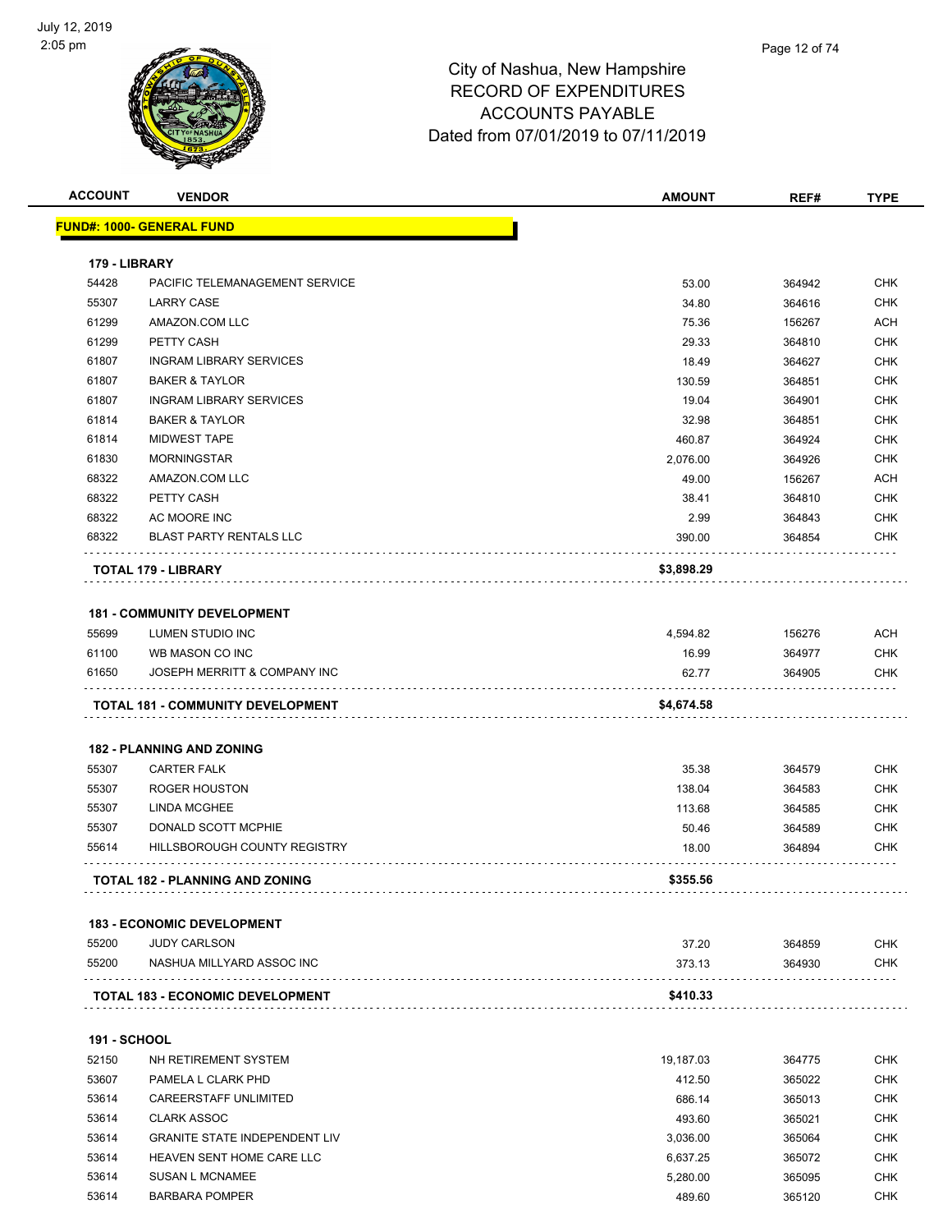

| <b>ACCOUNT</b>      | <b>VENDOR</b>                           | <b>AMOUNT</b> | REF#   | <b>TYPE</b> |
|---------------------|-----------------------------------------|---------------|--------|-------------|
|                     | <u> FUND#: 1000- GENERAL FUND</u>       |               |        |             |
| 179 - LIBRARY       |                                         |               |        |             |
| 54428               | PACIFIC TELEMANAGEMENT SERVICE          | 53.00         | 364942 | <b>CHK</b>  |
| 55307               | <b>LARRY CASE</b>                       | 34.80         | 364616 | CHK         |
| 61299               | AMAZON.COM LLC                          | 75.36         | 156267 | ACH         |
| 61299               | PETTY CASH                              | 29.33         | 364810 | <b>CHK</b>  |
| 61807               | <b>INGRAM LIBRARY SERVICES</b>          | 18.49         | 364627 | <b>CHK</b>  |
| 61807               | <b>BAKER &amp; TAYLOR</b>               | 130.59        | 364851 | <b>CHK</b>  |
| 61807               | <b>INGRAM LIBRARY SERVICES</b>          | 19.04         | 364901 | <b>CHK</b>  |
| 61814               | <b>BAKER &amp; TAYLOR</b>               | 32.98         | 364851 | <b>CHK</b>  |
| 61814               | <b>MIDWEST TAPE</b>                     | 460.87        | 364924 | <b>CHK</b>  |
| 61830               | <b>MORNINGSTAR</b>                      | 2,076.00      | 364926 | <b>CHK</b>  |
| 68322               | AMAZON.COM LLC                          | 49.00         | 156267 | ACH         |
| 68322               | PETTY CASH                              | 38.41         | 364810 | <b>CHK</b>  |
| 68322               | AC MOORE INC                            | 2.99          | 364843 | CHK         |
| 68322               | <b>BLAST PARTY RENTALS LLC</b>          | 390.00        | 364854 | CHK         |
|                     | <b>TOTAL 179 - LIBRARY</b>              | \$3,898.29    |        |             |
|                     |                                         |               |        |             |
|                     | <b>181 - COMMUNITY DEVELOPMENT</b>      |               |        |             |
| 55699               | <b>LUMEN STUDIO INC</b>                 | 4,594.82      | 156276 | ACH         |
| 61100               | WB MASON CO INC                         | 16.99         | 364977 | <b>CHK</b>  |
| 61650               | JOSEPH MERRITT & COMPANY INC            | 62.77         | 364905 | CHK         |
|                     | TOTAL 181 - COMMUNITY DEVELOPMENT       | \$4,674.58    |        |             |
|                     | <b>182 - PLANNING AND ZONING</b>        |               |        |             |
| 55307               | <b>CARTER FALK</b>                      | 35.38         | 364579 | CHK         |
| 55307               | ROGER HOUSTON                           | 138.04        | 364583 | CHK         |
| 55307               | LINDA MCGHEE                            | 113.68        | 364585 | CHK         |
| 55307               | DONALD SCOTT MCPHIE                     | 50.46         | 364589 | CHK         |
| 55614               | HILLSBOROUGH COUNTY REGISTRY            | 18.00         | 364894 | CHK         |
|                     | <b>TOTAL 182 - PLANNING AND ZONING</b>  | \$355.56      |        |             |
|                     |                                         |               |        |             |
|                     | <b>183 - ECONOMIC DEVELOPMENT</b>       |               |        |             |
| 55200               | <b>JUDY CARLSON</b>                     | 37.20         | 364859 | <b>CHK</b>  |
| 55200               | NASHUA MILLYARD ASSOC INC<br>.          | 373.13        | 364930 | <b>CHK</b>  |
|                     | <b>TOTAL 183 - ECONOMIC DEVELOPMENT</b> | \$410.33      |        |             |
|                     |                                         |               |        |             |
| <b>191 - SCHOOL</b> |                                         |               |        |             |
| 52150               | NH RETIREMENT SYSTEM                    | 19,187.03     | 364775 | CHK         |
| 53607               | PAMELA L CLARK PHD                      | 412.50        | 365022 | <b>CHK</b>  |
| 53614               | <b>CAREERSTAFF UNLIMITED</b>            | 686.14        | 365013 | CHK         |
| 53614               | <b>CLARK ASSOC</b>                      | 493.60        | 365021 | CHK         |
| 53614               | <b>GRANITE STATE INDEPENDENT LIV</b>    | 3,036.00      | 365064 | CHK         |
| 53614               | HEAVEN SENT HOME CARE LLC               | 6,637.25      | 365072 | CHK         |
| 53614               | <b>SUSAN L MCNAMEE</b>                  | 5,280.00      | 365095 | <b>CHK</b>  |

BARBARA POMPER 489.60 365120 CHK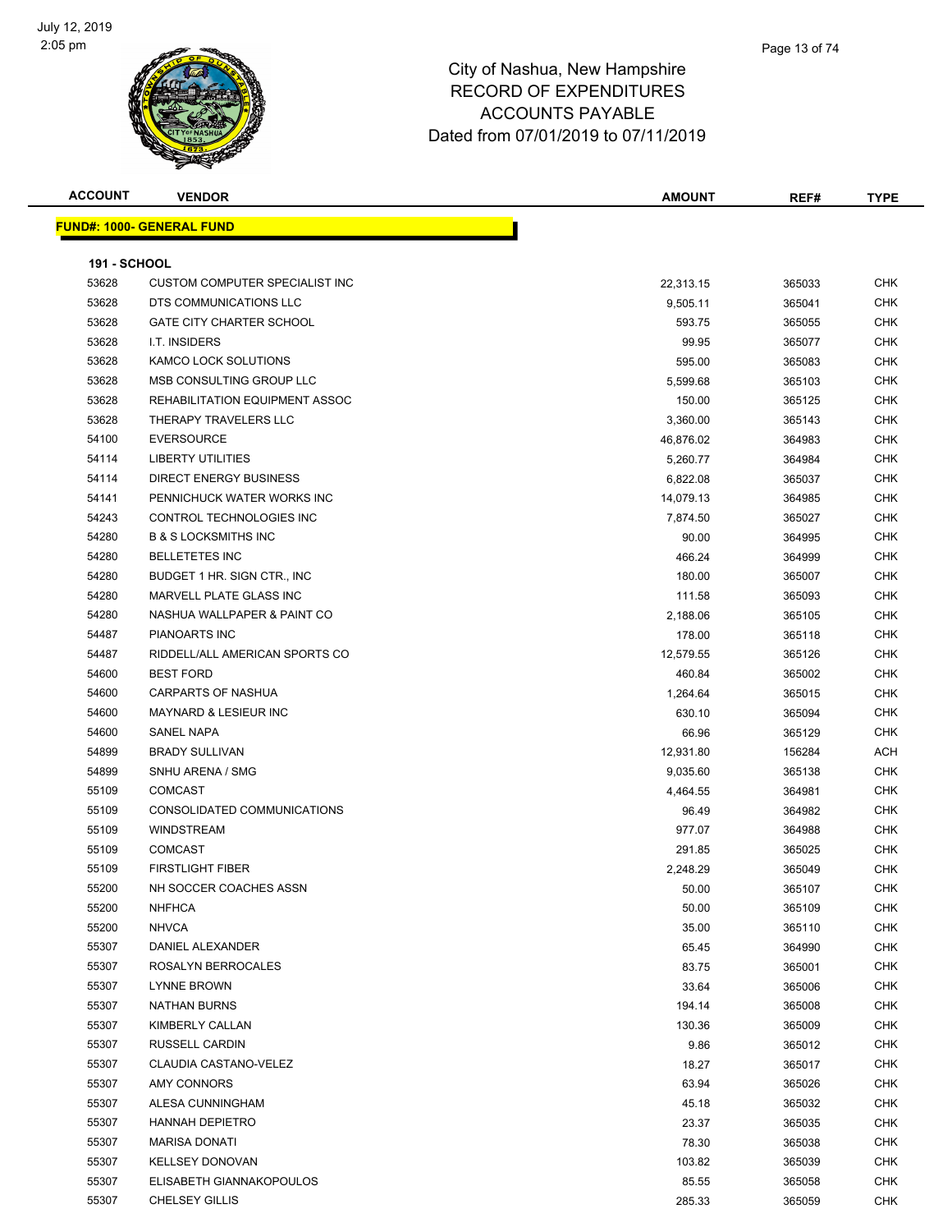

| <b>ACCOUNT</b>      | <b>VENDOR</b>                         | <b>AMOUNT</b> | REF#   | <b>TYPE</b> |
|---------------------|---------------------------------------|---------------|--------|-------------|
|                     | <b>FUND#: 1000- GENERAL FUND</b>      |               |        |             |
|                     |                                       |               |        |             |
| <b>191 - SCHOOL</b> |                                       |               |        |             |
| 53628               | <b>CUSTOM COMPUTER SPECIALIST INC</b> | 22,313.15     | 365033 | <b>CHK</b>  |
| 53628               | DTS COMMUNICATIONS LLC                | 9,505.11      | 365041 | <b>CHK</b>  |
| 53628               | <b>GATE CITY CHARTER SCHOOL</b>       | 593.75        | 365055 | <b>CHK</b>  |
| 53628               | I.T. INSIDERS                         | 99.95         | 365077 | <b>CHK</b>  |
| 53628               | KAMCO LOCK SOLUTIONS                  | 595.00        | 365083 | <b>CHK</b>  |
| 53628               | MSB CONSULTING GROUP LLC              | 5,599.68      | 365103 | <b>CHK</b>  |
| 53628               | REHABILITATION EQUIPMENT ASSOC        | 150.00        | 365125 | <b>CHK</b>  |
| 53628               | THERAPY TRAVELERS LLC                 | 3,360.00      | 365143 | <b>CHK</b>  |
| 54100               | <b>EVERSOURCE</b>                     | 46,876.02     | 364983 | <b>CHK</b>  |
| 54114               | <b>LIBERTY UTILITIES</b>              | 5,260.77      | 364984 | <b>CHK</b>  |
| 54114               | <b>DIRECT ENERGY BUSINESS</b>         | 6,822.08      | 365037 | <b>CHK</b>  |
| 54141               | PENNICHUCK WATER WORKS INC            | 14,079.13     | 364985 | <b>CHK</b>  |
| 54243               | CONTROL TECHNOLOGIES INC              | 7,874.50      | 365027 | <b>CHK</b>  |
| 54280               | <b>B &amp; S LOCKSMITHS INC</b>       | 90.00         | 364995 | <b>CHK</b>  |
| 54280               | <b>BELLETETES INC</b>                 | 466.24        | 364999 | <b>CHK</b>  |
| 54280               | BUDGET 1 HR. SIGN CTR., INC           | 180.00        | 365007 | <b>CHK</b>  |
| 54280               | MARVELL PLATE GLASS INC               | 111.58        | 365093 | <b>CHK</b>  |
| 54280               | NASHUA WALLPAPER & PAINT CO           | 2,188.06      | 365105 | <b>CHK</b>  |
| 54487               | PIANOARTS INC                         | 178.00        | 365118 | <b>CHK</b>  |
| 54487               | RIDDELL/ALL AMERICAN SPORTS CO        | 12,579.55     | 365126 | <b>CHK</b>  |
| 54600               | <b>BEST FORD</b>                      | 460.84        | 365002 | <b>CHK</b>  |
| 54600               | <b>CARPARTS OF NASHUA</b>             | 1,264.64      | 365015 | <b>CHK</b>  |
| 54600               | <b>MAYNARD &amp; LESIEUR INC</b>      | 630.10        | 365094 | <b>CHK</b>  |
| 54600               | SANEL NAPA                            | 66.96         | 365129 | <b>CHK</b>  |
| 54899               | <b>BRADY SULLIVAN</b>                 | 12,931.80     | 156284 | <b>ACH</b>  |
| 54899               | SNHU ARENA / SMG                      | 9,035.60      | 365138 | <b>CHK</b>  |
| 55109               | <b>COMCAST</b>                        | 4,464.55      | 364981 | <b>CHK</b>  |
| 55109               | CONSOLIDATED COMMUNICATIONS           | 96.49         | 364982 | <b>CHK</b>  |
| 55109               | <b>WINDSTREAM</b>                     | 977.07        | 364988 | <b>CHK</b>  |
| 55109               | <b>COMCAST</b>                        | 291.85        | 365025 | <b>CHK</b>  |
| 55109               | <b>FIRSTLIGHT FIBER</b>               | 2,248.29      | 365049 | <b>CHK</b>  |
| 55200               | NH SOCCER COACHES ASSN                | 50.00         | 365107 | <b>CHK</b>  |
| 55200               | <b>NHFHCA</b>                         | 50.00         | 365109 | <b>CHK</b>  |
| 55200               | <b>NHVCA</b>                          | 35.00         | 365110 | <b>CHK</b>  |
| 55307               | DANIEL ALEXANDER                      | 65.45         | 364990 | <b>CHK</b>  |
| 55307               | ROSALYN BERROCALES                    | 83.75         | 365001 | <b>CHK</b>  |
| 55307               | LYNNE BROWN                           | 33.64         | 365006 | <b>CHK</b>  |
| 55307               | <b>NATHAN BURNS</b>                   | 194.14        | 365008 | <b>CHK</b>  |
| 55307               | KIMBERLY CALLAN                       | 130.36        | 365009 | <b>CHK</b>  |
| 55307               | RUSSELL CARDIN                        | 9.86          | 365012 | <b>CHK</b>  |
| 55307               | CLAUDIA CASTANO-VELEZ                 | 18.27         | 365017 | <b>CHK</b>  |
| 55307               | AMY CONNORS                           | 63.94         | 365026 | <b>CHK</b>  |
| 55307               | ALESA CUNNINGHAM                      | 45.18         | 365032 | <b>CHK</b>  |
| 55307               | <b>HANNAH DEPIETRO</b>                | 23.37         | 365035 | <b>CHK</b>  |
| 55307               | <b>MARISA DONATI</b>                  | 78.30         | 365038 | <b>CHK</b>  |
| 55307               | <b>KELLSEY DONOVAN</b>                | 103.82        | 365039 | <b>CHK</b>  |
| 55307               | ELISABETH GIANNAKOPOULOS              | 85.55         | 365058 | <b>CHK</b>  |
| 55307               | <b>CHELSEY GILLIS</b>                 | 285.33        | 365059 | <b>CHK</b>  |
|                     |                                       |               |        |             |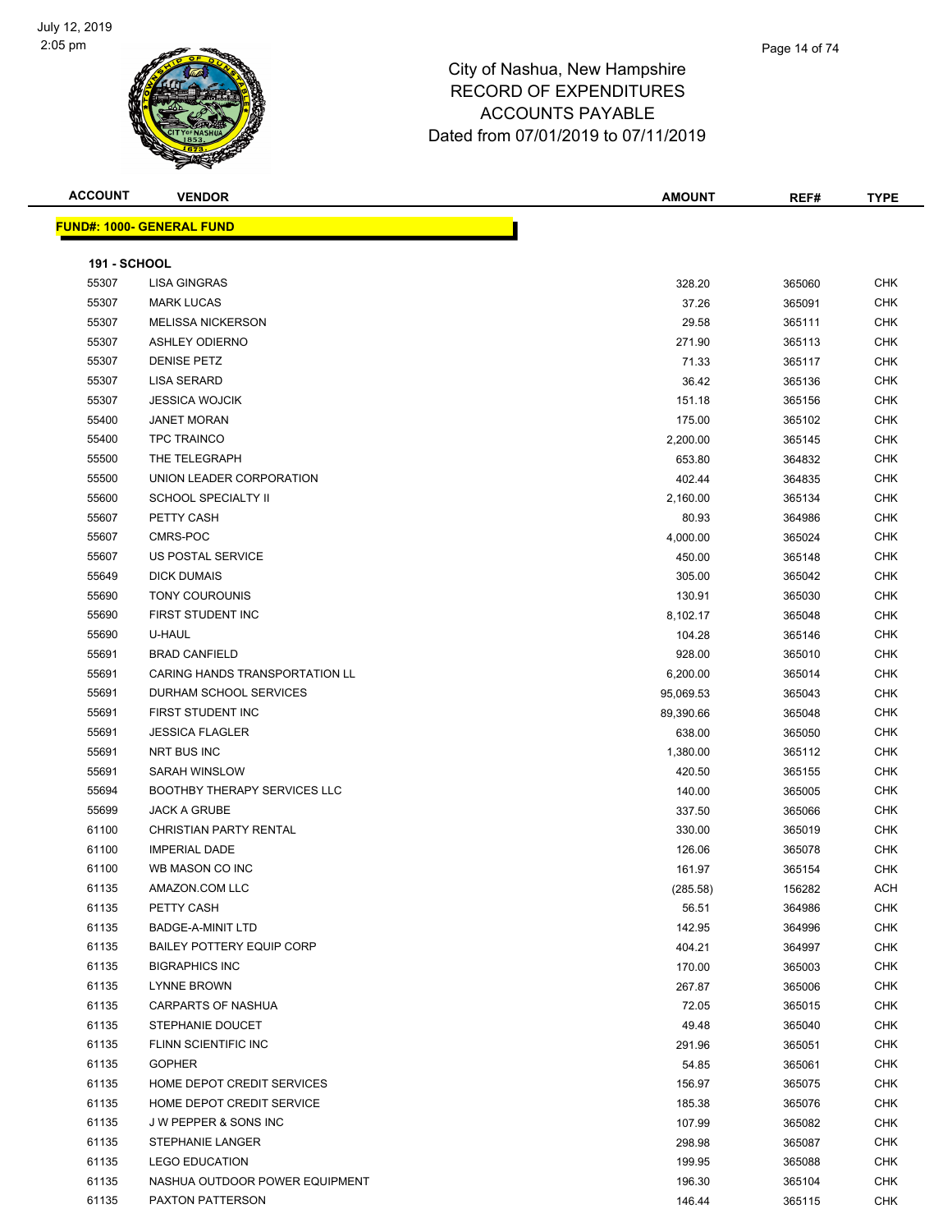

# City of Nashua, New Hampshire RECORD OF EXPENDITURES ACCOUNTS PAYABLE

Dated from 07/01/2019 to 07/11/2019 **ACCOUNT VENDOR AMOUNT REF# TYPE FUND#: 1000- GENERAL FUND** h

| <b>191 - SCHOOL</b> |                                     |           |        |            |
|---------------------|-------------------------------------|-----------|--------|------------|
| 55307               | <b>LISA GINGRAS</b>                 | 328.20    | 365060 | <b>CHK</b> |
| 55307               | <b>MARK LUCAS</b>                   | 37.26     | 365091 | <b>CHK</b> |
| 55307               | <b>MELISSA NICKERSON</b>            | 29.58     | 365111 | <b>CHK</b> |
| 55307               | <b>ASHLEY ODIERNO</b>               | 271.90    | 365113 | <b>CHK</b> |
| 55307               | <b>DENISE PETZ</b>                  | 71.33     | 365117 | <b>CHK</b> |
| 55307               | <b>LISA SERARD</b>                  | 36.42     | 365136 | <b>CHK</b> |
| 55307               | <b>JESSICA WOJCIK</b>               | 151.18    | 365156 | <b>CHK</b> |
| 55400               | <b>JANET MORAN</b>                  | 175.00    | 365102 | <b>CHK</b> |
| 55400               | <b>TPC TRAINCO</b>                  | 2,200.00  | 365145 | <b>CHK</b> |
| 55500               | THE TELEGRAPH                       | 653.80    | 364832 | <b>CHK</b> |
| 55500               | UNION LEADER CORPORATION            | 402.44    | 364835 | <b>CHK</b> |
| 55600               | <b>SCHOOL SPECIALTY II</b>          | 2,160.00  | 365134 | CHK        |
| 55607               | PETTY CASH                          | 80.93     | 364986 | <b>CHK</b> |
| 55607               | CMRS-POC                            | 4,000.00  | 365024 | <b>CHK</b> |
| 55607               | US POSTAL SERVICE                   | 450.00    | 365148 | <b>CHK</b> |
| 55649               | <b>DICK DUMAIS</b>                  | 305.00    | 365042 | <b>CHK</b> |
| 55690               | <b>TONY COUROUNIS</b>               | 130.91    | 365030 | <b>CHK</b> |
| 55690               | FIRST STUDENT INC                   | 8,102.17  | 365048 | <b>CHK</b> |
| 55690               | U-HAUL                              | 104.28    | 365146 | <b>CHK</b> |
| 55691               | <b>BRAD CANFIELD</b>                | 928.00    | 365010 | <b>CHK</b> |
| 55691               | CARING HANDS TRANSPORTATION LL      | 6,200.00  | 365014 | <b>CHK</b> |
| 55691               | DURHAM SCHOOL SERVICES              | 95,069.53 | 365043 | <b>CHK</b> |
| 55691               | FIRST STUDENT INC                   | 89,390.66 | 365048 | CHK        |
| 55691               | <b>JESSICA FLAGLER</b>              | 638.00    | 365050 | <b>CHK</b> |
| 55691               | NRT BUS INC                         | 1,380.00  | 365112 | <b>CHK</b> |
| 55691               | <b>SARAH WINSLOW</b>                | 420.50    | 365155 | <b>CHK</b> |
| 55694               | <b>BOOTHBY THERAPY SERVICES LLC</b> | 140.00    | 365005 | <b>CHK</b> |
| 55699               | <b>JACK A GRUBE</b>                 | 337.50    | 365066 | <b>CHK</b> |
| 61100               | <b>CHRISTIAN PARTY RENTAL</b>       | 330.00    | 365019 | <b>CHK</b> |
| 61100               | <b>IMPERIAL DADE</b>                | 126.06    | 365078 | <b>CHK</b> |
| 61100               | WB MASON CO INC                     | 161.97    | 365154 | CHK        |
| 61135               | AMAZON.COM LLC                      | (285.58)  | 156282 | ACH        |
| 61135               | PETTY CASH                          | 56.51     | 364986 | CHK        |
| 61135               | <b>BADGE-A-MINIT LTD</b>            | 142.95    | 364996 | <b>CHK</b> |
| 61135               | <b>BAILEY POTTERY EQUIP CORP</b>    | 404.21    | 364997 | <b>CHK</b> |
| 61135               | <b>BIGRAPHICS INC</b>               | 170.00    | 365003 | <b>CHK</b> |
| 61135               | <b>LYNNE BROWN</b>                  | 267.87    | 365006 | <b>CHK</b> |
| 61135               | <b>CARPARTS OF NASHUA</b>           | 72.05     | 365015 | <b>CHK</b> |
| 61135               | STEPHANIE DOUCET                    | 49.48     | 365040 | <b>CHK</b> |
| 61135               | FLINN SCIENTIFIC INC                | 291.96    | 365051 | <b>CHK</b> |
| 61135               | <b>GOPHER</b>                       | 54.85     | 365061 | <b>CHK</b> |
| 61135               | HOME DEPOT CREDIT SERVICES          | 156.97    | 365075 | <b>CHK</b> |
| 61135               | HOME DEPOT CREDIT SERVICE           | 185.38    | 365076 | <b>CHK</b> |
| 61135               | <b>JW PEPPER &amp; SONS INC</b>     | 107.99    | 365082 | <b>CHK</b> |
| 61135               | <b>STEPHANIE LANGER</b>             | 298.98    | 365087 | <b>CHK</b> |
| 61135               | <b>LEGO EDUCATION</b>               | 199.95    | 365088 | <b>CHK</b> |
| 61135               | NASHUA OUTDOOR POWER EQUIPMENT      | 196.30    | 365104 | <b>CHK</b> |
| 61135               | PAXTON PATTERSON                    | 146.44    | 365115 | <b>CHK</b> |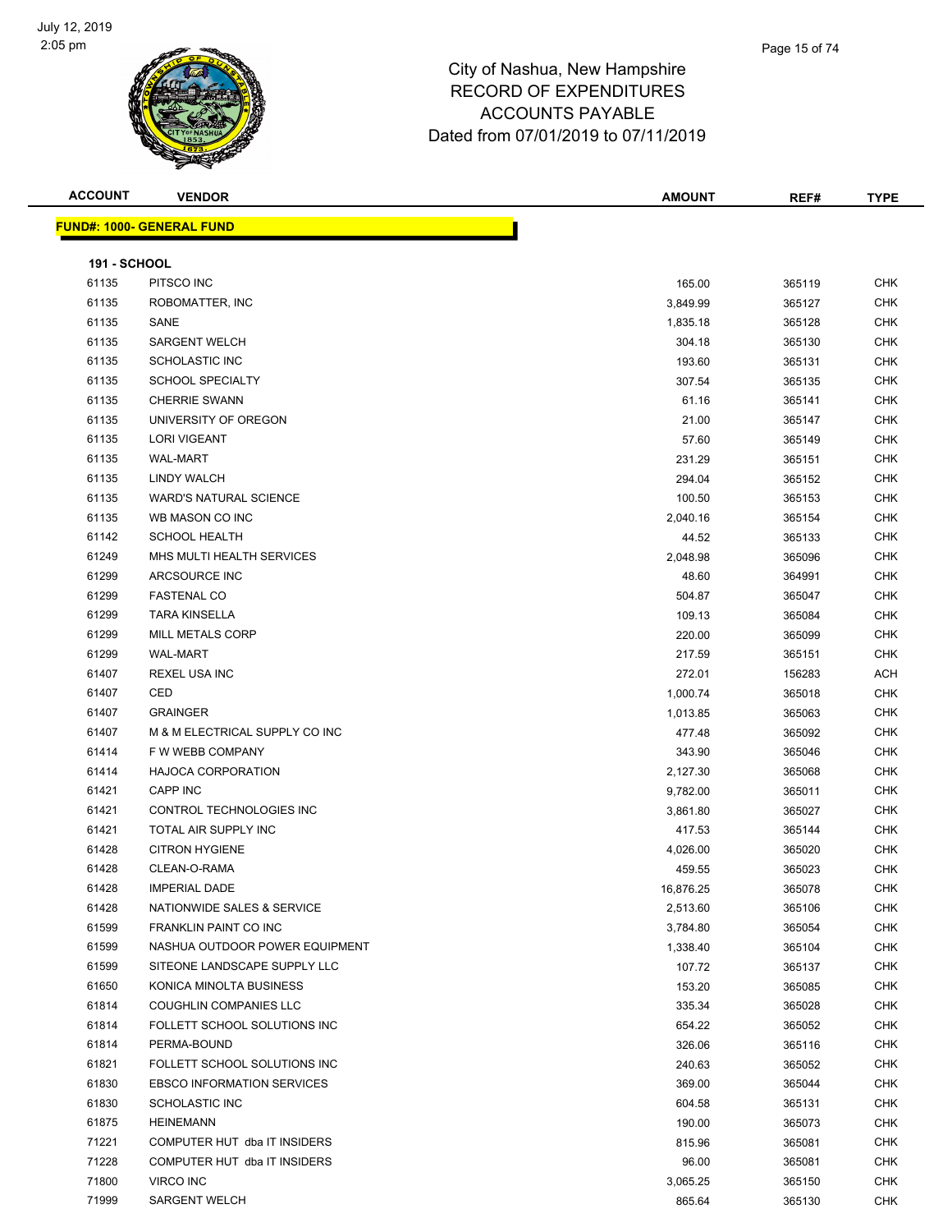

# City of Nashua, New RECORD OF EXPE ACCOUNTS PAYABLE

| v Hampshire |  |
|-------------|--|
| ENDITURES   |  |

Page 15 of 74

**FUND#: 1000- GE** 

|                     |                                       | Dated from 07/01/2019 to 07/11/2019 |        |             |  |
|---------------------|---------------------------------------|-------------------------------------|--------|-------------|--|
| ACCOUNT             | <b>VENDOR</b>                         | <b>AMOUNT</b>                       | REF#   | <b>TYPE</b> |  |
|                     | <mark>JND#: 1000- GENERAL FUND</mark> |                                     |        |             |  |
| <b>191 - SCHOOL</b> |                                       |                                     |        |             |  |
| 61135               | PITSCO INC                            | 165.00                              | 365119 | <b>CHK</b>  |  |
| 61135               | ROBOMATTER, INC                       | 3,849.99                            | 365127 | <b>CHK</b>  |  |
| 61135               | SANE                                  | 1,835.18                            | 365128 | <b>CHK</b>  |  |
| 61135               | <b>SARGENT WELCH</b>                  | 304.18                              | 365130 | <b>CHK</b>  |  |
| 61135               | <b>SCHOLASTIC INC</b>                 | 193.60                              | 365131 | <b>CHK</b>  |  |
| 61135               | <b>SCHOOL SPECIALTY</b>               | 307.54                              | 365135 | <b>CHK</b>  |  |
| 61135               | <b>CHERRIE SWANN</b>                  | 61.16                               | 365141 | <b>CHK</b>  |  |
| 61135               | UNIVERSITY OF OREGON                  | 21.00                               | 365147 | <b>CHK</b>  |  |
| 61135               | <b>LORI VIGEANT</b>                   | 57.60                               | 365149 | <b>CHK</b>  |  |
| 61135               | <b>WAL-MART</b>                       | 231.29                              | 365151 | <b>CHK</b>  |  |
| 61135               | LINDY WALCH                           | 294.04                              | 365152 | <b>CHK</b>  |  |
| 61135               | <b>WARD'S NATURAL SCIENCE</b>         | 100.50                              | 365153 | <b>CHK</b>  |  |
| 61135               | WB MASON CO INC                       | 2,040.16                            | 365154 | <b>CHK</b>  |  |
| 61142               | <b>SCHOOL HEALTH</b>                  | 44.52                               | 365133 | <b>CHK</b>  |  |
| 61249               | MHS MULTI HEALTH SERVICES             | 2,048.98                            | 365096 | <b>CHK</b>  |  |
| 61299               | ARCSOURCE INC                         | 48.60                               | 364991 | <b>CHK</b>  |  |
| 61299               | <b>FASTENAL CO</b>                    | 504.87                              | 365047 | <b>CHK</b>  |  |
| 61299               | <b>TARA KINSELLA</b>                  | 109.13                              | 365084 | <b>CHK</b>  |  |
| 61299               | <b>MILL METALS CORP</b>               | 220.00                              | 365099 | <b>CHK</b>  |  |
| 61299               | <b>WAL-MART</b>                       | 217.59                              | 365151 | <b>CHK</b>  |  |
| 61407               | REXEL USA INC                         | 272.01                              | 156283 | <b>ACH</b>  |  |
| 61407               | CED                                   | 1,000.74                            | 365018 | <b>CHK</b>  |  |
| 61407               | <b>GRAINGER</b>                       | 1,013.85                            | 365063 | <b>CHK</b>  |  |
| 61407               | M & M ELECTRICAL SUPPLY CO INC        | 477.48                              | 365092 | <b>CHK</b>  |  |
| 61414               | F W WEBB COMPANY                      | 343.90                              | 365046 | <b>CHK</b>  |  |
| 61414               | <b>HAJOCA CORPORATION</b>             | 2,127.30                            | 365068 | <b>CHK</b>  |  |
| 61421               | <b>CAPP INC</b>                       | 9,782.00                            | 365011 | <b>CHK</b>  |  |
| 61421               | CONTROL TECHNOLOGIES INC              | 3,861.80                            | 365027 | <b>CHK</b>  |  |
| 61421               | TOTAL AIR SUPPLY INC                  | 417.53                              | 365144 | <b>CHK</b>  |  |
| 61428               | <b>CITRON HYGIENE</b>                 | 4,026.00                            | 365020 | <b>CHK</b>  |  |
| 61428               | CLEAN-O-RAMA                          | 459.55                              | 365023 | <b>CHK</b>  |  |
| 61428               | <b>IMPERIAL DADE</b>                  | 16,876.25                           | 365078 | <b>CHK</b>  |  |
| 61428               | NATIONWIDE SALES & SERVICE            | 2,513.60                            | 365106 | <b>CHK</b>  |  |
| 61599               | FRANKLIN PAINT CO INC                 | 3,784.80                            | 365054 | <b>CHK</b>  |  |
| 61599               | NASHUA OUTDOOR POWER EQUIPMENT        | 1,338.40                            | 365104 | <b>CHK</b>  |  |
| 61599               | SITEONE LANDSCAPE SUPPLY LLC          | 107.72                              | 365137 | <b>CHK</b>  |  |
| 61650               | KONICA MINOLTA BUSINESS               | 153.20                              | 365085 | CHK         |  |

 COUGHLIN COMPANIES LLC 335.34 365028 CHK FOLLETT SCHOOL SOLUTIONS INC 654.22 365052 CHK PERMA-BOUND 326.06 365116 CHK FOLLETT SCHOOL SOLUTIONS INC 240.63 365052 CHK EBSCO INFORMATION SERVICES 369.00 365044 CHK SCHOLASTIC INC 604.58 365131 CHK HEINEMANN 190.00 365073 CHK The Subset of the COMPUTER HUT dba IT INSIDERS And the Subset of the Subset of the Subset of the Subset of the Subset of the Subset of the Subset of the Subset of the Subset of the Subset of the Subset of the Subset of the COMPUTER HUT dba IT INSIDERS 96.00 365081 CHK VIRCO INC 3,065.25 365150 CHK SARGENT WELCH 865.64 365130 CHK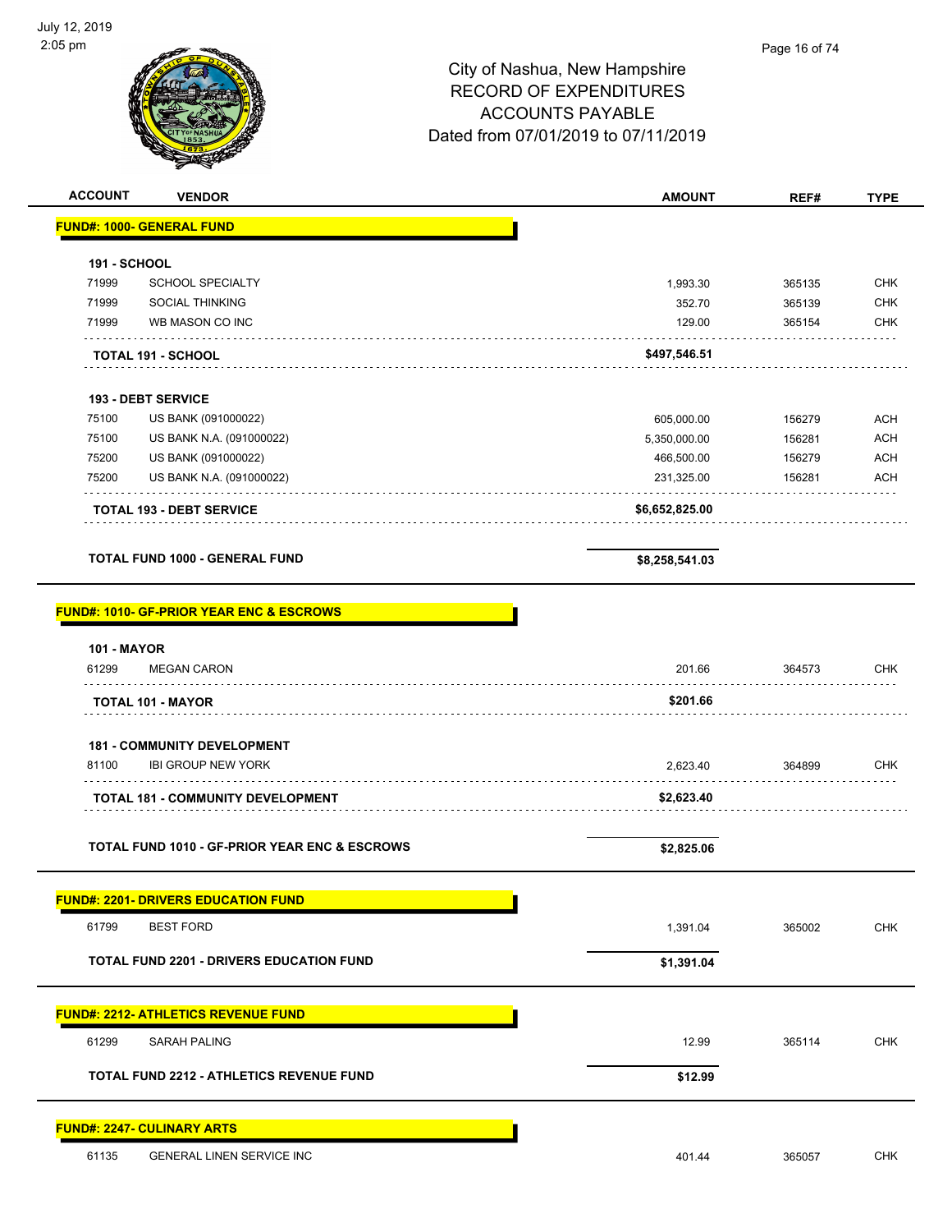$\overline{a}$ 



| <b>ACCOUNT</b><br><b>VENDOR</b>                          | <b>AMOUNT</b>  | REF#             | <b>TYPE</b> |
|----------------------------------------------------------|----------------|------------------|-------------|
| <b>FUND#: 1000- GENERAL FUND</b>                         |                |                  |             |
|                                                          |                |                  |             |
| <b>191 - SCHOOL</b><br>71999<br><b>SCHOOL SPECIALTY</b>  | 1,993.30       |                  | CHK         |
| 71999<br><b>SOCIAL THINKING</b>                          | 352.70         | 365135<br>365139 | <b>CHK</b>  |
| 71999<br>WB MASON CO INC                                 | 129.00         | 365154           | <b>CHK</b>  |
|                                                          |                |                  |             |
| <b>TOTAL 191 - SCHOOL</b>                                | \$497,546.51   |                  |             |
| <b>193 - DEBT SERVICE</b>                                |                |                  |             |
| 75100<br>US BANK (091000022)                             | 605,000.00     | 156279           | <b>ACH</b>  |
| 75100<br>US BANK N.A. (091000022)                        | 5,350,000.00   | 156281           | <b>ACH</b>  |
| 75200<br>US BANK (091000022)                             | 466,500.00     | 156279           | <b>ACH</b>  |
| 75200<br>US BANK N.A. (091000022)                        | 231,325.00     | 156281           | <b>ACH</b>  |
|                                                          |                |                  |             |
| <b>TOTAL 193 - DEBT SERVICE</b>                          | \$6,652,825.00 |                  |             |
| <b>TOTAL FUND 1000 - GENERAL FUND</b>                    |                |                  |             |
|                                                          | \$8,258,541.03 |                  |             |
|                                                          |                |                  |             |
| <b>FUND#: 1010- GF-PRIOR YEAR ENC &amp; ESCROWS</b>      |                |                  |             |
| <b>101 - MAYOR</b>                                       |                |                  |             |
| 61299<br><b>MEGAN CARON</b>                              | 201.66         | 364573           | <b>CHK</b>  |
| <b>TOTAL 101 - MAYOR</b>                                 | \$201.66       |                  |             |
|                                                          |                |                  |             |
| <b>181 - COMMUNITY DEVELOPMENT</b>                       |                |                  |             |
| 81100<br><b>IBI GROUP NEW YORK</b>                       | 2,623.40       | 364899           | CHK         |
| <b>TOTAL 181 - COMMUNITY DEVELOPMENT</b>                 | \$2,623.40     |                  |             |
|                                                          |                |                  |             |
| <b>TOTAL FUND 1010 - GF-PRIOR YEAR ENC &amp; ESCROWS</b> | \$2,825.06     |                  |             |
|                                                          |                |                  |             |
| <b>FUND#: 2201- DRIVERS EDUCATION FUND</b>               |                |                  |             |
| 61799<br><b>BEST FORD</b>                                | 1,391.04       | 365002           | CHK         |
|                                                          |                |                  |             |
| <b>TOTAL FUND 2201 - DRIVERS EDUCATION FUND</b>          | \$1,391.04     |                  |             |
|                                                          |                |                  |             |
| <b>FUND#: 2212- ATHLETICS REVENUE FUND</b>               |                |                  |             |
| 61299<br><b>SARAH PALING</b>                             | 12.99          | 365114           | <b>CHK</b>  |
| TOTAL FUND 2212 - ATHLETICS REVENUE FUND                 | \$12.99        |                  |             |
|                                                          |                |                  |             |
| <b>FUND#: 2247- CULINARY ARTS</b>                        |                |                  |             |
|                                                          |                |                  |             |
| GENERAL LINEN SERVICE INC<br>61135                       | 401.44         | 365057           | <b>CHK</b>  |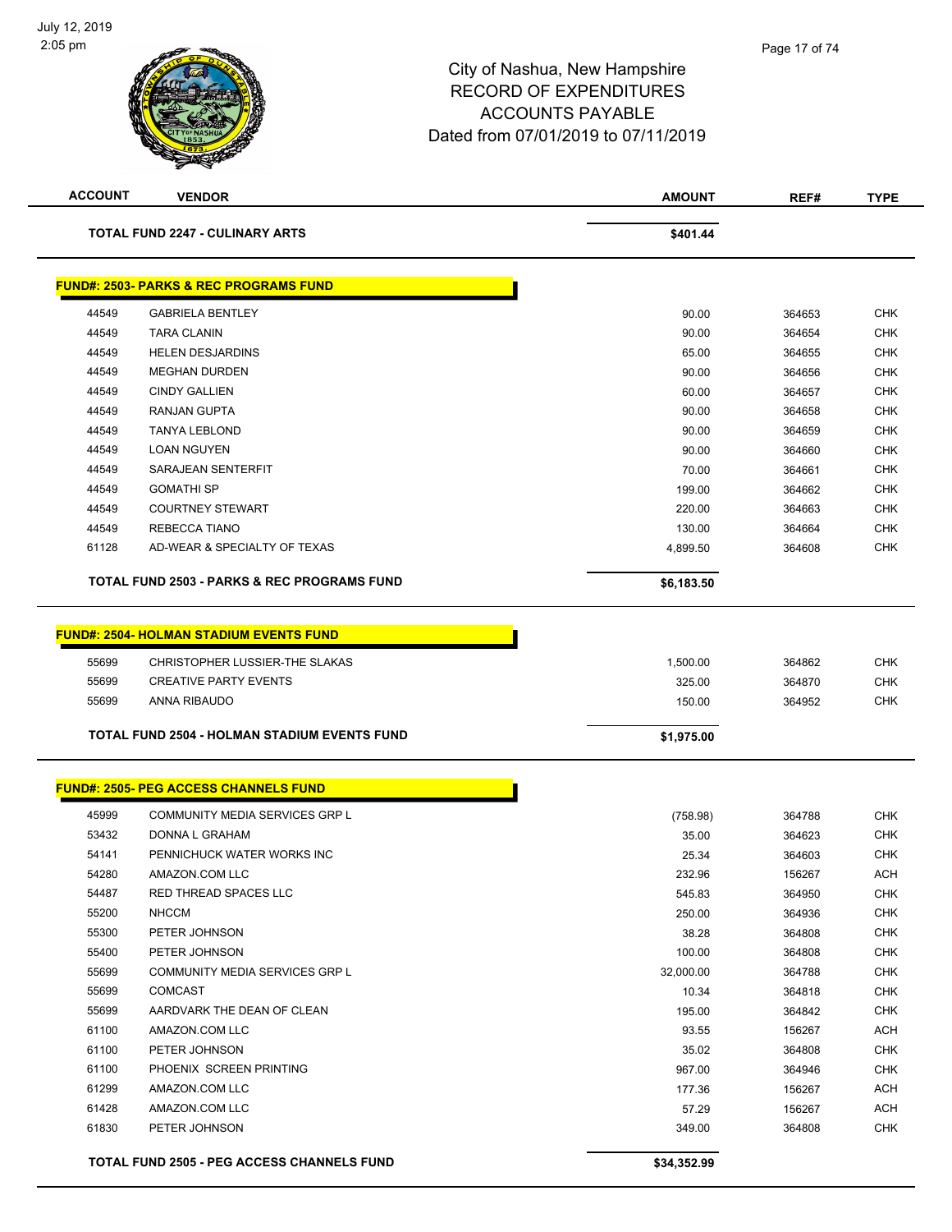

| <b>ACCOUNT</b> | <b>VENDOR</b>                                          | <b>AMOUNT</b> | REF#   | <b>TYPE</b> |
|----------------|--------------------------------------------------------|---------------|--------|-------------|
|                | <b>TOTAL FUND 2247 - CULINARY ARTS</b>                 | \$401.44      |        |             |
|                | <b>FUND#: 2503- PARKS &amp; REC PROGRAMS FUND</b>      |               |        |             |
| 44549          | <b>GABRIELA BENTLEY</b>                                | 90.00         | 364653 | <b>CHK</b>  |
| 44549          | <b>TARA CLANIN</b>                                     | 90.00         | 364654 | <b>CHK</b>  |
| 44549          | <b>HELEN DESJARDINS</b>                                | 65.00         | 364655 | <b>CHK</b>  |
| 44549          | <b>MEGHAN DURDEN</b>                                   | 90.00         | 364656 | <b>CHK</b>  |
| 44549          | <b>CINDY GALLIEN</b>                                   | 60.00         | 364657 | <b>CHK</b>  |
| 44549          | <b>RANJAN GUPTA</b>                                    | 90.00         | 364658 | <b>CHK</b>  |
| 44549          | <b>TANYA LEBLOND</b>                                   | 90.00         | 364659 | <b>CHK</b>  |
| 44549          | <b>LOAN NGUYEN</b>                                     | 90.00         | 364660 | <b>CHK</b>  |
| 44549          | SARAJEAN SENTERFIT                                     | 70.00         | 364661 | <b>CHK</b>  |
| 44549          | <b>GOMATHI SP</b>                                      | 199.00        | 364662 | <b>CHK</b>  |
| 44549          | <b>COURTNEY STEWART</b>                                | 220.00        | 364663 | <b>CHK</b>  |
| 44549          | REBECCA TIANO                                          | 130.00        | 364664 | <b>CHK</b>  |
| 61128          | AD-WEAR & SPECIALTY OF TEXAS                           | 4,899.50      | 364608 | <b>CHK</b>  |
|                | <b>TOTAL FUND 2503 - PARKS &amp; REC PROGRAMS FUND</b> | \$6,183.50    |        |             |
|                |                                                        |               |        |             |
|                | <b>FUND#: 2504- HOLMAN STADIUM EVENTS FUND</b>         |               |        |             |
| 55699          | CHRISTOPHER LUSSIER-THE SLAKAS                         | 1,500.00      | 364862 | <b>CHK</b>  |
| 55699          | <b>CREATIVE PARTY EVENTS</b>                           | 325.00        | 364870 | <b>CHK</b>  |
| 55699          | ANNA RIBAUDO                                           | 150.00        | 364952 | <b>CHK</b>  |
|                | <b>TOTAL FUND 2504 - HOLMAN STADIUM EVENTS FUND</b>    | \$1,975.00    |        |             |
|                | <b>FUND#: 2505- PEG ACCESS CHANNELS FUND</b>           |               |        |             |
|                |                                                        |               |        |             |
| 45999          | COMMUNITY MEDIA SERVICES GRP L                         | (758.98)      | 364788 | <b>CHK</b>  |
| 53432          | DONNA L GRAHAM                                         | 35.00         | 364623 | <b>CHK</b>  |
| 54141          | PENNICHUCK WATER WORKS INC                             | 25.34         | 364603 | <b>CHK</b>  |
| 54280          | AMAZON.COM LLC                                         | 232.96        | 156267 | ACH         |
| 54487          | RED THREAD SPACES LLC                                  | 545.83        | 364950 | <b>CHK</b>  |
| 55200          | <b>NHCCM</b>                                           | 250.00        | 364936 | <b>CHK</b>  |
| 55300          | PETER JOHNSON                                          | 38.28         | 364808 | <b>CHK</b>  |
| 55400          | PETER JOHNSON                                          | 100.00        | 364808 | <b>CHK</b>  |
| 55699          | <b>COMMUNITY MEDIA SERVICES GRP L</b>                  | 32,000.00     | 364788 | <b>CHK</b>  |
| 55699          | <b>COMCAST</b>                                         | 10.34         | 364818 | <b>CHK</b>  |
| 55699          | AARDVARK THE DEAN OF CLEAN                             | 195.00        | 364842 | <b>CHK</b>  |
| 61100          | AMAZON.COM LLC                                         | 93.55         | 156267 | <b>ACH</b>  |
| 61100          | PETER JOHNSON                                          | 35.02         | 364808 | <b>CHK</b>  |
| 61100          | PHOENIX SCREEN PRINTING                                | 967.00        | 364946 | <b>CHK</b>  |
| 61299          | AMAZON.COM LLC                                         | 177.36        | 156267 | ACH         |
| 61428          | AMAZON.COM LLC                                         | 57.29         | 156267 | <b>ACH</b>  |
| 61830          | PETER JOHNSON                                          | 349.00        | 364808 | <b>CHK</b>  |
|                | <b>TOTAL FUND 2505 - PEG ACCESS CHANNELS FUND</b>      | \$34,352.99   |        |             |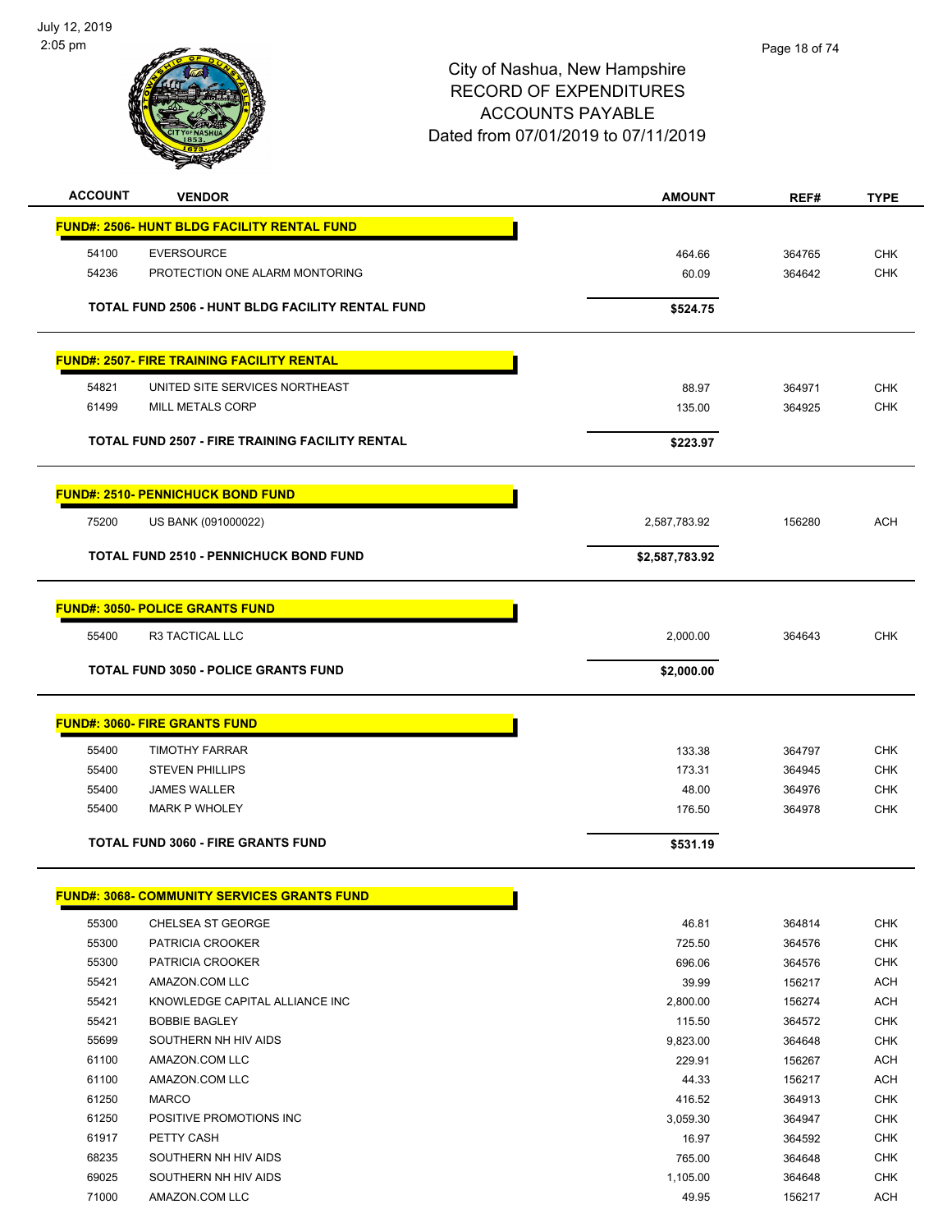

| <b>ACCOUNT</b> | <b>VENDOR</b>                                      | <b>AMOUNT</b>  | REF#   | <b>TYPE</b> |
|----------------|----------------------------------------------------|----------------|--------|-------------|
|                | <b>FUND#: 2506- HUNT BLDG FACILITY RENTAL FUND</b> |                |        |             |
| 54100          | <b>EVERSOURCE</b>                                  | 464.66         | 364765 | <b>CHK</b>  |
| 54236          | PROTECTION ONE ALARM MONTORING                     | 60.09          | 364642 | <b>CHK</b>  |
|                |                                                    |                |        |             |
|                | TOTAL FUND 2506 - HUNT BLDG FACILITY RENTAL FUND   | \$524.75       |        |             |
|                | <b>FUND#: 2507- FIRE TRAINING FACILITY RENTAL</b>  |                |        |             |
| 54821          | UNITED SITE SERVICES NORTHEAST                     | 88.97          | 364971 | <b>CHK</b>  |
| 61499          | MILL METALS CORP                                   | 135.00         | 364925 | CHK         |
|                | TOTAL FUND 2507 - FIRE TRAINING FACILITY RENTAL    | \$223.97       |        |             |
|                | <b>FUND#: 2510- PENNICHUCK BOND FUND</b>           |                |        |             |
| 75200          | US BANK (091000022)                                | 2,587,783.92   | 156280 | <b>ACH</b>  |
|                | <b>TOTAL FUND 2510 - PENNICHUCK BOND FUND</b>      | \$2,587,783.92 |        |             |
|                | <b>FUND#: 3050- POLICE GRANTS FUND</b>             |                |        |             |
| 55400          | R3 TACTICAL LLC                                    | 2,000.00       | 364643 | <b>CHK</b>  |
|                | <b>TOTAL FUND 3050 - POLICE GRANTS FUND</b>        | \$2,000.00     |        |             |
|                | <b>FUND#: 3060- FIRE GRANTS FUND</b>               |                |        |             |
| 55400          | <b>TIMOTHY FARRAR</b>                              | 133.38         | 364797 | <b>CHK</b>  |
| 55400          | <b>STEVEN PHILLIPS</b>                             | 173.31         | 364945 | <b>CHK</b>  |
| 55400          | <b>JAMES WALLER</b>                                | 48.00          | 364976 | CHK         |
| 55400          | <b>MARK P WHOLEY</b>                               | 176.50         | 364978 | <b>CHK</b>  |
|                | <b>TOTAL FUND 3060 - FIRE GRANTS FUND</b>          | \$531.19       |        |             |
|                | <b>FUND#: 3068- COMMUNITY SERVICES GRANTS FUND</b> |                |        |             |
| 55300          | CHELSEA ST GEORGE                                  | 46.81          | 364814 | <b>CHK</b>  |
| 55300          | PATRICIA CROOKER                                   | 725.50         | 364576 | <b>CHK</b>  |
| 55300          | PATRICIA CROOKER                                   | 696.06         | 364576 | <b>CHK</b>  |
| 55421          | AMAZON.COM LLC                                     | 39.99          | 156217 | <b>ACH</b>  |
| 55421          | KNOWLEDGE CAPITAL ALLIANCE INC                     | 2,800.00       | 156274 | <b>ACH</b>  |

| 55421 | KNOWLEDGE CAPITAL ALLIANCE INC | 2,800.00 | 156274 | <b>ACH</b> |
|-------|--------------------------------|----------|--------|------------|
| 55421 | <b>BOBBIE BAGLEY</b>           | 115.50   | 364572 | <b>CHK</b> |
| 55699 | SOUTHERN NH HIV AIDS           | 9.823.00 | 364648 | <b>CHK</b> |
| 61100 | AMAZON.COM LLC                 | 229.91   | 156267 | <b>ACH</b> |
| 61100 | AMAZON.COM LLC                 | 44.33    | 156217 | <b>ACH</b> |
| 61250 | <b>MARCO</b>                   | 416.52   | 364913 | <b>CHK</b> |
| 61250 | POSITIVE PROMOTIONS INC.       | 3.059.30 | 364947 | <b>CHK</b> |
| 61917 | PETTY CASH                     | 16.97    | 364592 | <b>CHK</b> |
| 68235 | SOUTHERN NH HIV AIDS           | 765.00   | 364648 | <b>CHK</b> |
| 69025 | SOUTHERN NH HIV AIDS           | 1.105.00 | 364648 | <b>CHK</b> |
| 71000 | AMAZON.COM LLC                 | 49.95    | 156217 | <b>ACH</b> |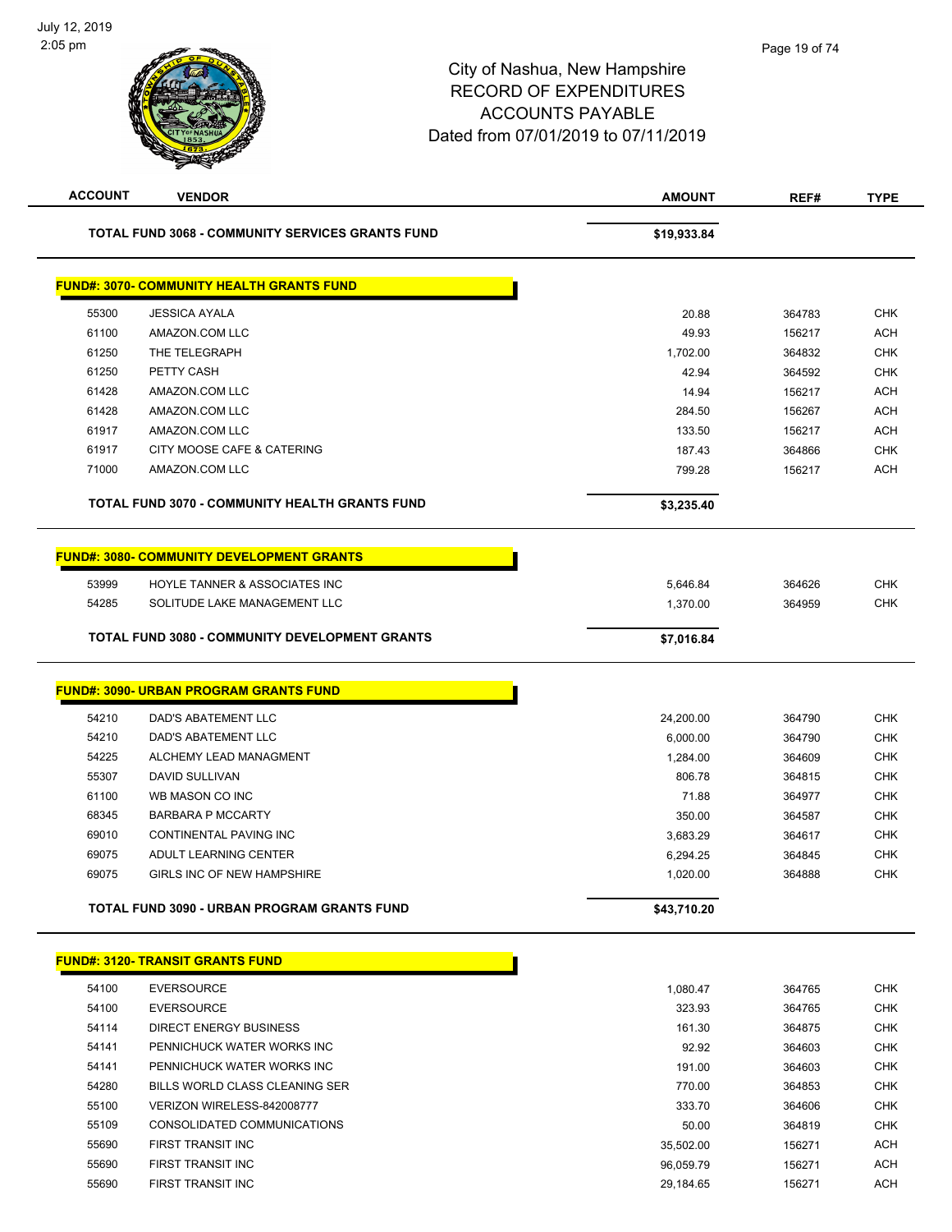| <b>ACCOUNT</b> | <b>VENDOR</b>                                           | <b>AMOUNT</b> | REF#   | TYPE       |
|----------------|---------------------------------------------------------|---------------|--------|------------|
|                | <b>TOTAL FUND 3068 - COMMUNITY SERVICES GRANTS FUND</b> | \$19,933.84   |        |            |
|                | <b>FUND#: 3070- COMMUNITY HEALTH GRANTS FUND</b>        |               |        |            |
| 55300          | <b>JESSICA AYALA</b>                                    | 20.88         | 364783 | <b>CHK</b> |
| 61100          | AMAZON.COM LLC                                          | 49.93         | 156217 | <b>ACH</b> |
| 61250          | THE TELEGRAPH                                           | 1,702.00      | 364832 | <b>CHK</b> |
| 61250          | PETTY CASH                                              | 42.94         | 364592 | <b>CHK</b> |
| 61428          | AMAZON.COM LLC                                          | 14.94         | 156217 | <b>ACH</b> |
| 61428          | AMAZON.COM LLC                                          | 284.50        | 156267 | <b>ACH</b> |
| 61917          | AMAZON.COM LLC                                          | 133.50        | 156217 | <b>ACH</b> |
| 61917          | CITY MOOSE CAFE & CATERING                              | 187.43        | 364866 | <b>CHK</b> |
| 71000          | AMAZON.COM LLC                                          | 799.28        | 156217 | <b>ACH</b> |
|                | TOTAL FUND 3070 - COMMUNITY HEALTH GRANTS FUND          | \$3,235.40    |        |            |
|                | <b>FUND#: 3080- COMMUNITY DEVELOPMENT GRANTS</b>        |               |        |            |
| 53999          | HOYLE TANNER & ASSOCIATES INC                           | 5,646.84      | 364626 | <b>CHK</b> |
| 54285          | SOLITUDE LAKE MANAGEMENT LLC                            | 1,370.00      | 364959 | <b>CHK</b> |
|                | <b>TOTAL FUND 3080 - COMMUNITY DEVELOPMENT GRANTS</b>   | \$7,016.84    |        |            |
|                | <b>FUND#: 3090- URBAN PROGRAM GRANTS FUND</b>           |               |        |            |
| 54210          | DAD'S ABATEMENT LLC                                     | 24,200.00     | 364790 | <b>CHK</b> |
| 54210          | DAD'S ABATEMENT LLC                                     | 6,000.00      | 364790 | <b>CHK</b> |
| 54225          | ALCHEMY LEAD MANAGMENT                                  | 1,284.00      | 364609 | <b>CHK</b> |
| 55307          | DAVID SULLIVAN                                          | 806.78        | 364815 | <b>CHK</b> |
| 61100          | WB MASON CO INC                                         | 71.88         | 364977 | <b>CHK</b> |
| 68345          | <b>BARBARA P MCCARTY</b>                                | 350.00        | 364587 | <b>CHK</b> |
| 69010          | <b>CONTINENTAL PAVING INC</b>                           | 3,683.29      | 364617 | <b>CHK</b> |
| 69075          | ADULT LEARNING CENTER                                   | 6,294.25      | 364845 | <b>CHK</b> |
| 69075          | <b>GIRLS INC OF NEW HAMPSHIRE</b>                       | 1,020.00      | 364888 | <b>CHK</b> |
|                | TOTAL FUND 3090 - URBAN PROGRAM GRANTS FUND             | \$43,710.20   |        |            |
|                | <b>FUND#: 3120- TRANSIT GRANTS FUND</b>                 |               |        |            |
| 54100          | <b>EVERSOURCE</b>                                       | 1,080.47      | 364765 | <b>CHK</b> |
| 54100          | <b>EVERSOURCE</b>                                       | 323.93        | 364765 | <b>CHK</b> |
| 54114          | <b>DIRECT ENERGY BUSINESS</b>                           | 161.30        | 364875 | <b>CHK</b> |
| 54141          | PENNICHUCK WATER WORKS INC                              | 92.92         | 364603 | <b>CHK</b> |
| 54141          | PENNICHUCK WATER WORKS INC                              | 191.00        | 364603 | <b>CHK</b> |
| 54280          | BILLS WORLD CLASS CLEANING SER                          | 770.00        | 364853 | <b>CHK</b> |
| 55100          | VERIZON WIRELESS-842008777                              | 333.70        | 364606 | <b>CHK</b> |
| 55109          | CONSOLIDATED COMMUNICATIONS                             | 50.00         | 364819 | <b>CHK</b> |
| 55690          | FIRST TRANSIT INC                                       | 35,502.00     | 156271 | <b>ACH</b> |
| 55690          | FIRST TRANSIT INC                                       | 96,059.79     | 156271 | <b>ACH</b> |
| 55690          | FIRST TRANSIT INC                                       | 29,184.65     | 156271 | <b>ACH</b> |
|                |                                                         |               |        |            |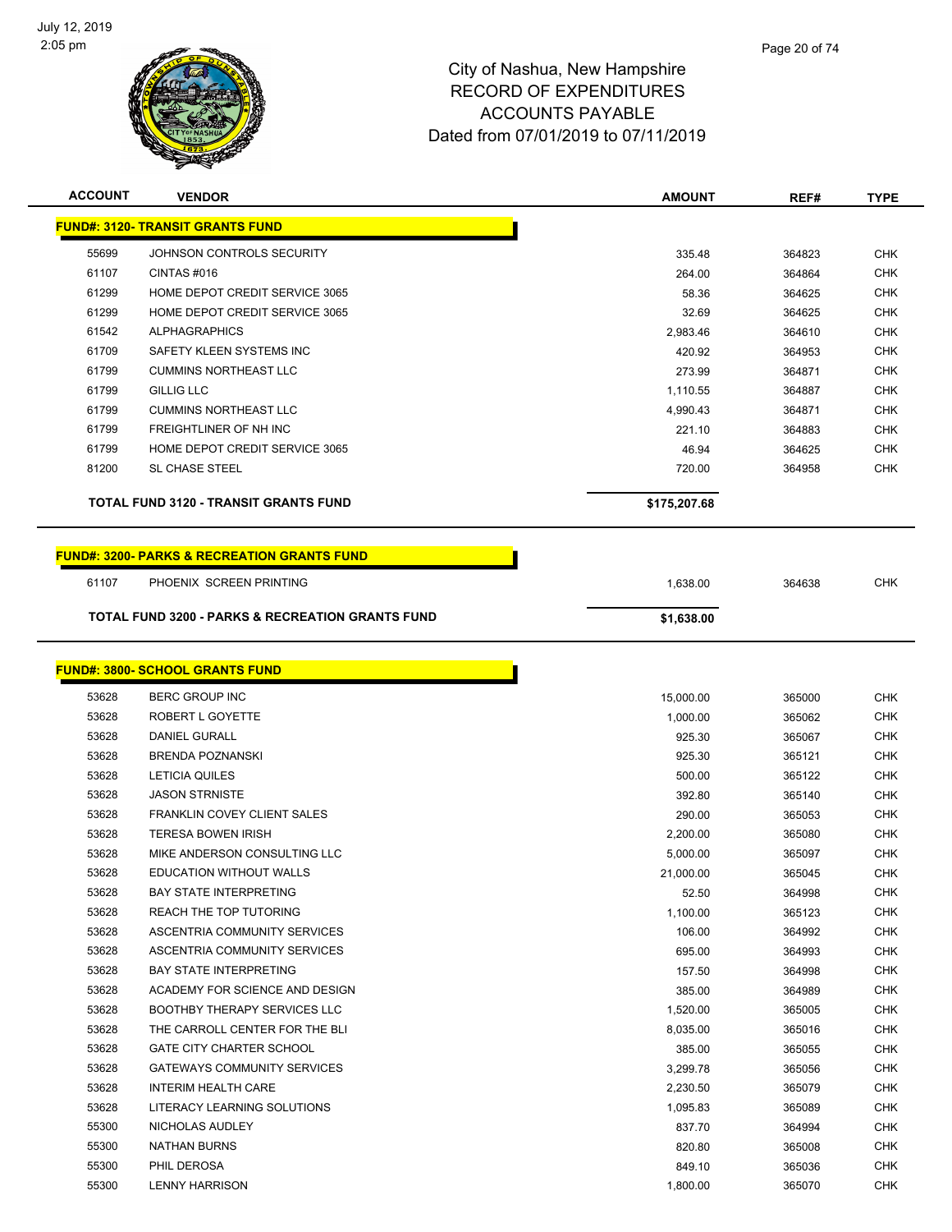

| <b>ACCOUNT</b> | <b>VENDOR</b>                                                                     | <b>AMOUNT</b> | REF#   | <b>TYPE</b> |
|----------------|-----------------------------------------------------------------------------------|---------------|--------|-------------|
|                | <b>FUND#: 3120- TRANSIT GRANTS FUND</b>                                           |               |        |             |
| 55699          | JOHNSON CONTROLS SECURITY                                                         | 335.48        | 364823 | <b>CHK</b>  |
| 61107          | CINTAS#016                                                                        | 264.00        | 364864 | <b>CHK</b>  |
| 61299          | HOME DEPOT CREDIT SERVICE 3065                                                    | 58.36         | 364625 | <b>CHK</b>  |
| 61299          | HOME DEPOT CREDIT SERVICE 3065                                                    | 32.69         | 364625 | <b>CHK</b>  |
| 61542          | <b>ALPHAGRAPHICS</b>                                                              | 2,983.46      | 364610 | <b>CHK</b>  |
| 61709          | SAFETY KLEEN SYSTEMS INC                                                          | 420.92        | 364953 | <b>CHK</b>  |
| 61799          | <b>CUMMINS NORTHEAST LLC</b>                                                      | 273.99        | 364871 | <b>CHK</b>  |
| 61799          | <b>GILLIG LLC</b>                                                                 | 1,110.55      | 364887 | <b>CHK</b>  |
| 61799          | <b>CUMMINS NORTHEAST LLC</b>                                                      | 4,990.43      | 364871 | <b>CHK</b>  |
| 61799          | FREIGHTLINER OF NH INC                                                            | 221.10        | 364883 | <b>CHK</b>  |
| 61799          | HOME DEPOT CREDIT SERVICE 3065                                                    | 46.94         | 364625 | <b>CHK</b>  |
| 81200          | <b>SL CHASE STEEL</b>                                                             | 720.00        | 364958 | <b>CHK</b>  |
|                | <b>TOTAL FUND 3120 - TRANSIT GRANTS FUND</b>                                      | \$175,207.68  |        |             |
| 61107          | <b>FUND#: 3200- PARKS &amp; RECREATION GRANTS FUND</b><br>PHOENIX SCREEN PRINTING | 1,638.00      | 364638 | <b>CHK</b>  |
|                | <b>TOTAL FUND 3200 - PARKS &amp; RECREATION GRANTS FUND</b>                       | \$1,638.00    |        |             |
|                | <b>FUND#: 3800- SCHOOL GRANTS FUND</b>                                            |               |        |             |
| 53628          | <b>BERC GROUP INC</b>                                                             | 15,000.00     | 365000 | <b>CHK</b>  |
| 53628          | ROBERT L GOYETTE                                                                  | 1,000.00      | 365062 | <b>CHK</b>  |
| 53628          | <b>DANIEL GURALL</b>                                                              | 925.30        | 365067 | <b>CHK</b>  |
| 53628          | <b>BRENDA POZNANSKI</b>                                                           | 925.30        | 365121 | <b>CHK</b>  |
| 53628          | <b>LETICIA QUILES</b>                                                             | 500.00        | 365122 | <b>CHK</b>  |
| 53628          | <b>JASON STRNISTE</b>                                                             | 392.80        | 365140 | <b>CHK</b>  |
| 53628          | <b>FRANKLIN COVEY CLIENT SALES</b>                                                | 290.00        | 365053 | <b>CHK</b>  |
| 53628          | <b>TERESA BOWEN IRISH</b>                                                         | 2,200.00      | 365080 | <b>CHK</b>  |
| 53628          | MIKE ANDERSON CONSULTING LLC                                                      | 5,000.00      | 365097 | <b>CHK</b>  |
| 53628          | <b>EDUCATION WITHOUT WALLS</b>                                                    | 21,000.00     | 365045 | <b>CHK</b>  |
| 53628          | <b>BAY STATE INTERPRETING</b>                                                     | 52.50         | 364998 | <b>CHK</b>  |
| 53628          | REACH THE TOP TUTORING                                                            | 1,100.00      | 365123 | <b>CHK</b>  |
| 53628          | ASCENTRIA COMMUNITY SERVICES                                                      | 106.00        | 364992 | <b>CHK</b>  |
| 53628          | ASCENTRIA COMMUNITY SERVICES                                                      | 695.00        | 364993 | <b>CHK</b>  |
| 53628          | <b>BAY STATE INTERPRETING</b>                                                     | 157.50        | 364998 | <b>CHK</b>  |

| 53628 | <b>EDUCATION WITHOUT WALLS</b>      | 21,000.00 | 365045 | <b>CHK</b> |
|-------|-------------------------------------|-----------|--------|------------|
| 53628 | <b>BAY STATE INTERPRETING</b>       | 52.50     | 364998 | <b>CHK</b> |
| 53628 | REACH THE TOP TUTORING              | 1,100.00  | 365123 | <b>CHK</b> |
| 53628 | ASCENTRIA COMMUNITY SERVICES        | 106.00    | 364992 | <b>CHK</b> |
| 53628 | ASCENTRIA COMMUNITY SERVICES        | 695.00    | 364993 | <b>CHK</b> |
| 53628 | <b>BAY STATE INTERPRETING</b>       | 157.50    | 364998 | <b>CHK</b> |
| 53628 | ACADEMY FOR SCIENCE AND DESIGN      | 385.00    | 364989 | <b>CHK</b> |
| 53628 | <b>BOOTHBY THERAPY SERVICES LLC</b> | 1,520.00  | 365005 | <b>CHK</b> |
| 53628 | THE CARROLL CENTER FOR THE BLI      | 8,035.00  | 365016 | <b>CHK</b> |
| 53628 | <b>GATE CITY CHARTER SCHOOL</b>     | 385.00    | 365055 | <b>CHK</b> |
| 53628 | <b>GATEWAYS COMMUNITY SERVICES</b>  | 3,299.78  | 365056 | <b>CHK</b> |
| 53628 | <b>INTERIM HEALTH CARE</b>          | 2,230.50  | 365079 | <b>CHK</b> |
| 53628 | LITERACY LEARNING SOLUTIONS         | 1,095.83  | 365089 | <b>CHK</b> |
| 55300 | NICHOLAS AUDLEY                     | 837.70    | 364994 | <b>CHK</b> |
| 55300 | <b>NATHAN BURNS</b>                 | 820.80    | 365008 | <b>CHK</b> |
| 55300 | PHIL DEROSA                         | 849.10    | 365036 | <b>CHK</b> |
| 55300 | <b>LENNY HARRISON</b>               | 1,800.00  | 365070 | <b>CHK</b> |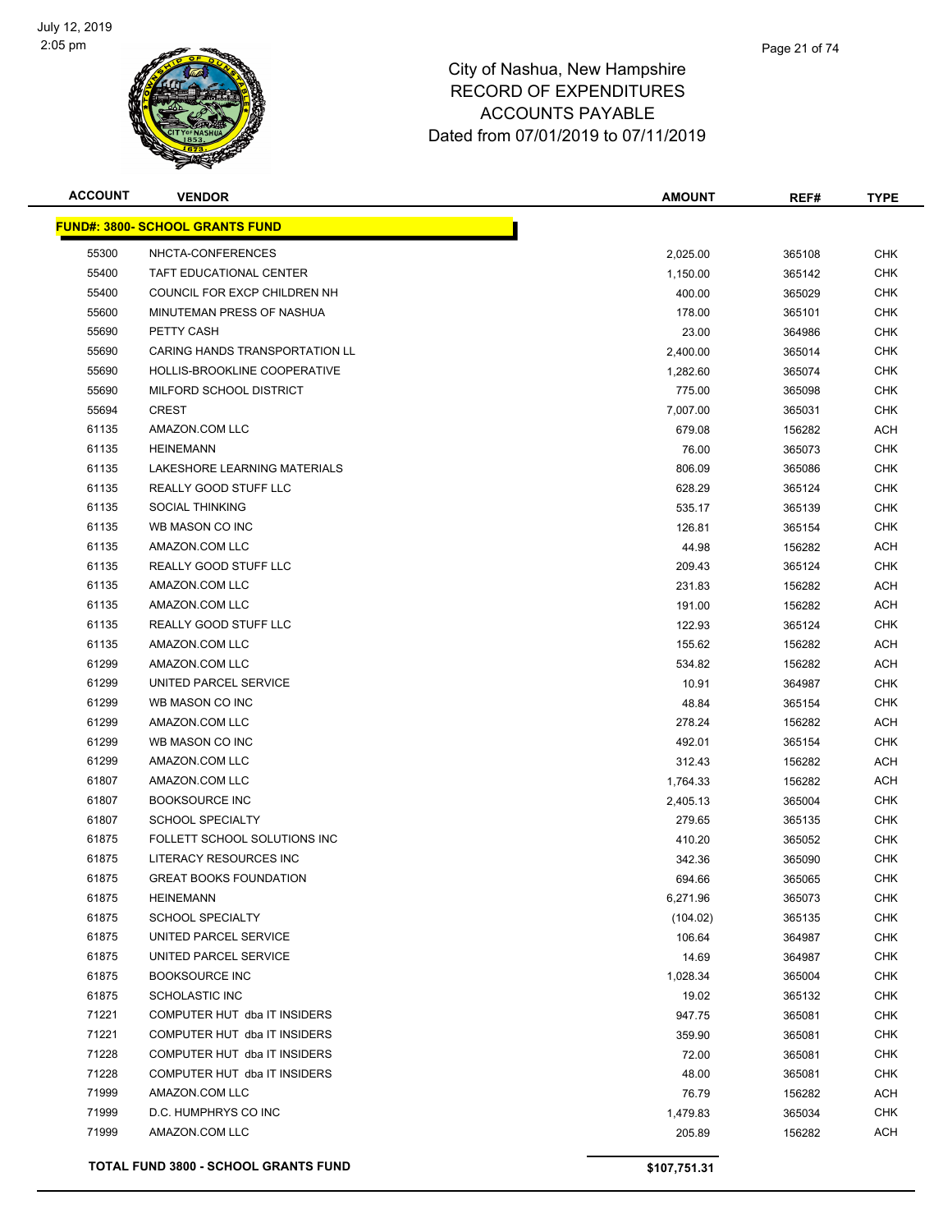

| <b>ACCOUNT</b> | <b>VENDOR</b>                               | <b>AMOUNT</b> | REF#   | TYPE       |
|----------------|---------------------------------------------|---------------|--------|------------|
|                | <b>FUND#: 3800- SCHOOL GRANTS FUND</b>      |               |        |            |
| 55300          | NHCTA-CONFERENCES                           | 2,025.00      | 365108 | <b>CHK</b> |
| 55400          | TAFT EDUCATIONAL CENTER                     | 1,150.00      | 365142 | <b>CHK</b> |
| 55400          | COUNCIL FOR EXCP CHILDREN NH                | 400.00        | 365029 | <b>CHK</b> |
| 55600          | MINUTEMAN PRESS OF NASHUA                   | 178.00        | 365101 | <b>CHK</b> |
| 55690          | PETTY CASH                                  | 23.00         | 364986 | <b>CHK</b> |
| 55690          | CARING HANDS TRANSPORTATION LL              | 2,400.00      | 365014 | <b>CHK</b> |
| 55690          | HOLLIS-BROOKLINE COOPERATIVE                | 1,282.60      | 365074 | <b>CHK</b> |
| 55690          | MILFORD SCHOOL DISTRICT                     | 775.00        | 365098 | <b>CHK</b> |
| 55694          | <b>CREST</b>                                | 7,007.00      | 365031 | <b>CHK</b> |
| 61135          | AMAZON.COM LLC                              | 679.08        | 156282 | <b>ACH</b> |
| 61135          | <b>HEINEMANN</b>                            | 76.00         | 365073 | <b>CHK</b> |
| 61135          | LAKESHORE LEARNING MATERIALS                | 806.09        | 365086 | <b>CHK</b> |
| 61135          | REALLY GOOD STUFF LLC                       | 628.29        | 365124 | <b>CHK</b> |
| 61135          | <b>SOCIAL THINKING</b>                      | 535.17        | 365139 | <b>CHK</b> |
| 61135          | WB MASON CO INC                             | 126.81        | 365154 | <b>CHK</b> |
| 61135          | AMAZON.COM LLC                              | 44.98         | 156282 | <b>ACH</b> |
| 61135          | REALLY GOOD STUFF LLC                       | 209.43        | 365124 | <b>CHK</b> |
| 61135          | AMAZON.COM LLC                              | 231.83        | 156282 | <b>ACH</b> |
| 61135          | AMAZON.COM LLC                              | 191.00        | 156282 | <b>ACH</b> |
| 61135          | REALLY GOOD STUFF LLC                       | 122.93        | 365124 | <b>CHK</b> |
| 61135          | AMAZON.COM LLC                              | 155.62        | 156282 | <b>ACH</b> |
| 61299          | AMAZON.COM LLC                              | 534.82        | 156282 | <b>ACH</b> |
| 61299          | UNITED PARCEL SERVICE                       | 10.91         | 364987 | <b>CHK</b> |
| 61299          | WB MASON CO INC                             | 48.84         | 365154 | <b>CHK</b> |
| 61299          | AMAZON.COM LLC                              | 278.24        | 156282 | <b>ACH</b> |
| 61299          | WB MASON CO INC                             | 492.01        | 365154 | <b>CHK</b> |
| 61299          | AMAZON.COM LLC                              | 312.43        | 156282 | <b>ACH</b> |
| 61807          | AMAZON.COM LLC                              | 1,764.33      | 156282 | ACH        |
| 61807          | <b>BOOKSOURCE INC</b>                       | 2,405.13      | 365004 | <b>CHK</b> |
| 61807          | <b>SCHOOL SPECIALTY</b>                     | 279.65        | 365135 | <b>CHK</b> |
| 61875          | FOLLETT SCHOOL SOLUTIONS INC                | 410.20        | 365052 | <b>CHK</b> |
| 61875          | LITERACY RESOURCES INC                      | 342.36        | 365090 | <b>CHK</b> |
| 61875          | <b>GREAT BOOKS FOUNDATION</b>               | 694.66        | 365065 | <b>CHK</b> |
| 61875          | <b>HEINEMANN</b>                            | 6,271.96      | 365073 | <b>CHK</b> |
| 61875          | SCHOOL SPECIALTY                            | (104.02)      | 365135 | <b>CHK</b> |
| 61875          | UNITED PARCEL SERVICE                       | 106.64        | 364987 | <b>CHK</b> |
| 61875          | UNITED PARCEL SERVICE                       | 14.69         | 364987 | <b>CHK</b> |
| 61875          | <b>BOOKSOURCE INC</b>                       | 1,028.34      | 365004 | <b>CHK</b> |
| 61875          | <b>SCHOLASTIC INC</b>                       | 19.02         | 365132 | <b>CHK</b> |
| 71221          | COMPUTER HUT dba IT INSIDERS                | 947.75        | 365081 | <b>CHK</b> |
| 71221          | COMPUTER HUT dba IT INSIDERS                | 359.90        | 365081 | <b>CHK</b> |
| 71228          | COMPUTER HUT dba IT INSIDERS                | 72.00         | 365081 | <b>CHK</b> |
| 71228          | COMPUTER HUT dba IT INSIDERS                | 48.00         | 365081 | <b>CHK</b> |
| 71999          | AMAZON.COM LLC                              | 76.79         | 156282 | ACH        |
| 71999          | D.C. HUMPHRYS CO INC                        | 1,479.83      | 365034 | <b>CHK</b> |
| 71999          | AMAZON.COM LLC                              | 205.89        | 156282 | <b>ACH</b> |
|                |                                             |               |        |            |
|                | <b>TOTAL FUND 3800 - SCHOOL GRANTS FUND</b> | \$107,751.31  |        |            |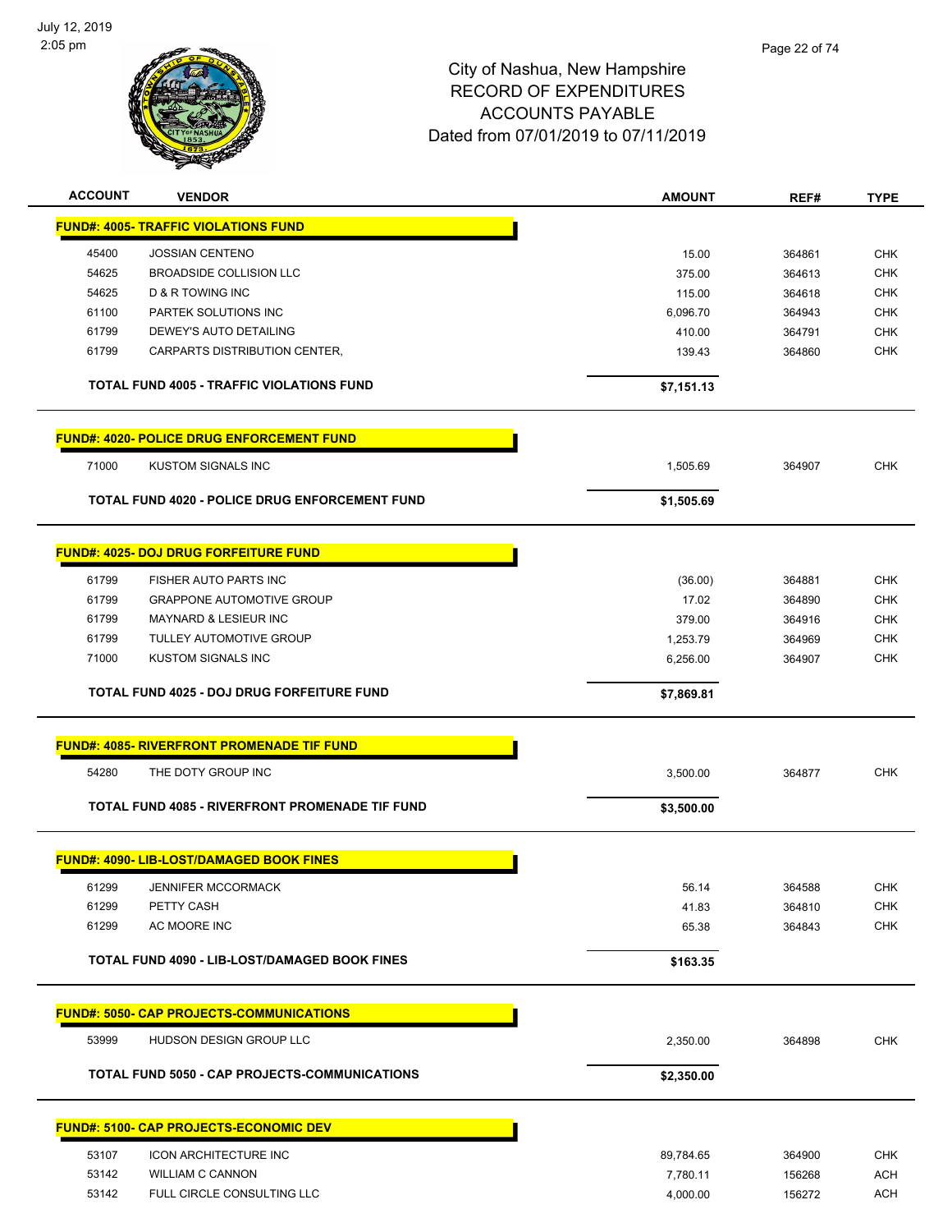

| <b>ACCOUNT</b> | <b>VENDOR</b>                                     | <b>AMOUNT</b>  | REF#             | <b>TYPE</b> |
|----------------|---------------------------------------------------|----------------|------------------|-------------|
|                | <b>FUND#: 4005- TRAFFIC VIOLATIONS FUND</b>       |                |                  |             |
| 45400          | <b>JOSSIAN CENTENO</b>                            | 15.00          | 364861           | <b>CHK</b>  |
| 54625          | <b>BROADSIDE COLLISION LLC</b>                    | 375.00         | 364613           | <b>CHK</b>  |
| 54625          | <b>D &amp; R TOWING INC</b>                       |                |                  |             |
| 61100          |                                                   | 115.00         | 364618           | CHK         |
|                | PARTEK SOLUTIONS INC                              | 6,096.70       | 364943           | <b>CHK</b>  |
| 61799          | DEWEY'S AUTO DETAILING                            | 410.00         | 364791           | <b>CHK</b>  |
| 61799          | CARPARTS DISTRIBUTION CENTER,                     | 139.43         | 364860           | <b>CHK</b>  |
|                | <b>TOTAL FUND 4005 - TRAFFIC VIOLATIONS FUND</b>  | \$7,151.13     |                  |             |
|                | <b>FUND#: 4020- POLICE DRUG ENFORCEMENT FUND</b>  |                |                  |             |
| 71000          | KUSTOM SIGNALS INC                                | 1,505.69       | 364907           | <b>CHK</b>  |
|                | TOTAL FUND 4020 - POLICE DRUG ENFORCEMENT FUND    | \$1,505.69     |                  |             |
|                | <b>FUND#: 4025- DOJ DRUG FORFEITURE FUND</b>      |                |                  |             |
|                |                                                   |                |                  |             |
| 61799          | <b>FISHER AUTO PARTS INC</b>                      | (36.00)        | 364881           | <b>CHK</b>  |
| 61799          | <b>GRAPPONE AUTOMOTIVE GROUP</b>                  | 17.02          | 364890           | <b>CHK</b>  |
| 61799          | <b>MAYNARD &amp; LESIEUR INC</b>                  | 379.00         | 364916           | CHK         |
| 61799          | TULLEY AUTOMOTIVE GROUP                           | 1,253.79       | 364969           | <b>CHK</b>  |
| 71000          | <b>KUSTOM SIGNALS INC</b>                         | 6,256.00       | 364907           | <b>CHK</b>  |
|                | TOTAL FUND 4025 - DOJ DRUG FORFEITURE FUND        | \$7,869.81     |                  |             |
|                | <b>FUND#: 4085- RIVERFRONT PROMENADE TIF FUND</b> |                |                  |             |
|                |                                                   |                |                  |             |
| 54280          | THE DOTY GROUP INC                                | 3,500.00       | 364877           | <b>CHK</b>  |
|                | TOTAL FUND 4085 - RIVERFRONT PROMENADE TIF FUND   | \$3,500.00     |                  |             |
|                | <b>FUND#: 4090- LIB-LOST/DAMAGED BOOK FINES</b>   |                |                  |             |
| 61299          | <b>JENNIFER MCCORMACK</b>                         |                |                  | <b>CHK</b>  |
| 61299          | PETTY CASH                                        | 56.14<br>41.83 | 364588<br>364810 | CHK         |
| 61299          | AC MOORE INC                                      | 65.38          | 364843           | <b>CHK</b>  |
|                |                                                   |                |                  |             |
|                | TOTAL FUND 4090 - LIB-LOST/DAMAGED BOOK FINES     | \$163.35       |                  |             |
|                | <b>FUND#: 5050- CAP PROJECTS-COMMUNICATIONS</b>   |                |                  |             |
| 53999          | <b>HUDSON DESIGN GROUP LLC</b>                    | 2,350.00       | 364898           | <b>CHK</b>  |
|                | TOTAL FUND 5050 - CAP PROJECTS-COMMUNICATIONS     | \$2,350.00     |                  |             |
|                | <b>FUND#: 5100- CAP PROJECTS-ECONOMIC DEV</b>     |                |                  |             |
|                |                                                   |                |                  |             |
| 53107          | <b>ICON ARCHITECTURE INC</b>                      | 89,784.65      | 364900           | <b>CHK</b>  |
| 53142          | <b>WILLIAM C CANNON</b>                           | 7,780.11       | 156268           | <b>ACH</b>  |
| 53142          | FULL CIRCLE CONSULTING LLC                        | 4,000.00       | 156272           | ACH         |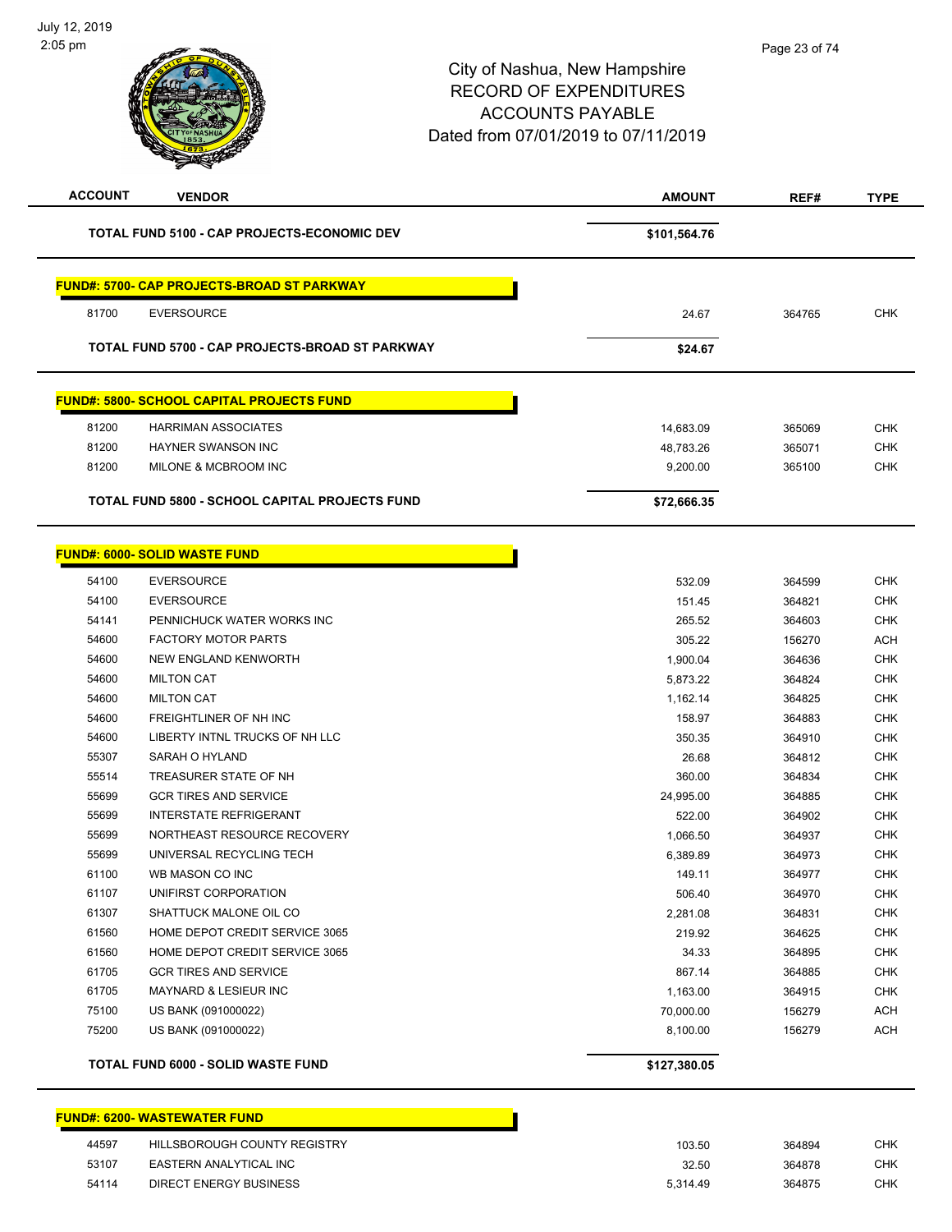| <b>ACCOUNT</b><br><b>VENDOR</b>                   | <b>AMOUNT</b> | REF#   | <b>TYPE</b> |
|---------------------------------------------------|---------------|--------|-------------|
| TOTAL FUND 5100 - CAP PROJECTS-ECONOMIC DEV       | \$101,564.76  |        |             |
| <b>FUND#: 5700- CAP PROJECTS-BROAD ST PARKWAY</b> |               |        |             |
| 81700<br><b>EVERSOURCE</b>                        | 24.67         | 364765 | <b>CHK</b>  |
| TOTAL FUND 5700 - CAP PROJECTS-BROAD ST PARKWAY   | \$24.67       |        |             |
| <b>FUND#: 5800- SCHOOL CAPITAL PROJECTS FUND</b>  |               |        |             |
| 81200<br><b>HARRIMAN ASSOCIATES</b>               | 14,683.09     | 365069 | <b>CHK</b>  |
| 81200<br><b>HAYNER SWANSON INC</b>                | 48,783.26     | 365071 | CHK         |
| 81200<br>MILONE & MCBROOM INC                     | 9,200.00      | 365100 | <b>CHK</b>  |
| TOTAL FUND 5800 - SCHOOL CAPITAL PROJECTS FUND    | \$72,666.35   |        |             |
| <b>FUND#: 6000- SOLID WASTE FUND</b>              |               |        |             |
| 54100<br><b>EVERSOURCE</b>                        | 532.09        | 364599 | <b>CHK</b>  |
| 54100<br><b>EVERSOURCE</b>                        | 151.45        | 364821 | <b>CHK</b>  |
| 54141<br>PENNICHUCK WATER WORKS INC               | 265.52        | 364603 | <b>CHK</b>  |
| 54600<br><b>FACTORY MOTOR PARTS</b>               | 305.22        | 156270 | <b>ACH</b>  |
| 54600<br>NEW ENGLAND KENWORTH                     | 1,900.04      | 364636 | CHK         |
| 54600<br><b>MILTON CAT</b>                        | 5,873.22      | 364824 | <b>CHK</b>  |
| 54600<br><b>MILTON CAT</b>                        | 1,162.14      | 364825 | <b>CHK</b>  |
| <b>FREIGHTLINER OF NH INC</b><br>54600            | 158.97        | 364883 | <b>CHK</b>  |
| 54600<br>LIBERTY INTNL TRUCKS OF NH LLC           | 350.35        | 364910 | <b>CHK</b>  |
| 55307<br>SARAH O HYLAND                           | 26.68         | 364812 | <b>CHK</b>  |
| 55514<br>TREASURER STATE OF NH                    | 360.00        | 364834 | <b>CHK</b>  |
| 55699<br><b>GCR TIRES AND SERVICE</b>             | 24,995.00     | 364885 | <b>CHK</b>  |
| 55699<br><b>INTERSTATE REFRIGERANT</b>            | 522.00        | 364902 | <b>CHK</b>  |
| 55699<br>NORTHEAST RESOURCE RECOVERY              | 1,066.50      | 364937 | <b>CHK</b>  |
| 55699<br>UNIVERSAL RECYCLING TECH                 | 6,389.89      | 364973 | <b>CHK</b>  |
| 61100<br>WB MASON CO INC                          | 149.11        | 364977 | <b>CHK</b>  |
| 61107<br>UNIFIRST CORPORATION                     | 506.40        | 364970 | <b>CHK</b>  |
| 61307<br>SHATTUCK MALONE OIL CO                   | 2,281.08      | 364831 | CHK         |
| 61560<br>HOME DEPOT CREDIT SERVICE 3065           | 219.92        | 364625 | CHK         |
| 61560<br>HOME DEPOT CREDIT SERVICE 3065           | 34.33         | 364895 | <b>CHK</b>  |
| 61705<br><b>GCR TIRES AND SERVICE</b>             | 867.14        | 364885 | <b>CHK</b>  |
| 61705<br>MAYNARD & LESIEUR INC                    | 1,163.00      | 364915 | <b>CHK</b>  |
| 75100<br>US BANK (091000022)                      | 70,000.00     | 156279 | <b>ACH</b>  |
| 75200<br>US BANK (091000022)                      | 8,100.00      | 156279 | <b>ACH</b>  |
| TOTAL FUND 6000 - SOLID WASTE FUND                | \$127,380.05  |        |             |

|       | <b>FUND#: 6200- WASTEWATER FUND</b> |        |        |     |
|-------|-------------------------------------|--------|--------|-----|
| 44597 | HILLSBOROUGH COUNTY REGISTRY        | 103.50 | 364894 | CHK |
| 53107 | EASTERN ANALYTICAL INC              | 32.50  | 364878 | CHK |

54114 DIRECT ENERGY BUSINESS

| 103.50   | 364894 | CHK |
|----------|--------|-----|
| 32.50    | 364878 | CHK |
| 5,314.49 | 364875 | CHK |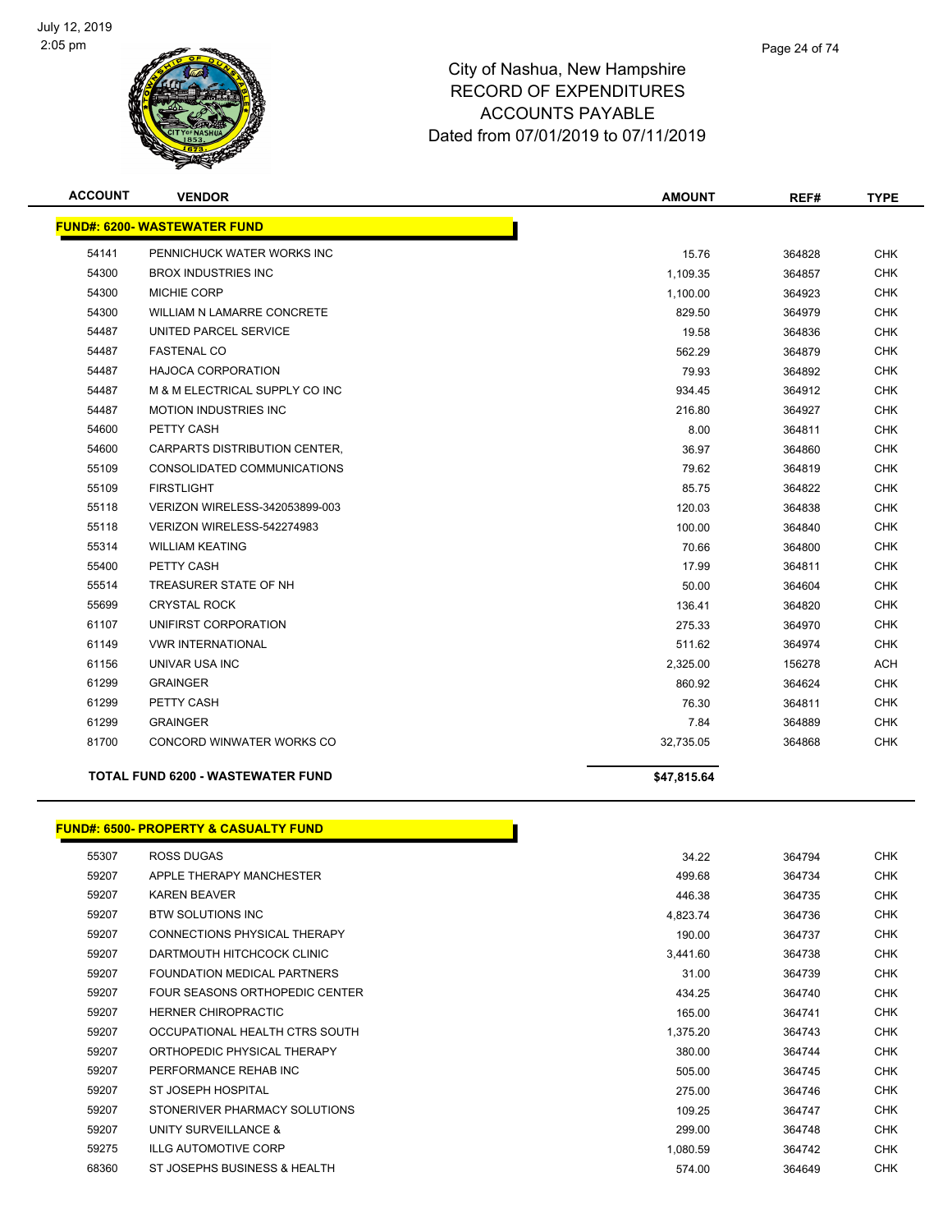

| <b>ACCOUNT</b> | <b>VENDOR</b>                            | <b>AMOUNT</b> | REF#   | <b>TYPE</b> |
|----------------|------------------------------------------|---------------|--------|-------------|
|                | <b>FUND#: 6200- WASTEWATER FUND</b>      |               |        |             |
| 54141          | PENNICHUCK WATER WORKS INC               | 15.76         | 364828 | <b>CHK</b>  |
| 54300          | <b>BROX INDUSTRIES INC</b>               | 1,109.35      | 364857 | <b>CHK</b>  |
| 54300          | <b>MICHIE CORP</b>                       | 1,100.00      | 364923 | <b>CHK</b>  |
| 54300          | <b>WILLIAM N LAMARRE CONCRETE</b>        | 829.50        | 364979 | <b>CHK</b>  |
| 54487          | UNITED PARCEL SERVICE                    | 19.58         | 364836 | <b>CHK</b>  |
| 54487          | <b>FASTENAL CO</b>                       | 562.29        | 364879 | <b>CHK</b>  |
| 54487          | <b>HAJOCA CORPORATION</b>                | 79.93         | 364892 | <b>CHK</b>  |
| 54487          | M & M ELECTRICAL SUPPLY CO INC           | 934.45        | 364912 | <b>CHK</b>  |
| 54487          | <b>MOTION INDUSTRIES INC</b>             | 216.80        | 364927 | <b>CHK</b>  |
| 54600          | PETTY CASH                               | 8.00          | 364811 | <b>CHK</b>  |
| 54600          | CARPARTS DISTRIBUTION CENTER,            | 36.97         | 364860 | <b>CHK</b>  |
| 55109          | CONSOLIDATED COMMUNICATIONS              | 79.62         | 364819 | <b>CHK</b>  |
| 55109          | <b>FIRSTLIGHT</b>                        | 85.75         | 364822 | <b>CHK</b>  |
| 55118          | VERIZON WIRELESS-342053899-003           | 120.03        | 364838 | <b>CHK</b>  |
| 55118          | VERIZON WIRELESS-542274983               | 100.00        | 364840 | <b>CHK</b>  |
| 55314          | <b>WILLIAM KEATING</b>                   | 70.66         | 364800 | <b>CHK</b>  |
| 55400          | PETTY CASH                               | 17.99         | 364811 | <b>CHK</b>  |
| 55514          | TREASURER STATE OF NH                    | 50.00         | 364604 | <b>CHK</b>  |
| 55699          | <b>CRYSTAL ROCK</b>                      | 136.41        | 364820 | <b>CHK</b>  |
| 61107          | UNIFIRST CORPORATION                     | 275.33        | 364970 | <b>CHK</b>  |
| 61149          | <b><i>VWR INTERNATIONAL</i></b>          | 511.62        | 364974 | <b>CHK</b>  |
| 61156          | UNIVAR USA INC                           | 2,325.00      | 156278 | <b>ACH</b>  |
| 61299          | <b>GRAINGER</b>                          | 860.92        | 364624 | <b>CHK</b>  |
| 61299          | PETTY CASH                               | 76.30         | 364811 | <b>CHK</b>  |
| 61299          | <b>GRAINGER</b>                          | 7.84          | 364889 | <b>CHK</b>  |
| 81700          | CONCORD WINWATER WORKS CO                | 32,735.05     | 364868 | <b>CHK</b>  |
|                | <b>TOTAL FUND 6200 - WASTEWATER FUND</b> | \$47,815.64   |        |             |

#### **FUND#: 6500- PROPERTY & CASUALTY FUND**

| 55307 | <b>ROSS DUGAS</b>              | 34.22    | 364794 | <b>CHK</b> |
|-------|--------------------------------|----------|--------|------------|
| 59207 | APPLE THERAPY MANCHESTER       | 499.68   | 364734 | <b>CHK</b> |
| 59207 | <b>KAREN BEAVER</b>            | 446.38   | 364735 | <b>CHK</b> |
| 59207 | <b>BTW SOLUTIONS INC</b>       | 4,823.74 | 364736 | CHK        |
| 59207 | CONNECTIONS PHYSICAL THERAPY   | 190.00   | 364737 | <b>CHK</b> |
| 59207 | DARTMOUTH HITCHCOCK CLINIC     | 3,441.60 | 364738 | CHK        |
| 59207 | FOUNDATION MEDICAL PARTNERS    | 31.00    | 364739 | <b>CHK</b> |
| 59207 | FOUR SEASONS ORTHOPEDIC CENTER | 434.25   | 364740 | <b>CHK</b> |
| 59207 | <b>HERNER CHIROPRACTIC</b>     | 165.00   | 364741 | <b>CHK</b> |
| 59207 | OCCUPATIONAL HEALTH CTRS SOUTH | 1,375.20 | 364743 | <b>CHK</b> |
| 59207 | ORTHOPEDIC PHYSICAL THERAPY    | 380.00   | 364744 | <b>CHK</b> |
| 59207 | PERFORMANCE REHAB INC          | 505.00   | 364745 | <b>CHK</b> |
| 59207 | ST JOSEPH HOSPITAL             | 275.00   | 364746 | CHK        |
| 59207 | STONERIVER PHARMACY SOLUTIONS  | 109.25   | 364747 | <b>CHK</b> |
| 59207 | UNITY SURVEILLANCE &           | 299.00   | 364748 | <b>CHK</b> |
| 59275 | <b>ILLG AUTOMOTIVE CORP</b>    | 1,080.59 | 364742 | <b>CHK</b> |
| 68360 | ST JOSEPHS BUSINESS & HEALTH   | 574.00   | 364649 | <b>CHK</b> |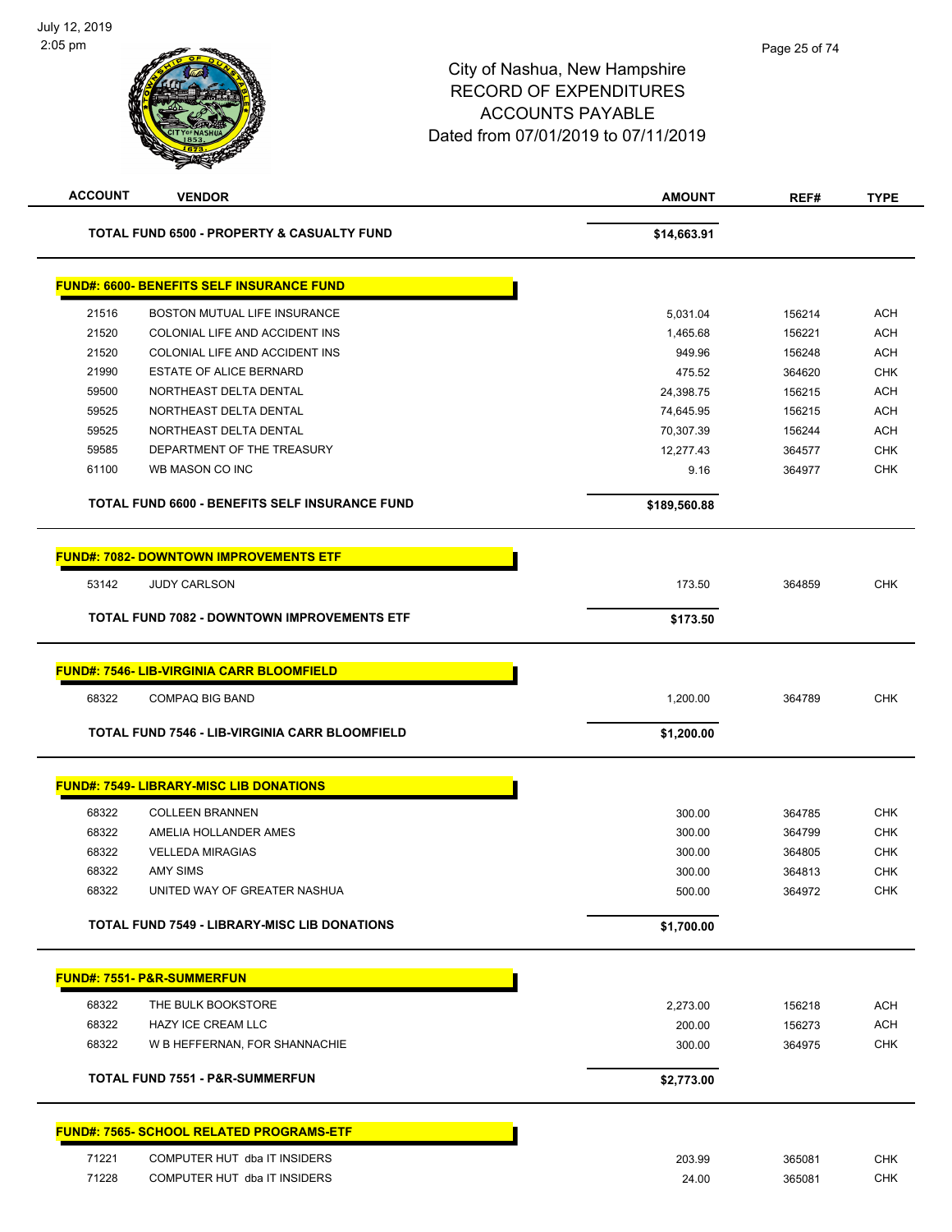| <b>ACCOUNT</b> | <b>VENDOR</b>                                         | <b>AMOUNT</b>    | REF#             | <b>TYPE</b>              |
|----------------|-------------------------------------------------------|------------------|------------------|--------------------------|
|                | <b>TOTAL FUND 6500 - PROPERTY &amp; CASUALTY FUND</b> | \$14,663.91      |                  |                          |
|                | <b>FUND#: 6600- BENEFITS SELF INSURANCE FUND</b>      |                  |                  |                          |
| 21516          | BOSTON MUTUAL LIFE INSURANCE                          | 5,031.04         | 156214           | <b>ACH</b>               |
| 21520          | COLONIAL LIFE AND ACCIDENT INS                        | 1,465.68         | 156221           | <b>ACH</b>               |
| 21520          | COLONIAL LIFE AND ACCIDENT INS                        | 949.96           | 156248           | <b>ACH</b>               |
| 21990          | <b>ESTATE OF ALICE BERNARD</b>                        | 475.52           | 364620           | <b>CHK</b>               |
| 59500          | NORTHEAST DELTA DENTAL                                | 24,398.75        | 156215           | <b>ACH</b>               |
| 59525          | NORTHEAST DELTA DENTAL                                | 74,645.95        | 156215           | <b>ACH</b>               |
| 59525          | NORTHEAST DELTA DENTAL                                | 70,307.39        | 156244           | <b>ACH</b>               |
| 59585          | DEPARTMENT OF THE TREASURY                            | 12,277.43        | 364577           | <b>CHK</b>               |
| 61100          | WB MASON CO INC                                       | 9.16             | 364977           | CHK                      |
|                | <b>TOTAL FUND 6600 - BENEFITS SELF INSURANCE FUND</b> | \$189,560.88     |                  |                          |
|                | <b>FUND#: 7082- DOWNTOWN IMPROVEMENTS ETF</b>         |                  |                  |                          |
| 53142          | <b>JUDY CARLSON</b>                                   | 173.50           | 364859           | CHK                      |
|                | <b>TOTAL FUND 7082 - DOWNTOWN IMPROVEMENTS ETF</b>    | \$173.50         |                  |                          |
|                | <b>FUND#: 7546- LIB-VIRGINIA CARR BLOOMFIELD</b>      |                  |                  |                          |
| 68322          | <b>COMPAQ BIG BAND</b>                                | 1,200.00         | 364789           | <b>CHK</b>               |
|                | <b>TOTAL FUND 7546 - LIB-VIRGINIA CARR BLOOMFIELD</b> | \$1,200.00       |                  |                          |
|                | <b>FUND#: 7549- LIBRARY-MISC LIB DONATIONS</b>        |                  |                  |                          |
|                |                                                       |                  |                  |                          |
| 68322          | <b>COLLEEN BRANNEN</b>                                | 300.00           | 364785           | <b>CHK</b>               |
| 68322<br>68322 | AMELIA HOLLANDER AMES<br><b>VELLEDA MIRAGIAS</b>      | 300.00           | 364799           | <b>CHK</b>               |
| 68322          | <b>AMY SIMS</b>                                       | 300.00           | 364805<br>364813 | <b>CHK</b><br><b>CHK</b> |
| 68322          | UNITED WAY OF GREATER NASHUA                          | 300.00<br>500.00 | 364972           | <b>CHK</b>               |
|                |                                                       |                  |                  |                          |
|                | <b>TOTAL FUND 7549 - LIBRARY-MISC LIB DONATIONS</b>   | \$1,700.00       |                  |                          |
|                | <u> FUND#: 7551- P&amp;R-SUMMERFUN</u>                |                  |                  |                          |
| 68322          | THE BULK BOOKSTORE                                    | 2,273.00         | 156218           | <b>ACH</b>               |
| 68322          | <b>HAZY ICE CREAM LLC</b>                             | 200.00           | 156273           | <b>ACH</b>               |
| 68322          | W B HEFFERNAN, FOR SHANNACHIE                         | 300.00           | 364975           | <b>CHK</b>               |
|                | <b>TOTAL FUND 7551 - P&amp;R-SUMMERFUN</b>            | \$2,773.00       |                  |                          |
|                | <b>FUND#: 7565- SCHOOL RELATED PROGRAMS-ETF</b>       |                  |                  |                          |
|                |                                                       |                  |                  |                          |
| 71221          | COMPUTER HUT dba IT INSIDERS                          | 203.99           | 365081           | <b>CHK</b>               |
| 71228          | COMPUTER HUT dba IT INSIDERS                          | 24.00            | 365081           | <b>CHK</b>               |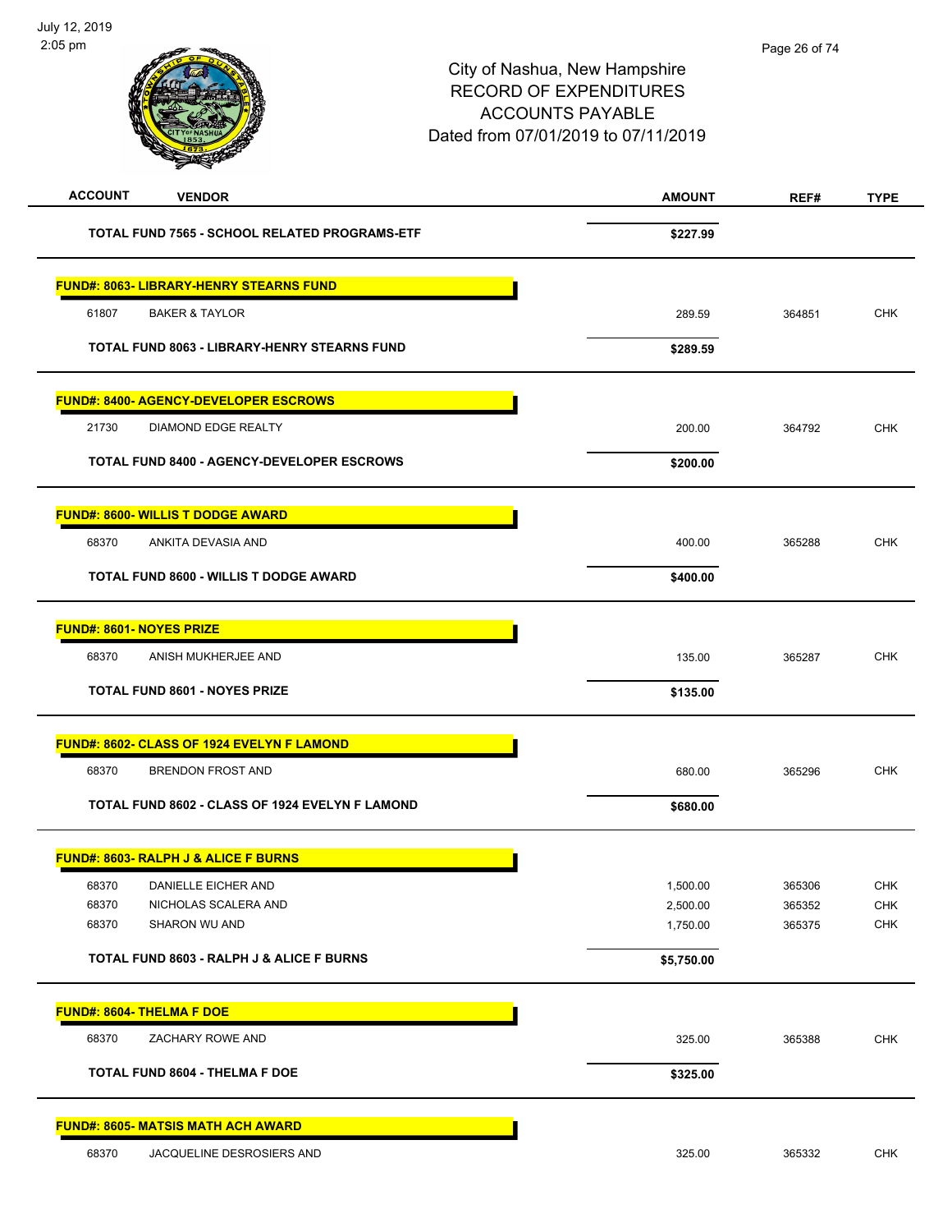| <b>ACCOUNT</b><br><b>VENDOR</b>                         | <b>AMOUNT</b>        | REF#             | <b>TYPE</b> |
|---------------------------------------------------------|----------------------|------------------|-------------|
| TOTAL FUND 7565 - SCHOOL RELATED PROGRAMS-ETF           | \$227.99             |                  |             |
| <b>FUND#: 8063- LIBRARY-HENRY STEARNS FUND</b>          |                      |                  |             |
| 61807<br><b>BAKER &amp; TAYLOR</b>                      | 289.59               | 364851           | <b>CHK</b>  |
| TOTAL FUND 8063 - LIBRARY-HENRY STEARNS FUND            | \$289.59             |                  |             |
| <b>FUND#: 8400- AGENCY-DEVELOPER ESCROWS</b>            |                      |                  |             |
| 21730<br>DIAMOND EDGE REALTY                            | 200.00               | 364792           | <b>CHK</b>  |
| <b>TOTAL FUND 8400 - AGENCY-DEVELOPER ESCROWS</b>       | \$200.00             |                  |             |
| <b>FUND#: 8600- WILLIS T DODGE AWARD</b>                |                      |                  |             |
| 68370<br>ANKITA DEVASIA AND                             | 400.00               | 365288           | <b>CHK</b>  |
| <b>TOTAL FUND 8600 - WILLIS T DODGE AWARD</b>           | \$400.00             |                  |             |
| <b>FUND#: 8601- NOYES PRIZE</b>                         |                      |                  |             |
| 68370<br>ANISH MUKHERJEE AND                            | 135.00               | 365287           | <b>CHK</b>  |
| <b>TOTAL FUND 8601 - NOYES PRIZE</b>                    | \$135.00             |                  |             |
| FUND#: 8602- CLASS OF 1924 EVELYN F LAMOND              |                      |                  |             |
| 68370<br><b>BRENDON FROST AND</b>                       | 680.00               | 365296           | <b>CHK</b>  |
| TOTAL FUND 8602 - CLASS OF 1924 EVELYN F LAMOND         | \$680.00             |                  |             |
| <b>FUND#: 8603- RALPH J &amp; ALICE F BURNS</b>         |                      |                  |             |
| 68370<br>DANIELLE EICHER AND                            | 1,500.00             | 365306           | CHK         |
| 68370<br>NICHOLAS SCALERA AND<br>68370<br>SHARON WU AND | 2,500.00<br>1,750.00 | 365352<br>365375 | CHK<br>CHK  |
| TOTAL FUND 8603 - RALPH J & ALICE F BURNS               | \$5,750.00           |                  |             |
|                                                         |                      |                  |             |
| <b>FUND#: 8604- THELMA F DOE</b><br>68370               |                      |                  | <b>CHK</b>  |
| ZACHARY ROWE AND                                        | 325.00               | 365388           |             |
| TOTAL FUND 8604 - THELMA F DOE                          | \$325.00             |                  |             |
| <b>FUND#: 8605- MATSIS MATH ACH AWARD</b>               |                      |                  |             |
| 68370<br>JACQUELINE DESROSIERS AND                      | 325.00               | 365332           | <b>CHK</b>  |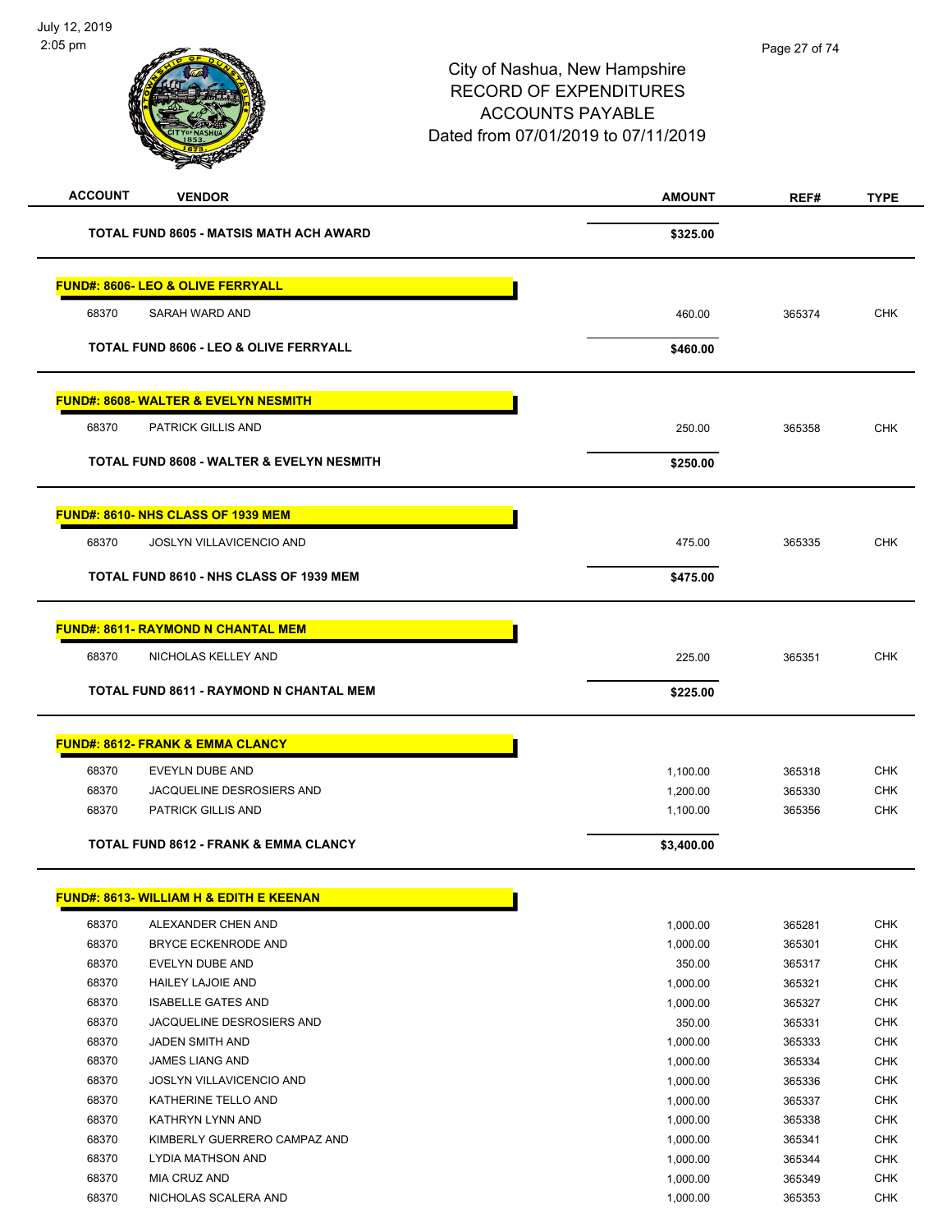| <b>ACCOUNT</b><br><b>VENDOR</b>                   | <b>AMOUNT</b> | REF#   | <b>TYPE</b> |
|---------------------------------------------------|---------------|--------|-------------|
| TOTAL FUND 8605 - MATSIS MATH ACH AWARD           | \$325.00      |        |             |
| FUND#: 8606- LEO & OLIVE FERRYALL                 |               |        |             |
| 68370<br>SARAH WARD AND                           | 460.00        | 365374 | <b>CHK</b>  |
| <b>TOTAL FUND 8606 - LEO &amp; OLIVE FERRYALL</b> | \$460.00      |        |             |
| <b>FUND#: 8608- WALTER &amp; EVELYN NESMITH</b>   |               |        |             |
| 68370<br>PATRICK GILLIS AND                       | 250.00        | 365358 | <b>CHK</b>  |
| TOTAL FUND 8608 - WALTER & EVELYN NESMITH         | \$250.00      |        |             |
| FUND#: 8610- NHS CLASS OF 1939 MEM                |               |        |             |
| 68370<br>JOSLYN VILLAVICENCIO AND                 | 475.00        | 365335 | <b>CHK</b>  |
| TOTAL FUND 8610 - NHS CLASS OF 1939 MEM           | \$475.00      |        |             |
| <b>FUND#: 8611- RAYMOND N CHANTAL MEM</b>         |               |        |             |
| NICHOLAS KELLEY AND<br>68370                      | 225.00        | 365351 | <b>CHK</b>  |
| <b>TOTAL FUND 8611 - RAYMOND N CHANTAL MEM</b>    | \$225.00      |        |             |
| <b>FUND#: 8612- FRANK &amp; EMMA CLANCY</b>       |               |        |             |
| 68370<br>EVEYLN DUBE AND                          | 1,100.00      | 365318 | <b>CHK</b>  |
| 68370<br>JACQUELINE DESROSIERS AND                | 1,200.00      | 365330 | <b>CHK</b>  |
| 68370<br><b>PATRICK GILLIS AND</b>                | 1,100.00      | 365356 | <b>CHK</b>  |
| TOTAL FUND 8612 - FRANK & EMMA CLANCY             | \$3,400.00    |        |             |
| FUND#: 8613- WILLIAM H & EDITH E KEENAN           |               |        |             |
| 68370<br>ALEXANDER CHEN AND                       | 1,000.00      | 365281 | CHK         |
| 68370<br><b>BRYCE ECKENRODE AND</b>               | 1,000.00      | 365301 | CHK         |
| 68370<br>EVELYN DUBE AND                          | 350.00        | 365317 | CHK         |
| 68370<br><b>HAILEY LAJOIE AND</b>                 | 1,000.00      | 365321 | <b>CHK</b>  |
| 68370<br><b>ISABELLE GATES AND</b>                | 1,000.00      | 365327 | CHK         |
| 68370<br>JACQUELINE DESROSIERS AND                | 350.00        | 365331 | <b>CHK</b>  |
| 68370<br>JADEN SMITH AND                          | 1,000.00      | 365333 | <b>CHK</b>  |
| 68370<br>JAMES LIANG AND                          | 1,000.00      | 365334 | <b>CHK</b>  |
| 68370<br>JOSLYN VILLAVICENCIO AND                 | 1,000.00      | 365336 | <b>CHK</b>  |
| 68370<br>KATHERINE TELLO AND                      | 1,000.00      | 365337 | <b>CHK</b>  |
| 68370<br>KATHRYN LYNN AND                         | 1,000.00      | 365338 | <b>CHK</b>  |
| 68370<br>KIMBERLY GUERRERO CAMPAZ AND             | 1,000.00      | 365341 | <b>CHK</b>  |
| 68370<br>LYDIA MATHSON AND                        | 1,000.00      | 365344 | <b>CHK</b>  |
| 68370<br>MIA CRUZ AND                             | 1,000.00      | 365349 | <b>CHK</b>  |

68370 NICHOLAS SCALERA AND 200 1,000.00 365353 CHK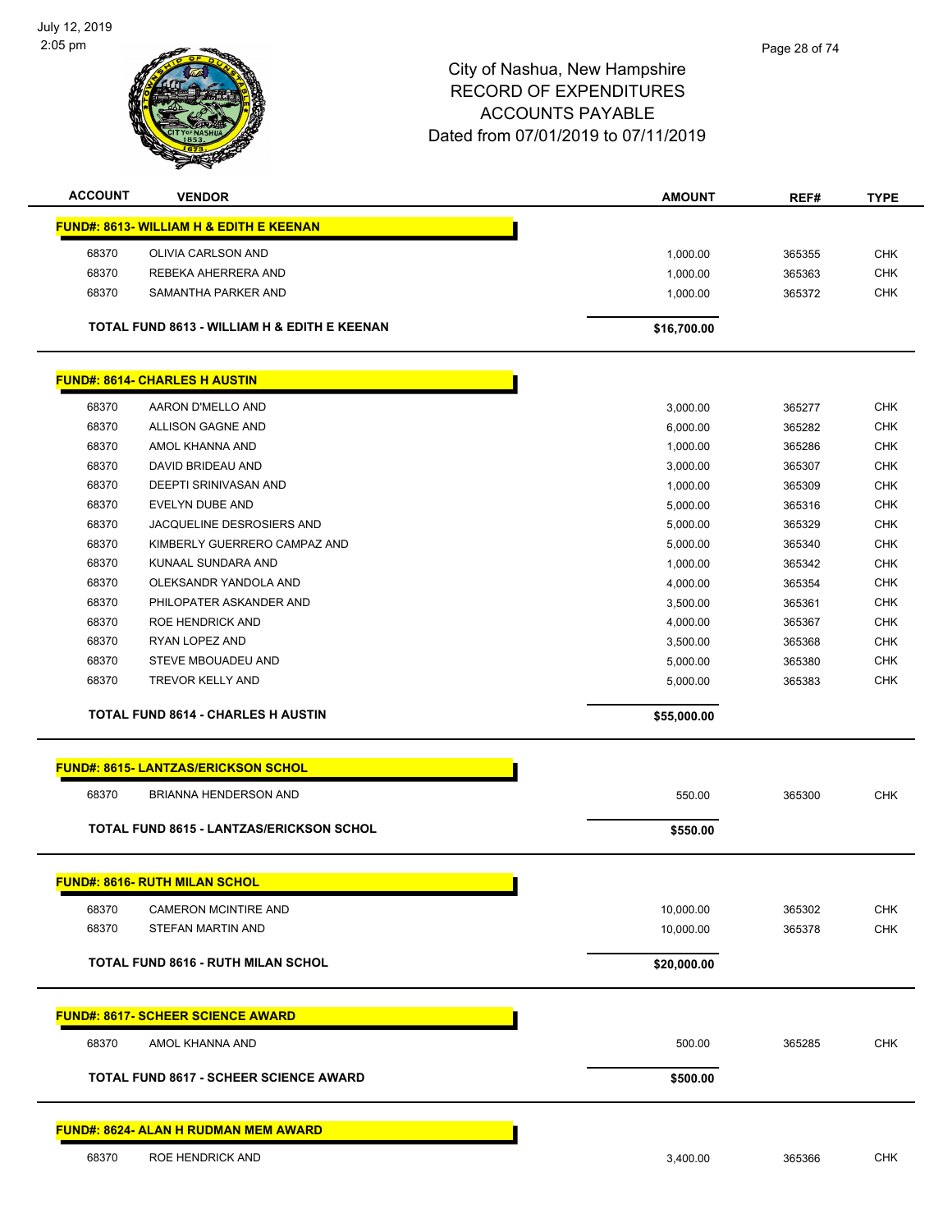

| <b>ACCOUNT</b> | <b>VENDOR</b>                                      | <b>AMOUNT</b> | REF#   | <b>TYPE</b> |
|----------------|----------------------------------------------------|---------------|--------|-------------|
|                | <b>FUND#: 8613- WILLIAM H &amp; EDITH E KEENAN</b> |               |        |             |
| 68370          | <b>OLIVIA CARLSON AND</b>                          | 1,000.00      | 365355 | <b>CHK</b>  |
| 68370          | REBEKA AHERRERA AND                                | 1,000.00      | 365363 | <b>CHK</b>  |
| 68370          | SAMANTHA PARKER AND                                | 1,000.00      | 365372 | <b>CHK</b>  |
|                | TOTAL FUND 8613 - WILLIAM H & EDITH E KEENAN       | \$16,700.00   |        |             |
|                | <b>FUND#: 8614- CHARLES H AUSTIN</b>               |               |        |             |
| 68370          | AARON D'MELLO AND                                  | 3,000.00      | 365277 | <b>CHK</b>  |
| 68370          | ALLISON GAGNE AND                                  | 6,000.00      | 365282 | <b>CHK</b>  |
| 68370          | AMOL KHANNA AND                                    | 1.000.00      | 365286 | <b>CHK</b>  |
| 68370          | DAVID BRIDEAU AND                                  | 3,000.00      | 365307 | <b>CHK</b>  |
| 68370          | DEEPTI SRINIVASAN AND                              | 1.000.00      | 365309 | <b>CHK</b>  |
| 68370          | EVELYN DUBE AND                                    | 5,000.00      | 365316 | <b>CHK</b>  |
| 68370          | JACQUELINE DESROSIERS AND                          | 5,000.00      | 365329 | <b>CHK</b>  |
| 68370          | KIMBERLY GUERRERO CAMPAZ AND                       | 5,000.00      | 365340 | <b>CHK</b>  |
| 68370          | KUNAAL SUNDARA AND                                 | 1,000.00      | 365342 | <b>CHK</b>  |
| 68370          | OLEKSANDR YANDOLA AND                              | 4,000.00      | 365354 | <b>CHK</b>  |
| 68370          | PHILOPATER ASKANDER AND                            | 3,500.00      | 365361 | <b>CHK</b>  |
|                | <b>ROE HENDRICK AND</b>                            | 4,000.00      | 365367 | <b>CHK</b>  |
| 68370          |                                                    |               |        |             |
| 68370          | RYAN LOPEZ AND                                     | 3,500.00      | 365368 | <b>CHK</b>  |
| 68370          | <b>STEVE MBOUADEU AND</b>                          | 5,000.00      | 365380 | <b>CHK</b>  |
| 68370          | TREVOR KELLY AND                                   | 5,000.00      | 365383 | <b>CHK</b>  |

| <b>FUND#: 8615- LANTZAS/ERICKSON SCHOL</b>      |             |        |            |
|-------------------------------------------------|-------------|--------|------------|
| 68370<br><b>BRIANNA HENDERSON AND</b>           | 550.00      | 365300 | <b>CHK</b> |
| <b>TOTAL FUND 8615 - LANTZAS/ERICKSON SCHOL</b> | \$550.00    |        |            |
| <b>FUND#: 8616- RUTH MILAN SCHOL</b>            |             |        |            |
| 68370<br>CAMERON MCINTIRE AND                   | 10,000.00   | 365302 | <b>CHK</b> |
| 68370<br>STEFAN MARTIN AND                      | 10,000.00   | 365378 | <b>CHK</b> |
| <b>TOTAL FUND 8616 - RUTH MILAN SCHOL</b>       | \$20,000.00 |        |            |
| <b>FUND#: 8617- SCHEER SCIENCE AWARD</b>        |             |        |            |
| 68370<br>AMOL KHANNA AND                        | 500.00      | 365285 | <b>CHK</b> |
| <b>TOTAL FUND 8617 - SCHEER SCIENCE AWARD</b>   | \$500.00    |        |            |
| <b>FUND#: 8624- ALAN H RUDMAN MEM AWARD</b>     |             |        |            |
| 68370<br><b>ROE HENDRICK AND</b>                | 3,400.00    | 365366 | <b>CHK</b> |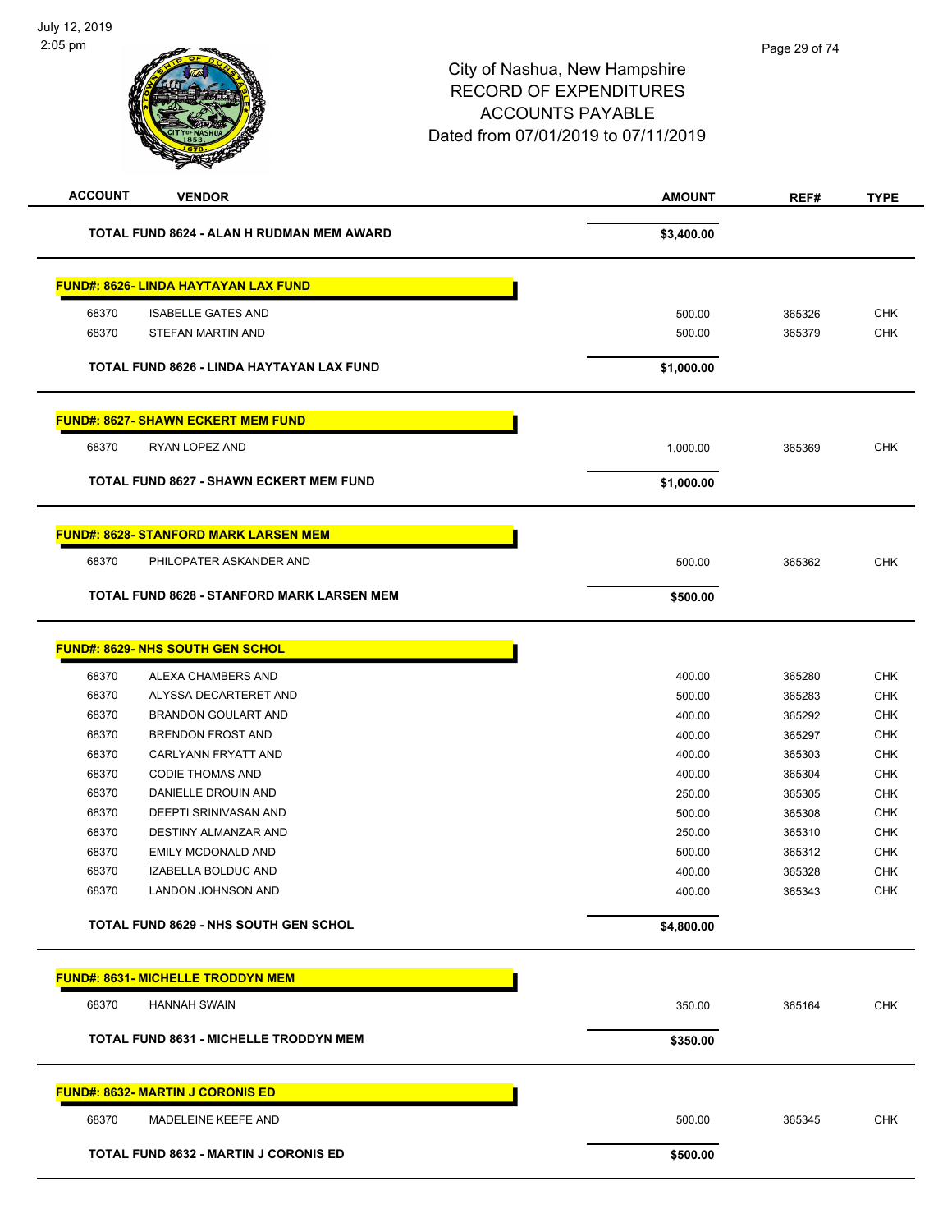| <b>ACCOUNT</b><br><b>VENDOR</b>              |                                                   | <b>AMOUNT</b> | REF#             | <b>TYPE</b> |
|----------------------------------------------|---------------------------------------------------|---------------|------------------|-------------|
|                                              | TOTAL FUND 8624 - ALAN H RUDMAN MEM AWARD         | \$3,400.00    |                  |             |
| <b>FUND#: 8626- LINDA HAYTAYAN LAX FUND</b>  |                                                   |               |                  |             |
| 68370<br><b>ISABELLE GATES AND</b>           |                                                   | 500.00        |                  | <b>CHK</b>  |
| 68370<br>STEFAN MARTIN AND                   |                                                   | 500.00        | 365326<br>365379 | <b>CHK</b>  |
|                                              |                                                   |               |                  |             |
|                                              | TOTAL FUND 8626 - LINDA HAYTAYAN LAX FUND         | \$1,000.00    |                  |             |
| <b>FUND#: 8627- SHAWN ECKERT MEM FUND</b>    |                                                   |               |                  |             |
| 68370<br>RYAN LOPEZ AND                      |                                                   | 1,000.00      | 365369           | <b>CHK</b>  |
|                                              | <b>TOTAL FUND 8627 - SHAWN ECKERT MEM FUND</b>    | \$1,000.00    |                  |             |
| <b>FUND#: 8628- STANFORD MARK LARSEN MEM</b> |                                                   |               |                  |             |
| 68370                                        | PHILOPATER ASKANDER AND                           | 500.00        | 365362           | <b>CHK</b>  |
|                                              | <b>TOTAL FUND 8628 - STANFORD MARK LARSEN MEM</b> | \$500.00      |                  |             |
| <b>FUND#: 8629- NHS SOUTH GEN SCHOL</b>      |                                                   |               |                  |             |
| 68370<br>ALEXA CHAMBERS AND                  |                                                   | 400.00        | 365280           | <b>CHK</b>  |
| 68370                                        | ALYSSA DECARTERET AND                             | 500.00        | 365283           | <b>CHK</b>  |
| 68370<br><b>BRANDON GOULART AND</b>          |                                                   | 400.00        | 365292           | <b>CHK</b>  |
| 68370<br><b>BRENDON FROST AND</b>            |                                                   | 400.00        | 365297           | <b>CHK</b>  |
| 68370<br>CARLYANN FRYATT AND                 |                                                   | 400.00        | 365303           | <b>CHK</b>  |
| 68370<br><b>CODIE THOMAS AND</b>             |                                                   | 400.00        | 365304           | <b>CHK</b>  |
| 68370<br>DANIELLE DROUIN AND                 |                                                   | 250.00        | 365305           | <b>CHK</b>  |
| 68370<br>DEEPTI SRINIVASAN AND               |                                                   | 500.00        | 365308           | <b>CHK</b>  |
| 68370<br>DESTINY ALMANZAR AND                |                                                   | 250.00        | 365310           | <b>CHK</b>  |
| 68370<br><b>EMILY MCDONALD AND</b>           |                                                   | 500.00        | 365312           | <b>CHK</b>  |
| 68370<br>IZABELLA BOLDUC AND                 |                                                   | 400.00        | 365328           | <b>CHK</b>  |
| 68370<br>LANDON JOHNSON AND                  |                                                   | 400.00        | 365343           | <b>CHK</b>  |
| <b>TOTAL FUND 8629 - NHS SOUTH GEN SCHOL</b> |                                                   | \$4,800.00    |                  |             |
| <b>FUND#: 8631- MICHELLE TRODDYN MEM</b>     |                                                   |               |                  |             |
| 68370<br><b>HANNAH SWAIN</b>                 |                                                   | 350.00        | 365164           | <b>CHK</b>  |
|                                              | TOTAL FUND 8631 - MICHELLE TRODDYN MEM            | \$350.00      |                  |             |
|                                              |                                                   |               |                  |             |
| <b>FUND#: 8632- MARTIN J CORONIS ED</b>      |                                                   |               |                  |             |
| 68370<br>MADELEINE KEEFE AND                 |                                                   | 500.00        | 365345           | <b>CHK</b>  |
| <b>TOTAL FUND 8632 - MARTIN J CORONIS ED</b> |                                                   | \$500.00      |                  |             |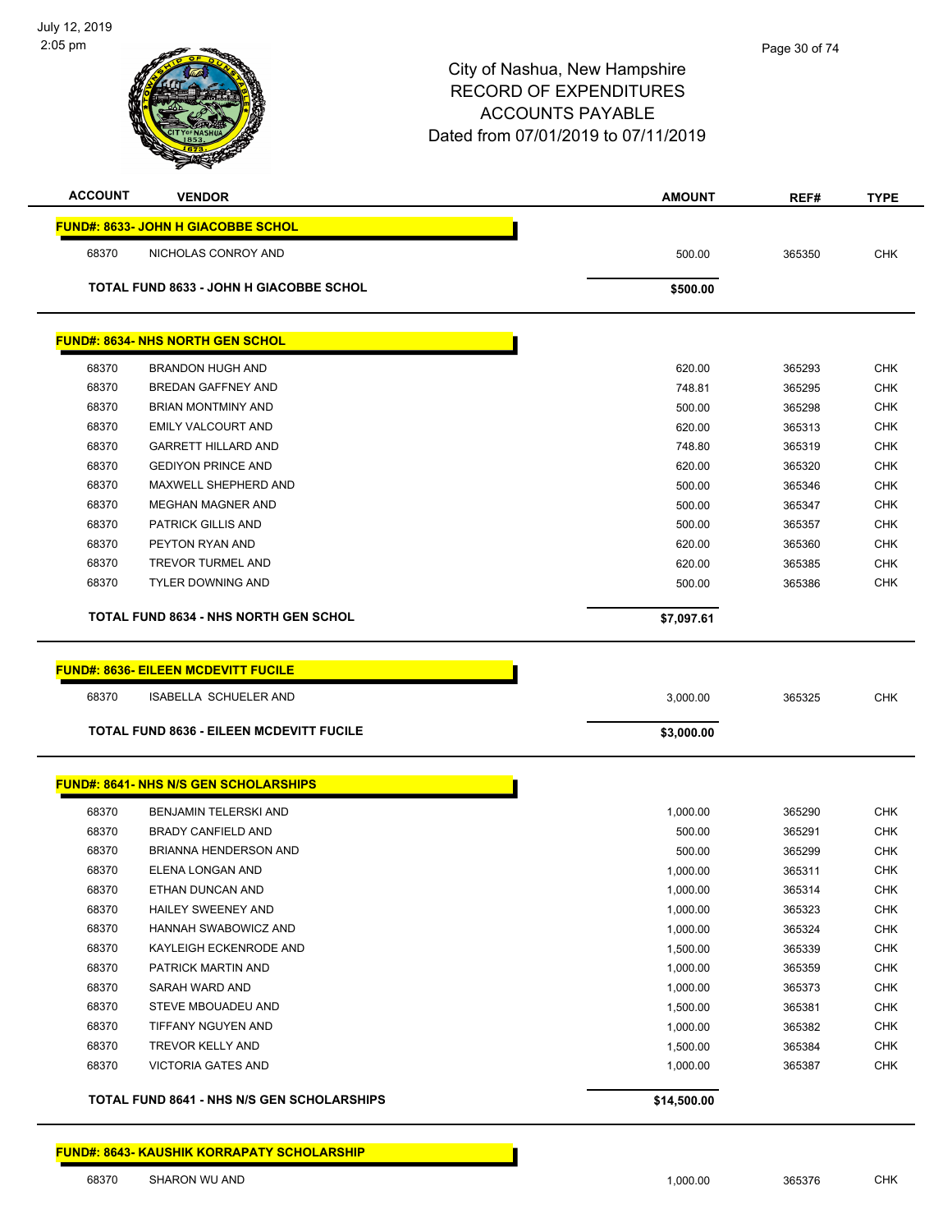| <b>ACCOUNT</b> | <b>VENDOR</b>                                     | <b>AMOUNT</b> | REF#   | <b>TYPE</b> |
|----------------|---------------------------------------------------|---------------|--------|-------------|
|                | FUND#: 8633- JOHN H GIACOBBE SCHOL                |               |        |             |
| 68370          | NICHOLAS CONROY AND                               | 500.00        | 365350 | <b>CHK</b>  |
|                | <b>TOTAL FUND 8633 - JOHN H GIACOBBE SCHOL</b>    | \$500.00      |        |             |
|                |                                                   |               |        |             |
|                | <b>FUND#: 8634- NHS NORTH GEN SCHOL</b>           |               |        |             |
| 68370          | <b>BRANDON HUGH AND</b>                           | 620.00        | 365293 | <b>CHK</b>  |
| 68370          | <b>BREDAN GAFFNEY AND</b>                         | 748.81        | 365295 | <b>CHK</b>  |
| 68370          | <b>BRIAN MONTMINY AND</b>                         | 500.00        | 365298 | <b>CHK</b>  |
| 68370          | <b>EMILY VALCOURT AND</b>                         | 620.00        | 365313 | <b>CHK</b>  |
| 68370          | <b>GARRETT HILLARD AND</b>                        | 748.80        | 365319 | <b>CHK</b>  |
| 68370          | <b>GEDIYON PRINCE AND</b>                         | 620.00        | 365320 | <b>CHK</b>  |
| 68370          | MAXWELL SHEPHERD AND                              | 500.00        | 365346 | <b>CHK</b>  |
| 68370          | <b>MEGHAN MAGNER AND</b>                          | 500.00        | 365347 | <b>CHK</b>  |
| 68370          | <b>PATRICK GILLIS AND</b>                         | 500.00        | 365357 | <b>CHK</b>  |
| 68370          | PEYTON RYAN AND                                   | 620.00        | 365360 | <b>CHK</b>  |
| 68370          | <b>TREVOR TURMEL AND</b>                          | 620.00        | 365385 | <b>CHK</b>  |
| 68370          | <b>TYLER DOWNING AND</b>                          | 500.00        | 365386 | <b>CHK</b>  |
|                | <b>TOTAL FUND 8634 - NHS NORTH GEN SCHOL</b>      | \$7,097.61    |        |             |
|                |                                                   |               |        |             |
|                | <b>FUND#: 8636- EILEEN MCDEVITT FUCILE</b>        |               |        |             |
| 68370          | ISABELLA SCHUELER AND                             | 3,000.00      | 365325 | <b>CHK</b>  |
|                | <b>TOTAL FUND 8636 - EILEEN MCDEVITT FUCILE</b>   | \$3,000.00    |        |             |
|                | <b>FUND#: 8641- NHS N/S GEN SCHOLARSHIPS</b>      |               |        |             |
|                |                                                   |               |        |             |
| 68370          | BENJAMIN TELERSKI AND                             | 1,000.00      | 365290 | <b>CHK</b>  |
| 68370          | <b>BRADY CANFIELD AND</b>                         | 500.00        | 365291 | <b>CHK</b>  |
| 68370          | <b>BRIANNA HENDERSON AND</b>                      | 500.00        | 365299 | <b>CHK</b>  |
| 68370          | ELENA LONGAN AND                                  | 1.000.00      | 365311 | <b>CHK</b>  |
| 68370          | ETHAN DUNCAN AND                                  | 1,000.00      | 365314 | <b>CHK</b>  |
| 68370          | HAILEY SWEENEY AND                                | 1,000.00      | 365323 | <b>CHK</b>  |
| 68370          | HANNAH SWABOWICZ AND                              | 1,000.00      | 365324 | <b>CHK</b>  |
| 68370          | KAYLEIGH ECKENRODE AND                            | 1,500.00      | 365339 | <b>CHK</b>  |
| 68370          | PATRICK MARTIN AND                                | 1,000.00      | 365359 | <b>CHK</b>  |
| 68370          | SARAH WARD AND                                    | 1,000.00      | 365373 | <b>CHK</b>  |
| 68370          | STEVE MBOUADEU AND                                | 1,500.00      | 365381 | <b>CHK</b>  |
| 68370          | TIFFANY NGUYEN AND                                | 1,000.00      | 365382 | <b>CHK</b>  |
| 68370          | TREVOR KELLY AND                                  | 1,500.00      | 365384 | <b>CHK</b>  |
| 68370          | <b>VICTORIA GATES AND</b>                         | 1,000.00      | 365387 | <b>CHK</b>  |
|                | <b>TOTAL FUND 8641 - NHS N/S GEN SCHOLARSHIPS</b> | \$14,500.00   |        |             |
|                |                                                   |               |        |             |

**FUND#: 8643- KAUSHIK KORRAPATY SCHOLARSHIP**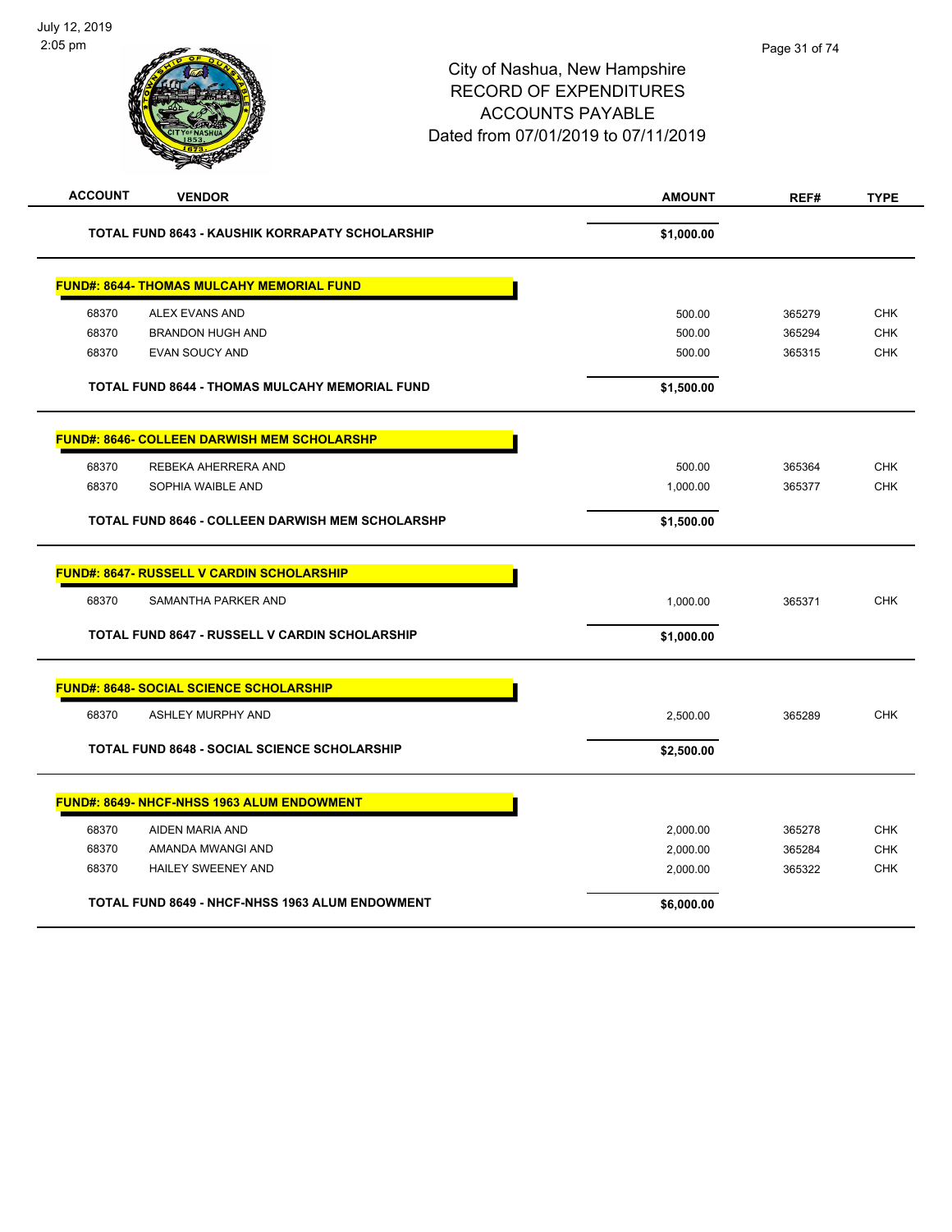| <b>ACCOUNT</b> | <b>VENDOR</b>                                           | <b>AMOUNT</b> | REF#   | <b>TYPE</b> |
|----------------|---------------------------------------------------------|---------------|--------|-------------|
|                | <b>TOTAL FUND 8643 - KAUSHIK KORRAPATY SCHOLARSHIP</b>  | \$1,000.00    |        |             |
|                | <b>FUND#: 8644- THOMAS MULCAHY MEMORIAL FUND</b>        |               |        |             |
| 68370          | ALEX EVANS AND                                          | 500.00        | 365279 | <b>CHK</b>  |
| 68370          | <b>BRANDON HUGH AND</b>                                 | 500.00        | 365294 | <b>CHK</b>  |
| 68370          | <b>EVAN SOUCY AND</b>                                   | 500.00        | 365315 | <b>CHK</b>  |
|                | <b>TOTAL FUND 8644 - THOMAS MULCAHY MEMORIAL FUND</b>   | \$1,500.00    |        |             |
|                | <b>FUND#: 8646- COLLEEN DARWISH MEM SCHOLARSHP</b>      |               |        |             |
| 68370          | REBEKA AHERRERA AND                                     | 500.00        | 365364 | <b>CHK</b>  |
| 68370          | SOPHIA WAIBLE AND                                       | 1,000.00      | 365377 | <b>CHK</b>  |
|                | <b>TOTAL FUND 8646 - COLLEEN DARWISH MEM SCHOLARSHP</b> | \$1,500.00    |        |             |
|                | <b>FUND#: 8647- RUSSELL V CARDIN SCHOLARSHIP</b>        |               |        |             |
| 68370          | SAMANTHA PARKER AND                                     | 1,000.00      | 365371 | <b>CHK</b>  |
|                | <b>TOTAL FUND 8647 - RUSSELL V CARDIN SCHOLARSHIP</b>   | \$1,000.00    |        |             |
|                | <b>FUND#: 8648- SOCIAL SCIENCE SCHOLARSHIP</b>          |               |        |             |
| 68370          | ASHLEY MURPHY AND                                       | 2,500.00      | 365289 | <b>CHK</b>  |
|                | TOTAL FUND 8648 - SOCIAL SCIENCE SCHOLARSHIP            | \$2,500.00    |        |             |
|                | <b>FUND#: 8649- NHCF-NHSS 1963 ALUM ENDOWMENT</b>       |               |        |             |
| 68370          | AIDEN MARIA AND                                         | 2,000.00      | 365278 | <b>CHK</b>  |
| 68370          | AMANDA MWANGI AND                                       | 2,000.00      | 365284 | <b>CHK</b>  |
| 68370          | HAILEY SWEENEY AND                                      | 2,000.00      | 365322 | <b>CHK</b>  |
|                | <b>TOTAL FUND 8649 - NHCF-NHSS 1963 ALUM ENDOWMENT</b>  | \$6,000.00    |        |             |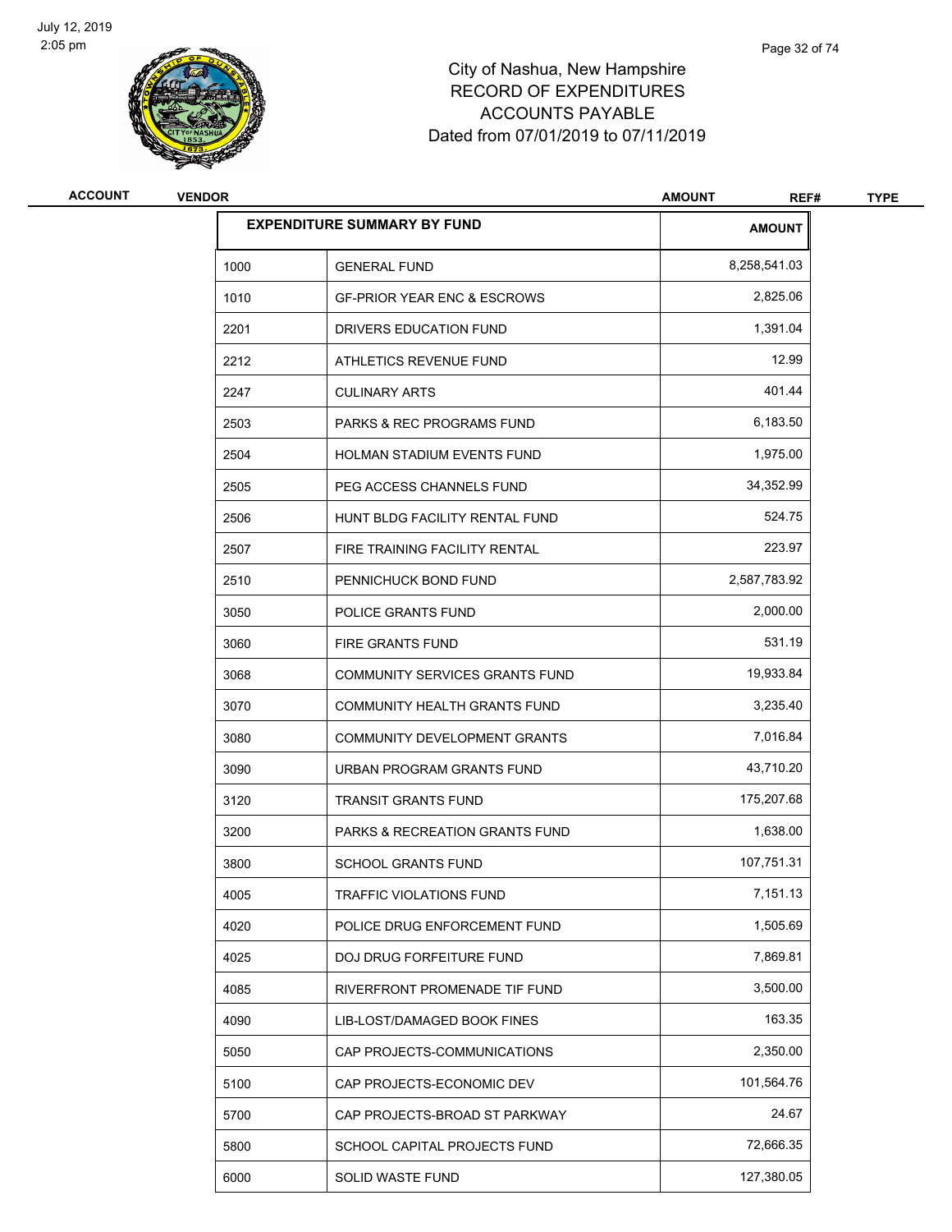

| <b>ACCOUNT</b> | <b>VENDOR</b> |                                           | <b>AMOUNT</b><br>REF# | <b>TYPE</b> |
|----------------|---------------|-------------------------------------------|-----------------------|-------------|
|                |               | <b>EXPENDITURE SUMMARY BY FUND</b>        | <b>AMOUNT</b>         |             |
|                | 1000          | <b>GENERAL FUND</b>                       | 8,258,541.03          |             |
|                | 1010          | <b>GF-PRIOR YEAR ENC &amp; ESCROWS</b>    | 2,825.06              |             |
|                | 2201          | DRIVERS EDUCATION FUND                    | 1,391.04              |             |
|                | 2212          | ATHLETICS REVENUE FUND                    | 12.99                 |             |
|                | 2247          | <b>CULINARY ARTS</b>                      | 401.44                |             |
|                | 2503          | <b>PARKS &amp; REC PROGRAMS FUND</b>      | 6,183.50              |             |
|                | 2504          | HOLMAN STADIUM EVENTS FUND                | 1,975.00              |             |
|                | 2505          | PEG ACCESS CHANNELS FUND                  | 34,352.99             |             |
|                | 2506          | HUNT BLDG FACILITY RENTAL FUND            | 524.75                |             |
|                | 2507          | FIRE TRAINING FACILITY RENTAL             | 223.97                |             |
|                | 2510          | PENNICHUCK BOND FUND                      | 2,587,783.92          |             |
|                | 3050          | POLICE GRANTS FUND                        | 2,000.00              |             |
|                | 3060          | FIRE GRANTS FUND                          | 531.19                |             |
|                | 3068          | COMMUNITY SERVICES GRANTS FUND            | 19,933.84             |             |
|                | 3070          | COMMUNITY HEALTH GRANTS FUND              | 3,235.40              |             |
|                | 3080          | COMMUNITY DEVELOPMENT GRANTS              | 7,016.84              |             |
|                | 3090          | URBAN PROGRAM GRANTS FUND                 | 43,710.20             |             |
|                | 3120          | <b>TRANSIT GRANTS FUND</b>                | 175,207.68            |             |
|                | 3200          | <b>PARKS &amp; RECREATION GRANTS FUND</b> | 1,638.00              |             |
|                | 3800          | <b>SCHOOL GRANTS FUND</b>                 | 107,751.31            |             |
|                | 4005          | TRAFFIC VIOLATIONS FUND                   | 7,151.13              |             |
|                | 4020          | POLICE DRUG ENFORCEMENT FUND              | 1,505.69              |             |
|                | 4025          | DOJ DRUG FORFEITURE FUND                  | 7,869.81              |             |
|                | 4085          | RIVERFRONT PROMENADE TIF FUND             | 3,500.00              |             |
|                | 4090          | LIB-LOST/DAMAGED BOOK FINES               | 163.35                |             |
|                | 5050          | CAP PROJECTS-COMMUNICATIONS               | 2,350.00              |             |
|                | 5100          | CAP PROJECTS-ECONOMIC DEV                 | 101,564.76            |             |
|                | 5700          | CAP PROJECTS-BROAD ST PARKWAY             | 24.67                 |             |
|                | 5800          | SCHOOL CAPITAL PROJECTS FUND              | 72,666.35             |             |
|                | 6000          | SOLID WASTE FUND                          | 127,380.05            |             |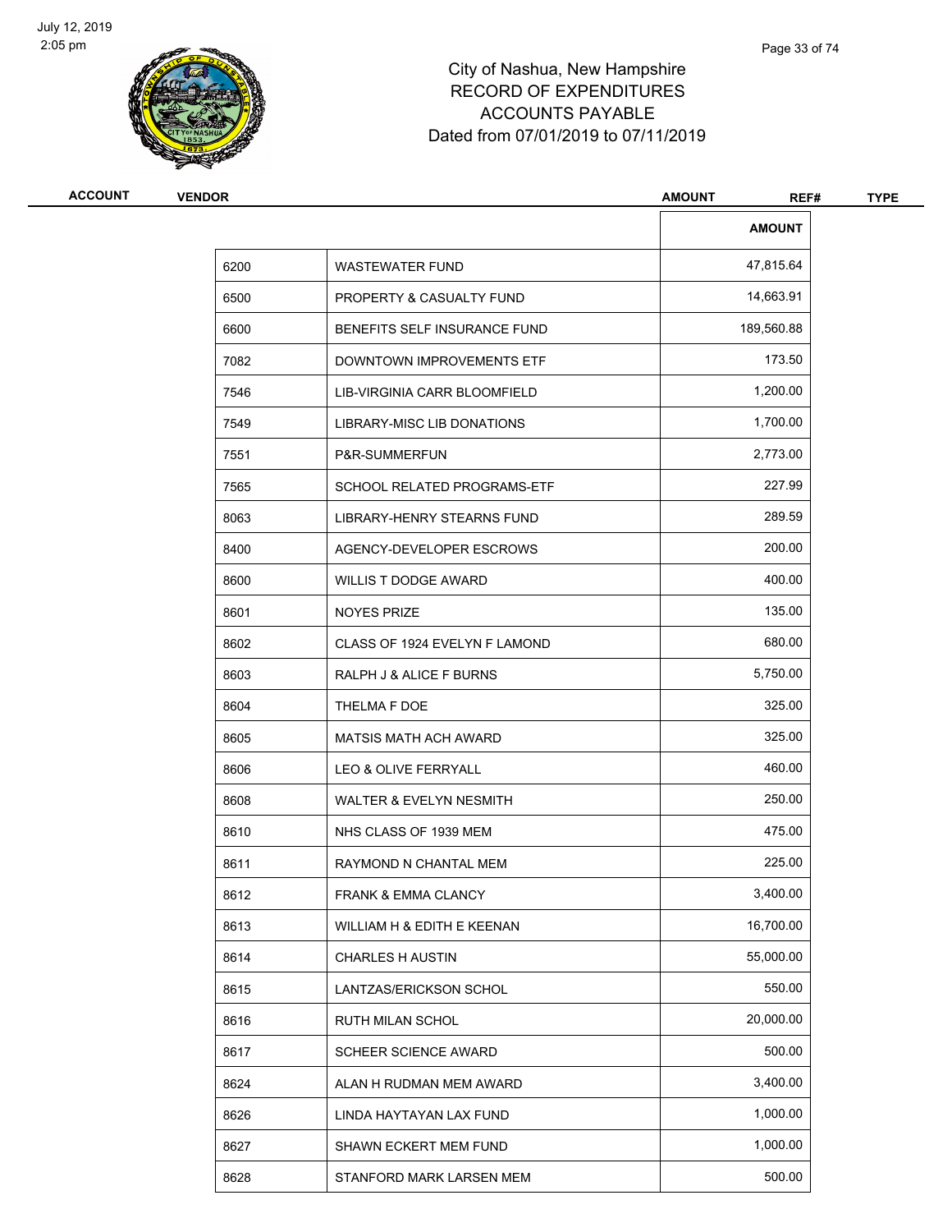

| <b>ACCOUNT</b> | <b>VENDOR</b> |                               |               | <b>TYPE</b> |
|----------------|---------------|-------------------------------|---------------|-------------|
|                |               |                               | <b>AMOUNT</b> |             |
|                | 6200          | <b>WASTEWATER FUND</b>        | 47,815.64     |             |
|                | 6500          | PROPERTY & CASUALTY FUND      | 14,663.91     |             |
|                | 6600          | BENEFITS SELF INSURANCE FUND  | 189,560.88    |             |
|                | 7082          | DOWNTOWN IMPROVEMENTS ETF     | 173.50        |             |
|                | 7546          | LIB-VIRGINIA CARR BLOOMFIELD  | 1,200.00      |             |
|                | 7549          | LIBRARY-MISC LIB DONATIONS    | 1,700.00      |             |
|                | 7551          | P&R-SUMMERFUN                 | 2,773.00      |             |
|                | 7565          | SCHOOL RELATED PROGRAMS-ETF   | 227.99        |             |
|                | 8063          | LIBRARY-HENRY STEARNS FUND    | 289.59        |             |
|                | 8400          | AGENCY-DEVELOPER ESCROWS      | 200.00        |             |
|                | 8600          | <b>WILLIS T DODGE AWARD</b>   | 400.00        |             |
|                | 8601          | <b>NOYES PRIZE</b>            | 135.00        |             |
|                | 8602          | CLASS OF 1924 EVELYN F LAMOND | 680.00        |             |
|                | 8603          | RALPH J & ALICE F BURNS       | 5,750.00      |             |
|                | 8604          | THELMA F DOE                  | 325.00        |             |
|                | 8605          | <b>MATSIS MATH ACH AWARD</b>  | 325.00        |             |
|                | 8606          | LEO & OLIVE FERRYALL          | 460.00        |             |
|                | 8608          | WALTER & EVELYN NESMITH       | 250.00        |             |
|                | 8610          | NHS CLASS OF 1939 MEM         | 475.00        |             |
|                | 8611          | RAYMOND N CHANTAL MEM         | 225.00        |             |
|                | 8612          | FRANK & EMMA CLANCY           | 3,400.00      |             |
|                | 8613          | WILLIAM H & EDITH E KEENAN    | 16,700.00     |             |
|                | 8614          | <b>CHARLES H AUSTIN</b>       | 55,000.00     |             |
|                | 8615          | LANTZAS/ERICKSON SCHOL        | 550.00        |             |
|                | 8616          | RUTH MILAN SCHOL              | 20,000.00     |             |
|                | 8617          | <b>SCHEER SCIENCE AWARD</b>   | 500.00        |             |
|                | 8624          | ALAN H RUDMAN MEM AWARD       | 3,400.00      |             |
|                | 8626          | LINDA HAYTAYAN LAX FUND       | 1,000.00      |             |
|                | 8627          | SHAWN ECKERT MEM FUND         | 1,000.00      |             |
|                | 8628          | STANFORD MARK LARSEN MEM      | 500.00        |             |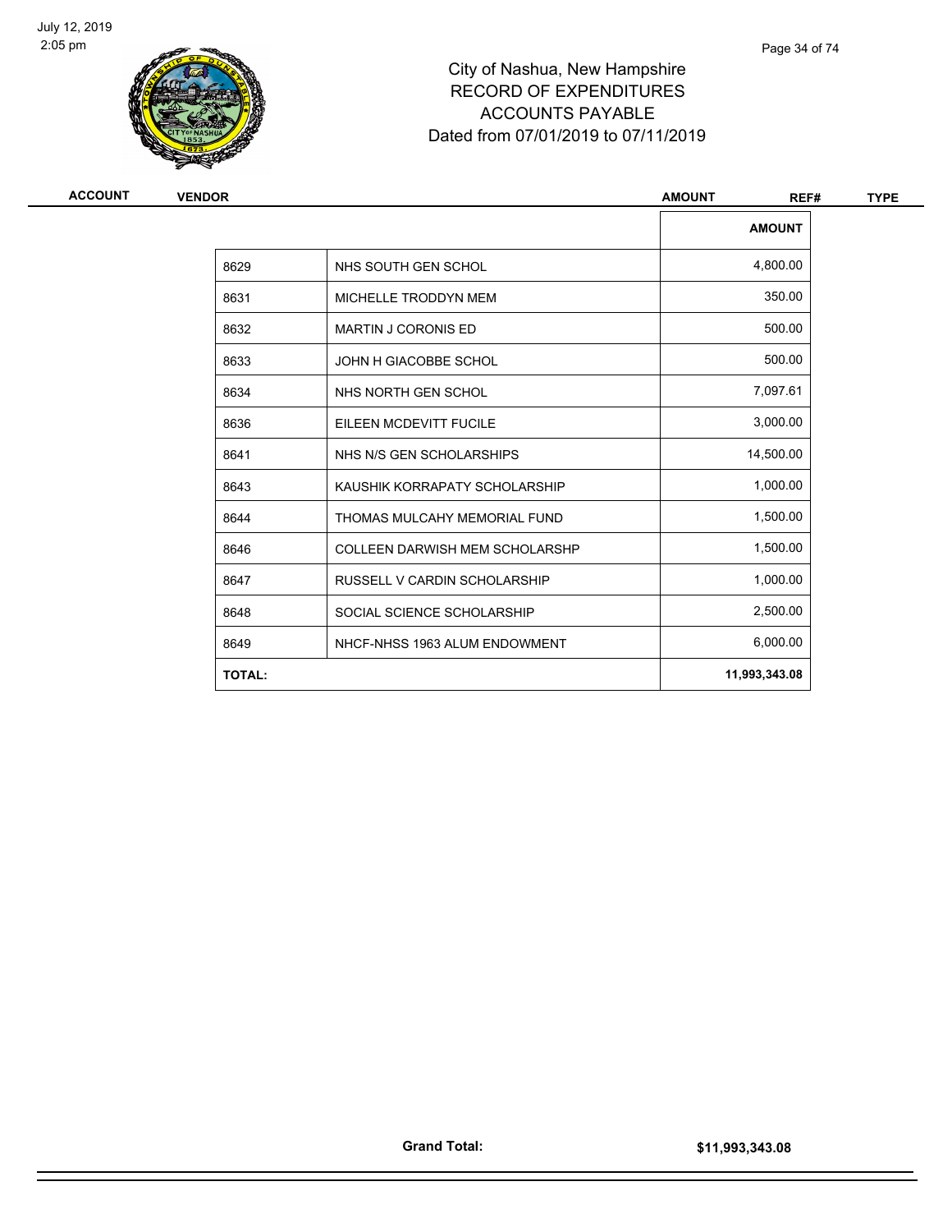

| <b>ACCOUNT</b> | <b>VENDOR</b> |                                       | <b>AMOUNT</b><br>REF# | <b>TYPE</b> |
|----------------|---------------|---------------------------------------|-----------------------|-------------|
|                |               |                                       | <b>AMOUNT</b>         |             |
|                | 8629          | NHS SOUTH GEN SCHOL                   | 4,800.00              |             |
|                | 8631          | MICHELLE TRODDYN MEM                  | 350.00                |             |
|                | 8632          | <b>MARTIN J CORONIS ED</b>            | 500.00                |             |
|                | 8633          | JOHN H GIACOBBE SCHOL                 | 500.00                |             |
|                | 8634          | NHS NORTH GEN SCHOL                   | 7,097.61              |             |
|                | 8636          | EILEEN MCDEVITT FUCILE                | 3,000.00              |             |
|                | 8641          | NHS N/S GEN SCHOLARSHIPS              | 14,500.00             |             |
|                | 8643          | KAUSHIK KORRAPATY SCHOLARSHIP         | 1,000.00              |             |
|                | 8644          | THOMAS MULCAHY MEMORIAL FUND          | 1,500.00              |             |
|                | 8646          | <b>COLLEEN DARWISH MEM SCHOLARSHP</b> | 1,500.00              |             |
|                | 8647          | RUSSELL V CARDIN SCHOLARSHIP          | 1,000.00              |             |
|                | 8648          | SOCIAL SCIENCE SCHOLARSHIP            | 2,500.00              |             |
|                | 8649          | NHCF-NHSS 1963 ALUM ENDOWMENT         | 6,000.00              |             |
|                | <b>TOTAL:</b> |                                       | 11,993,343.08         |             |
|                |               |                                       |                       |             |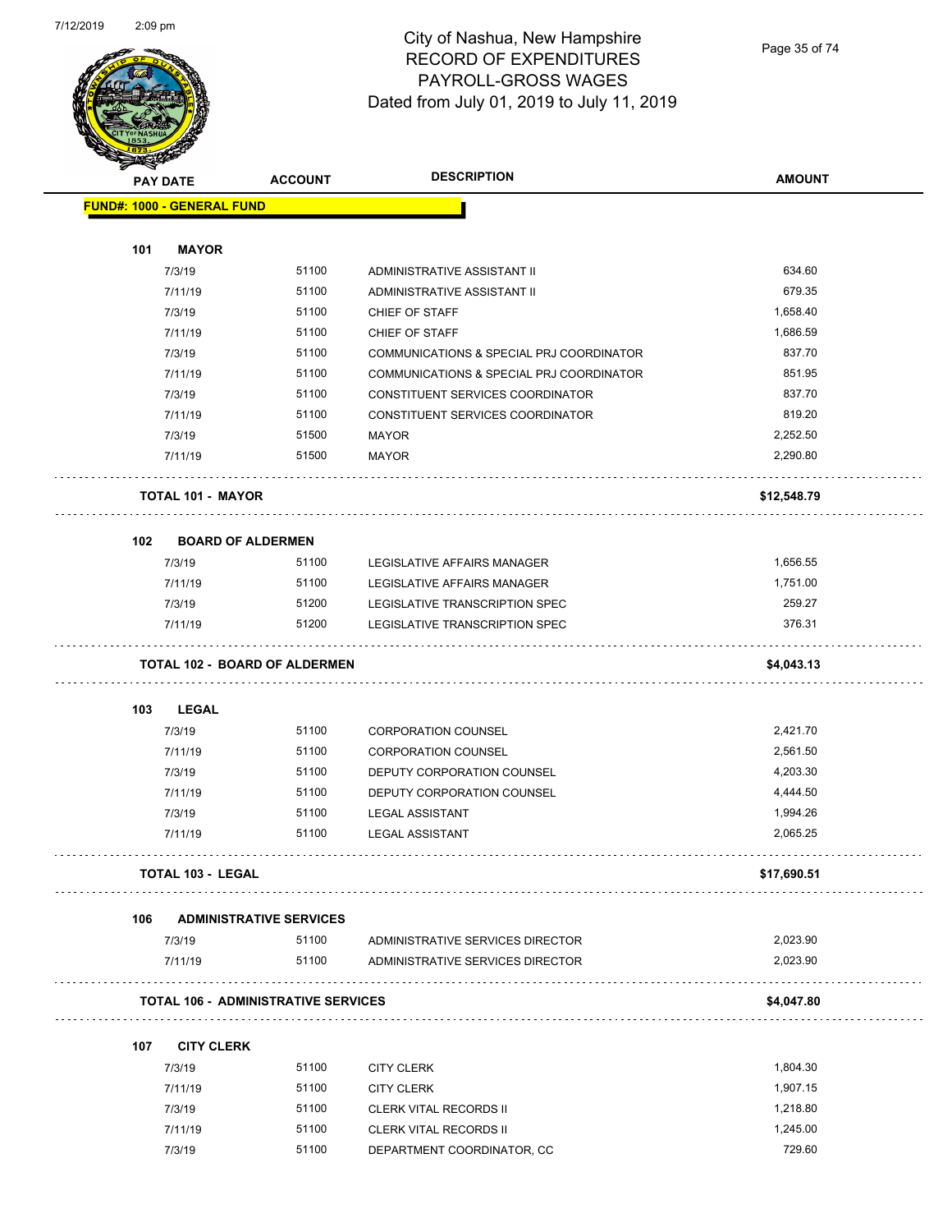

#### City of Nashua, New Hampshire RECORD OF EXPENDITURES PAYROLL-GROSS WAGES Dated from July 01, 2019 to July 11, 2019

Page 35 of 74

|                                   | <b>PAY DATE</b>          | <b>ACCOUNT</b>                             | <b>DESCRIPTION</b>                       | <b>AMOUNT</b> |
|-----------------------------------|--------------------------|--------------------------------------------|------------------------------------------|---------------|
| <b>FUND#: 1000 - GENERAL FUND</b> |                          |                                            |                                          |               |
|                                   |                          |                                            |                                          |               |
| 101                               | <b>MAYOR</b>             |                                            |                                          |               |
|                                   | 7/3/19                   | 51100                                      | ADMINISTRATIVE ASSISTANT II              | 634.60        |
|                                   | 7/11/19                  | 51100                                      | ADMINISTRATIVE ASSISTANT II              | 679.35        |
|                                   | 7/3/19                   | 51100                                      | CHIEF OF STAFF                           | 1,658.40      |
|                                   | 7/11/19                  | 51100                                      | CHIEF OF STAFF                           | 1,686.59      |
|                                   | 7/3/19                   | 51100                                      | COMMUNICATIONS & SPECIAL PRJ COORDINATOR | 837.70        |
|                                   | 7/11/19                  | 51100                                      | COMMUNICATIONS & SPECIAL PRJ COORDINATOR | 851.95        |
|                                   | 7/3/19                   | 51100                                      | CONSTITUENT SERVICES COORDINATOR         | 837.70        |
|                                   | 7/11/19                  | 51100                                      | CONSTITUENT SERVICES COORDINATOR         | 819.20        |
|                                   | 7/3/19                   | 51500                                      | <b>MAYOR</b>                             | 2,252.50      |
|                                   | 7/11/19                  | 51500                                      | <b>MAYOR</b>                             | 2,290.80      |
|                                   |                          | <b>TOTAL 101 - MAYOR</b>                   |                                          | \$12,548.79   |
| 102                               |                          | <b>BOARD OF ALDERMEN</b>                   |                                          |               |
|                                   | 7/3/19                   | 51100                                      | LEGISLATIVE AFFAIRS MANAGER              | 1,656.55      |
|                                   | 7/11/19                  | 51100                                      | <b>LEGISLATIVE AFFAIRS MANAGER</b>       | 1,751.00      |
|                                   | 7/3/19                   | 51200                                      | LEGISLATIVE TRANSCRIPTION SPEC           | 259.27        |
|                                   | 7/11/19                  | 51200                                      | LEGISLATIVE TRANSCRIPTION SPEC           | 376.31        |
|                                   |                          | <b>TOTAL 102 - BOARD OF ALDERMEN</b>       |                                          | \$4,043.13    |
| 103                               | <b>LEGAL</b>             |                                            |                                          |               |
|                                   | 7/3/19                   | 51100                                      | <b>CORPORATION COUNSEL</b>               | 2,421.70      |
|                                   | 7/11/19                  | 51100                                      | <b>CORPORATION COUNSEL</b>               | 2,561.50      |
|                                   | 7/3/19                   | 51100                                      | DEPUTY CORPORATION COUNSEL               | 4,203.30      |
|                                   | 7/11/19                  | 51100                                      | DEPUTY CORPORATION COUNSEL               | 4,444.50      |
|                                   | 7/3/19                   | 51100                                      | <b>LEGAL ASSISTANT</b>                   | 1,994.26      |
|                                   | 7/11/19                  | 51100                                      | <b>LEGAL ASSISTANT</b>                   | 2,065.25      |
|                                   | <b>TOTAL 103 - LEGAL</b> |                                            |                                          | \$17,690.51   |
| 106                               |                          | <b>ADMINISTRATIVE SERVICES</b>             |                                          |               |
|                                   | 7/3/19                   | 51100                                      | ADMINISTRATIVE SERVICES DIRECTOR         | 2,023.90      |
|                                   | 7/11/19                  | 51100                                      | ADMINISTRATIVE SERVICES DIRECTOR         | 2,023.90      |
|                                   |                          | <b>TOTAL 106 - ADMINISTRATIVE SERVICES</b> |                                          | \$4,047.80    |
|                                   |                          |                                            |                                          |               |
| 107                               |                          | <b>CITY CLERK</b>                          |                                          |               |
|                                   | 7/3/19                   | 51100                                      | <b>CITY CLERK</b>                        | 1,804.30      |
|                                   | 7/11/19                  | 51100                                      | <b>CITY CLERK</b>                        | 1,907.15      |
|                                   | 7/3/19                   | 51100                                      | <b>CLERK VITAL RECORDS II</b>            | 1,218.80      |
|                                   | 7/11/19                  | 51100                                      | <b>CLERK VITAL RECORDS II</b>            | 1,245.00      |
|                                   | 7/3/19                   | 51100                                      | DEPARTMENT COORDINATOR, CC               | 729.60        |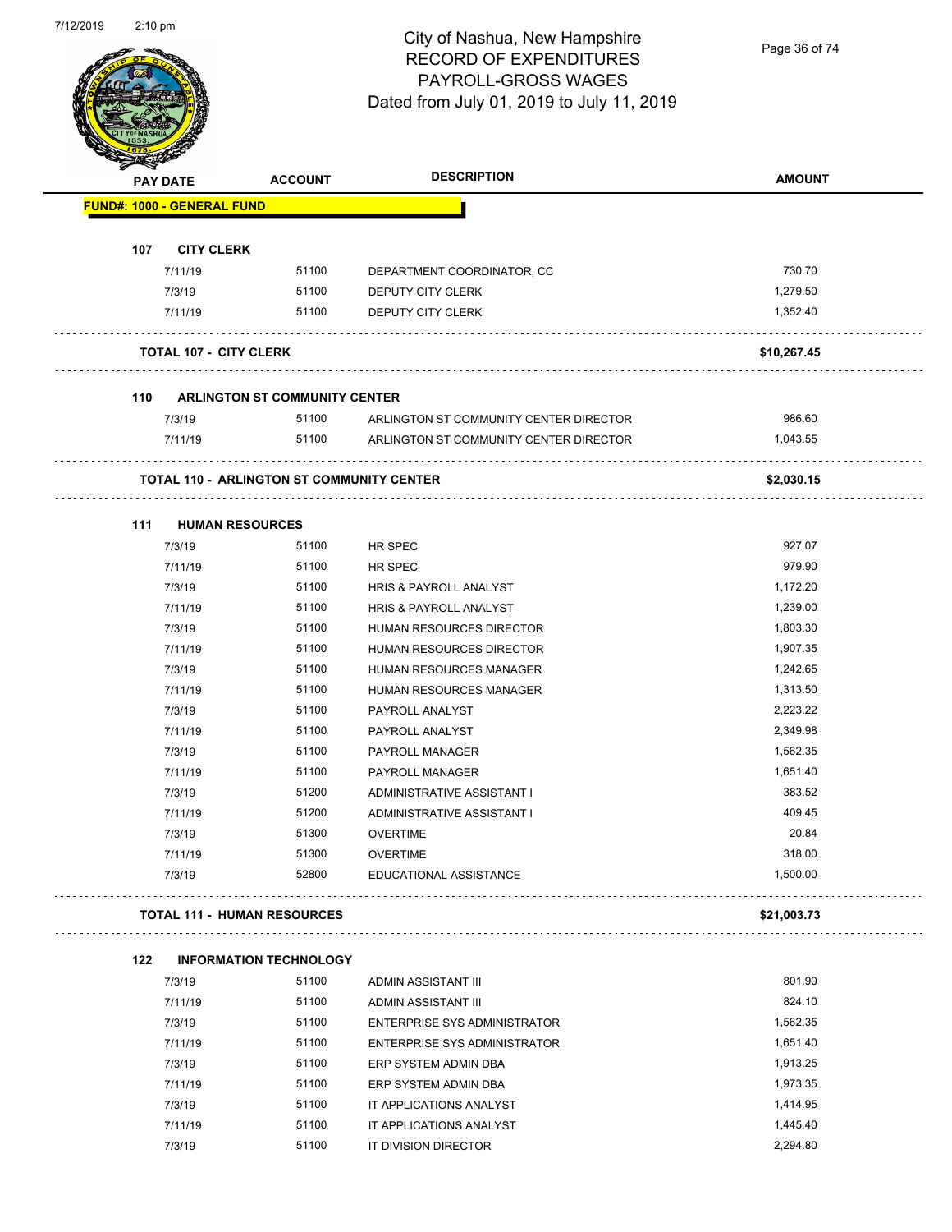

#### City of Nashua, New Hampshire RECORD OF EXPENDITURES PAYROLL-GROSS WAGES Dated from July 01, 2019 to July 11, 2019

Page 36 of 74

| <b>PAY DATE</b>                   |                               | <b>ACCOUNT</b>                                   | <b>DESCRIPTION</b>                     | <b>AMOUNT</b> |
|-----------------------------------|-------------------------------|--------------------------------------------------|----------------------------------------|---------------|
| <b>FUND#: 1000 - GENERAL FUND</b> |                               |                                                  |                                        |               |
| 107                               | <b>CITY CLERK</b>             |                                                  |                                        |               |
|                                   | 7/11/19                       | 51100                                            | DEPARTMENT COORDINATOR, CC             | 730.70        |
|                                   | 7/3/19                        | 51100                                            | DEPUTY CITY CLERK                      | 1,279.50      |
|                                   | 7/11/19                       | 51100                                            | DEPUTY CITY CLERK                      | 1,352.40      |
|                                   | <b>TOTAL 107 - CITY CLERK</b> |                                                  |                                        | \$10,267.45   |
|                                   |                               |                                                  |                                        |               |
| 110                               |                               | <b>ARLINGTON ST COMMUNITY CENTER</b>             |                                        |               |
| 7/3/19                            |                               | 51100                                            | ARLINGTON ST COMMUNITY CENTER DIRECTOR | 986.60        |
|                                   | 7/11/19                       | 51100                                            | ARLINGTON ST COMMUNITY CENTER DIRECTOR | 1,043.55      |
|                                   |                               | <b>TOTAL 110 - ARLINGTON ST COMMUNITY CENTER</b> |                                        | \$2,030.15    |
| 111                               | <b>HUMAN RESOURCES</b>        |                                                  |                                        |               |
| 7/3/19                            |                               | 51100                                            | HR SPEC                                | 927.07        |
|                                   | 7/11/19                       | 51100                                            | <b>HR SPEC</b>                         | 979.90        |
| 7/3/19                            |                               | 51100                                            | HRIS & PAYROLL ANALYST                 | 1,172.20      |
|                                   | 7/11/19                       | 51100                                            | HRIS & PAYROLL ANALYST                 | 1,239.00      |
|                                   | 7/3/19                        | 51100                                            | HUMAN RESOURCES DIRECTOR               | 1,803.30      |
|                                   | 7/11/19                       | 51100                                            | HUMAN RESOURCES DIRECTOR               | 1,907.35      |
| 7/3/19                            |                               | 51100                                            | HUMAN RESOURCES MANAGER                | 1,242.65      |
|                                   | 7/11/19                       | 51100                                            | HUMAN RESOURCES MANAGER                | 1,313.50      |
|                                   | 7/3/19                        | 51100                                            | PAYROLL ANALYST                        | 2,223.22      |
|                                   | 7/11/19                       | 51100                                            | PAYROLL ANALYST                        | 2,349.98      |
| 7/3/19                            |                               | 51100                                            | PAYROLL MANAGER                        | 1,562.35      |
|                                   | 7/11/19                       | 51100                                            | PAYROLL MANAGER                        | 1,651.40      |
| 7/3/19                            |                               | 51200                                            | ADMINISTRATIVE ASSISTANT I             | 383.52        |
|                                   | 7/11/19                       | 51200                                            | ADMINISTRATIVE ASSISTANT I             | 409.45        |
| 7/3/19                            |                               | 51300                                            | <b>OVERTIME</b>                        | 20.84         |
|                                   | 7/11/19                       | 51300                                            | <b>OVERTIME</b>                        | 318.00        |
| 7/3/19                            |                               | 52800                                            | EDUCATIONAL ASSISTANCE                 | 1,500.00      |
|                                   |                               | <b>TOTAL 111 - HUMAN RESOURCES</b>               |                                        | \$21,003.73   |
| 122                               |                               | <b>INFORMATION TECHNOLOGY</b>                    |                                        |               |
| 7/3/19                            |                               | 51100                                            | ADMIN ASSISTANT III                    | 801.90        |
|                                   | 7/11/19                       | 51100                                            | ADMIN ASSISTANT III                    | 824.10        |
| 7/3/19                            |                               | 51100                                            | <b>ENTERPRISE SYS ADMINISTRATOR</b>    | 1,562.35      |
|                                   | 7/11/19                       | 51100                                            | <b>ENTERPRISE SYS ADMINISTRATOR</b>    | 1,651.40      |
| 7/3/19                            |                               | 51100                                            | ERP SYSTEM ADMIN DBA                   | 1,913.25      |
|                                   | 7/11/19                       | 51100                                            | ERP SYSTEM ADMIN DBA                   | 1,973.35      |
| 7/3/19                            |                               | 51100                                            | IT APPLICATIONS ANALYST                | 1,414.95      |
|                                   |                               | 51100                                            |                                        | 1,445.40      |
|                                   | 7/11/19                       |                                                  | IT APPLICATIONS ANALYST                |               |
| 7/3/19                            |                               | 51100                                            | IT DIVISION DIRECTOR                   | 2,294.80      |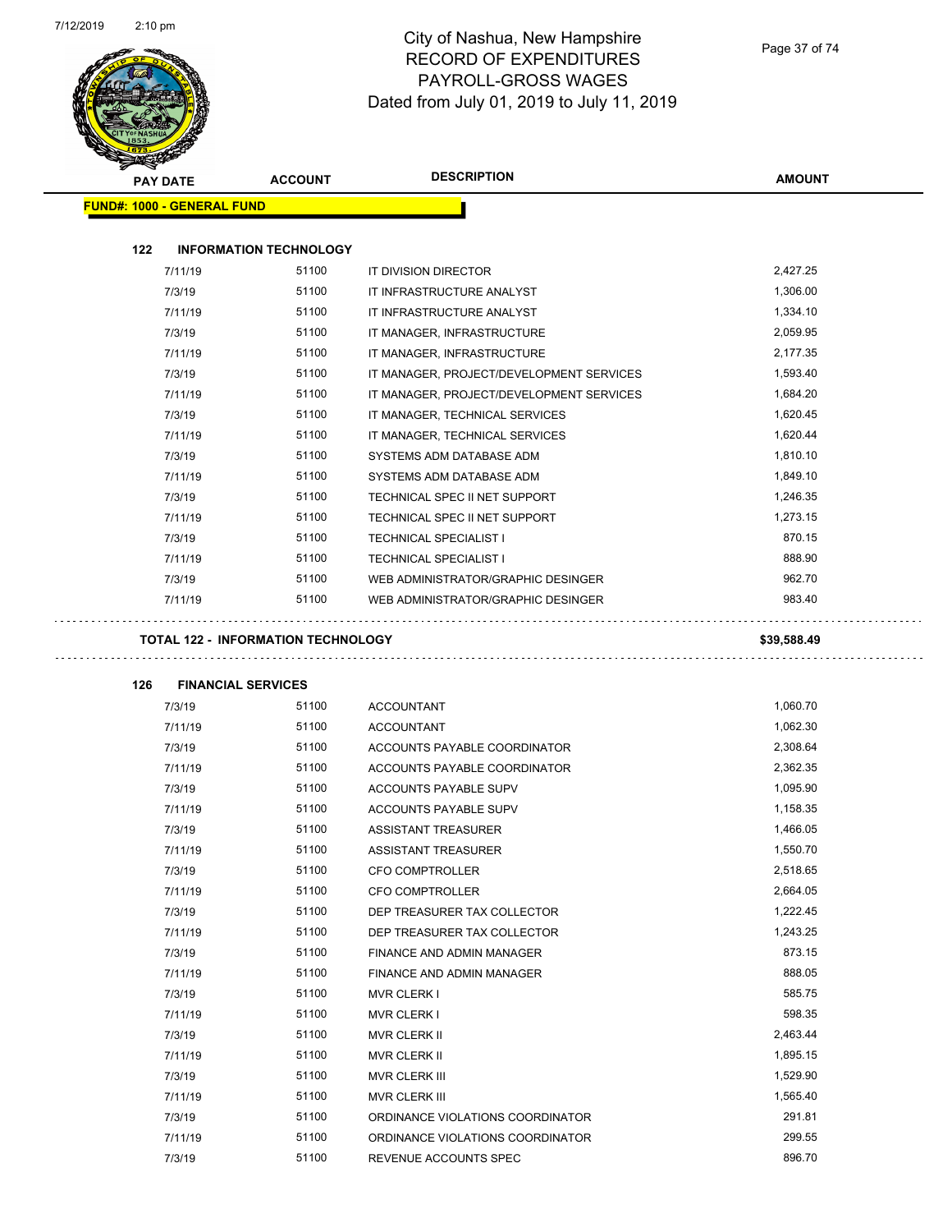

|     | <b>PAY DATE</b>                   | <b>ACCOUNT</b> | <b>DESCRIPTION</b>                             | <b>AMOUNT</b>        |
|-----|-----------------------------------|----------------|------------------------------------------------|----------------------|
|     | <b>FUND#: 1000 - GENERAL FUND</b> |                |                                                |                      |
| 122 | <b>INFORMATION TECHNOLOGY</b>     |                |                                                |                      |
|     | 7/11/19                           | 51100          | IT DIVISION DIRECTOR                           | 2,427.25             |
|     | 7/3/19                            | 51100          | IT INFRASTRUCTURE ANALYST                      | 1,306.00             |
|     | 7/11/19                           | 51100          | IT INFRASTRUCTURE ANALYST                      | 1,334.10             |
|     | 7/3/19                            | 51100          | IT MANAGER, INFRASTRUCTURE                     | 2,059.95             |
|     | 7/11/19                           | 51100          | IT MANAGER, INFRASTRUCTURE                     | 2,177.35             |
|     | 7/3/19                            | 51100          | IT MANAGER, PROJECT/DEVELOPMENT SERVICES       | 1,593.40             |
|     | 7/11/19                           | 51100          | IT MANAGER, PROJECT/DEVELOPMENT SERVICES       | 1,684.20             |
|     | 7/3/19                            | 51100          | IT MANAGER, TECHNICAL SERVICES                 | 1,620.45             |
|     | 7/11/19                           | 51100          | IT MANAGER, TECHNICAL SERVICES                 | 1,620.44             |
|     | 7/3/19                            | 51100          | SYSTEMS ADM DATABASE ADM                       | 1,810.10             |
|     | 7/11/19                           | 51100          | SYSTEMS ADM DATABASE ADM                       | 1,849.10             |
|     | 7/3/19                            | 51100          | TECHNICAL SPEC II NET SUPPORT                  | 1,246.35             |
|     | 7/11/19                           | 51100          | TECHNICAL SPEC II NET SUPPORT                  | 1,273.15             |
|     | 7/3/19                            | 51100          | <b>TECHNICAL SPECIALIST I</b>                  | 870.15               |
|     | 7/11/19                           | 51100          | <b>TECHNICAL SPECIALIST I</b>                  | 888.90               |
|     | 7/3/19                            | 51100          | WEB ADMINISTRATOR/GRAPHIC DESINGER             | 962.70               |
|     | 7/11/19                           | 51100          | WEB ADMINISTRATOR/GRAPHIC DESINGER             | 983.40               |
|     |                                   |                |                                                |                      |
| 126 | <b>FINANCIAL SERVICES</b>         |                |                                                |                      |
|     | 7/3/19                            | 51100          | <b>ACCOUNTANT</b>                              | 1,060.70             |
|     | 7/11/19                           | 51100          | <b>ACCOUNTANT</b>                              | 1,062.30             |
|     | 7/3/19                            | 51100          | ACCOUNTS PAYABLE COORDINATOR                   | 2,308.64             |
|     | 7/11/19                           | 51100          | ACCOUNTS PAYABLE COORDINATOR                   | 2,362.35             |
|     | 7/3/19                            | 51100          | <b>ACCOUNTS PAYABLE SUPV</b>                   | 1,095.90             |
|     | 7/11/19                           | 51100          | <b>ACCOUNTS PAYABLE SUPV</b>                   | 1,158.35             |
|     | 7/3/19                            | 51100          | ASSISTANT TREASURER                            | 1,466.05             |
|     | 7/11/19                           | 51100          | ASSISTANT TREASURER                            | 1,550.70<br>2,518.65 |
|     | 7/3/19                            | 51100          | <b>CFO COMPTROLLER</b>                         | 2,664.05             |
|     | 7/11/19<br>7/3/19                 | 51100<br>51100 | CFO COMPTROLLER<br>DEP TREASURER TAX COLLECTOR | 1,222.45             |
|     | 7/11/19                           | 51100          | DEP TREASURER TAX COLLECTOR                    | 1,243.25             |
|     |                                   | 51100          |                                                | 873.15               |
|     | 7/3/19                            | 51100          | FINANCE AND ADMIN MANAGER                      | 888.05               |
|     | 7/11/19                           | 51100          | FINANCE AND ADMIN MANAGER                      | 585.75               |
|     | 7/3/19<br>7/11/19                 | 51100          | <b>MVR CLERK I</b><br><b>MVR CLERK I</b>       | 598.35               |
|     | 7/3/19                            | 51100          | MVR CLERK II                                   | 2,463.44             |
|     | 7/11/19                           | 51100          | MVR CLERK II                                   | 1,895.15             |
|     | 7/3/19                            | 51100          | MVR CLERK III                                  | 1,529.90             |
|     | 7/11/19                           | 51100          | MVR CLERK III                                  | 1,565.40             |
|     | 7/3/19                            | 51100          | ORDINANCE VIOLATIONS COORDINATOR               | 291.81               |
|     | 7/11/19                           | 51100          | ORDINANCE VIOLATIONS COORDINATOR               | 299.55               |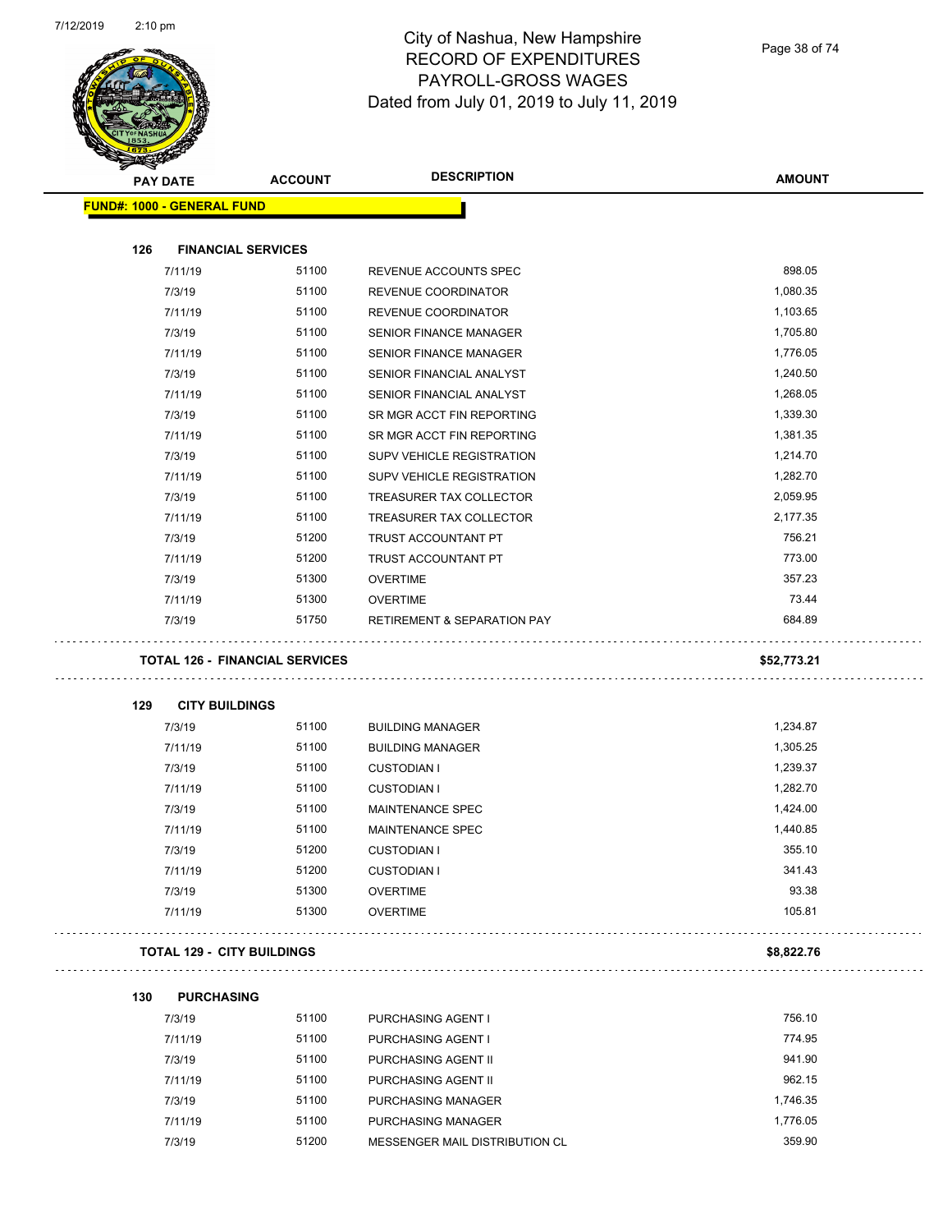

Page 38 of 74

|     |                                   | <b>ACCOUNT</b>                        | <b>DESCRIPTION</b>                     | <b>AMOUNT</b> |
|-----|-----------------------------------|---------------------------------------|----------------------------------------|---------------|
|     | <b>PAY DATE</b>                   |                                       |                                        |               |
|     | <b>FUND#: 1000 - GENERAL FUND</b> |                                       |                                        |               |
| 126 |                                   | <b>FINANCIAL SERVICES</b>             |                                        |               |
|     | 7/11/19                           | 51100                                 | REVENUE ACCOUNTS SPEC                  | 898.05        |
|     | 7/3/19                            | 51100                                 | REVENUE COORDINATOR                    | 1,080.35      |
|     | 7/11/19                           | 51100                                 | <b>REVENUE COORDINATOR</b>             | 1,103.65      |
|     | 7/3/19                            | 51100                                 | SENIOR FINANCE MANAGER                 | 1,705.80      |
|     | 7/11/19                           | 51100                                 | <b>SENIOR FINANCE MANAGER</b>          | 1,776.05      |
|     | 7/3/19                            | 51100                                 | SENIOR FINANCIAL ANALYST               | 1,240.50      |
|     | 7/11/19                           | 51100                                 | SENIOR FINANCIAL ANALYST               | 1,268.05      |
|     | 7/3/19                            | 51100                                 | SR MGR ACCT FIN REPORTING              | 1,339.30      |
|     | 7/11/19                           | 51100                                 | SR MGR ACCT FIN REPORTING              | 1,381.35      |
|     | 7/3/19                            | 51100                                 | SUPV VEHICLE REGISTRATION              | 1,214.70      |
|     | 7/11/19                           | 51100                                 | <b>SUPV VEHICLE REGISTRATION</b>       | 1,282.70      |
|     | 7/3/19                            | 51100                                 | TREASURER TAX COLLECTOR                | 2,059.95      |
|     | 7/11/19                           | 51100                                 | TREASURER TAX COLLECTOR                | 2,177.35      |
|     | 7/3/19                            | 51200                                 | TRUST ACCOUNTANT PT                    | 756.21        |
|     | 7/11/19                           | 51200                                 | TRUST ACCOUNTANT PT                    | 773.00        |
|     | 7/3/19                            | 51300                                 | <b>OVERTIME</b>                        | 357.23        |
|     | 7/11/19                           | 51300                                 | <b>OVERTIME</b>                        | 73.44         |
|     | 7/3/19                            | 51750                                 | <b>RETIREMENT &amp; SEPARATION PAY</b> | 684.89        |
|     |                                   | <b>TOTAL 126 - FINANCIAL SERVICES</b> |                                        | \$52,773.21   |
| 129 | <b>CITY BUILDINGS</b>             |                                       |                                        |               |
|     | 7/3/19                            | 51100                                 | <b>BUILDING MANAGER</b>                | 1,234.87      |
|     | 7/11/19                           | 51100                                 | <b>BUILDING MANAGER</b>                | 1,305.25      |
|     | 7/3/19                            | 51100                                 | <b>CUSTODIAN I</b>                     | 1,239.37      |
|     | 7/11/19                           | 51100                                 | <b>CUSTODIAN I</b>                     | 1,282.70      |
|     | 7/3/19                            | 51100                                 | <b>MAINTENANCE SPEC</b>                | 1,424.00      |
|     | 7/11/19                           | 51100                                 | <b>MAINTENANCE SPEC</b>                | 1,440.85      |
|     | 7/3/19                            | 51200                                 | <b>CUSTODIAN I</b>                     | 355.10        |
|     | 7/11/19                           | 51200                                 | <b>CUSTODIAN I</b>                     | 341.43        |
|     | 7/3/19                            | 51300                                 | <b>OVERTIME</b>                        | 93.38         |
|     | 7/11/19                           | 51300                                 | <b>OVERTIME</b>                        | 105.81        |
|     |                                   | <b>TOTAL 129 - CITY BUILDINGS</b>     |                                        | \$8,822.76    |
|     |                                   |                                       |                                        |               |
| 130 | <b>PURCHASING</b>                 |                                       |                                        |               |
|     | 7/3/19                            | 51100                                 | PURCHASING AGENT I                     | 756.10        |
|     | 7/11/19                           | 51100                                 | PURCHASING AGENT I                     | 774.95        |
|     | 7/3/19                            | 51100                                 | PURCHASING AGENT II                    | 941.90        |
|     | 7/11/19                           | 51100                                 | PURCHASING AGENT II                    | 962.15        |
|     | 7/3/19                            | 51100                                 | PURCHASING MANAGER                     | 1,746.35      |
|     | 7/11/19                           | 51100                                 | PURCHASING MANAGER                     | 1,776.05      |
|     | 7/3/19                            | 51200                                 | MESSENGER MAIL DISTRIBUTION CL         | 359.90        |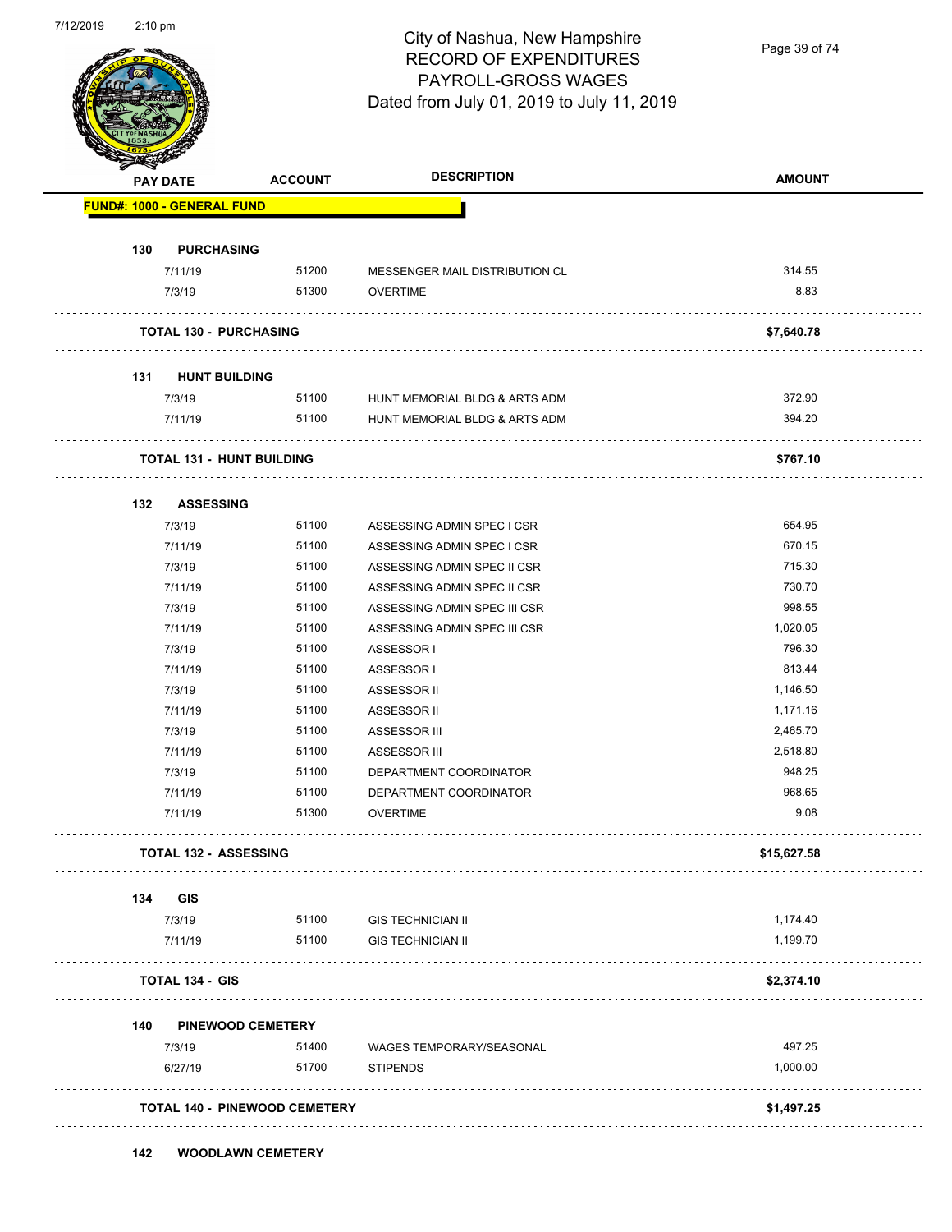

Page 39 of 74

| <b>PAY DATE</b>                   | <b>ACCOUNT</b>                       | <b>DESCRIPTION</b>             | <b>AMOUNT</b> |
|-----------------------------------|--------------------------------------|--------------------------------|---------------|
| <b>FUND#: 1000 - GENERAL FUND</b> |                                      |                                |               |
| 130<br><b>PURCHASING</b>          |                                      |                                |               |
| 7/11/19                           | 51200                                | MESSENGER MAIL DISTRIBUTION CL | 314.55        |
| 7/3/19                            | 51300                                | <b>OVERTIME</b>                | 8.83          |
| <b>TOTAL 130 - PURCHASING</b>     |                                      |                                | \$7,640.78    |
| <b>HUNT BUILDING</b><br>131       |                                      |                                |               |
| 7/3/19                            | 51100                                | HUNT MEMORIAL BLDG & ARTS ADM  | 372.90        |
| 7/11/19                           | 51100                                | HUNT MEMORIAL BLDG & ARTS ADM  | 394.20        |
| <b>TOTAL 131 - HUNT BUILDING</b>  |                                      |                                | \$767.10      |
| 132<br><b>ASSESSING</b>           |                                      |                                |               |
| 7/3/19                            | 51100                                | ASSESSING ADMIN SPEC I CSR     | 654.95        |
| 7/11/19                           | 51100                                | ASSESSING ADMIN SPEC I CSR     | 670.15        |
| 7/3/19                            | 51100                                | ASSESSING ADMIN SPEC II CSR    | 715.30        |
| 7/11/19                           | 51100                                | ASSESSING ADMIN SPEC II CSR    | 730.70        |
| 7/3/19                            | 51100                                | ASSESSING ADMIN SPEC III CSR   | 998.55        |
| 7/11/19                           | 51100                                | ASSESSING ADMIN SPEC III CSR   | 1,020.05      |
| 7/3/19                            | 51100                                | ASSESSOR I                     | 796.30        |
| 7/11/19                           | 51100                                | ASSESSOR I                     | 813.44        |
| 7/3/19                            | 51100                                | ASSESSOR II                    | 1,146.50      |
| 7/11/19                           | 51100                                | ASSESSOR II                    | 1,171.16      |
| 7/3/19                            | 51100                                | ASSESSOR III                   | 2,465.70      |
| 7/11/19                           | 51100                                | ASSESSOR III                   | 2,518.80      |
| 7/3/19                            | 51100                                | DEPARTMENT COORDINATOR         | 948.25        |
| 7/11/19                           | 51100                                | DEPARTMENT COORDINATOR         | 968.65        |
| 7/11/19                           | 51300                                | <b>OVERTIME</b>                | 9.08          |
| <b>TOTAL 132 - ASSESSING</b>      |                                      |                                | \$15,627.58   |
| 134<br><b>GIS</b>                 |                                      |                                |               |
| 7/3/19                            | 51100                                | <b>GIS TECHNICIAN II</b>       | 1,174.40      |
| 7/11/19                           | 51100                                | <b>GIS TECHNICIAN II</b>       | 1,199.70      |
| <b>TOTAL 134 - GIS</b>            |                                      |                                | \$2,374.10    |
| 140                               | <b>PINEWOOD CEMETERY</b>             |                                |               |
| 7/3/19                            | 51400                                | WAGES TEMPORARY/SEASONAL       | 497.25        |
| 6/27/19                           | 51700                                | <b>STIPENDS</b>                | 1,000.00      |
|                                   | <b>TOTAL 140 - PINEWOOD CEMETERY</b> |                                | \$1,497.25    |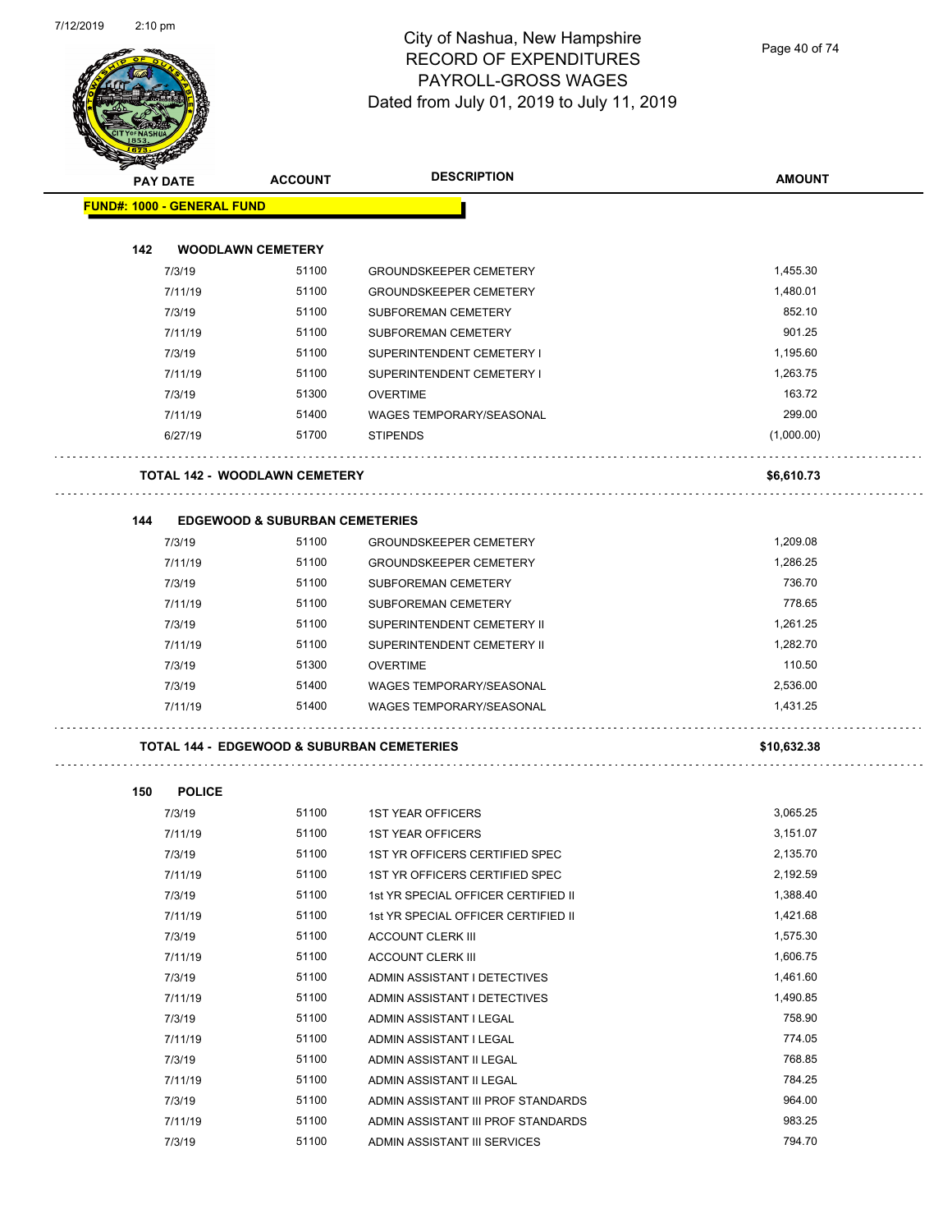

Page 40 of 74

|     | <b>PAY DATE</b>                   | <b>ACCOUNT</b>                            | <b>DESCRIPTION</b>                                    | <b>AMOUNT</b> |
|-----|-----------------------------------|-------------------------------------------|-------------------------------------------------------|---------------|
|     | <b>FUND#: 1000 - GENERAL FUND</b> |                                           |                                                       |               |
|     |                                   |                                           |                                                       |               |
| 142 |                                   | <b>WOODLAWN CEMETERY</b>                  |                                                       |               |
|     | 7/3/19                            | 51100                                     | <b>GROUNDSKEEPER CEMETERY</b>                         | 1,455.30      |
|     | 7/11/19                           | 51100                                     | <b>GROUNDSKEEPER CEMETERY</b>                         | 1,480.01      |
|     | 7/3/19                            | 51100                                     | <b>SUBFOREMAN CEMETERY</b>                            | 852.10        |
|     | 7/11/19                           | 51100                                     | <b>SUBFOREMAN CEMETERY</b>                            | 901.25        |
|     | 7/3/19                            | 51100                                     | SUPERINTENDENT CEMETERY I                             | 1,195.60      |
|     | 7/11/19                           | 51100                                     | SUPERINTENDENT CEMETERY I                             | 1,263.75      |
|     | 7/3/19                            | 51300                                     | <b>OVERTIME</b>                                       | 163.72        |
|     | 7/11/19                           | 51400                                     | <b>WAGES TEMPORARY/SEASONAL</b>                       | 299.00        |
|     | 6/27/19                           | 51700                                     | <b>STIPENDS</b>                                       | (1,000.00)    |
|     |                                   | <b>TOTAL 142 - WOODLAWN CEMETERY</b>      |                                                       | \$6,610.73    |
| 144 |                                   | <b>EDGEWOOD &amp; SUBURBAN CEMETERIES</b> |                                                       |               |
|     | 7/3/19                            | 51100                                     | <b>GROUNDSKEEPER CEMETERY</b>                         | 1,209.08      |
|     | 7/11/19                           | 51100                                     | <b>GROUNDSKEEPER CEMETERY</b>                         | 1,286.25      |
|     | 7/3/19                            | 51100                                     | <b>SUBFOREMAN CEMETERY</b>                            | 736.70        |
|     | 7/11/19                           | 51100                                     | SUBFOREMAN CEMETERY                                   | 778.65        |
|     | 7/3/19                            | 51100                                     | SUPERINTENDENT CEMETERY II                            | 1,261.25      |
|     | 7/11/19                           | 51100                                     | SUPERINTENDENT CEMETERY II                            | 1,282.70      |
|     | 7/3/19                            | 51300                                     | <b>OVERTIME</b>                                       | 110.50        |
|     | 7/3/19                            | 51400                                     | <b>WAGES TEMPORARY/SEASONAL</b>                       | 2,536.00      |
|     | 7/11/19                           | 51400                                     | <b>WAGES TEMPORARY/SEASONAL</b>                       | 1,431.25      |
|     |                                   |                                           | <b>TOTAL 144 - EDGEWOOD &amp; SUBURBAN CEMETERIES</b> | \$10,632.38   |
| 150 | <b>POLICE</b>                     |                                           |                                                       |               |
|     | 7/3/19                            | 51100                                     | <b>1ST YEAR OFFICERS</b>                              | 3,065.25      |
|     | 7/11/19                           | 51100                                     | <b>1ST YEAR OFFICERS</b>                              | 3,151.07      |
|     | 7/3/19                            | 51100                                     | 1ST YR OFFICERS CERTIFIED SPEC                        | 2,135.70      |
|     | 7/11/19                           | 51100                                     | 1ST YR OFFICERS CERTIFIED SPEC                        | 2,192.59      |
|     | 7/3/19                            | 51100                                     | 1st YR SPECIAL OFFICER CERTIFIED II                   | 1,388.40      |
|     | 7/11/19                           | 51100                                     | 1st YR SPECIAL OFFICER CERTIFIED II                   | 1,421.68      |
|     | 7/3/19                            | 51100                                     | <b>ACCOUNT CLERK III</b>                              | 1,575.30      |
|     | 7/11/19                           | 51100                                     | <b>ACCOUNT CLERK III</b>                              | 1,606.75      |
|     | 7/3/19                            | 51100                                     | ADMIN ASSISTANT I DETECTIVES                          | 1,461.60      |
|     | 7/11/19                           | 51100                                     | ADMIN ASSISTANT I DETECTIVES                          | 1,490.85      |
|     | 7/3/19                            | 51100                                     | ADMIN ASSISTANT I LEGAL                               | 758.90        |
|     | 7/11/19                           | 51100                                     | ADMIN ASSISTANT I LEGAL                               | 774.05        |
|     | 7/3/19                            | 51100                                     | ADMIN ASSISTANT II LEGAL                              | 768.85        |
|     | 7/11/19                           | 51100                                     | ADMIN ASSISTANT II LEGAL                              | 784.25        |
|     | 7/3/19                            | 51100                                     | ADMIN ASSISTANT III PROF STANDARDS                    | 964.00        |
|     | 7/11/19                           | 51100                                     | ADMIN ASSISTANT III PROF STANDARDS                    | 983.25        |

7/3/19 51100 ADMIN ASSISTANT III SERVICES 794.70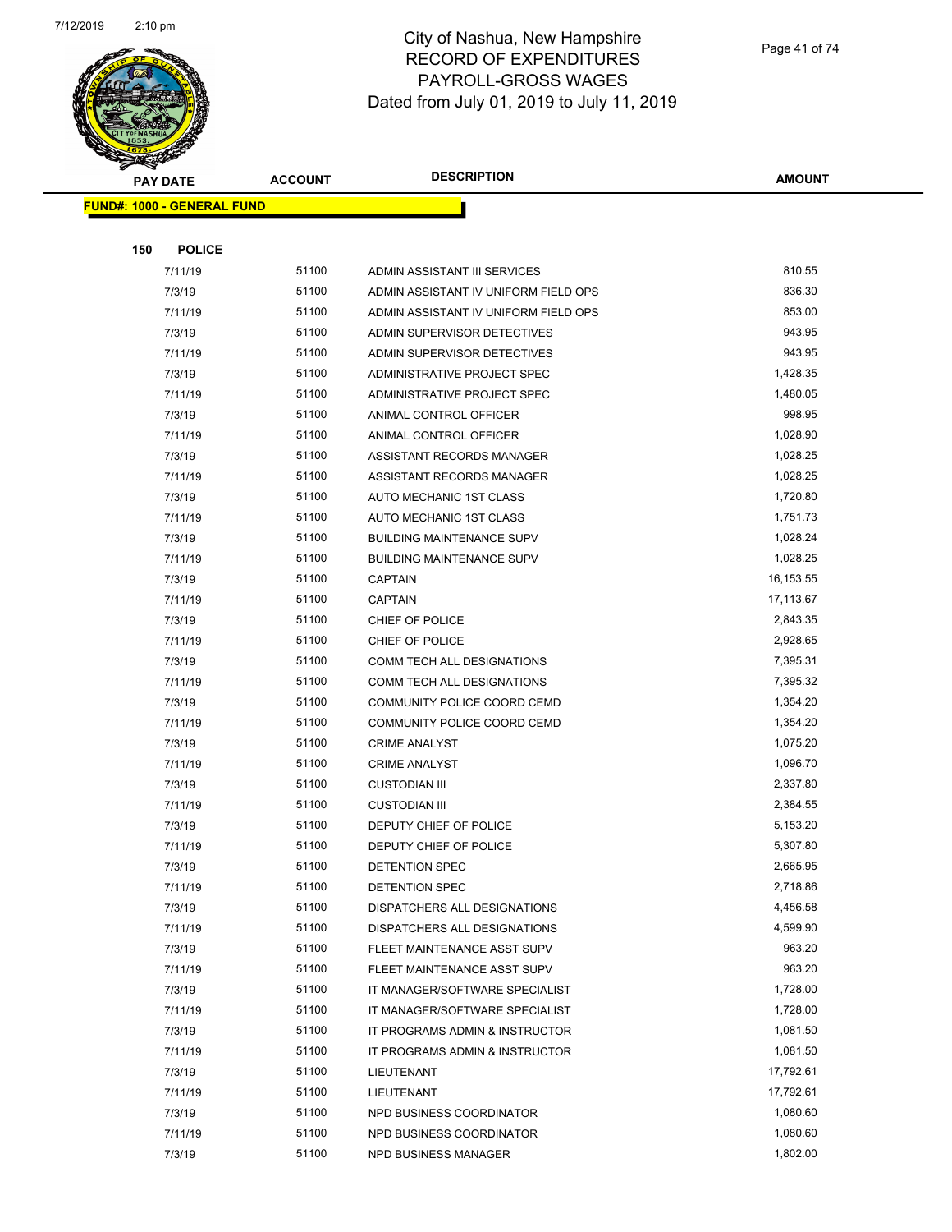

| <b>André</b> s<br><b>PAY DATE</b> | <b>ACCOUNT</b> | <b>DESCRIPTION</b>                               | <b>AMOUNT</b>        |
|-----------------------------------|----------------|--------------------------------------------------|----------------------|
| FUND#: 1000 - GENERAL FUND        |                |                                                  |                      |
|                                   |                |                                                  |                      |
| <b>POLICE</b><br>150              |                |                                                  |                      |
| 7/11/19                           | 51100          | ADMIN ASSISTANT III SERVICES                     | 810.55               |
| 7/3/19                            | 51100          | ADMIN ASSISTANT IV UNIFORM FIELD OPS             | 836.30               |
| 7/11/19                           | 51100          | ADMIN ASSISTANT IV UNIFORM FIELD OPS             | 853.00               |
| 7/3/19                            | 51100          | ADMIN SUPERVISOR DETECTIVES                      | 943.95               |
| 7/11/19                           | 51100          | ADMIN SUPERVISOR DETECTIVES                      | 943.95               |
| 7/3/19                            | 51100          | ADMINISTRATIVE PROJECT SPEC                      | 1,428.35             |
| 7/11/19                           | 51100          | ADMINISTRATIVE PROJECT SPEC                      | 1,480.05             |
| 7/3/19                            | 51100          | ANIMAL CONTROL OFFICER                           | 998.95               |
| 7/11/19                           | 51100          | ANIMAL CONTROL OFFICER                           | 1,028.90             |
| 7/3/19                            | 51100          | ASSISTANT RECORDS MANAGER                        | 1,028.25             |
| 7/11/19                           | 51100          | ASSISTANT RECORDS MANAGER                        | 1,028.25             |
| 7/3/19                            | 51100          | AUTO MECHANIC 1ST CLASS                          | 1,720.80             |
| 7/11/19                           | 51100          | AUTO MECHANIC 1ST CLASS                          | 1,751.73             |
| 7/3/19                            | 51100          | <b>BUILDING MAINTENANCE SUPV</b>                 | 1,028.24             |
| 7/11/19                           | 51100          | <b>BUILDING MAINTENANCE SUPV</b>                 | 1,028.25             |
| 7/3/19                            | 51100          | <b>CAPTAIN</b>                                   | 16,153.55            |
| 7/11/19                           | 51100          | <b>CAPTAIN</b>                                   | 17,113.67            |
| 7/3/19                            | 51100          | CHIEF OF POLICE                                  | 2,843.35             |
| 7/11/19                           | 51100          | CHIEF OF POLICE                                  | 2,928.65             |
| 7/3/19                            | 51100          | COMM TECH ALL DESIGNATIONS                       | 7,395.31             |
| 7/11/19                           | 51100          | COMM TECH ALL DESIGNATIONS                       | 7,395.32             |
| 7/3/19                            | 51100          | COMMUNITY POLICE COORD CEMD                      | 1,354.20             |
| 7/11/19                           | 51100          | COMMUNITY POLICE COORD CEMD                      | 1,354.20             |
| 7/3/19                            | 51100          | <b>CRIME ANALYST</b>                             | 1,075.20             |
| 7/11/19                           | 51100          | <b>CRIME ANALYST</b>                             | 1,096.70             |
| 7/3/19                            | 51100<br>51100 | <b>CUSTODIAN III</b>                             | 2,337.80<br>2,384.55 |
| 7/11/19                           | 51100          | <b>CUSTODIAN III</b>                             |                      |
| 7/3/19<br>7/11/19                 | 51100          | DEPUTY CHIEF OF POLICE<br>DEPUTY CHIEF OF POLICE | 5,153.20<br>5,307.80 |
| 7/3/19                            | 51100          | DETENTION SPEC                                   | 2,665.95             |
| 7/11/19                           | 51100          | <b>DETENTION SPEC</b>                            | 2,718.86             |
| 7/3/19                            | 51100          | DISPATCHERS ALL DESIGNATIONS                     | 4,456.58             |
| 7/11/19                           | 51100          | DISPATCHERS ALL DESIGNATIONS                     | 4,599.90             |
| 7/3/19                            | 51100          | FLEET MAINTENANCE ASST SUPV                      | 963.20               |
| 7/11/19                           | 51100          | FLEET MAINTENANCE ASST SUPV                      | 963.20               |
| 7/3/19                            | 51100          | IT MANAGER/SOFTWARE SPECIALIST                   | 1,728.00             |
| 7/11/19                           | 51100          | IT MANAGER/SOFTWARE SPECIALIST                   | 1,728.00             |
| 7/3/19                            | 51100          | IT PROGRAMS ADMIN & INSTRUCTOR                   | 1,081.50             |
| 7/11/19                           | 51100          | IT PROGRAMS ADMIN & INSTRUCTOR                   | 1,081.50             |
| 7/3/19                            | 51100          | LIEUTENANT                                       | 17,792.61            |
| 7/11/19                           | 51100          | LIEUTENANT                                       | 17,792.61            |
| 7/3/19                            | 51100          | NPD BUSINESS COORDINATOR                         | 1,080.60             |
| 7/11/19                           | 51100          | NPD BUSINESS COORDINATOR                         | 1,080.60             |
| 7/3/19                            | 51100          | NPD BUSINESS MANAGER                             | 1,802.00             |
|                                   |                |                                                  |                      |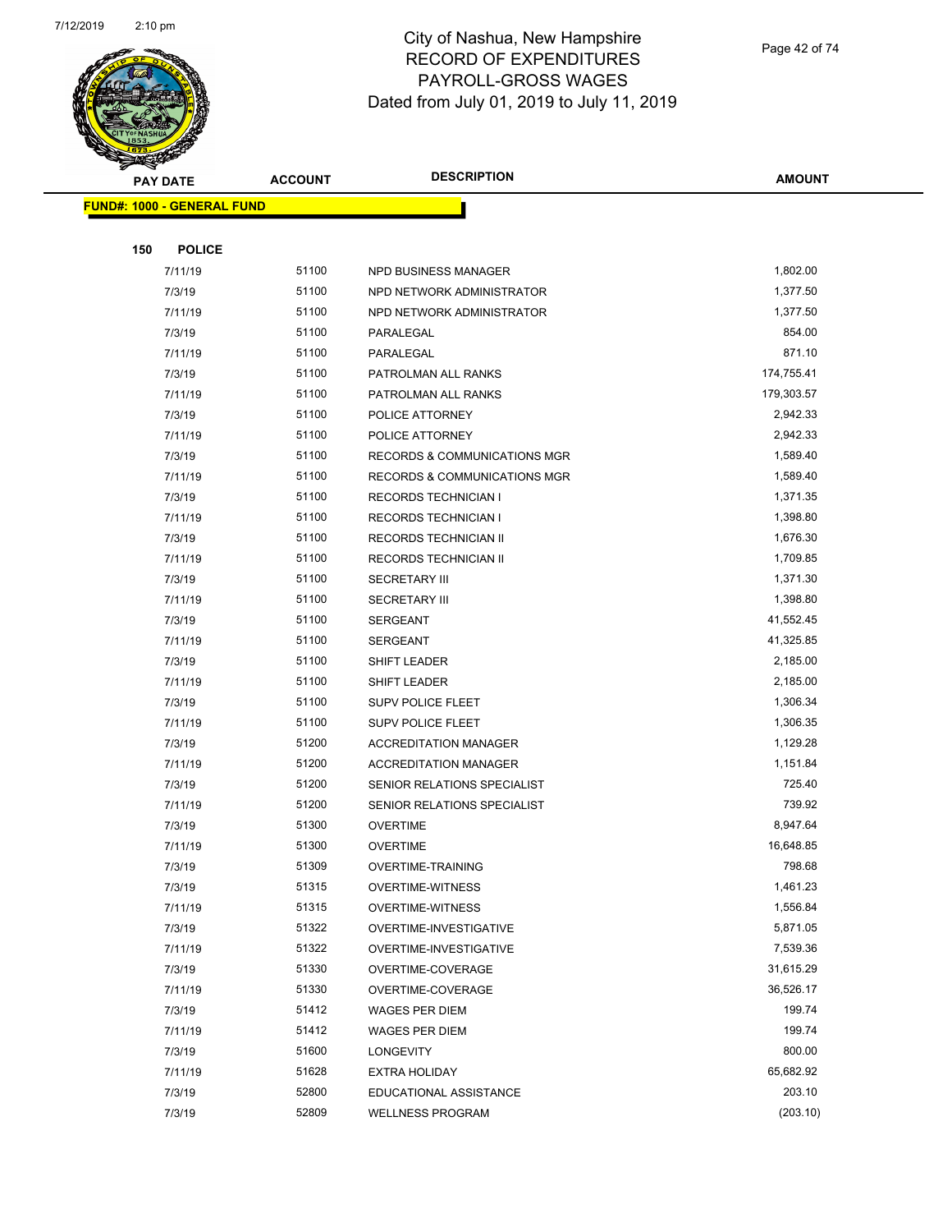

#### City of Nashua, New Hampshire RECORD OF EXPENDITURES PAYROLL-GROSS WAGES Dated from July 01, 2019 to July 11, 2019

Page 42 of 74

| <b>REAL PROPERTY</b>              |                |                                         |               |
|-----------------------------------|----------------|-----------------------------------------|---------------|
| <b>PAY DATE</b>                   | <b>ACCOUNT</b> | <b>DESCRIPTION</b>                      | <b>AMOUNT</b> |
| <b>FUND#: 1000 - GENERAL FUND</b> |                |                                         |               |
|                                   |                |                                         |               |
| <b>POLICE</b><br>150              |                |                                         |               |
| 7/11/19                           | 51100          | NPD BUSINESS MANAGER                    | 1,802.00      |
| 7/3/19                            | 51100          | NPD NETWORK ADMINISTRATOR               | 1,377.50      |
| 7/11/19                           | 51100          | NPD NETWORK ADMINISTRATOR               | 1,377.50      |
| 7/3/19                            | 51100          | PARALEGAL                               | 854.00        |
| 7/11/19                           | 51100          | PARALEGAL                               | 871.10        |
| 7/3/19                            | 51100          | PATROLMAN ALL RANKS                     | 174,755.41    |
| 7/11/19                           | 51100          | PATROLMAN ALL RANKS                     | 179,303.57    |
| 7/3/19                            | 51100          | POLICE ATTORNEY                         | 2,942.33      |
| 7/11/19                           | 51100          | POLICE ATTORNEY                         | 2,942.33      |
| 7/3/19                            | 51100          | <b>RECORDS &amp; COMMUNICATIONS MGR</b> | 1,589.40      |
| 7/11/19                           | 51100          | <b>RECORDS &amp; COMMUNICATIONS MGR</b> | 1,589.40      |
| 7/3/19                            | 51100          | <b>RECORDS TECHNICIAN I</b>             | 1,371.35      |
| 7/11/19                           | 51100          | <b>RECORDS TECHNICIAN I</b>             | 1,398.80      |
| 7/3/19                            | 51100          | RECORDS TECHNICIAN II                   | 1,676.30      |
| 7/11/19                           | 51100          | RECORDS TECHNICIAN II                   | 1,709.85      |
| 7/3/19                            | 51100          | <b>SECRETARY III</b>                    | 1,371.30      |
| 7/11/19                           | 51100          | <b>SECRETARY III</b>                    | 1,398.80      |
| 7/3/19                            | 51100          | <b>SERGEANT</b>                         | 41,552.45     |
| 7/11/19                           | 51100          | <b>SERGEANT</b>                         | 41,325.85     |
| 7/3/19                            | 51100          | SHIFT LEADER                            | 2,185.00      |
| 7/11/19                           | 51100          | SHIFT LEADER                            | 2,185.00      |
| 7/3/19                            | 51100          | <b>SUPV POLICE FLEET</b>                | 1,306.34      |
| 7/11/19                           | 51100          | <b>SUPV POLICE FLEET</b>                | 1,306.35      |
| 7/3/19                            | 51200          | <b>ACCREDITATION MANAGER</b>            | 1,129.28      |
| 7/11/19                           | 51200          | <b>ACCREDITATION MANAGER</b>            | 1,151.84      |
| 7/3/19                            | 51200          | SENIOR RELATIONS SPECIALIST             | 725.40        |
| 7/11/19                           | 51200          | SENIOR RELATIONS SPECIALIST             | 739.92        |
| 7/3/19                            | 51300          | <b>OVERTIME</b>                         | 8,947.64      |
| 7/11/19                           | 51300          | <b>OVERTIME</b>                         | 16.648.85     |
| 7/3/19                            | 51309          | <b>OVERTIME-TRAINING</b>                | 798.68        |
| 7/3/19                            | 51315          | OVERTIME-WITNESS                        | 1,461.23      |
| 7/11/19                           | 51315          | <b>OVERTIME-WITNESS</b>                 | 1,556.84      |
| 7/3/19                            | 51322          | OVERTIME-INVESTIGATIVE                  | 5,871.05      |
| 7/11/19                           | 51322          | OVERTIME-INVESTIGATIVE                  | 7,539.36      |
| 7/3/19                            | 51330          | OVERTIME-COVERAGE                       | 31,615.29     |
| 7/11/19                           | 51330          | OVERTIME-COVERAGE                       | 36,526.17     |
| 7/3/19                            | 51412          | <b>WAGES PER DIEM</b>                   | 199.74        |
| 7/11/19                           | 51412          | <b>WAGES PER DIEM</b>                   | 199.74        |
| 7/3/19                            | 51600          | LONGEVITY                               | 800.00        |
| 7/11/19                           | 51628          | <b>EXTRA HOLIDAY</b>                    | 65,682.92     |
| 7/3/19                            | 52800          | EDUCATIONAL ASSISTANCE                  | 203.10        |
| 7/3/19                            | 52809          | <b>WELLNESS PROGRAM</b>                 | (203.10)      |
|                                   |                |                                         |               |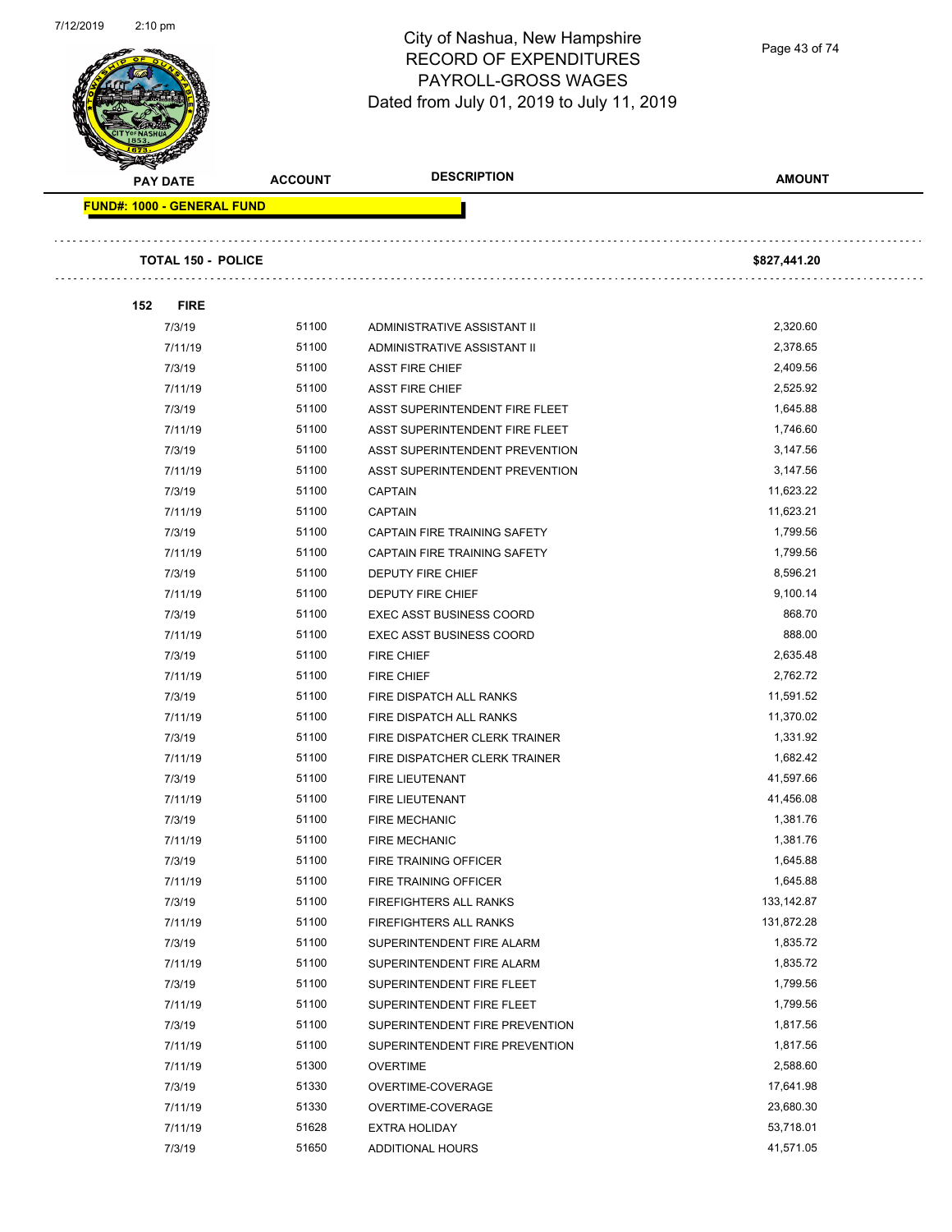

Page 43 of 74

| <b>PAY DATE</b>                   | <b>ACCOUNT</b> | <b>DESCRIPTION</b>                  | <b>AMOUNT</b> |
|-----------------------------------|----------------|-------------------------------------|---------------|
| <b>FUND#: 1000 - GENERAL FUND</b> |                |                                     |               |
| <b>TOTAL 150 - POLICE</b>         |                |                                     | \$827,441.20  |
| 152<br><b>FIRE</b>                |                |                                     |               |
| 7/3/19                            | 51100          | ADMINISTRATIVE ASSISTANT II         | 2,320.60      |
| 7/11/19                           | 51100          | ADMINISTRATIVE ASSISTANT II         | 2,378.65      |
| 7/3/19                            | 51100          | <b>ASST FIRE CHIEF</b>              | 2,409.56      |
| 7/11/19                           | 51100          | <b>ASST FIRE CHIEF</b>              | 2,525.92      |
| 7/3/19                            | 51100          | ASST SUPERINTENDENT FIRE FLEET      | 1,645.88      |
| 7/11/19                           | 51100          | ASST SUPERINTENDENT FIRE FLEET      | 1,746.60      |
| 7/3/19                            | 51100          | ASST SUPERINTENDENT PREVENTION      | 3,147.56      |
| 7/11/19                           | 51100          | ASST SUPERINTENDENT PREVENTION      | 3,147.56      |
| 7/3/19                            | 51100          | <b>CAPTAIN</b>                      | 11,623.22     |
| 7/11/19                           | 51100          | <b>CAPTAIN</b>                      | 11,623.21     |
| 7/3/19                            | 51100          | <b>CAPTAIN FIRE TRAINING SAFETY</b> | 1,799.56      |
| 7/11/19                           | 51100          | CAPTAIN FIRE TRAINING SAFETY        | 1,799.56      |
| 7/3/19                            | 51100          | <b>DEPUTY FIRE CHIEF</b>            | 8,596.21      |
| 7/11/19                           | 51100          | <b>DEPUTY FIRE CHIEF</b>            | 9,100.14      |
| 7/3/19                            | 51100          | <b>EXEC ASST BUSINESS COORD</b>     | 868.70        |
| 7/11/19                           | 51100          | <b>EXEC ASST BUSINESS COORD</b>     | 888.00        |
| 7/3/19                            | 51100          | FIRE CHIEF                          | 2,635.48      |
| 7/11/19                           | 51100          | <b>FIRE CHIEF</b>                   | 2,762.72      |
| 7/3/19                            | 51100          | FIRE DISPATCH ALL RANKS             | 11,591.52     |
| 7/11/19                           | 51100          | FIRE DISPATCH ALL RANKS             | 11,370.02     |
| 7/3/19                            | 51100          | FIRE DISPATCHER CLERK TRAINER       | 1,331.92      |
| 7/11/19                           | 51100          | FIRE DISPATCHER CLERK TRAINER       | 1,682.42      |
| 7/3/19                            | 51100          | FIRE LIEUTENANT                     | 41,597.66     |
| 7/11/19                           | 51100          | FIRE LIEUTENANT                     | 41,456.08     |
| 7/3/19                            | 51100          | <b>FIRE MECHANIC</b>                | 1,381.76      |
| 7/11/19                           | 51100          | FIRE MECHANIC                       | 1,381.76      |
| 7/3/19                            | 51100          | FIRE TRAINING OFFICER               | 1,645.88      |
| 7/11/19                           | 51100          | FIRE TRAINING OFFICER               | 1,645.88      |
| 7/3/19                            | 51100          | FIREFIGHTERS ALL RANKS              | 133,142.87    |
| 7/11/19                           | 51100          | FIREFIGHTERS ALL RANKS              | 131,872.28    |
| 7/3/19                            | 51100          | SUPERINTENDENT FIRE ALARM           | 1,835.72      |
| 7/11/19                           | 51100          | SUPERINTENDENT FIRE ALARM           | 1,835.72      |
| 7/3/19                            | 51100          | SUPERINTENDENT FIRE FLEET           | 1,799.56      |
| 7/11/19                           | 51100          | SUPERINTENDENT FIRE FLEET           | 1,799.56      |
| 7/3/19                            | 51100          | SUPERINTENDENT FIRE PREVENTION      | 1,817.56      |
| 7/11/19                           | 51100          | SUPERINTENDENT FIRE PREVENTION      | 1,817.56      |
| 7/11/19                           | 51300          | <b>OVERTIME</b>                     | 2,588.60      |
| 7/3/19                            | 51330          | OVERTIME-COVERAGE                   | 17,641.98     |
| 7/11/19                           | 51330          | OVERTIME-COVERAGE                   | 23,680.30     |
| 7/11/19                           | 51628          | <b>EXTRA HOLIDAY</b>                | 53,718.01     |
| 7/3/19                            | 51650          | <b>ADDITIONAL HOURS</b>             | 41,571.05     |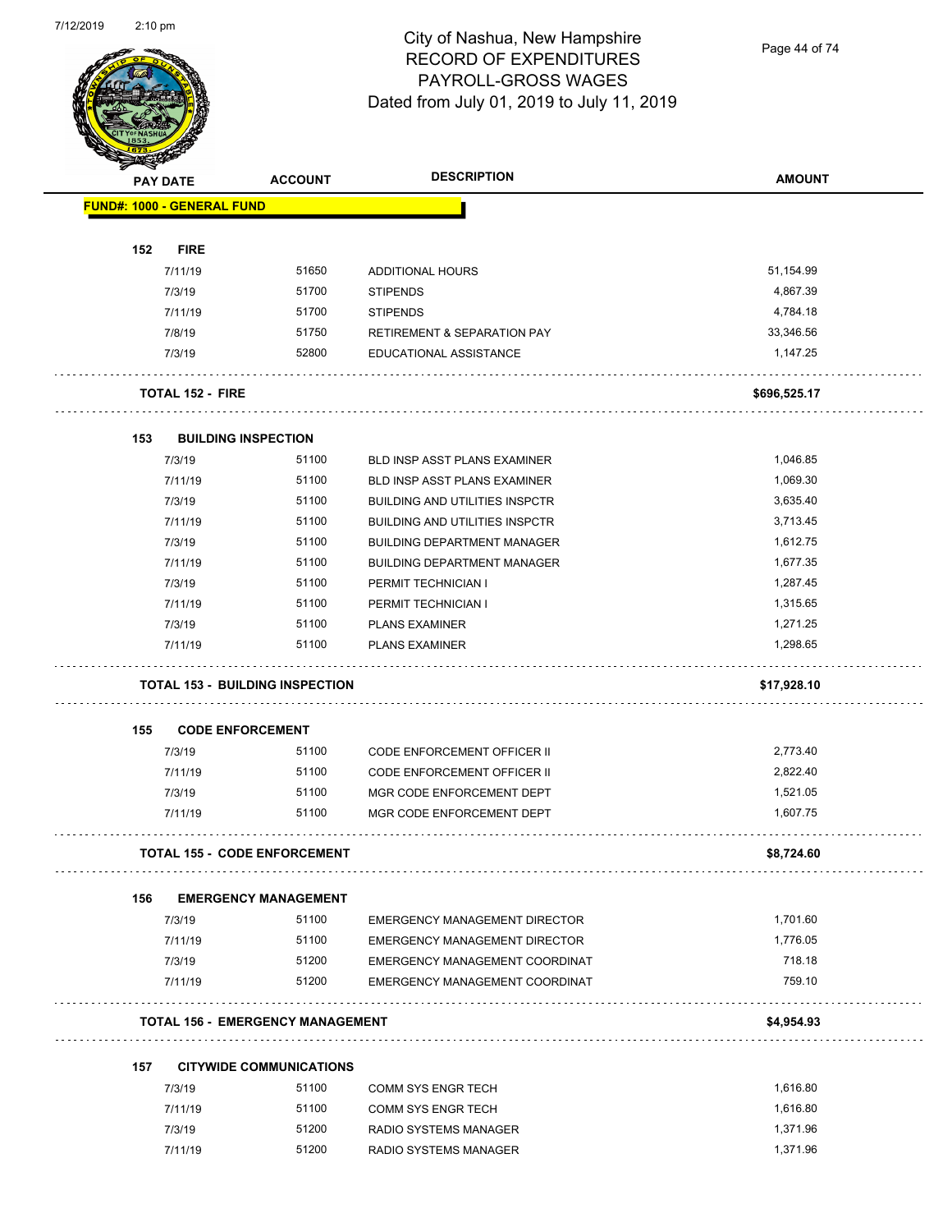

Page 44 of 74

|     | <b>PAY DATE</b>                   | <b>ACCOUNT</b>                          | <b>DESCRIPTION</b>                     | <b>AMOUNT</b> |
|-----|-----------------------------------|-----------------------------------------|----------------------------------------|---------------|
|     | <b>FUND#: 1000 - GENERAL FUND</b> |                                         |                                        |               |
|     |                                   |                                         |                                        |               |
| 152 | <b>FIRE</b>                       |                                         |                                        |               |
|     | 7/11/19                           | 51650                                   | ADDITIONAL HOURS                       | 51,154.99     |
|     | 7/3/19                            | 51700                                   | <b>STIPENDS</b>                        | 4,867.39      |
|     | 7/11/19                           | 51700                                   | <b>STIPENDS</b>                        | 4,784.18      |
|     | 7/8/19                            | 51750                                   | <b>RETIREMENT &amp; SEPARATION PAY</b> | 33,346.56     |
|     | 7/3/19                            | 52800                                   | EDUCATIONAL ASSISTANCE                 | 1,147.25      |
|     | <b>TOTAL 152 - FIRE</b>           |                                         |                                        | \$696,525.17  |
| 153 |                                   | <b>BUILDING INSPECTION</b>              |                                        |               |
|     | 7/3/19                            | 51100                                   | BLD INSP ASST PLANS EXAMINER           | 1,046.85      |
|     | 7/11/19                           | 51100                                   | BLD INSP ASST PLANS EXAMINER           | 1,069.30      |
|     | 7/3/19                            | 51100                                   | <b>BUILDING AND UTILITIES INSPCTR</b>  | 3,635.40      |
|     | 7/11/19                           | 51100                                   | <b>BUILDING AND UTILITIES INSPCTR</b>  | 3,713.45      |
|     | 7/3/19                            | 51100                                   | <b>BUILDING DEPARTMENT MANAGER</b>     | 1,612.75      |
|     | 7/11/19                           | 51100                                   | <b>BUILDING DEPARTMENT MANAGER</b>     | 1,677.35      |
|     | 7/3/19                            | 51100                                   | PERMIT TECHNICIAN I                    | 1,287.45      |
|     | 7/11/19                           | 51100                                   | PERMIT TECHNICIAN I                    | 1,315.65      |
|     | 7/3/19                            | 51100                                   | <b>PLANS EXAMINER</b>                  | 1,271.25      |
|     | 7/11/19                           | 51100                                   | <b>PLANS EXAMINER</b>                  | 1,298.65      |
|     |                                   | <b>TOTAL 153 - BUILDING INSPECTION</b>  |                                        | \$17,928.10   |
| 155 |                                   | <b>CODE ENFORCEMENT</b>                 |                                        |               |
|     | 7/3/19                            | 51100                                   | CODE ENFORCEMENT OFFICER II            | 2,773.40      |
|     | 7/11/19                           | 51100                                   | CODE ENFORCEMENT OFFICER II            | 2,822.40      |
|     | 7/3/19                            | 51100                                   | MGR CODE ENFORCEMENT DEPT              | 1,521.05      |
|     | 7/11/19                           | 51100                                   | MGR CODE ENFORCEMENT DEPT              | 1,607.75      |
|     |                                   | <b>TOTAL 155 - CODE ENFORCEMENT</b>     |                                        | \$8,724.60    |
| 156 |                                   | <b>EMERGENCY MANAGEMENT</b>             |                                        |               |
|     | 7/3/19                            | 51100                                   | <b>EMERGENCY MANAGEMENT DIRECTOR</b>   | 1,701.60      |
|     | 7/11/19                           | 51100                                   | <b>EMERGENCY MANAGEMENT DIRECTOR</b>   | 1,776.05      |
|     | 7/3/19                            | 51200                                   | EMERGENCY MANAGEMENT COORDINAT         | 718.18        |
|     | 7/11/19                           | 51200                                   | EMERGENCY MANAGEMENT COORDINAT         | 759.10        |
|     |                                   | <b>TOTAL 156 - EMERGENCY MANAGEMENT</b> |                                        | \$4,954.93    |
|     |                                   |                                         |                                        |               |
| 157 |                                   | <b>CITYWIDE COMMUNICATIONS</b>          |                                        |               |
|     | 7/3/19                            | 51100                                   | <b>COMM SYS ENGR TECH</b>              | 1,616.80      |
|     | 7/11/19                           | 51100                                   | <b>COMM SYS ENGR TECH</b>              | 1,616.80      |
|     | 7/3/19                            | 51200                                   | RADIO SYSTEMS MANAGER                  | 1,371.96      |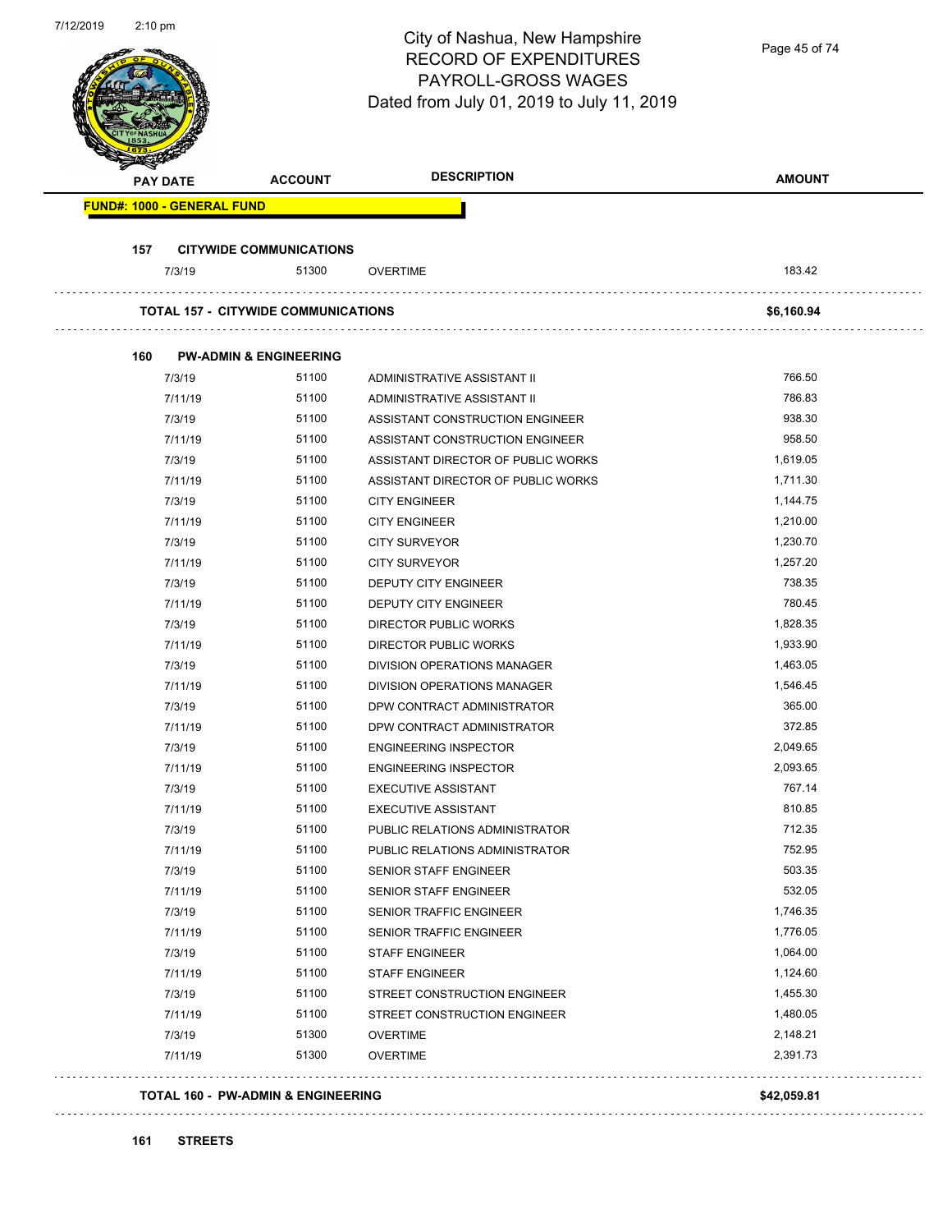| 7/12/2019 | 2:10 pm                           |                                            | City of Nashua, New Hampshire<br><b>RECORD OF EXPENDITURES</b><br>PAYROLL-GROSS WAGES<br>Dated from July 01, 2019 to July 11, 2019 | Page 45 of 74 |
|-----------|-----------------------------------|--------------------------------------------|------------------------------------------------------------------------------------------------------------------------------------|---------------|
|           | PAY DATE                          | <b>ACCOUNT</b>                             | <b>DESCRIPTION</b>                                                                                                                 | <b>AMOUNT</b> |
|           | <b>FUND#: 1000 - GENERAL FUND</b> |                                            |                                                                                                                                    |               |
|           |                                   |                                            |                                                                                                                                    |               |
|           | 157                               | <b>CITYWIDE COMMUNICATIONS</b>             |                                                                                                                                    |               |
|           | 7/3/19                            | 51300                                      | <b>OVERTIME</b>                                                                                                                    | 183.42        |
|           |                                   | <b>TOTAL 157 - CITYWIDE COMMUNICATIONS</b> |                                                                                                                                    | \$6,160.94    |
|           |                                   |                                            |                                                                                                                                    |               |
|           | 160                               | <b>PW-ADMIN &amp; ENGINEERING</b>          |                                                                                                                                    |               |
|           | 7/3/19                            | 51100                                      | ADMINISTRATIVE ASSISTANT II                                                                                                        | 766.50        |
|           | 7/11/19                           | 51100                                      | ADMINISTRATIVE ASSISTANT II                                                                                                        | 786.83        |
|           | 7/3/19                            | 51100                                      | ASSISTANT CONSTRUCTION ENGINEER                                                                                                    | 938.30        |
|           | 7/11/19                           | 51100                                      | ASSISTANT CONSTRUCTION ENGINEER                                                                                                    | 958.50        |
|           | 7/3/19                            | 51100                                      | ASSISTANT DIRECTOR OF PUBLIC WORKS                                                                                                 | 1,619.05      |
|           | 7/11/19                           | 51100                                      | ASSISTANT DIRECTOR OF PUBLIC WORKS                                                                                                 | 1,711.30      |
|           | 7/3/19                            | 51100                                      | <b>CITY ENGINEER</b>                                                                                                               | 1,144.75      |
|           | 7/11/19                           | 51100                                      | <b>CITY ENGINEER</b>                                                                                                               | 1,210.00      |
|           | 7/3/19                            | 51100                                      | <b>CITY SURVEYOR</b>                                                                                                               | 1,230.70      |
|           | 7/11/19                           | 51100                                      | <b>CITY SURVEYOR</b>                                                                                                               | 1,257.20      |
|           | 7/3/19                            | 51100                                      | DEPUTY CITY ENGINEER                                                                                                               | 738.35        |
|           | 7/11/19                           | 51100                                      | DEPUTY CITY ENGINEER                                                                                                               | 780.45        |
|           | 7/3/19                            | 51100                                      | <b>DIRECTOR PUBLIC WORKS</b>                                                                                                       | 1,828.35      |
|           | 7/11/19                           | 51100                                      | <b>DIRECTOR PUBLIC WORKS</b>                                                                                                       | 1,933.90      |
|           | 7/3/19                            | 51100                                      | DIVISION OPERATIONS MANAGER                                                                                                        | 1,463.05      |
|           | 7/11/19                           | 51100                                      | DIVISION OPERATIONS MANAGER                                                                                                        | 1,546.45      |
|           | 7/3/19                            | 51100                                      | DPW CONTRACT ADMINISTRATOR                                                                                                         | 365.00        |
|           | 7/11/19                           | 51100                                      | DPW CONTRACT ADMINISTRATOR                                                                                                         | 372.85        |
|           | 7/3/19                            | 51100                                      | <b>ENGINEERING INSPECTOR</b>                                                                                                       | 2,049.65      |
|           | 7/11/19                           | 51100                                      | <b>ENGINEERING INSPECTOR</b>                                                                                                       | 2,093.65      |
|           | 7/3/19                            | 51100                                      | <b>EXECUTIVE ASSISTANT</b>                                                                                                         | 767.14        |
|           | 7/11/19                           | 51100                                      | <b>EXECUTIVE ASSISTANT</b>                                                                                                         | 810.85        |
|           | 7/3/19                            | 51100                                      | PUBLIC RELATIONS ADMINISTRATOR                                                                                                     | 712.35        |
|           | 7/11/19                           | 51100                                      | PUBLIC RELATIONS ADMINISTRATOR                                                                                                     | 752.95        |
|           | 7/3/19                            | 51100                                      | SENIOR STAFF ENGINEER                                                                                                              | 503.35        |
|           | 7/11/19                           | 51100                                      | SENIOR STAFF ENGINEER                                                                                                              | 532.05        |
|           | 7/3/19                            | 51100                                      | SENIOR TRAFFIC ENGINEER                                                                                                            | 1,746.35      |
|           | 7/11/19                           | 51100                                      | SENIOR TRAFFIC ENGINEER                                                                                                            | 1,776.05      |
|           | 7/3/19                            | 51100                                      | <b>STAFF ENGINEER</b>                                                                                                              | 1,064.00      |
|           | 7/11/19                           | 51100                                      | <b>STAFF ENGINEER</b>                                                                                                              | 1,124.60      |
|           | 7/3/19                            | 51100                                      | STREET CONSTRUCTION ENGINEER                                                                                                       | 1,455.30      |
|           | 7/11/19                           | 51100                                      | STREET CONSTRUCTION ENGINEER                                                                                                       | 1,480.05      |
|           | 7/3/19                            | 51300                                      | <b>OVERTIME</b>                                                                                                                    | 2,148.21      |
|           | 7/11/19                           | 51300                                      | <b>OVERTIME</b>                                                                                                                    | 2,391.73      |
|           |                                   | TOTAL 160 - PW-ADMIN & ENGINEERING         |                                                                                                                                    | \$42,059.81   |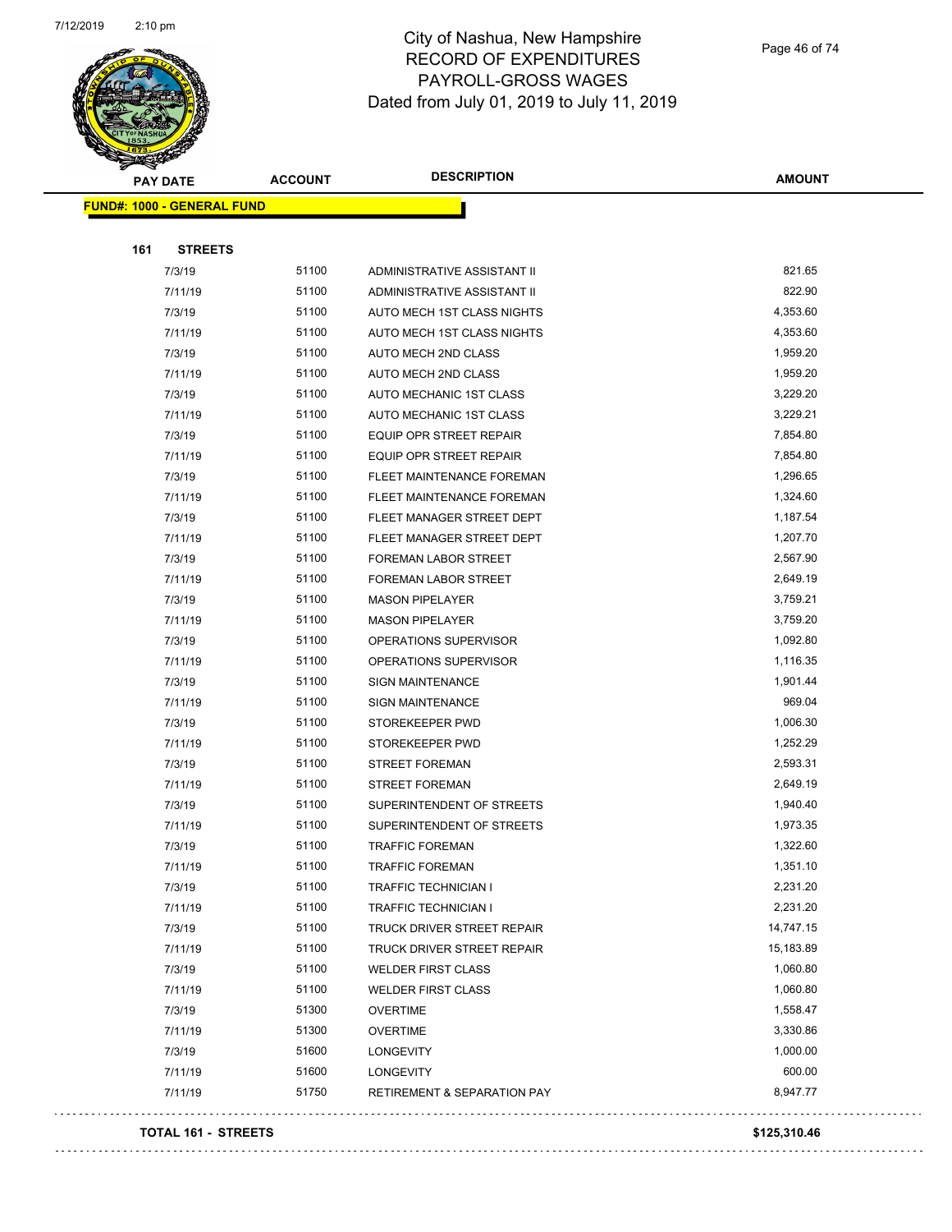

Page 46 of 74

| <b>Andri</b><br><b>PAY DATE</b>   | <b>ACCOUNT</b> | <b>DESCRIPTION</b>                     | <b>AMOUNT</b> |
|-----------------------------------|----------------|----------------------------------------|---------------|
| <b>FUND#: 1000 - GENERAL FUND</b> |                |                                        |               |
|                                   |                |                                        |               |
| 161<br><b>STREETS</b>             |                |                                        |               |
| 7/3/19                            | 51100          | ADMINISTRATIVE ASSISTANT II            | 821.65        |
| 7/11/19                           | 51100          | ADMINISTRATIVE ASSISTANT II            | 822.90        |
| 7/3/19                            | 51100          | AUTO MECH 1ST CLASS NIGHTS             | 4,353.60      |
| 7/11/19                           | 51100          | AUTO MECH 1ST CLASS NIGHTS             | 4,353.60      |
| 7/3/19                            | 51100          | <b>AUTO MECH 2ND CLASS</b>             | 1,959.20      |
| 7/11/19                           | 51100          | AUTO MECH 2ND CLASS                    | 1,959.20      |
| 7/3/19                            | 51100          | AUTO MECHANIC 1ST CLASS                | 3,229.20      |
| 7/11/19                           | 51100          | AUTO MECHANIC 1ST CLASS                | 3,229.21      |
| 7/3/19                            | 51100          | <b>EQUIP OPR STREET REPAIR</b>         | 7,854.80      |
| 7/11/19                           | 51100          | <b>EQUIP OPR STREET REPAIR</b>         | 7,854.80      |
| 7/3/19                            | 51100          | FLEET MAINTENANCE FOREMAN              | 1,296.65      |
| 7/11/19                           | 51100          | FLEET MAINTENANCE FOREMAN              | 1,324.60      |
| 7/3/19                            | 51100          | FLEET MANAGER STREET DEPT              | 1,187.54      |
| 7/11/19                           | 51100          | FLEET MANAGER STREET DEPT              | 1,207.70      |
| 7/3/19                            | 51100          | FOREMAN LABOR STREET                   | 2,567.90      |
| 7/11/19                           | 51100          | FOREMAN LABOR STREET                   | 2,649.19      |
| 7/3/19                            | 51100          | <b>MASON PIPELAYER</b>                 | 3,759.21      |
| 7/11/19                           | 51100          | <b>MASON PIPELAYER</b>                 | 3,759.20      |
| 7/3/19                            | 51100          | OPERATIONS SUPERVISOR                  | 1,092.80      |
| 7/11/19                           | 51100          | OPERATIONS SUPERVISOR                  | 1,116.35      |
| 7/3/19                            | 51100          | <b>SIGN MAINTENANCE</b>                | 1,901.44      |
| 7/11/19                           | 51100          | <b>SIGN MAINTENANCE</b>                | 969.04        |
| 7/3/19                            | 51100          | STOREKEEPER PWD                        | 1,006.30      |
| 7/11/19                           | 51100          | STOREKEEPER PWD                        | 1,252.29      |
| 7/3/19                            | 51100          | STREET FOREMAN                         | 2,593.31      |
| 7/11/19                           | 51100          | <b>STREET FOREMAN</b>                  | 2,649.19      |
| 7/3/19                            | 51100          | SUPERINTENDENT OF STREETS              | 1,940.40      |
| 7/11/19                           | 51100          | SUPERINTENDENT OF STREETS              | 1,973.35      |
| 7/3/19                            | 51100          | <b>TRAFFIC FOREMAN</b>                 | 1,322.60      |
| 7/11/19                           | 51100          | <b>TRAFFIC FOREMAN</b>                 | 1,351.10      |
| 7/3/19                            | 51100          | <b>TRAFFIC TECHNICIAN I</b>            | 2,231.20      |
| 7/11/19                           | 51100          | TRAFFIC TECHNICIAN I                   | 2,231.20      |
| 7/3/19                            | 51100          | TRUCK DRIVER STREET REPAIR             | 14,747.15     |
| 7/11/19                           | 51100          | TRUCK DRIVER STREET REPAIR             | 15,183.89     |
| 7/3/19                            | 51100          | <b>WELDER FIRST CLASS</b>              | 1,060.80      |
| 7/11/19                           | 51100          | <b>WELDER FIRST CLASS</b>              | 1,060.80      |
| 7/3/19                            | 51300          | <b>OVERTIME</b>                        | 1,558.47      |
| 7/11/19                           | 51300          | <b>OVERTIME</b>                        | 3,330.86      |
| 7/3/19                            | 51600          | LONGEVITY                              | 1,000.00      |
| 7/11/19                           | 51600          | LONGEVITY                              | 600.00        |
| 7/11/19                           | 51750          | <b>RETIREMENT &amp; SEPARATION PAY</b> | 8,947.77      |
|                                   |                |                                        |               |

#### **TOTAL 161 - STREETS \$125,310.46**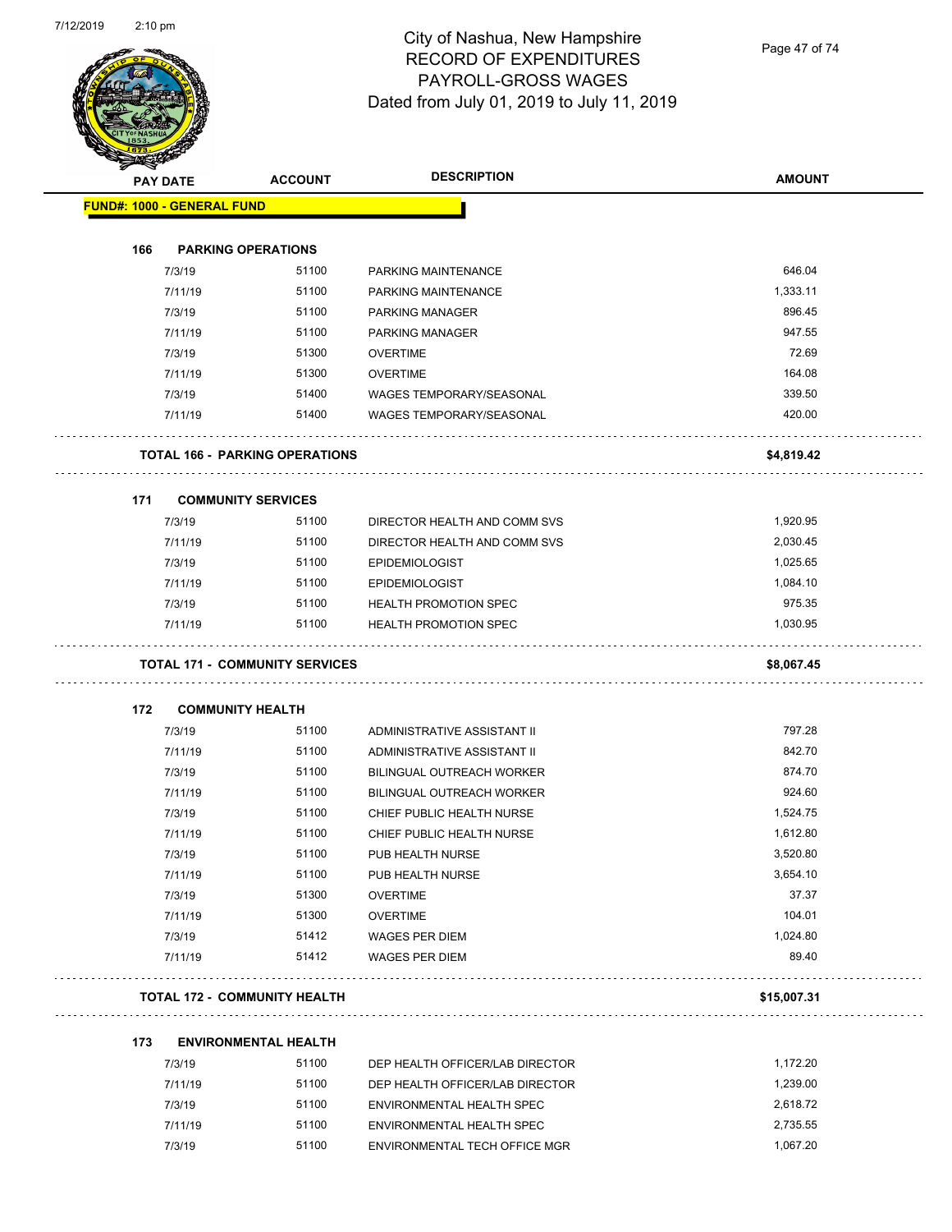

Page 47 of 74

|     | <b>PAY DATE</b>            | <b>ACCOUNT</b>                        | <b>DESCRIPTION</b>               | <b>AMOUNT</b> |
|-----|----------------------------|---------------------------------------|----------------------------------|---------------|
|     | FUND#: 1000 - GENERAL FUND |                                       |                                  |               |
| 166 |                            | <b>PARKING OPERATIONS</b>             |                                  |               |
|     | 7/3/19                     | 51100                                 | PARKING MAINTENANCE              | 646.04        |
|     | 7/11/19                    | 51100                                 | PARKING MAINTENANCE              | 1,333.11      |
|     | 7/3/19                     | 51100                                 | <b>PARKING MANAGER</b>           | 896.45        |
|     | 7/11/19                    | 51100                                 | <b>PARKING MANAGER</b>           | 947.55        |
|     | 7/3/19                     | 51300                                 | <b>OVERTIME</b>                  | 72.69         |
|     | 7/11/19                    | 51300                                 | <b>OVERTIME</b>                  | 164.08        |
|     | 7/3/19                     | 51400                                 | WAGES TEMPORARY/SEASONAL         | 339.50        |
|     | 7/11/19                    | 51400                                 | <b>WAGES TEMPORARY/SEASONAL</b>  | 420.00        |
|     |                            | <b>TOTAL 166 - PARKING OPERATIONS</b> |                                  | \$4,819.42    |
| 171 |                            | <b>COMMUNITY SERVICES</b>             |                                  |               |
|     | 7/3/19                     | 51100                                 | DIRECTOR HEALTH AND COMM SVS     | 1,920.95      |
|     | 7/11/19                    | 51100                                 | DIRECTOR HEALTH AND COMM SVS     | 2,030.45      |
|     | 7/3/19                     | 51100                                 | <b>EPIDEMIOLOGIST</b>            | 1,025.65      |
|     | 7/11/19                    | 51100                                 | <b>EPIDEMIOLOGIST</b>            | 1,084.10      |
|     | 7/3/19                     | 51100                                 | <b>HEALTH PROMOTION SPEC</b>     | 975.35        |
|     | 7/11/19                    | 51100                                 | <b>HEALTH PROMOTION SPEC</b>     | 1,030.95      |
|     |                            | <b>TOTAL 171 - COMMUNITY SERVICES</b> |                                  | \$8,067.45    |
| 172 |                            | <b>COMMUNITY HEALTH</b>               |                                  |               |
|     | 7/3/19                     | 51100                                 | ADMINISTRATIVE ASSISTANT II      | 797.28        |
|     | 7/11/19                    | 51100                                 | ADMINISTRATIVE ASSISTANT II      | 842.70        |
|     | 7/3/19                     | 51100                                 | <b>BILINGUAL OUTREACH WORKER</b> | 874.70        |
|     | 7/11/19                    | 51100                                 | <b>BILINGUAL OUTREACH WORKER</b> | 924.60        |
|     | 7/3/19                     | 51100                                 | CHIEF PUBLIC HEALTH NURSE        | 1,524.75      |
|     | 7/11/19                    | 51100                                 | CHIEF PUBLIC HEALTH NURSE        | 1,612.80      |
|     | 7/3/19                     | 51100                                 | PUB HEALTH NURSE                 | 3,520.80      |
|     | 7/11/19                    | 51100                                 | PUB HEALTH NURSE                 | 3,654.10      |
|     | 7/3/19                     | 51300                                 | <b>OVERTIME</b>                  | 37.37         |
|     | 7/11/19                    | 51300                                 | <b>OVERTIME</b>                  | 104.01        |
|     | 7/3/19                     | 51412                                 | WAGES PER DIEM                   | 1,024.80      |
|     | 7/11/19                    | 51412                                 | <b>WAGES PER DIEM</b>            | 89.40         |
|     |                            | <b>TOTAL 172 - COMMUNITY HEALTH</b>   |                                  | \$15,007.31   |
| 173 |                            | <b>ENVIRONMENTAL HEALTH</b>           |                                  |               |
|     | 7/3/19                     | 51100                                 | DEP HEALTH OFFICER/LAB DIRECTOR  | 1,172.20      |
|     |                            |                                       |                                  |               |

| 7/11/19 | 51100 | DEP HEALTH OFFICER/LAB DIRECTOR   | 1.239.00 |
|---------|-------|-----------------------------------|----------|
| 7/3/19  | 51100 | ENVIRONMENTAL HEALTH SPEC         | 2.618.72 |
| 7/11/19 | 51100 | <b>FNVIRONMENTAL HEALTH SPEC.</b> | 2.735.55 |
| 7/3/19  | 51100 | ENVIRONMENTAL TECH OFFICE MGR     | 1.067.20 |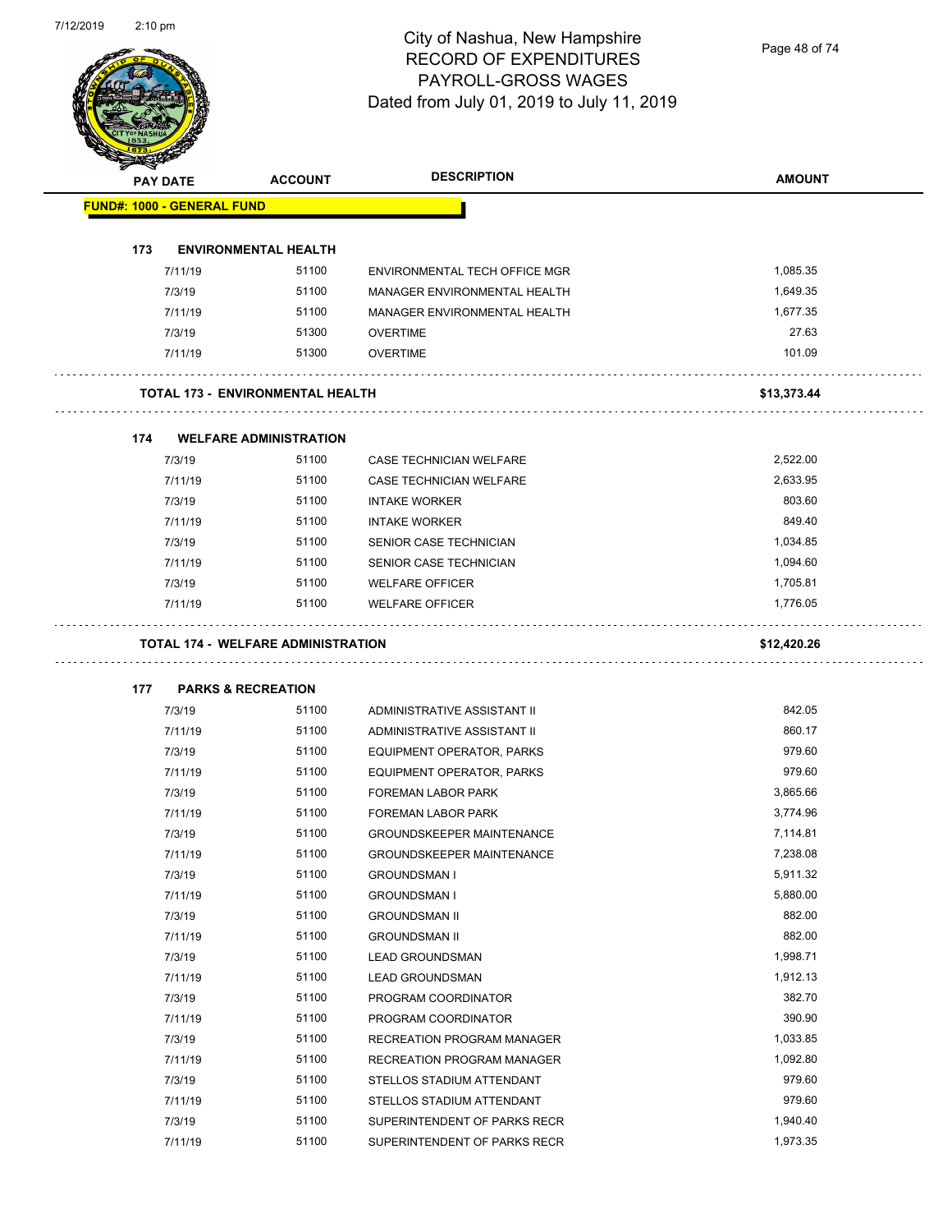Page 48 of 74

|     | <b>PAY DATE</b>                   | <b>ACCOUNT</b>                            | <b>DESCRIPTION</b>                          | <b>AMOUNT</b> |
|-----|-----------------------------------|-------------------------------------------|---------------------------------------------|---------------|
|     | <b>FUND#: 1000 - GENERAL FUND</b> |                                           |                                             |               |
| 173 |                                   | <b>ENVIRONMENTAL HEALTH</b>               |                                             |               |
|     | 7/11/19                           | 51100                                     | ENVIRONMENTAL TECH OFFICE MGR               | 1,085.35      |
|     | 7/3/19                            | 51100                                     | MANAGER ENVIRONMENTAL HEALTH                | 1,649.35      |
|     | 7/11/19                           | 51100                                     | MANAGER ENVIRONMENTAL HEALTH                | 1,677.35      |
|     | 7/3/19                            | 51300                                     | <b>OVERTIME</b>                             | 27.63         |
|     | 7/11/19                           | 51300                                     | <b>OVERTIME</b>                             | 101.09        |
|     |                                   | TOTAL 173 - ENVIRONMENTAL HEALTH          |                                             | \$13,373.44   |
|     |                                   |                                           |                                             |               |
| 174 |                                   | <b>WELFARE ADMINISTRATION</b>             |                                             |               |
|     | 7/3/19                            | 51100                                     | CASE TECHNICIAN WELFARE                     | 2,522.00      |
|     | 7/11/19                           | 51100                                     | <b>CASE TECHNICIAN WELFARE</b>              | 2,633.95      |
|     | 7/3/19                            | 51100                                     | <b>INTAKE WORKER</b>                        | 803.60        |
|     | 7/11/19                           | 51100                                     | <b>INTAKE WORKER</b>                        | 849.40        |
|     | 7/3/19                            | 51100                                     | SENIOR CASE TECHNICIAN                      | 1,034.85      |
|     | 7/11/19                           | 51100                                     | SENIOR CASE TECHNICIAN                      | 1,094.60      |
|     | 7/3/19                            | 51100                                     | <b>WELFARE OFFICER</b>                      | 1,705.81      |
|     | 7/11/19                           | 51100                                     | <b>WELFARE OFFICER</b>                      | 1,776.05      |
|     |                                   | <b>TOTAL 174 - WELFARE ADMINISTRATION</b> |                                             | \$12,420.26   |
|     |                                   |                                           |                                             |               |
| 177 | 7/3/19                            | <b>PARKS &amp; RECREATION</b><br>51100    | ADMINISTRATIVE ASSISTANT II                 | 842.05        |
|     | 7/11/19                           | 51100                                     | ADMINISTRATIVE ASSISTANT II                 | 860.17        |
|     | 7/3/19                            | 51100                                     | EQUIPMENT OPERATOR, PARKS                   | 979.60        |
|     | 7/11/19                           | 51100                                     | EQUIPMENT OPERATOR, PARKS                   | 979.60        |
|     | 7/3/19                            | 51100                                     | <b>FOREMAN LABOR PARK</b>                   | 3,865.66      |
|     | 7/11/19                           | 51100                                     | <b>FOREMAN LABOR PARK</b>                   | 3,774.96      |
|     | 7/3/19                            | 51100                                     | GROUNDSKEEPER MAINTENANCE                   | 7,114.81      |
|     |                                   | 51100                                     | <b>GROUNDSKEEPER MAINTENANCE</b>            | 7,238.08      |
|     | 7/11/19<br>7/3/19                 | 51100                                     | <b>GROUNDSMAN I</b>                         | 5,911.32      |
|     |                                   | 51100                                     |                                             | 5,880.00      |
|     | 7/11/19                           | 51100                                     | <b>GROUNDSMAN I</b><br><b>GROUNDSMAN II</b> | 882.00        |
|     | 7/3/19                            |                                           |                                             |               |
|     | 7/11/19                           | 51100                                     | <b>GROUNDSMAN II</b>                        | 882.00        |
|     | 7/3/19                            | 51100                                     | <b>LEAD GROUNDSMAN</b>                      | 1,998.71      |
|     | 7/11/19                           | 51100                                     | <b>LEAD GROUNDSMAN</b>                      | 1,912.13      |
|     | 7/3/19                            | 51100                                     | PROGRAM COORDINATOR                         | 382.70        |
|     | 7/11/19                           | 51100                                     | PROGRAM COORDINATOR                         | 390.90        |
|     | 7/3/19                            | 51100                                     | RECREATION PROGRAM MANAGER                  | 1,033.85      |
|     | 7/11/19                           | 51100                                     | RECREATION PROGRAM MANAGER                  | 1,092.80      |
|     | 7/3/19                            | 51100                                     | STELLOS STADIUM ATTENDANT                   | 979.60        |
|     | 7/11/19                           | 51100                                     | STELLOS STADIUM ATTENDANT                   | 979.60        |
|     | 7/3/19                            | 51100                                     | SUPERINTENDENT OF PARKS RECR                | 1,940.40      |
|     | 7/11/19                           | 51100                                     | SUPERINTENDENT OF PARKS RECR                | 1,973.35      |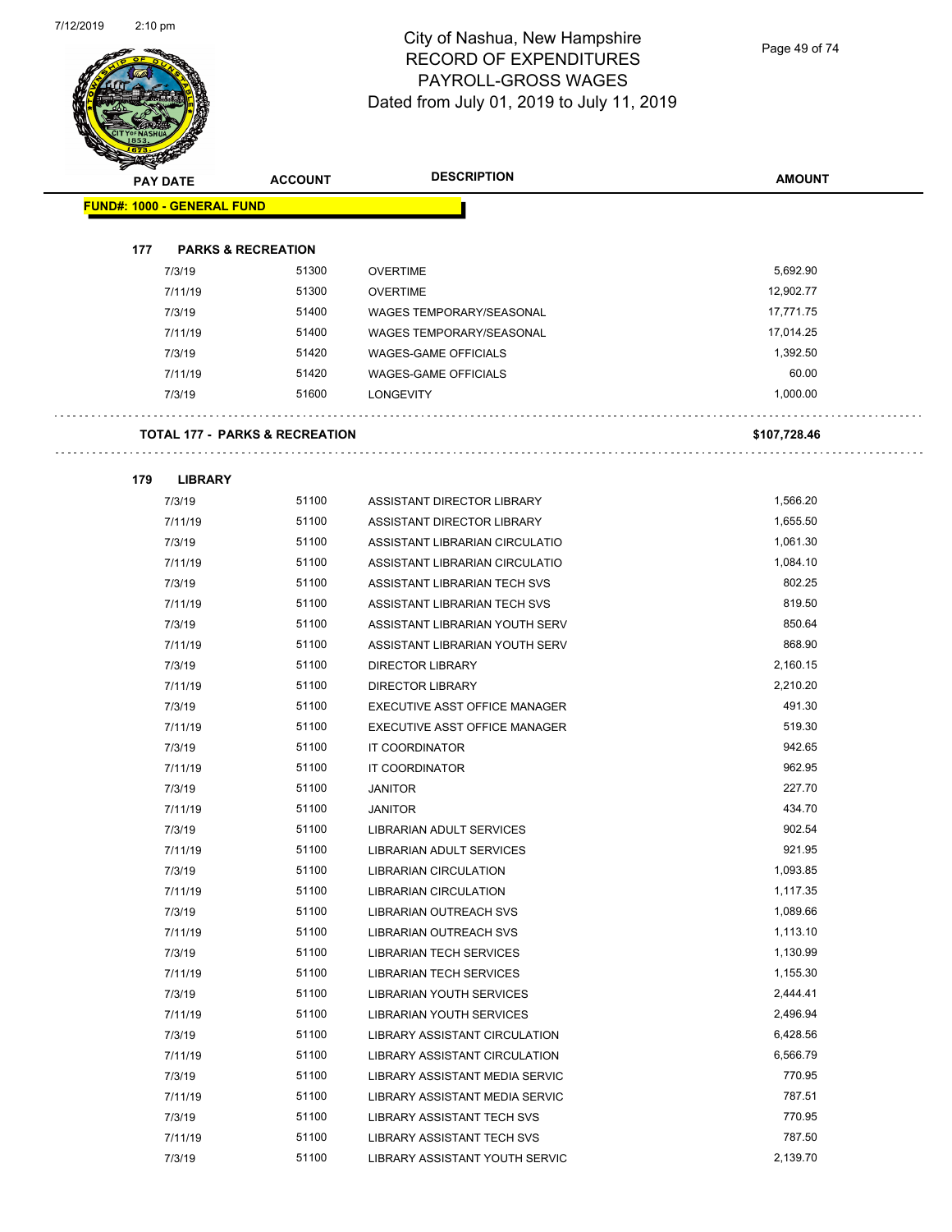Page 49 of 74

| <b>PAY DATE</b>                   | <b>ACCOUNT</b>                            | <b>DESCRIPTION</b>              | <b>AMOUNT</b> |
|-----------------------------------|-------------------------------------------|---------------------------------|---------------|
| <b>FUND#: 1000 - GENERAL FUND</b> |                                           |                                 |               |
|                                   |                                           |                                 |               |
| 177                               | <b>PARKS &amp; RECREATION</b>             |                                 |               |
| 7/3/19                            | 51300                                     | <b>OVERTIME</b>                 | 5,692.90      |
| 7/11/19                           | 51300                                     | <b>OVERTIME</b>                 | 12,902.77     |
| 7/3/19                            | 51400                                     | <b>WAGES TEMPORARY/SEASONAL</b> | 17,771.75     |
| 7/11/19                           | 51400                                     | <b>WAGES TEMPORARY/SEASONAL</b> | 17,014.25     |
| 7/3/19                            | 51420                                     | <b>WAGES-GAME OFFICIALS</b>     | 1,392.50      |
| 7/11/19                           | 51420                                     | <b>WAGES-GAME OFFICIALS</b>     | 60.00         |
| 7/3/19                            | 51600                                     | <b>LONGEVITY</b>                | 1,000.00      |
|                                   | <b>TOTAL 177 - PARKS &amp; RECREATION</b> |                                 | \$107,728.46  |
| 179<br><b>LIBRARY</b>             |                                           |                                 |               |
| 7/3/19                            | 51100                                     | ASSISTANT DIRECTOR LIBRARY      | 1,566.20      |
| 7/11/19                           | 51100                                     | ASSISTANT DIRECTOR LIBRARY      | 1,655.50      |
| 7/3/19                            | 51100                                     | ASSISTANT LIBRARIAN CIRCULATIO  | 1,061.30      |
| 7/11/19                           | 51100                                     | ASSISTANT LIBRARIAN CIRCULATIO  | 1,084.10      |
| 7/3/19                            | 51100                                     | ASSISTANT LIBRARIAN TECH SVS    | 802.25        |
| 7/11/19                           | 51100                                     | ASSISTANT LIBRARIAN TECH SVS    | 819.50        |
| 7/3/19                            | 51100                                     | ASSISTANT LIBRARIAN YOUTH SERV  | 850.64        |
| 7/11/19                           | 51100                                     | ASSISTANT LIBRARIAN YOUTH SERV  | 868.90        |
| 7/3/19                            | 51100                                     | DIRECTOR LIBRARY                | 2,160.15      |
| 7/11/19                           | 51100                                     | <b>DIRECTOR LIBRARY</b>         | 2,210.20      |
| 7/3/19                            | 51100                                     | EXECUTIVE ASST OFFICE MANAGER   | 491.30        |
| 7/11/19                           | 51100                                     | EXECUTIVE ASST OFFICE MANAGER   | 519.30        |
| 7/3/19                            | 51100                                     | IT COORDINATOR                  | 942.65        |
| 7/11/19                           | 51100                                     | <b>IT COORDINATOR</b>           | 962.95        |
| 7/3/19                            | 51100                                     | <b>JANITOR</b>                  | 227.70        |
| 7/11/19                           | 51100                                     | <b>JANITOR</b>                  | 434.70        |
| 7/3/19                            | 51100                                     | LIBRARIAN ADULT SERVICES        | 902.54        |
| 7/11/19                           | 51100                                     | LIBRARIAN ADULT SERVICES        | 921.95        |
| 7/3/19                            | 51100                                     | <b>LIBRARIAN CIRCULATION</b>    | 1,093.85      |
| 7/11/19                           | 51100                                     | LIBRARIAN CIRCULATION           | 1,117.35      |
| 7/3/19                            | 51100                                     | <b>LIBRARIAN OUTREACH SVS</b>   | 1,089.66      |
| 7/11/19                           | 51100                                     | LIBRARIAN OUTREACH SVS          | 1,113.10      |
| 7/3/19                            | 51100                                     | <b>LIBRARIAN TECH SERVICES</b>  | 1,130.99      |
| 7/11/19                           | 51100                                     | <b>LIBRARIAN TECH SERVICES</b>  | 1,155.30      |
| 7/3/19                            | 51100                                     | <b>LIBRARIAN YOUTH SERVICES</b> | 2,444.41      |
| 7/11/19                           | 51100                                     | LIBRARIAN YOUTH SERVICES        | 2,496.94      |
| 7/3/19                            | 51100                                     | LIBRARY ASSISTANT CIRCULATION   | 6,428.56      |
| 7/11/19                           | 51100                                     | LIBRARY ASSISTANT CIRCULATION   | 6,566.79      |
| 7/3/19                            | 51100                                     | LIBRARY ASSISTANT MEDIA SERVIC  | 770.95        |
| 7/11/19                           | 51100                                     | LIBRARY ASSISTANT MEDIA SERVIC  | 787.51        |
| 7/3/19                            | 51100                                     | LIBRARY ASSISTANT TECH SVS      | 770.95        |
| 7/11/19                           | 51100                                     | LIBRARY ASSISTANT TECH SVS      | 787.50        |
| 7/3/19                            | 51100                                     | LIBRARY ASSISTANT YOUTH SERVIC  | 2,139.70      |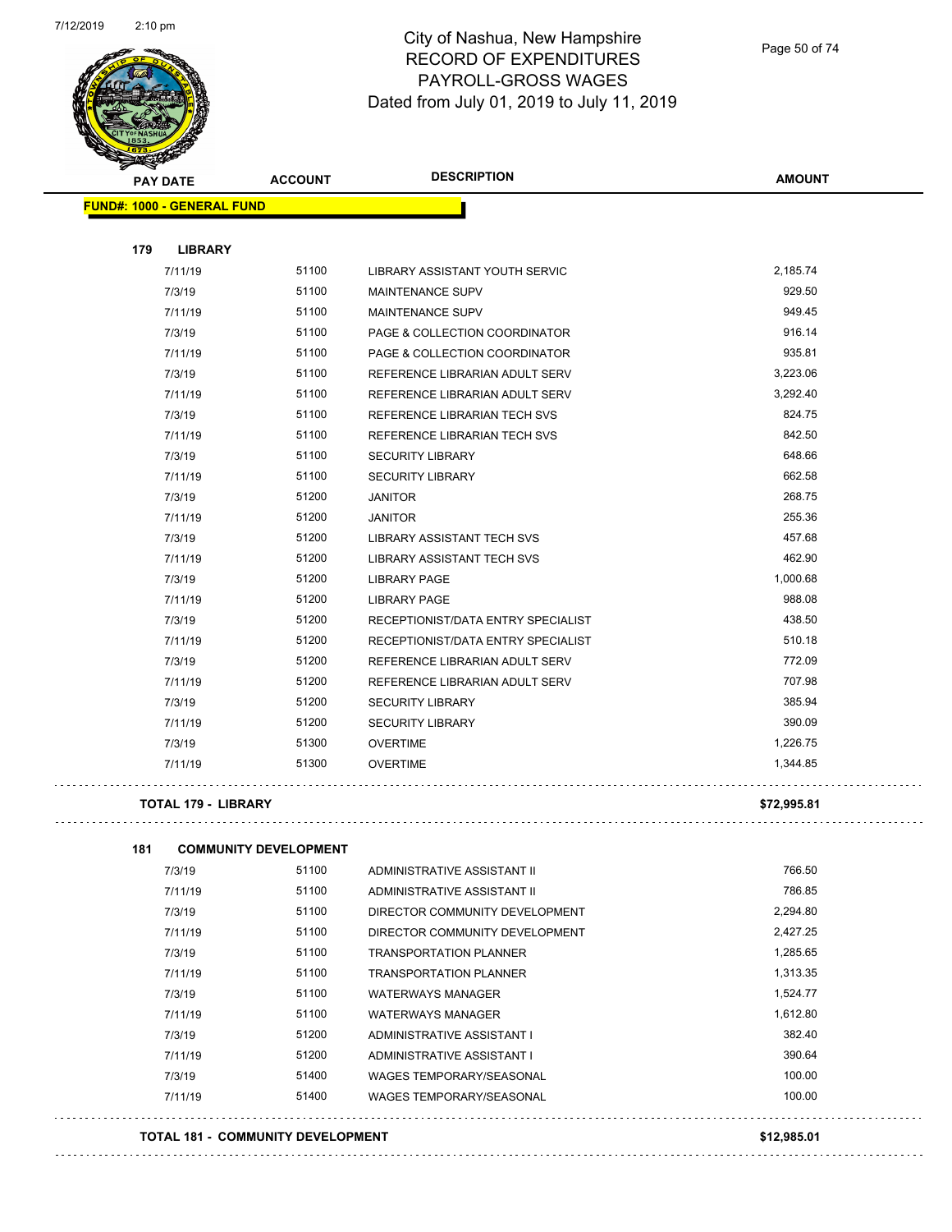

Page 50 of 74

| <b>Santa Career</b>               |                              |                                    |               |  |
|-----------------------------------|------------------------------|------------------------------------|---------------|--|
| <b>PAY DATE</b>                   | <b>ACCOUNT</b>               | <b>DESCRIPTION</b>                 | <b>AMOUNT</b> |  |
| <b>FUND#: 1000 - GENERAL FUND</b> |                              |                                    |               |  |
|                                   |                              |                                    |               |  |
| 179<br><b>LIBRARY</b>             |                              |                                    |               |  |
| 7/11/19                           | 51100                        | LIBRARY ASSISTANT YOUTH SERVIC     | 2,185.74      |  |
| 7/3/19                            | 51100                        | <b>MAINTENANCE SUPV</b>            | 929.50        |  |
| 7/11/19                           | 51100                        | <b>MAINTENANCE SUPV</b>            | 949.45        |  |
| 7/3/19                            | 51100                        | PAGE & COLLECTION COORDINATOR      | 916.14        |  |
| 7/11/19                           | 51100                        | PAGE & COLLECTION COORDINATOR      | 935.81        |  |
| 7/3/19                            | 51100                        | REFERENCE LIBRARIAN ADULT SERV     | 3,223.06      |  |
| 7/11/19                           | 51100                        | REFERENCE LIBRARIAN ADULT SERV     | 3,292.40      |  |
| 7/3/19                            | 51100                        | REFERENCE LIBRARIAN TECH SVS       | 824.75        |  |
| 7/11/19                           | 51100                        | REFERENCE LIBRARIAN TECH SVS       | 842.50        |  |
| 7/3/19                            | 51100                        | <b>SECURITY LIBRARY</b>            | 648.66        |  |
| 7/11/19                           | 51100                        | <b>SECURITY LIBRARY</b>            | 662.58        |  |
| 7/3/19                            | 51200                        | <b>JANITOR</b>                     | 268.75        |  |
| 7/11/19                           | 51200                        | <b>JANITOR</b>                     | 255.36        |  |
| 7/3/19                            | 51200                        | <b>LIBRARY ASSISTANT TECH SVS</b>  | 457.68        |  |
| 7/11/19                           | 51200                        | <b>LIBRARY ASSISTANT TECH SVS</b>  | 462.90        |  |
| 7/3/19                            | 51200                        | <b>LIBRARY PAGE</b>                | 1,000.68      |  |
| 7/11/19                           | 51200                        | <b>LIBRARY PAGE</b>                | 988.08        |  |
| 7/3/19                            | 51200                        | RECEPTIONIST/DATA ENTRY SPECIALIST | 438.50        |  |
| 7/11/19                           | 51200                        | RECEPTIONIST/DATA ENTRY SPECIALIST | 510.18        |  |
| 7/3/19                            | 51200                        | REFERENCE LIBRARIAN ADULT SERV     | 772.09        |  |
| 7/11/19                           | 51200                        | REFERENCE LIBRARIAN ADULT SERV     | 707.98        |  |
| 7/3/19                            | 51200                        | <b>SECURITY LIBRARY</b>            | 385.94        |  |
| 7/11/19                           | 51200                        | <b>SECURITY LIBRARY</b>            | 390.09        |  |
| 7/3/19                            | 51300                        | <b>OVERTIME</b>                    | 1,226.75      |  |
| 7/11/19                           | 51300                        | <b>OVERTIME</b>                    | 1,344.85      |  |
| TOTAL 179 - LIBRARY               |                              |                                    | \$72,995.81   |  |
| 181                               | <b>COMMUNITY DEVELOPMENT</b> |                                    |               |  |
| 7/3/19                            | 51100                        | ADMINISTRATIVE ASSISTANT II        | 766.50        |  |
| 7/11/19                           | 51100                        | ADMINISTRATIVE ASSISTANT II        | 786.85        |  |
| 7/3/19                            | 51100                        | DIRECTOR COMMUNITY DEVELOPMENT     | 2.294.80      |  |

| 7/11/19 | 51100 | ADMINISTRATIVE ASSISTANT II     | 786.85   |
|---------|-------|---------------------------------|----------|
| 7/3/19  | 51100 | DIRECTOR COMMUNITY DEVELOPMENT  | 2,294.80 |
| 7/11/19 | 51100 | DIRECTOR COMMUNITY DEVELOPMENT  | 2,427.25 |
| 7/3/19  | 51100 | <b>TRANSPORTATION PLANNER</b>   | 1,285.65 |
| 7/11/19 | 51100 | <b>TRANSPORTATION PLANNER</b>   | 1,313.35 |
| 7/3/19  | 51100 | <b>WATERWAYS MANAGER</b>        | 1,524.77 |
| 7/11/19 | 51100 | <b>WATERWAYS MANAGER</b>        | 1,612.80 |
| 7/3/19  | 51200 | ADMINISTRATIVE ASSISTANT I      | 382.40   |
| 7/11/19 | 51200 | ADMINISTRATIVE ASSISTANT I      | 390.64   |
| 7/3/19  | 51400 | <b>WAGES TEMPORARY/SEASONAL</b> | 100.00   |
| 7/11/19 | 51400 | WAGES TEMPORARY/SEASONAL        | 100.00   |
|         |       |                                 |          |

#### **TOTAL 181 - COMMUNITY DEVELOPMENT \$12,985.01**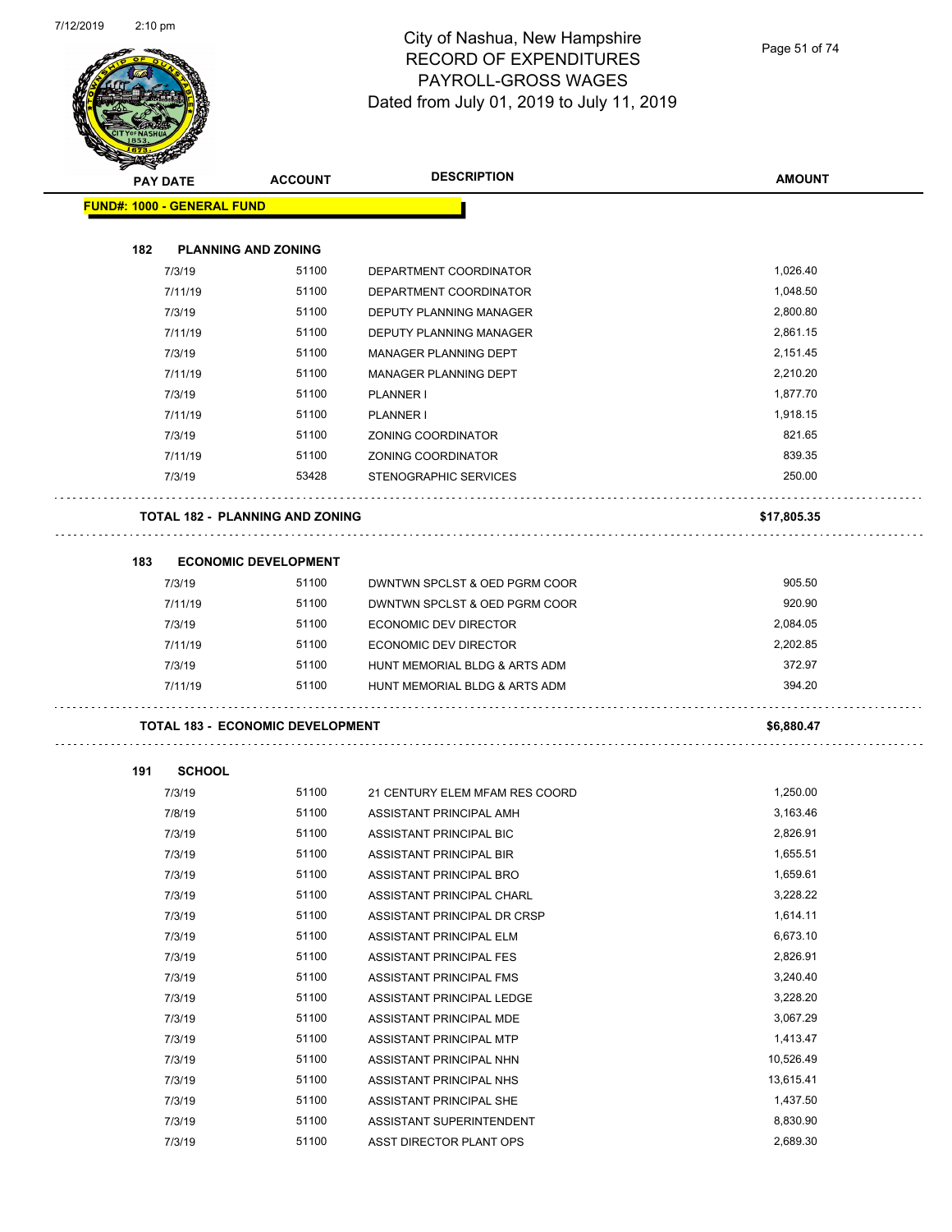

Page 51 of 74

|     | <b>PAY DATE</b>                   | <b>ACCOUNT</b>                          | <b>DESCRIPTION</b>             | <b>AMOUNT</b> |
|-----|-----------------------------------|-----------------------------------------|--------------------------------|---------------|
|     | <b>FUND#: 1000 - GENERAL FUND</b> |                                         |                                |               |
| 182 |                                   | <b>PLANNING AND ZONING</b>              |                                |               |
|     | 7/3/19                            | 51100                                   | DEPARTMENT COORDINATOR         | 1,026.40      |
|     | 7/11/19                           | 51100                                   | DEPARTMENT COORDINATOR         | 1,048.50      |
|     | 7/3/19                            | 51100                                   | DEPUTY PLANNING MANAGER        | 2,800.80      |
|     | 7/11/19                           | 51100                                   | DEPUTY PLANNING MANAGER        | 2,861.15      |
|     | 7/3/19                            | 51100                                   | MANAGER PLANNING DEPT          | 2,151.45      |
|     | 7/11/19                           | 51100                                   | MANAGER PLANNING DEPT          | 2,210.20      |
|     | 7/3/19                            | 51100                                   | PLANNER I                      | 1,877.70      |
|     | 7/11/19                           | 51100                                   | PLANNER I                      | 1,918.15      |
|     | 7/3/19                            | 51100                                   | ZONING COORDINATOR             | 821.65        |
|     | 7/11/19                           | 51100                                   | <b>ZONING COORDINATOR</b>      | 839.35        |
|     | 7/3/19                            | 53428                                   | STENOGRAPHIC SERVICES          | 250.00        |
|     |                                   | TOTAL 182 - PLANNING AND ZONING         |                                | \$17,805.35   |
| 183 |                                   | <b>ECONOMIC DEVELOPMENT</b>             |                                |               |
|     | 7/3/19                            | 51100                                   | DWNTWN SPCLST & OED PGRM COOR  | 905.50        |
|     | 7/11/19                           | 51100                                   | DWNTWN SPCLST & OED PGRM COOR  | 920.90        |
|     | 7/3/19                            | 51100                                   | <b>ECONOMIC DEV DIRECTOR</b>   | 2,084.05      |
|     | 7/11/19                           | 51100                                   | <b>ECONOMIC DEV DIRECTOR</b>   | 2,202.85      |
|     | 7/3/19                            | 51100                                   | HUNT MEMORIAL BLDG & ARTS ADM  | 372.97        |
|     | 7/11/19                           | 51100                                   | HUNT MEMORIAL BLDG & ARTS ADM  | 394.20        |
|     |                                   | <b>TOTAL 183 - ECONOMIC DEVELOPMENT</b> |                                | \$6,880.47    |
| 191 | <b>SCHOOL</b>                     |                                         |                                |               |
|     | 7/3/19                            | 51100                                   | 21 CENTURY ELEM MFAM RES COORD | 1,250.00      |
|     | 7/8/19                            | 51100                                   | ASSISTANT PRINCIPAL AMH        | 3,163.46      |
|     | 7/3/19                            | 51100                                   | ASSISTANT PRINCIPAL BIC        | 2,826.91      |
|     | 7/3/19                            | 51100                                   | ASSISTANT PRINCIPAL BIR        | 1,655.51      |
|     | 7/3/19                            | 51100                                   | ASSISTANT PRINCIPAL BRO        | 1,659.61      |
|     | 7/3/19                            | 51100                                   | ASSISTANT PRINCIPAL CHARL      | 3,228.22      |
|     | 7/3/19                            | 51100                                   | ASSISTANT PRINCIPAL DR CRSP    | 1,614.11      |
|     | 7/3/19                            | 51100                                   | ASSISTANT PRINCIPAL ELM        | 6,673.10      |
|     | 7/3/19                            | 51100                                   | ASSISTANT PRINCIPAL FES        | 2,826.91      |
|     | 7/3/19                            | 51100                                   | ASSISTANT PRINCIPAL FMS        | 3,240.40      |
|     | 7/3/19                            | 51100                                   | ASSISTANT PRINCIPAL LEDGE      | 3,228.20      |
|     | 7/3/19                            | 51100                                   | ASSISTANT PRINCIPAL MDE        | 3,067.29      |
|     | 7/3/19                            | 51100                                   | ASSISTANT PRINCIPAL MTP        | 1,413.47      |
|     | 7/3/19                            | 51100                                   | ASSISTANT PRINCIPAL NHN        | 10,526.49     |
|     | 7/3/19                            | 51100                                   | ASSISTANT PRINCIPAL NHS        | 13,615.41     |
|     | 7/3/19                            | 51100                                   | ASSISTANT PRINCIPAL SHE        | 1,437.50      |
|     | 7/3/19                            | 51100                                   | ASSISTANT SUPERINTENDENT       | 8,830.90      |
|     | 7/3/19                            | 51100                                   | ASST DIRECTOR PLANT OPS        | 2,689.30      |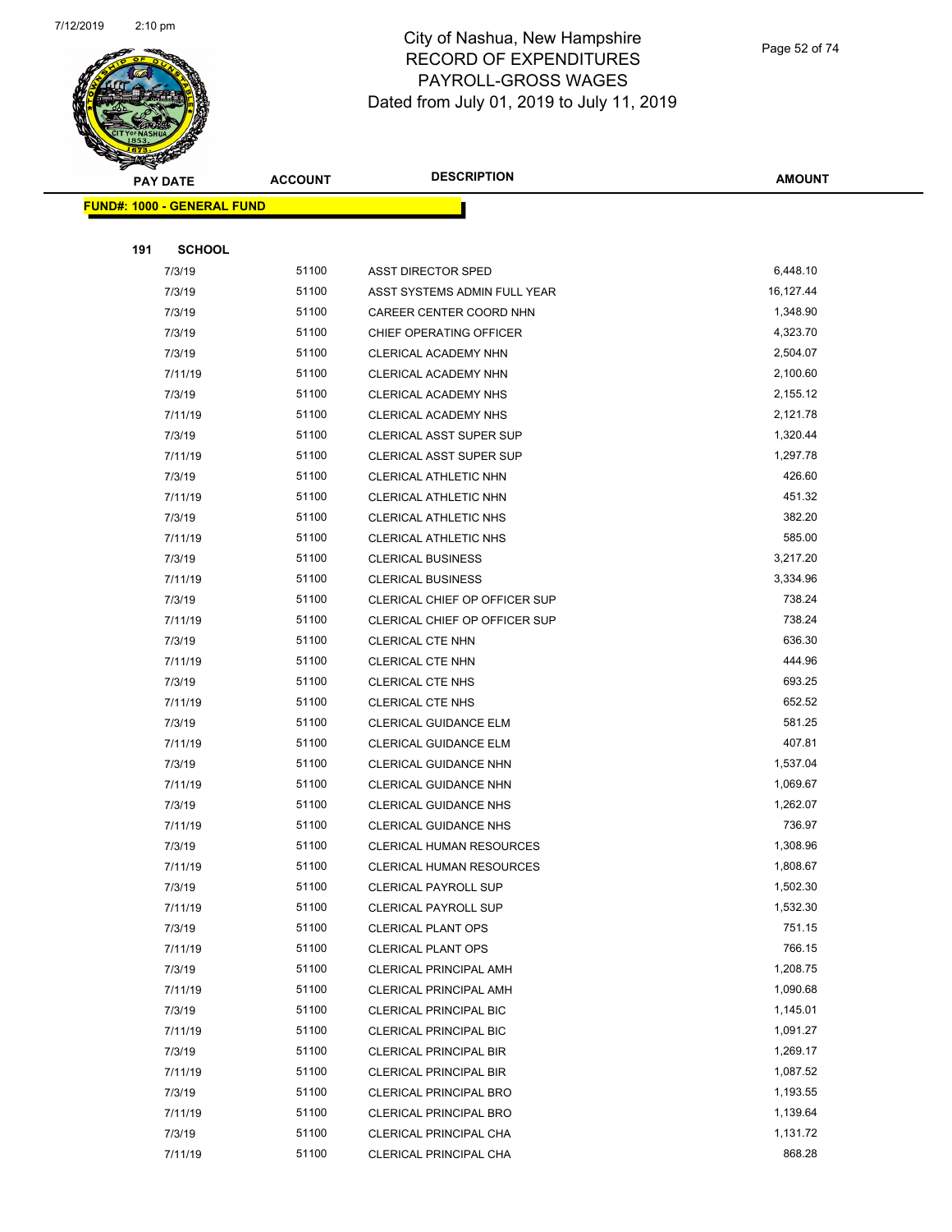

Page 52 of 74

| <b>PAY DATE</b>                   | <b>ACCOUNT</b> | <b>DESCRIPTION</b>             | <b>AMOUNT</b> |
|-----------------------------------|----------------|--------------------------------|---------------|
| <b>FUND#: 1000 - GENERAL FUND</b> |                |                                |               |
|                                   |                |                                |               |
| 191<br><b>SCHOOL</b>              |                |                                |               |
| 7/3/19                            | 51100          | <b>ASST DIRECTOR SPED</b>      | 6,448.10      |
| 7/3/19                            | 51100          | ASST SYSTEMS ADMIN FULL YEAR   | 16,127.44     |
| 7/3/19                            | 51100          | CAREER CENTER COORD NHN        | 1,348.90      |
| 7/3/19                            | 51100          | CHIEF OPERATING OFFICER        | 4,323.70      |
| 7/3/19                            | 51100          | CLERICAL ACADEMY NHN           | 2,504.07      |
| 7/11/19                           | 51100          | CLERICAL ACADEMY NHN           | 2,100.60      |
| 7/3/19                            | 51100          | CLERICAL ACADEMY NHS           | 2,155.12      |
| 7/11/19                           | 51100          | CLERICAL ACADEMY NHS           | 2,121.78      |
| 7/3/19                            | 51100          | CLERICAL ASST SUPER SUP        | 1,320.44      |
| 7/11/19                           | 51100          | <b>CLERICAL ASST SUPER SUP</b> | 1,297.78      |
| 7/3/19                            | 51100          | CLERICAL ATHLETIC NHN          | 426.60        |
| 7/11/19                           | 51100          | CLERICAL ATHLETIC NHN          | 451.32        |
| 7/3/19                            | 51100          | <b>CLERICAL ATHLETIC NHS</b>   | 382.20        |
| 7/11/19                           | 51100          | <b>CLERICAL ATHLETIC NHS</b>   | 585.00        |
| 7/3/19                            | 51100          | <b>CLERICAL BUSINESS</b>       | 3,217.20      |
| 7/11/19                           | 51100          | <b>CLERICAL BUSINESS</b>       | 3,334.96      |
| 7/3/19                            | 51100          | CLERICAL CHIEF OP OFFICER SUP  | 738.24        |
| 7/11/19                           | 51100          | CLERICAL CHIEF OP OFFICER SUP  | 738.24        |
| 7/3/19                            | 51100          | CLERICAL CTE NHN               | 636.30        |
| 7/11/19                           | 51100          | CLERICAL CTE NHN               | 444.96        |
| 7/3/19                            | 51100          | CLERICAL CTE NHS               | 693.25        |
| 7/11/19                           | 51100          | <b>CLERICAL CTE NHS</b>        | 652.52        |
| 7/3/19                            | 51100          | CLERICAL GUIDANCE ELM          | 581.25        |
| 7/11/19                           | 51100          | CLERICAL GUIDANCE ELM          | 407.81        |
| 7/3/19                            | 51100          | CLERICAL GUIDANCE NHN          | 1,537.04      |
| 7/11/19                           | 51100          | <b>CLERICAL GUIDANCE NHN</b>   | 1,069.67      |
| 7/3/19                            | 51100          | <b>CLERICAL GUIDANCE NHS</b>   | 1,262.07      |
| 7/11/19                           | 51100          | <b>CLERICAL GUIDANCE NHS</b>   | 736.97        |
| 7/3/19                            | 51100          | CLERICAL HUMAN RESOURCES       | 1,308.96      |
| 7/11/19                           | 51100          | CLERICAL HUMAN RESOURCES       | 1,808.67      |
| 7/3/19                            | 51100          | <b>CLERICAL PAYROLL SUP</b>    | 1,502.30      |
| 7/11/19                           | 51100          | <b>CLERICAL PAYROLL SUP</b>    | 1,532.30      |
| 7/3/19                            | 51100          | <b>CLERICAL PLANT OPS</b>      | 751.15        |
| 7/11/19                           | 51100          | <b>CLERICAL PLANT OPS</b>      | 766.15        |
| 7/3/19                            | 51100          | <b>CLERICAL PRINCIPAL AMH</b>  | 1,208.75      |
| 7/11/19                           | 51100          | <b>CLERICAL PRINCIPAL AMH</b>  | 1,090.68      |
| 7/3/19                            | 51100          | <b>CLERICAL PRINCIPAL BIC</b>  | 1,145.01      |
| 7/11/19                           | 51100          | <b>CLERICAL PRINCIPAL BIC</b>  | 1,091.27      |
| 7/3/19                            | 51100          | <b>CLERICAL PRINCIPAL BIR</b>  | 1,269.17      |
| 7/11/19                           | 51100          | <b>CLERICAL PRINCIPAL BIR</b>  | 1,087.52      |
| 7/3/19                            | 51100          | <b>CLERICAL PRINCIPAL BRO</b>  | 1,193.55      |
| 7/11/19                           | 51100          | <b>CLERICAL PRINCIPAL BRO</b>  | 1,139.64      |
| 7/3/19                            | 51100          | CLERICAL PRINCIPAL CHA         | 1,131.72      |
| 7/11/19                           | 51100          | CLERICAL PRINCIPAL CHA         | 868.28        |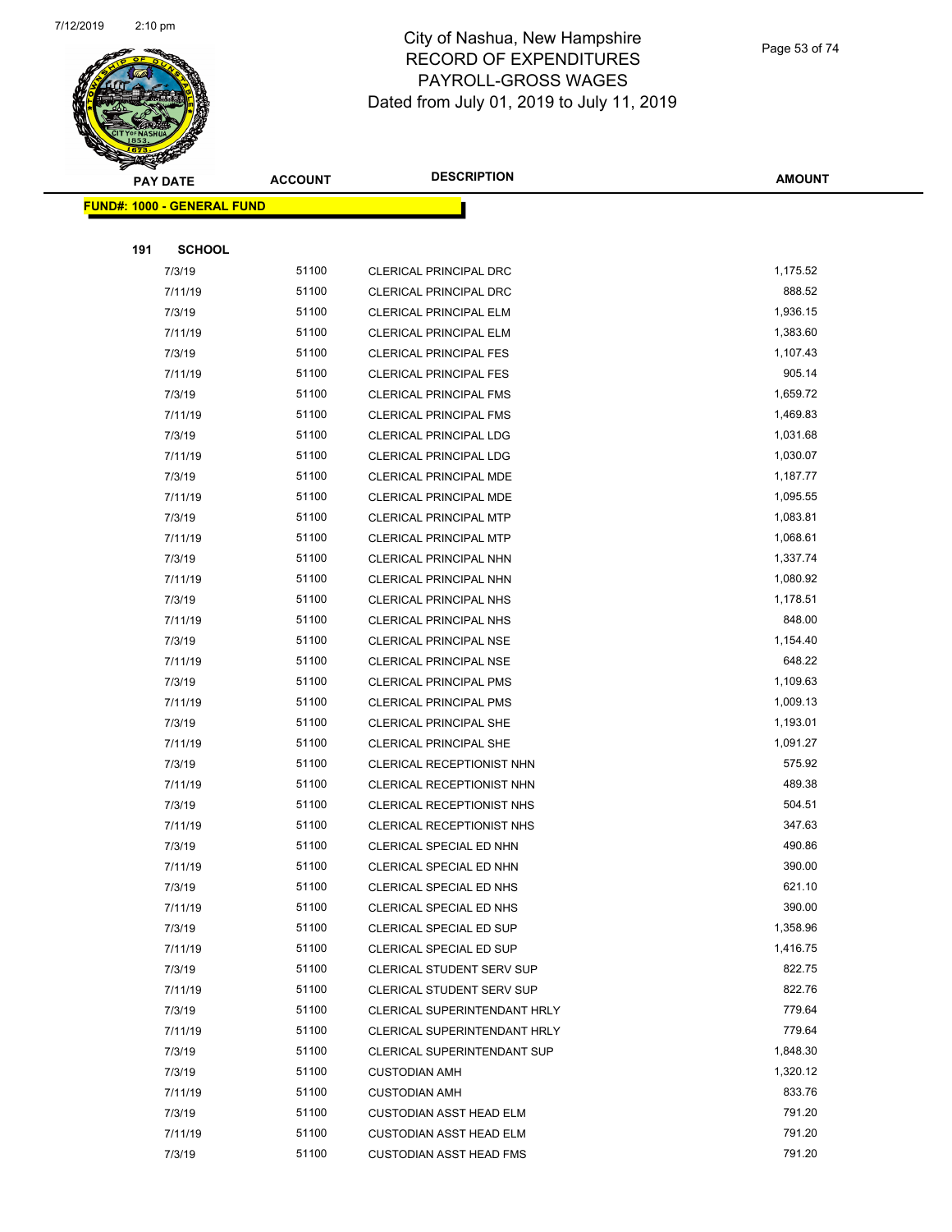

Page 53 of 74

|                                   | <b>PAY DATE</b> | <b>ACCOUNT</b> | <b>DESCRIPTION</b>             | <b>AMOUNT</b> |
|-----------------------------------|-----------------|----------------|--------------------------------|---------------|
| <b>FUND#: 1000 - GENERAL FUND</b> |                 |                |                                |               |
|                                   |                 |                |                                |               |
| 191                               | <b>SCHOOL</b>   |                |                                |               |
|                                   | 7/3/19          | 51100          | CLERICAL PRINCIPAL DRC         | 1,175.52      |
|                                   | 7/11/19         | 51100          | <b>CLERICAL PRINCIPAL DRC</b>  | 888.52        |
|                                   | 7/3/19          | 51100          | <b>CLERICAL PRINCIPAL ELM</b>  | 1,936.15      |
|                                   | 7/11/19         | 51100          | <b>CLERICAL PRINCIPAL ELM</b>  | 1,383.60      |
|                                   | 7/3/19          | 51100          | <b>CLERICAL PRINCIPAL FES</b>  | 1,107.43      |
|                                   | 7/11/19         | 51100          | <b>CLERICAL PRINCIPAL FES</b>  | 905.14        |
|                                   | 7/3/19          | 51100          | <b>CLERICAL PRINCIPAL FMS</b>  | 1,659.72      |
|                                   | 7/11/19         | 51100          | <b>CLERICAL PRINCIPAL FMS</b>  | 1,469.83      |
|                                   | 7/3/19          | 51100          | <b>CLERICAL PRINCIPAL LDG</b>  | 1,031.68      |
|                                   | 7/11/19         | 51100          | CLERICAL PRINCIPAL LDG         | 1,030.07      |
|                                   | 7/3/19          | 51100          | <b>CLERICAL PRINCIPAL MDE</b>  | 1,187.77      |
|                                   | 7/11/19         | 51100          | CLERICAL PRINCIPAL MDE         | 1,095.55      |
|                                   | 7/3/19          | 51100          | <b>CLERICAL PRINCIPAL MTP</b>  | 1,083.81      |
|                                   | 7/11/19         | 51100          | <b>CLERICAL PRINCIPAL MTP</b>  | 1,068.61      |
|                                   | 7/3/19          | 51100          | <b>CLERICAL PRINCIPAL NHN</b>  | 1,337.74      |
|                                   | 7/11/19         | 51100          | <b>CLERICAL PRINCIPAL NHN</b>  | 1,080.92      |
|                                   | 7/3/19          | 51100          | <b>CLERICAL PRINCIPAL NHS</b>  | 1,178.51      |
|                                   | 7/11/19         | 51100          | <b>CLERICAL PRINCIPAL NHS</b>  | 848.00        |
|                                   | 7/3/19          | 51100          | <b>CLERICAL PRINCIPAL NSE</b>  | 1,154.40      |
|                                   | 7/11/19         | 51100          | CLERICAL PRINCIPAL NSE         | 648.22        |
|                                   | 7/3/19          | 51100          | <b>CLERICAL PRINCIPAL PMS</b>  | 1,109.63      |
|                                   | 7/11/19         | 51100          | <b>CLERICAL PRINCIPAL PMS</b>  | 1,009.13      |
|                                   | 7/3/19          | 51100          | <b>CLERICAL PRINCIPAL SHE</b>  | 1,193.01      |
|                                   | 7/11/19         | 51100          | <b>CLERICAL PRINCIPAL SHE</b>  | 1,091.27      |
|                                   | 7/3/19          | 51100          | CLERICAL RECEPTIONIST NHN      | 575.92        |
|                                   | 7/11/19         | 51100          | CLERICAL RECEPTIONIST NHN      | 489.38        |
|                                   | 7/3/19          | 51100          | CLERICAL RECEPTIONIST NHS      | 504.51        |
|                                   | 7/11/19         | 51100          | CLERICAL RECEPTIONIST NHS      | 347.63        |
|                                   | 7/3/19          | 51100          | CLERICAL SPECIAL ED NHN        | 490.86        |
|                                   | 7/11/19         | 51100          | CLERICAL SPECIAL ED NHN        | 390.00        |
|                                   | 7/3/19          | 51100          | CLERICAL SPECIAL ED NHS        | 621.10        |
|                                   | 7/11/19         | 51100          | CLERICAL SPECIAL ED NHS        | 390.00        |
|                                   | 7/3/19          | 51100          | CLERICAL SPECIAL ED SUP        | 1,358.96      |
|                                   | 7/11/19         | 51100          | CLERICAL SPECIAL ED SUP        | 1,416.75      |
|                                   | 7/3/19          | 51100          | CLERICAL STUDENT SERV SUP      | 822.75        |
|                                   | 7/11/19         | 51100          | CLERICAL STUDENT SERV SUP      | 822.76        |
|                                   | 7/3/19          | 51100          | CLERICAL SUPERINTENDANT HRLY   | 779.64        |
|                                   | 7/11/19         | 51100          | CLERICAL SUPERINTENDANT HRLY   | 779.64        |
|                                   | 7/3/19          | 51100          | CLERICAL SUPERINTENDANT SUP    | 1,848.30      |
|                                   | 7/3/19          | 51100          | <b>CUSTODIAN AMH</b>           | 1,320.12      |
|                                   | 7/11/19         | 51100          | <b>CUSTODIAN AMH</b>           | 833.76        |
|                                   | 7/3/19          | 51100          | <b>CUSTODIAN ASST HEAD ELM</b> | 791.20        |
|                                   | 7/11/19         | 51100          | <b>CUSTODIAN ASST HEAD ELM</b> | 791.20        |
|                                   | 7/3/19          | 51100          | <b>CUSTODIAN ASST HEAD FMS</b> | 791.20        |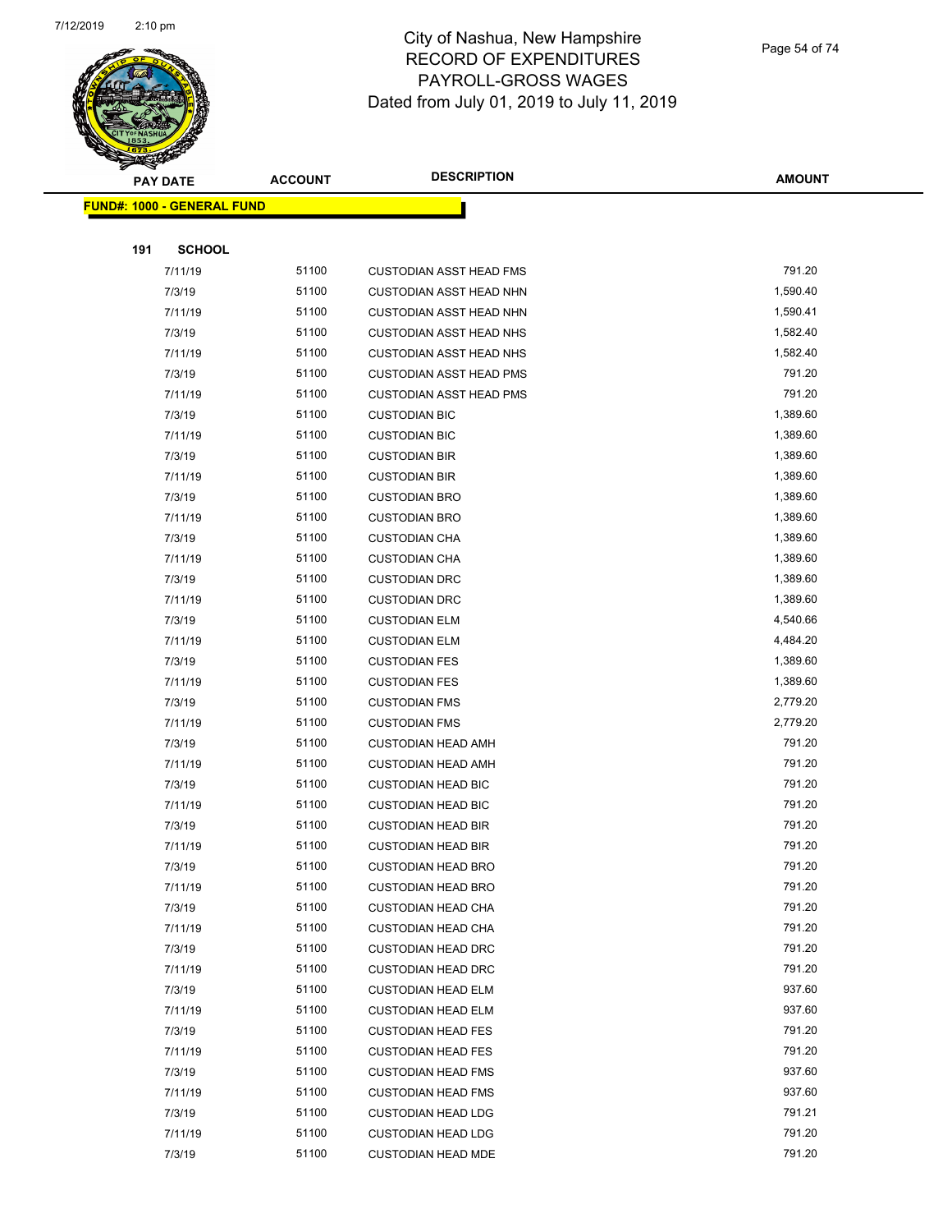

Page 54 of 74

|     | <b>PAY DATE</b>                    | <b>ACCOUNT</b> | <b>DESCRIPTION</b>             | <b>AMOUNT</b> |
|-----|------------------------------------|----------------|--------------------------------|---------------|
|     | <u> FUND#: 1000 - GENERAL FUND</u> |                |                                |               |
|     |                                    |                |                                |               |
| 191 | <b>SCHOOL</b>                      |                |                                |               |
|     | 7/11/19                            | 51100          | <b>CUSTODIAN ASST HEAD FMS</b> | 791.20        |
|     | 7/3/19                             | 51100          | CUSTODIAN ASST HEAD NHN        | 1,590.40      |
|     | 7/11/19                            | 51100          | <b>CUSTODIAN ASST HEAD NHN</b> | 1,590.41      |
|     | 7/3/19                             | 51100          | <b>CUSTODIAN ASST HEAD NHS</b> | 1,582.40      |
|     | 7/11/19                            | 51100          | <b>CUSTODIAN ASST HEAD NHS</b> | 1,582.40      |
|     | 7/3/19                             | 51100          | <b>CUSTODIAN ASST HEAD PMS</b> | 791.20        |
|     | 7/11/19                            | 51100          | <b>CUSTODIAN ASST HEAD PMS</b> | 791.20        |
|     | 7/3/19                             | 51100          | <b>CUSTODIAN BIC</b>           | 1,389.60      |
|     | 7/11/19                            | 51100          | <b>CUSTODIAN BIC</b>           | 1,389.60      |
|     | 7/3/19                             | 51100          | <b>CUSTODIAN BIR</b>           | 1,389.60      |
|     | 7/11/19                            | 51100          | <b>CUSTODIAN BIR</b>           | 1,389.60      |
|     | 7/3/19                             | 51100          | <b>CUSTODIAN BRO</b>           | 1,389.60      |
|     | 7/11/19                            | 51100          | <b>CUSTODIAN BRO</b>           | 1,389.60      |
|     | 7/3/19                             | 51100          | <b>CUSTODIAN CHA</b>           | 1,389.60      |
|     | 7/11/19                            | 51100          | <b>CUSTODIAN CHA</b>           | 1,389.60      |
|     | 7/3/19                             | 51100          | <b>CUSTODIAN DRC</b>           | 1,389.60      |
|     | 7/11/19                            | 51100          | <b>CUSTODIAN DRC</b>           | 1,389.60      |
|     | 7/3/19                             | 51100          | <b>CUSTODIAN ELM</b>           | 4,540.66      |
|     | 7/11/19                            | 51100          | <b>CUSTODIAN ELM</b>           | 4,484.20      |
|     | 7/3/19                             | 51100          | <b>CUSTODIAN FES</b>           | 1,389.60      |
|     | 7/11/19                            | 51100          | <b>CUSTODIAN FES</b>           | 1,389.60      |
|     | 7/3/19                             | 51100          | <b>CUSTODIAN FMS</b>           | 2,779.20      |
|     | 7/11/19                            | 51100          | <b>CUSTODIAN FMS</b>           | 2,779.20      |
|     | 7/3/19                             | 51100          | <b>CUSTODIAN HEAD AMH</b>      | 791.20        |
|     | 7/11/19                            | 51100          | <b>CUSTODIAN HEAD AMH</b>      | 791.20        |
|     | 7/3/19                             | 51100          | <b>CUSTODIAN HEAD BIC</b>      | 791.20        |
|     | 7/11/19                            | 51100          | <b>CUSTODIAN HEAD BIC</b>      | 791.20        |
|     | 7/3/19                             | 51100          | <b>CUSTODIAN HEAD BIR</b>      | 791.20        |
|     | 7/11/19                            | 51100          | <b>CUSTODIAN HEAD BIR</b>      | 791.20        |
|     | 7/3/19                             | 51100          | <b>CUSTODIAN HEAD BRO</b>      | 791.20        |
|     | 7/11/19                            | 51100          | <b>CUSTODIAN HEAD BRO</b>      | 791.20        |
|     | 7/3/19                             | 51100          | <b>CUSTODIAN HEAD CHA</b>      | 791.20        |
|     | 7/11/19                            | 51100          | <b>CUSTODIAN HEAD CHA</b>      | 791.20        |
|     | 7/3/19                             | 51100          | <b>CUSTODIAN HEAD DRC</b>      | 791.20        |
|     | 7/11/19                            | 51100          | <b>CUSTODIAN HEAD DRC</b>      | 791.20        |
|     | 7/3/19                             | 51100          | <b>CUSTODIAN HEAD ELM</b>      | 937.60        |
|     | 7/11/19                            | 51100          | <b>CUSTODIAN HEAD ELM</b>      | 937.60        |
|     | 7/3/19                             | 51100          | <b>CUSTODIAN HEAD FES</b>      | 791.20        |
|     | 7/11/19                            | 51100          | <b>CUSTODIAN HEAD FES</b>      | 791.20        |
|     | 7/3/19                             | 51100          | <b>CUSTODIAN HEAD FMS</b>      | 937.60        |
|     | 7/11/19                            | 51100          | <b>CUSTODIAN HEAD FMS</b>      | 937.60        |
|     | 7/3/19                             | 51100          | <b>CUSTODIAN HEAD LDG</b>      | 791.21        |
|     | 7/11/19                            | 51100          | <b>CUSTODIAN HEAD LDG</b>      | 791.20        |
|     | 7/3/19                             | 51100          | <b>CUSTODIAN HEAD MDE</b>      | 791.20        |
|     |                                    |                |                                |               |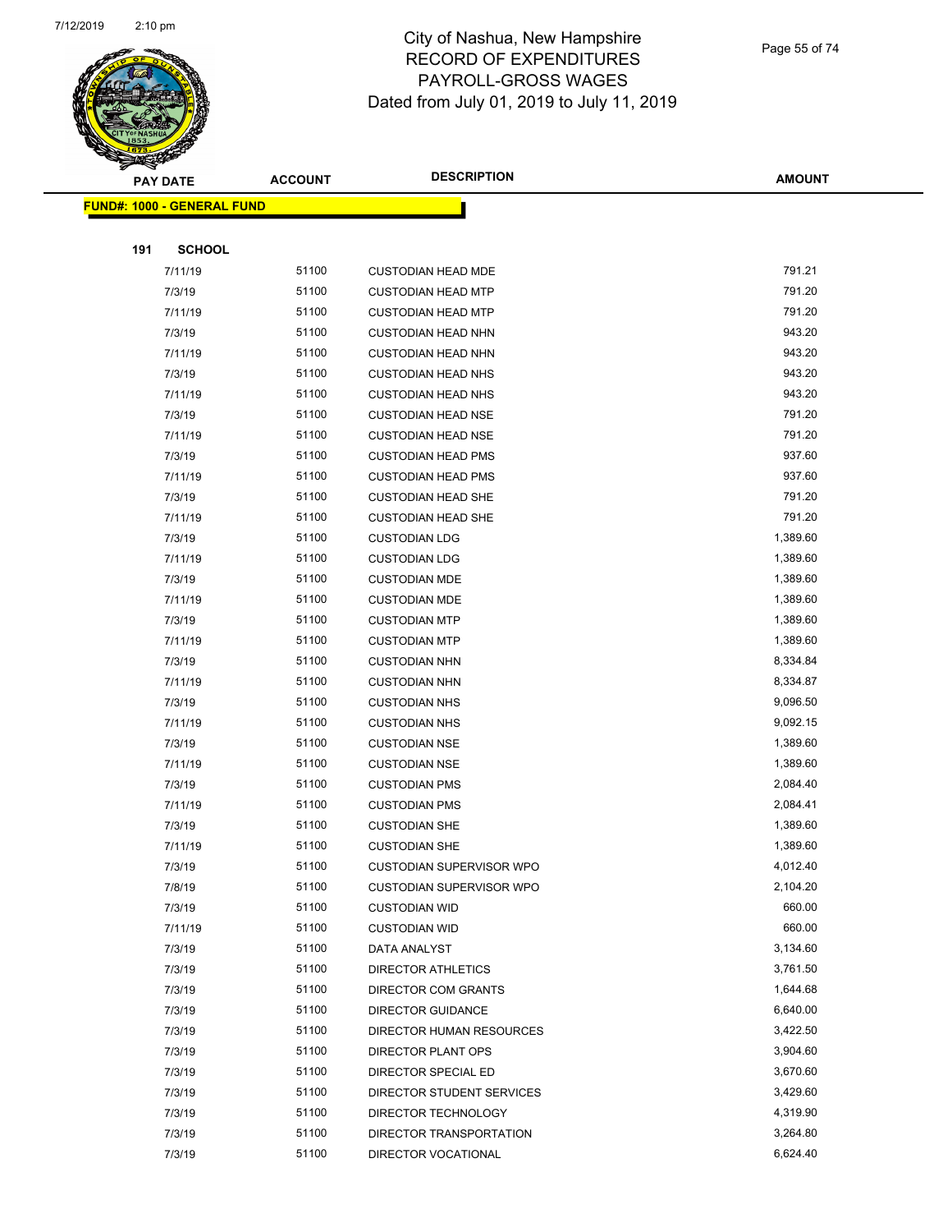

Page 55 of 74

|     | <b>PAY DATE</b>                   | <b>ACCOUNT</b> | <b>DESCRIPTION</b>                        | <b>AMOUNT</b>      |
|-----|-----------------------------------|----------------|-------------------------------------------|--------------------|
|     | <b>FUND#: 1000 - GENERAL FUND</b> |                |                                           |                    |
|     |                                   |                |                                           |                    |
| 191 | <b>SCHOOL</b>                     |                |                                           |                    |
|     | 7/11/19                           | 51100          | <b>CUSTODIAN HEAD MDE</b>                 | 791.21             |
|     | 7/3/19                            | 51100          | <b>CUSTODIAN HEAD MTP</b>                 | 791.20             |
|     | 7/11/19                           | 51100          | <b>CUSTODIAN HEAD MTP</b>                 | 791.20             |
|     | 7/3/19                            | 51100          | <b>CUSTODIAN HEAD NHN</b>                 | 943.20             |
|     | 7/11/19                           | 51100          | <b>CUSTODIAN HEAD NHN</b>                 | 943.20             |
|     | 7/3/19                            | 51100          | <b>CUSTODIAN HEAD NHS</b>                 | 943.20             |
|     | 7/11/19                           | 51100          | <b>CUSTODIAN HEAD NHS</b>                 | 943.20             |
|     | 7/3/19                            | 51100          | <b>CUSTODIAN HEAD NSE</b>                 | 791.20             |
|     | 7/11/19                           | 51100          | <b>CUSTODIAN HEAD NSE</b>                 | 791.20             |
|     | 7/3/19                            | 51100          | <b>CUSTODIAN HEAD PMS</b>                 | 937.60             |
|     | 7/11/19                           | 51100          | <b>CUSTODIAN HEAD PMS</b>                 | 937.60             |
|     | 7/3/19                            | 51100          | <b>CUSTODIAN HEAD SHE</b>                 | 791.20             |
|     | 7/11/19                           | 51100          | <b>CUSTODIAN HEAD SHE</b>                 | 791.20             |
|     | 7/3/19                            | 51100          | <b>CUSTODIAN LDG</b>                      | 1,389.60           |
|     | 7/11/19                           | 51100          | <b>CUSTODIAN LDG</b>                      | 1,389.60           |
|     | 7/3/19                            | 51100          | <b>CUSTODIAN MDE</b>                      | 1,389.60           |
|     | 7/11/19                           | 51100          | <b>CUSTODIAN MDE</b>                      | 1,389.60           |
|     | 7/3/19                            | 51100          | <b>CUSTODIAN MTP</b>                      | 1,389.60           |
|     | 7/11/19                           | 51100          | <b>CUSTODIAN MTP</b>                      | 1,389.60           |
|     | 7/3/19                            | 51100          | <b>CUSTODIAN NHN</b>                      | 8,334.84           |
|     | 7/11/19                           | 51100          | <b>CUSTODIAN NHN</b>                      | 8,334.87           |
|     | 7/3/19                            | 51100          | <b>CUSTODIAN NHS</b>                      | 9,096.50           |
|     | 7/11/19                           | 51100          | <b>CUSTODIAN NHS</b>                      | 9,092.15           |
|     | 7/3/19                            | 51100          | <b>CUSTODIAN NSE</b>                      | 1,389.60           |
|     | 7/11/19                           | 51100          | <b>CUSTODIAN NSE</b>                      | 1,389.60           |
|     | 7/3/19                            | 51100          | <b>CUSTODIAN PMS</b>                      | 2,084.40           |
|     | 7/11/19                           | 51100          | <b>CUSTODIAN PMS</b>                      | 2,084.41           |
|     | 7/3/19                            | 51100          | <b>CUSTODIAN SHE</b>                      | 1,389.60           |
|     | 7/11/19                           | 51100          | <b>CUSTODIAN SHE</b>                      | 1,389.60           |
|     | 7/3/19                            | 51100          | CUSTODIAN SUPERVISOR WPO                  | 4,012.40           |
|     | 7/8/19                            | 51100          | <b>CUSTODIAN SUPERVISOR WPO</b>           | 2,104.20           |
|     | 7/3/19                            | 51100          | <b>CUSTODIAN WID</b>                      | 660.00             |
|     | 7/11/19                           | 51100<br>51100 | <b>CUSTODIAN WID</b>                      | 660.00<br>3,134.60 |
|     | 7/3/19                            | 51100          | DATA ANALYST                              | 3,761.50           |
|     | 7/3/19<br>7/3/19                  | 51100          | DIRECTOR ATHLETICS<br>DIRECTOR COM GRANTS | 1,644.68           |
|     | 7/3/19                            | 51100          | DIRECTOR GUIDANCE                         | 6,640.00           |
|     | 7/3/19                            | 51100          | DIRECTOR HUMAN RESOURCES                  | 3,422.50           |
|     | 7/3/19                            | 51100          | DIRECTOR PLANT OPS                        | 3,904.60           |
|     | 7/3/19                            | 51100          | DIRECTOR SPECIAL ED                       | 3,670.60           |
|     | 7/3/19                            | 51100          | DIRECTOR STUDENT SERVICES                 | 3,429.60           |
|     | 7/3/19                            | 51100          | DIRECTOR TECHNOLOGY                       | 4,319.90           |
|     | 7/3/19                            | 51100          | DIRECTOR TRANSPORTATION                   | 3,264.80           |
|     | 7/3/19                            | 51100          | DIRECTOR VOCATIONAL                       | 6,624.40           |
|     |                                   |                |                                           |                    |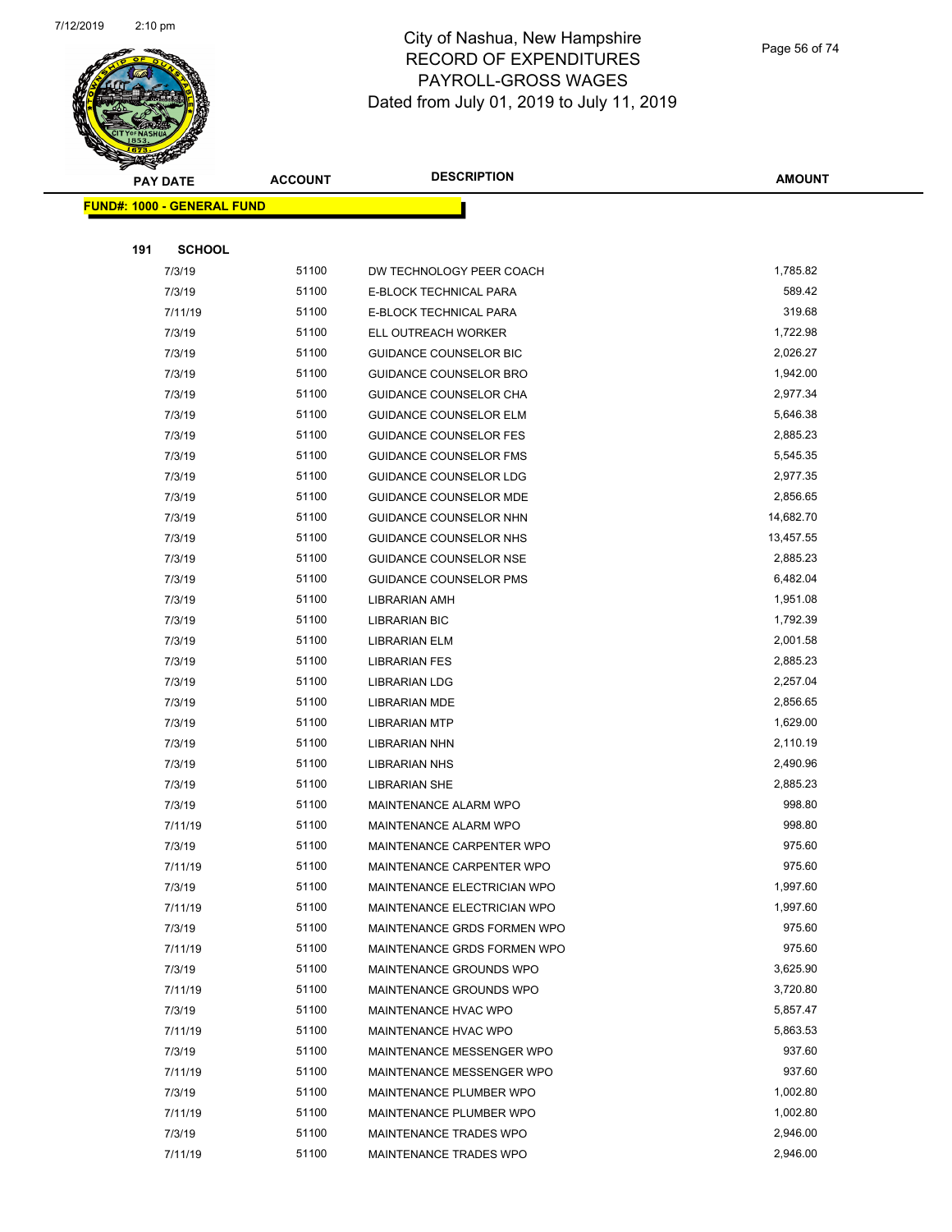

Page 56 of 74

|     | <b>PAY DATE</b>                   | <b>ACCOUNT</b> | <b>DESCRIPTION</b>            | <b>AMOUNT</b> |
|-----|-----------------------------------|----------------|-------------------------------|---------------|
|     | <b>FUND#: 1000 - GENERAL FUND</b> |                |                               |               |
|     |                                   |                |                               |               |
| 191 | <b>SCHOOL</b>                     |                |                               |               |
|     | 7/3/19                            | 51100          | DW TECHNOLOGY PEER COACH      | 1,785.82      |
|     | 7/3/19                            | 51100          | E-BLOCK TECHNICAL PARA        | 589.42        |
|     | 7/11/19                           | 51100          | E-BLOCK TECHNICAL PARA        | 319.68        |
|     | 7/3/19                            | 51100          | ELL OUTREACH WORKER           | 1,722.98      |
|     | 7/3/19                            | 51100          | <b>GUIDANCE COUNSELOR BIC</b> | 2,026.27      |
|     | 7/3/19                            | 51100          | GUIDANCE COUNSELOR BRO        | 1,942.00      |
|     | 7/3/19                            | 51100          | <b>GUIDANCE COUNSELOR CHA</b> | 2,977.34      |
|     | 7/3/19                            | 51100          | <b>GUIDANCE COUNSELOR ELM</b> | 5,646.38      |
|     | 7/3/19                            | 51100          | <b>GUIDANCE COUNSELOR FES</b> | 2,885.23      |
|     | 7/3/19                            | 51100          | <b>GUIDANCE COUNSELOR FMS</b> | 5,545.35      |
|     | 7/3/19                            | 51100          | GUIDANCE COUNSELOR LDG        | 2,977.35      |
|     | 7/3/19                            | 51100          | <b>GUIDANCE COUNSELOR MDE</b> | 2,856.65      |
|     | 7/3/19                            | 51100          | GUIDANCE COUNSELOR NHN        | 14,682.70     |
|     | 7/3/19                            | 51100          | GUIDANCE COUNSELOR NHS        | 13,457.55     |
|     | 7/3/19                            | 51100          | GUIDANCE COUNSELOR NSE        | 2,885.23      |
|     | 7/3/19                            | 51100          | GUIDANCE COUNSELOR PMS        | 6,482.04      |
|     | 7/3/19                            | 51100          | LIBRARIAN AMH                 | 1,951.08      |
|     | 7/3/19                            | 51100          | <b>LIBRARIAN BIC</b>          | 1,792.39      |
|     | 7/3/19                            | 51100          | LIBRARIAN ELM                 | 2,001.58      |
|     | 7/3/19                            | 51100          | <b>LIBRARIAN FES</b>          | 2,885.23      |
|     | 7/3/19                            | 51100          | <b>LIBRARIAN LDG</b>          | 2,257.04      |
|     | 7/3/19                            | 51100          | LIBRARIAN MDE                 | 2,856.65      |
|     | 7/3/19                            | 51100          | <b>LIBRARIAN MTP</b>          | 1,629.00      |
|     | 7/3/19                            | 51100          | <b>LIBRARIAN NHN</b>          | 2,110.19      |
|     | 7/3/19                            | 51100          | <b>LIBRARIAN NHS</b>          | 2,490.96      |
|     | 7/3/19                            | 51100          | <b>LIBRARIAN SHE</b>          | 2,885.23      |
|     | 7/3/19                            | 51100          | MAINTENANCE ALARM WPO         | 998.80        |
|     | 7/11/19                           | 51100          | MAINTENANCE ALARM WPO         | 998.80        |
|     | 7/3/19                            | 51100          | MAINTENANCE CARPENTER WPO     | 975.60        |
|     | 7/11/19                           | 51100          | MAINTENANCE CARPENTER WPO     | 975.60        |
|     | 7/3/19                            | 51100          | MAINTENANCE ELECTRICIAN WPO   | 1,997.60      |
|     | 7/11/19                           | 51100          | MAINTENANCE ELECTRICIAN WPO   | 1,997.60      |
|     | 7/3/19                            | 51100          | MAINTENANCE GRDS FORMEN WPO   | 975.60        |
|     | 7/11/19                           | 51100          | MAINTENANCE GRDS FORMEN WPO   | 975.60        |
|     | 7/3/19                            | 51100          | MAINTENANCE GROUNDS WPO       | 3,625.90      |
|     | 7/11/19                           | 51100          | MAINTENANCE GROUNDS WPO       | 3,720.80      |
|     | 7/3/19                            | 51100          | MAINTENANCE HVAC WPO          | 5,857.47      |
|     | 7/11/19                           | 51100          | MAINTENANCE HVAC WPO          | 5,863.53      |
|     | 7/3/19                            | 51100          | MAINTENANCE MESSENGER WPO     | 937.60        |
|     | 7/11/19                           | 51100          | MAINTENANCE MESSENGER WPO     | 937.60        |
|     | 7/3/19                            | 51100          | MAINTENANCE PLUMBER WPO       | 1,002.80      |
|     | 7/11/19                           | 51100          | MAINTENANCE PLUMBER WPO       | 1,002.80      |
|     | 7/3/19                            | 51100          | MAINTENANCE TRADES WPO        | 2,946.00      |
|     | 7/11/19                           | 51100          | MAINTENANCE TRADES WPO        | 2,946.00      |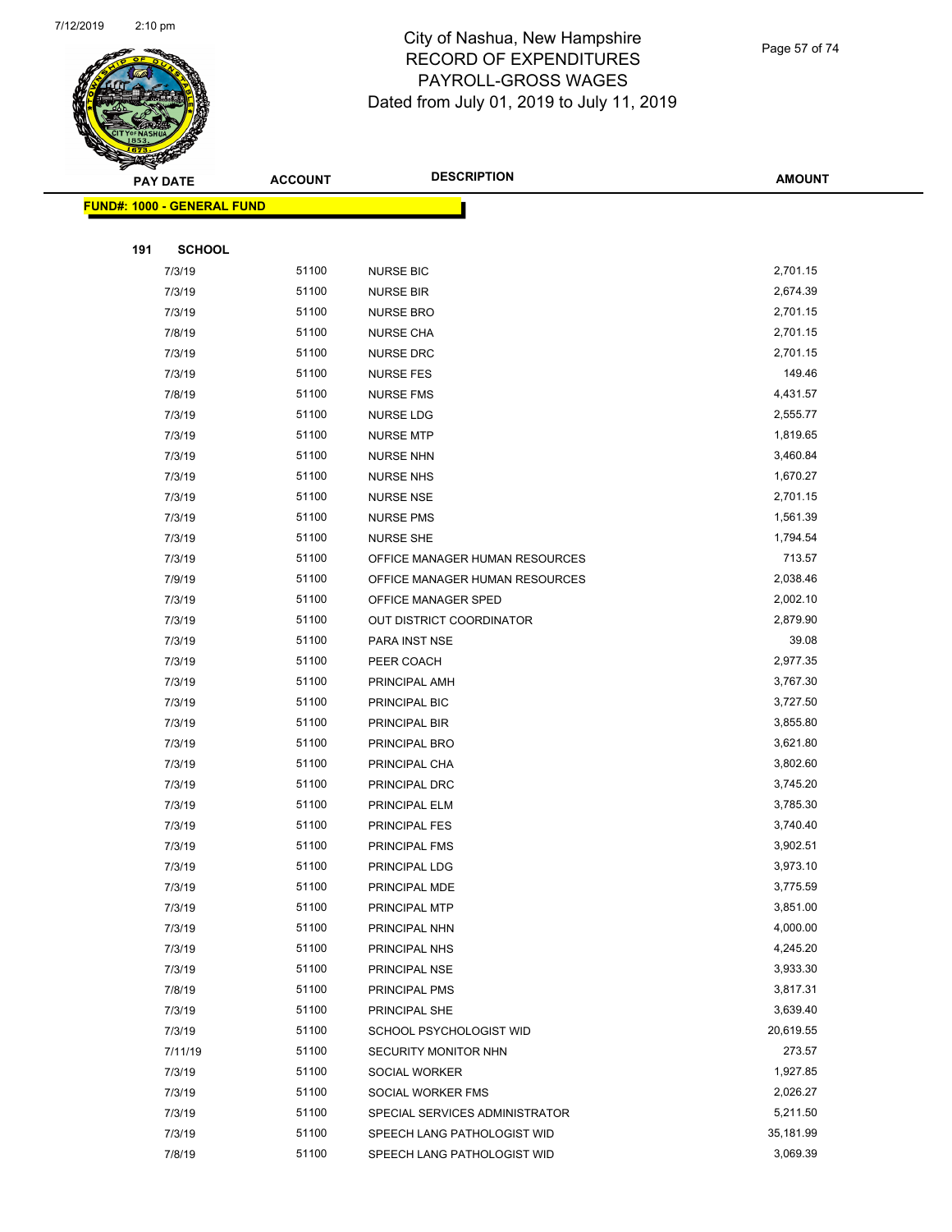

Page 57 of 74

|     | <b>PAY DATE</b>                    | <b>ACCOUNT</b> | <b>DESCRIPTION</b>             | <b>AMOUNT</b> |
|-----|------------------------------------|----------------|--------------------------------|---------------|
|     | <u> FUND#: 1000 - GENERAL FUND</u> |                |                                |               |
|     |                                    |                |                                |               |
| 191 | <b>SCHOOL</b>                      |                |                                |               |
|     | 7/3/19                             | 51100          | <b>NURSE BIC</b>               | 2,701.15      |
|     | 7/3/19                             | 51100          | <b>NURSE BIR</b>               | 2,674.39      |
|     | 7/3/19                             | 51100          | <b>NURSE BRO</b>               | 2,701.15      |
|     | 7/8/19                             | 51100          | <b>NURSE CHA</b>               | 2,701.15      |
|     | 7/3/19                             | 51100          | NURSE DRC                      | 2,701.15      |
|     | 7/3/19                             | 51100          | <b>NURSE FES</b>               | 149.46        |
|     | 7/8/19                             | 51100          | <b>NURSE FMS</b>               | 4,431.57      |
|     | 7/3/19                             | 51100          | <b>NURSE LDG</b>               | 2,555.77      |
|     | 7/3/19                             | 51100          | <b>NURSE MTP</b>               | 1,819.65      |
|     | 7/3/19                             | 51100          | <b>NURSE NHN</b>               | 3,460.84      |
|     | 7/3/19                             | 51100          | <b>NURSE NHS</b>               | 1,670.27      |
|     | 7/3/19                             | 51100          | <b>NURSE NSE</b>               | 2,701.15      |
|     | 7/3/19                             | 51100          | <b>NURSE PMS</b>               | 1,561.39      |
|     | 7/3/19                             | 51100          | <b>NURSE SHE</b>               | 1,794.54      |
|     | 7/3/19                             | 51100          | OFFICE MANAGER HUMAN RESOURCES | 713.57        |
|     | 7/9/19                             | 51100          | OFFICE MANAGER HUMAN RESOURCES | 2,038.46      |
|     | 7/3/19                             | 51100          | OFFICE MANAGER SPED            | 2,002.10      |
|     | 7/3/19                             | 51100          | OUT DISTRICT COORDINATOR       | 2,879.90      |
|     | 7/3/19                             | 51100          | PARA INST NSE                  | 39.08         |
|     | 7/3/19                             | 51100          | PEER COACH                     | 2,977.35      |
|     | 7/3/19                             | 51100          | PRINCIPAL AMH                  | 3,767.30      |
|     | 7/3/19                             | 51100          | PRINCIPAL BIC                  | 3,727.50      |
|     | 7/3/19                             | 51100          | PRINCIPAL BIR                  | 3,855.80      |
|     | 7/3/19                             | 51100          | PRINCIPAL BRO                  | 3,621.80      |
|     | 7/3/19                             | 51100          | PRINCIPAL CHA                  | 3,802.60      |
|     | 7/3/19                             | 51100          | PRINCIPAL DRC                  | 3,745.20      |
|     | 7/3/19                             | 51100          | PRINCIPAL ELM                  | 3,785.30      |
|     | 7/3/19                             | 51100          | PRINCIPAL FES                  | 3,740.40      |
|     | 7/3/19                             | 51100          | PRINCIPAL FMS                  | 3,902.51      |
|     | 7/3/19                             | 51100          | PRINCIPAL LDG                  | 3,973.10      |
|     | 7/3/19                             | 51100          | PRINCIPAL MDE                  | 3,775.59      |
|     | 7/3/19                             | 51100          | PRINCIPAL MTP                  | 3,851.00      |
|     | 7/3/19                             | 51100          | PRINCIPAL NHN                  | 4,000.00      |
|     | 7/3/19                             | 51100          | PRINCIPAL NHS                  | 4,245.20      |
|     | 7/3/19                             | 51100          | PRINCIPAL NSE                  | 3,933.30      |
|     | 7/8/19                             | 51100          | PRINCIPAL PMS                  | 3,817.31      |
|     | 7/3/19                             | 51100          | PRINCIPAL SHE                  | 3,639.40      |
|     | 7/3/19                             | 51100          | SCHOOL PSYCHOLOGIST WID        | 20,619.55     |
|     | 7/11/19                            | 51100          | SECURITY MONITOR NHN           | 273.57        |
|     | 7/3/19                             | 51100          | SOCIAL WORKER                  | 1,927.85      |
|     | 7/3/19                             | 51100          | SOCIAL WORKER FMS              | 2,026.27      |
|     | 7/3/19                             | 51100          | SPECIAL SERVICES ADMINISTRATOR | 5,211.50      |
|     | 7/3/19                             | 51100          | SPEECH LANG PATHOLOGIST WID    | 35,181.99     |
|     | 7/8/19                             | 51100          | SPEECH LANG PATHOLOGIST WID    | 3,069.39      |
|     |                                    |                |                                |               |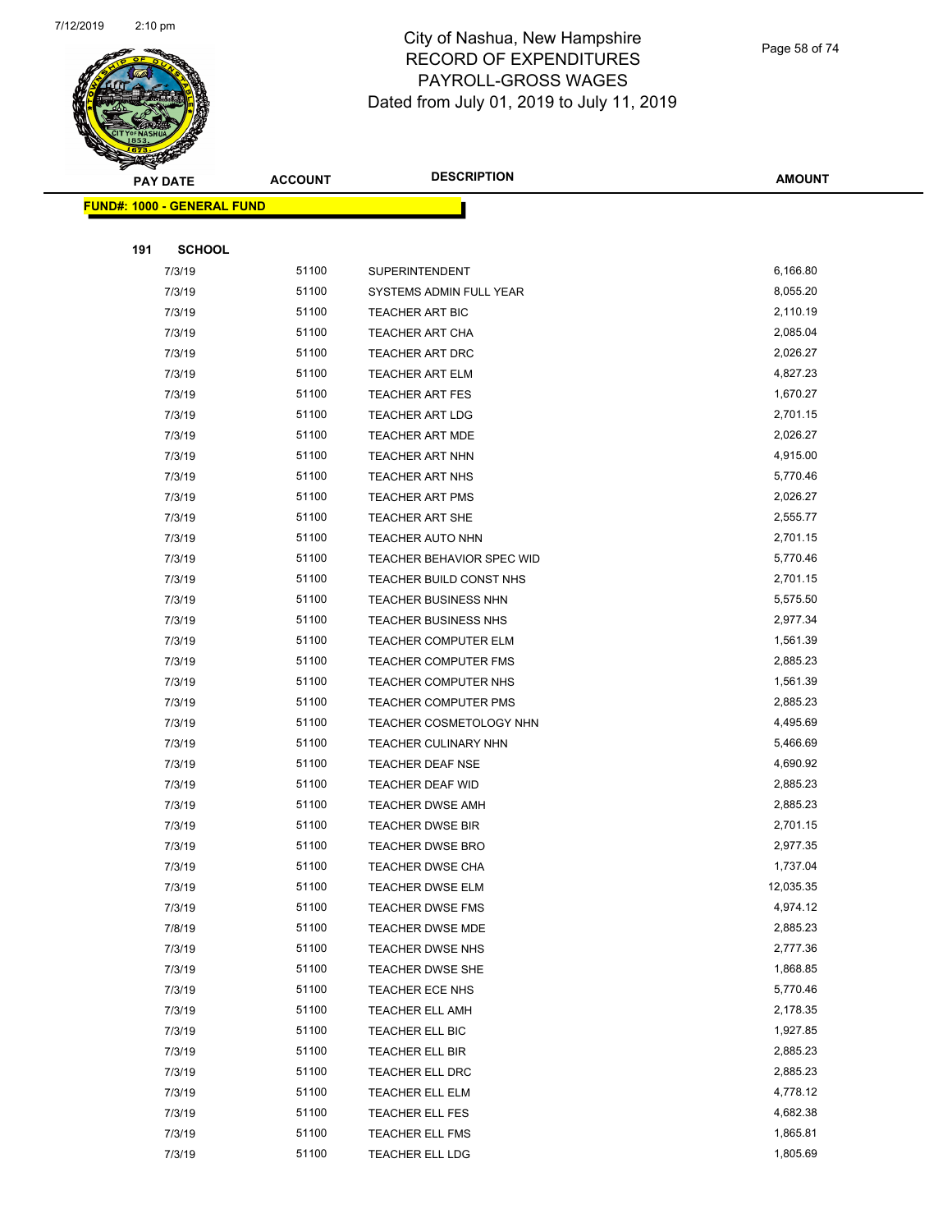

Page 58 of 74

|     | <b>PAY DATE</b>                   | <b>ACCOUNT</b> | <b>DESCRIPTION</b>          | <b>AMOUNT</b> |
|-----|-----------------------------------|----------------|-----------------------------|---------------|
|     | <b>FUND#: 1000 - GENERAL FUND</b> |                |                             |               |
|     |                                   |                |                             |               |
| 191 | <b>SCHOOL</b>                     |                |                             |               |
|     | 7/3/19                            | 51100          | SUPERINTENDENT              | 6,166.80      |
|     | 7/3/19                            | 51100          | SYSTEMS ADMIN FULL YEAR     | 8,055.20      |
|     | 7/3/19                            | 51100          | <b>TEACHER ART BIC</b>      | 2,110.19      |
|     | 7/3/19                            | 51100          | TEACHER ART CHA             | 2,085.04      |
|     | 7/3/19                            | 51100          | <b>TEACHER ART DRC</b>      | 2,026.27      |
|     | 7/3/19                            | 51100          | <b>TEACHER ART ELM</b>      | 4,827.23      |
|     | 7/3/19                            | 51100          | <b>TEACHER ART FES</b>      | 1,670.27      |
|     | 7/3/19                            | 51100          | <b>TEACHER ART LDG</b>      | 2,701.15      |
|     | 7/3/19                            | 51100          | <b>TEACHER ART MDE</b>      | 2,026.27      |
|     | 7/3/19                            | 51100          | TEACHER ART NHN             | 4,915.00      |
|     | 7/3/19                            | 51100          | <b>TEACHER ART NHS</b>      | 5,770.46      |
|     | 7/3/19                            | 51100          | <b>TEACHER ART PMS</b>      | 2,026.27      |
|     | 7/3/19                            | 51100          | <b>TEACHER ART SHE</b>      | 2,555.77      |
|     | 7/3/19                            | 51100          | <b>TEACHER AUTO NHN</b>     | 2,701.15      |
|     | 7/3/19                            | 51100          | TEACHER BEHAVIOR SPEC WID   | 5,770.46      |
|     | 7/3/19                            | 51100          | TEACHER BUILD CONST NHS     | 2,701.15      |
|     | 7/3/19                            | 51100          | <b>TEACHER BUSINESS NHN</b> | 5,575.50      |
|     | 7/3/19                            | 51100          | <b>TEACHER BUSINESS NHS</b> | 2,977.34      |
|     | 7/3/19                            | 51100          | TEACHER COMPUTER ELM        | 1,561.39      |
|     | 7/3/19                            | 51100          | TEACHER COMPUTER FMS        | 2,885.23      |
|     | 7/3/19                            | 51100          | TEACHER COMPUTER NHS        | 1,561.39      |
|     | 7/3/19                            | 51100          | <b>TEACHER COMPUTER PMS</b> | 2,885.23      |
|     | 7/3/19                            | 51100          | TEACHER COSMETOLOGY NHN     | 4,495.69      |
|     | 7/3/19                            | 51100          | TEACHER CULINARY NHN        | 5,466.69      |
|     | 7/3/19                            | 51100          | TEACHER DEAF NSE            | 4,690.92      |
|     | 7/3/19                            | 51100          | TEACHER DEAF WID            | 2,885.23      |
|     | 7/3/19                            | 51100          | <b>TEACHER DWSE AMH</b>     | 2,885.23      |
|     | 7/3/19                            | 51100          | <b>TEACHER DWSE BIR</b>     | 2,701.15      |
|     | 7/3/19                            | 51100          | <b>TEACHER DWSE BRO</b>     | 2,977.35      |
|     | 7/3/19                            | 51100          | TEACHER DWSE CHA            | 1,737.04      |
|     | 7/3/19                            | 51100          | <b>TEACHER DWSE ELM</b>     | 12,035.35     |
|     | 7/3/19                            | 51100          | <b>TEACHER DWSE FMS</b>     | 4,974.12      |
|     | 7/8/19                            | 51100          | TEACHER DWSE MDE            | 2,885.23      |
|     | 7/3/19                            | 51100          | <b>TEACHER DWSE NHS</b>     | 2,777.36      |
|     | 7/3/19                            | 51100          | TEACHER DWSE SHE            | 1,868.85      |
|     | 7/3/19                            | 51100          | <b>TEACHER ECE NHS</b>      | 5,770.46      |
|     | 7/3/19                            | 51100          | <b>TEACHER ELL AMH</b>      | 2,178.35      |
|     | 7/3/19                            | 51100          | TEACHER ELL BIC             | 1,927.85      |
|     | 7/3/19                            | 51100          | TEACHER ELL BIR             | 2,885.23      |
|     | 7/3/19                            | 51100          | TEACHER ELL DRC             | 2,885.23      |
|     | 7/3/19                            | 51100          | TEACHER ELL ELM             | 4,778.12      |
|     | 7/3/19                            | 51100          | <b>TEACHER ELL FES</b>      | 4,682.38      |
|     | 7/3/19                            | 51100          | <b>TEACHER ELL FMS</b>      | 1,865.81      |
|     | 7/3/19                            | 51100          | <b>TEACHER ELL LDG</b>      | 1,805.69      |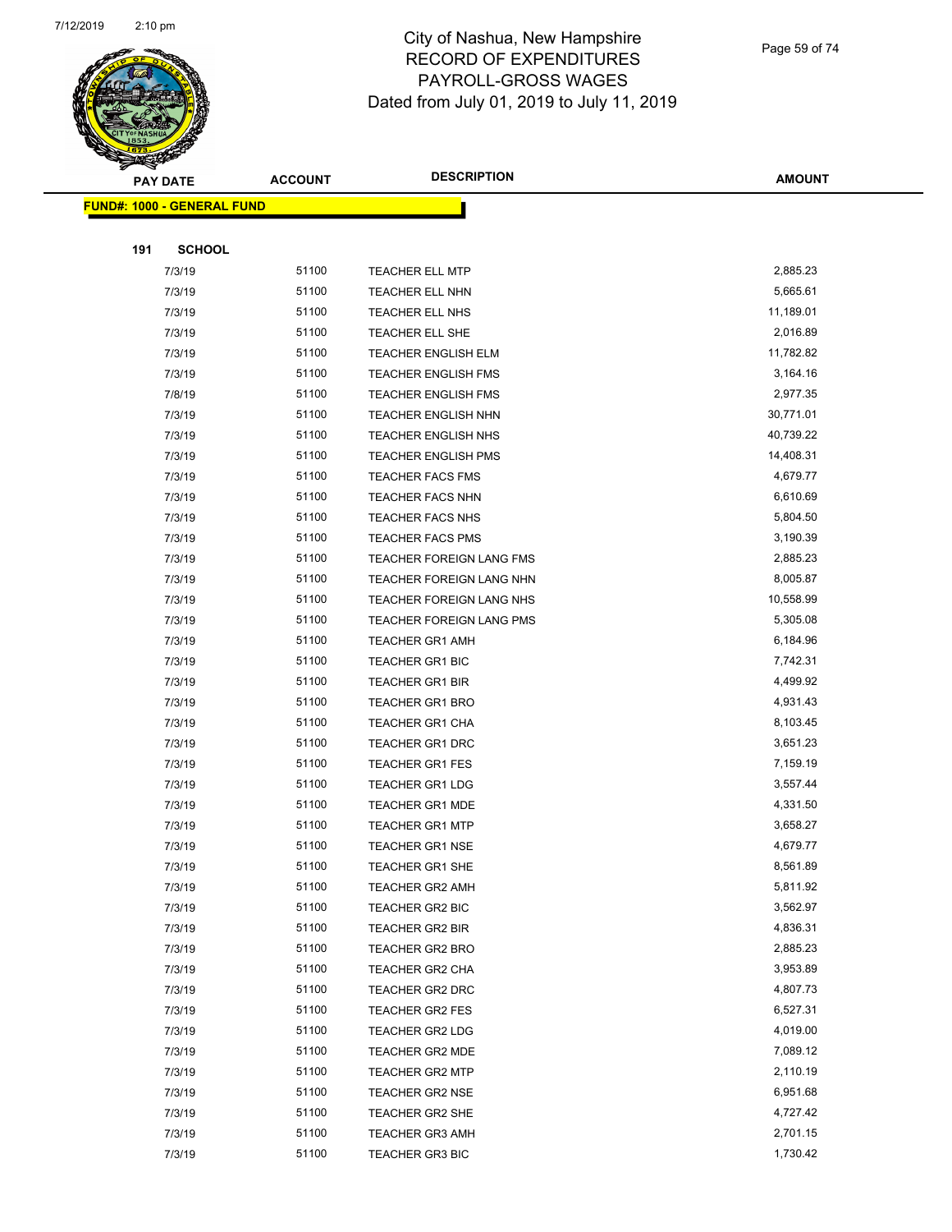

Page 59 of 74

| <b>PAY DATE</b>                   | <b>ACCOUNT</b> | <b>DESCRIPTION</b>                               | <b>AMOUNT</b>        |
|-----------------------------------|----------------|--------------------------------------------------|----------------------|
| <b>FUND#: 1000 - GENERAL FUND</b> |                |                                                  |                      |
|                                   |                |                                                  |                      |
| <b>SCHOOL</b><br>191              |                |                                                  |                      |
| 7/3/19                            | 51100          | <b>TEACHER ELL MTP</b>                           | 2,885.23             |
| 7/3/19                            | 51100          | TEACHER ELL NHN                                  | 5,665.61             |
| 7/3/19                            | 51100          | <b>TEACHER ELL NHS</b>                           | 11,189.01            |
| 7/3/19                            | 51100          | TEACHER ELL SHE                                  | 2,016.89             |
| 7/3/19                            | 51100          | <b>TEACHER ENGLISH ELM</b>                       | 11,782.82            |
| 7/3/19                            | 51100          | <b>TEACHER ENGLISH FMS</b>                       | 3,164.16             |
| 7/8/19                            | 51100          | <b>TEACHER ENGLISH FMS</b>                       | 2,977.35             |
| 7/3/19                            | 51100          | <b>TEACHER ENGLISH NHN</b>                       | 30,771.01            |
| 7/3/19                            | 51100          | <b>TEACHER ENGLISH NHS</b>                       | 40,739.22            |
| 7/3/19                            | 51100          | <b>TEACHER ENGLISH PMS</b>                       | 14,408.31            |
| 7/3/19                            | 51100          | <b>TEACHER FACS FMS</b>                          | 4,679.77             |
| 7/3/19                            | 51100          | <b>TEACHER FACS NHN</b>                          | 6,610.69             |
| 7/3/19                            | 51100          | <b>TEACHER FACS NHS</b>                          | 5,804.50             |
| 7/3/19                            | 51100          | <b>TEACHER FACS PMS</b>                          | 3,190.39             |
| 7/3/19                            | 51100          | TEACHER FOREIGN LANG FMS                         | 2,885.23             |
| 7/3/19                            | 51100          | TEACHER FOREIGN LANG NHN                         | 8,005.87             |
| 7/3/19                            | 51100          | TEACHER FOREIGN LANG NHS                         | 10,558.99            |
| 7/3/19                            | 51100          | TEACHER FOREIGN LANG PMS                         | 5,305.08             |
| 7/3/19                            | 51100          | <b>TEACHER GR1 AMH</b>                           | 6,184.96             |
| 7/3/19                            | 51100          | TEACHER GR1 BIC                                  | 7,742.31             |
| 7/3/19                            | 51100          | <b>TEACHER GR1 BIR</b>                           | 4,499.92             |
| 7/3/19                            | 51100          | <b>TEACHER GR1 BRO</b>                           | 4,931.43             |
| 7/3/19                            | 51100          | <b>TEACHER GR1 CHA</b>                           | 8,103.45             |
| 7/3/19                            | 51100          | <b>TEACHER GR1 DRC</b>                           | 3,651.23             |
| 7/3/19                            | 51100          | <b>TEACHER GR1 FES</b>                           | 7,159.19             |
| 7/3/19                            | 51100          | <b>TEACHER GR1 LDG</b>                           | 3,557.44             |
| 7/3/19                            | 51100          | TEACHER GR1 MDE                                  | 4,331.50             |
| 7/3/19                            | 51100          | <b>TEACHER GR1 MTP</b>                           | 3,658.27             |
| 7/3/19                            | 51100          | <b>TEACHER GR1 NSE</b>                           | 4,679.77             |
| 7/3/19                            | 51100          | TEACHER GR1 SHE                                  | 8,561.89             |
| 7/3/19                            | 51100          | <b>TEACHER GR2 AMH</b>                           | 5,811.92             |
| 7/3/19                            | 51100          | TEACHER GR2 BIC                                  | 3,562.97             |
| 7/3/19                            | 51100          | TEACHER GR2 BIR                                  | 4,836.31             |
| 7/3/19                            | 51100          | TEACHER GR2 BRO                                  | 2,885.23             |
| 7/3/19                            | 51100          | TEACHER GR2 CHA                                  | 3,953.89             |
| 7/3/19                            | 51100          | <b>TEACHER GR2 DRC</b>                           | 4,807.73             |
| 7/3/19                            | 51100          | <b>TEACHER GR2 FES</b>                           | 6,527.31             |
| 7/3/19                            | 51100          | TEACHER GR2 LDG                                  | 4,019.00<br>7,089.12 |
| 7/3/19                            | 51100          | TEACHER GR2 MDE                                  |                      |
| 7/3/19                            | 51100<br>51100 | <b>TEACHER GR2 MTP</b>                           | 2,110.19<br>6,951.68 |
| 7/3/19                            | 51100          | <b>TEACHER GR2 NSE</b><br>TEACHER GR2 SHE        | 4,727.42             |
| 7/3/19                            | 51100          |                                                  | 2,701.15             |
| 7/3/19<br>7/3/19                  | 51100          | <b>TEACHER GR3 AMH</b><br><b>TEACHER GR3 BIC</b> | 1,730.42             |
|                                   |                |                                                  |                      |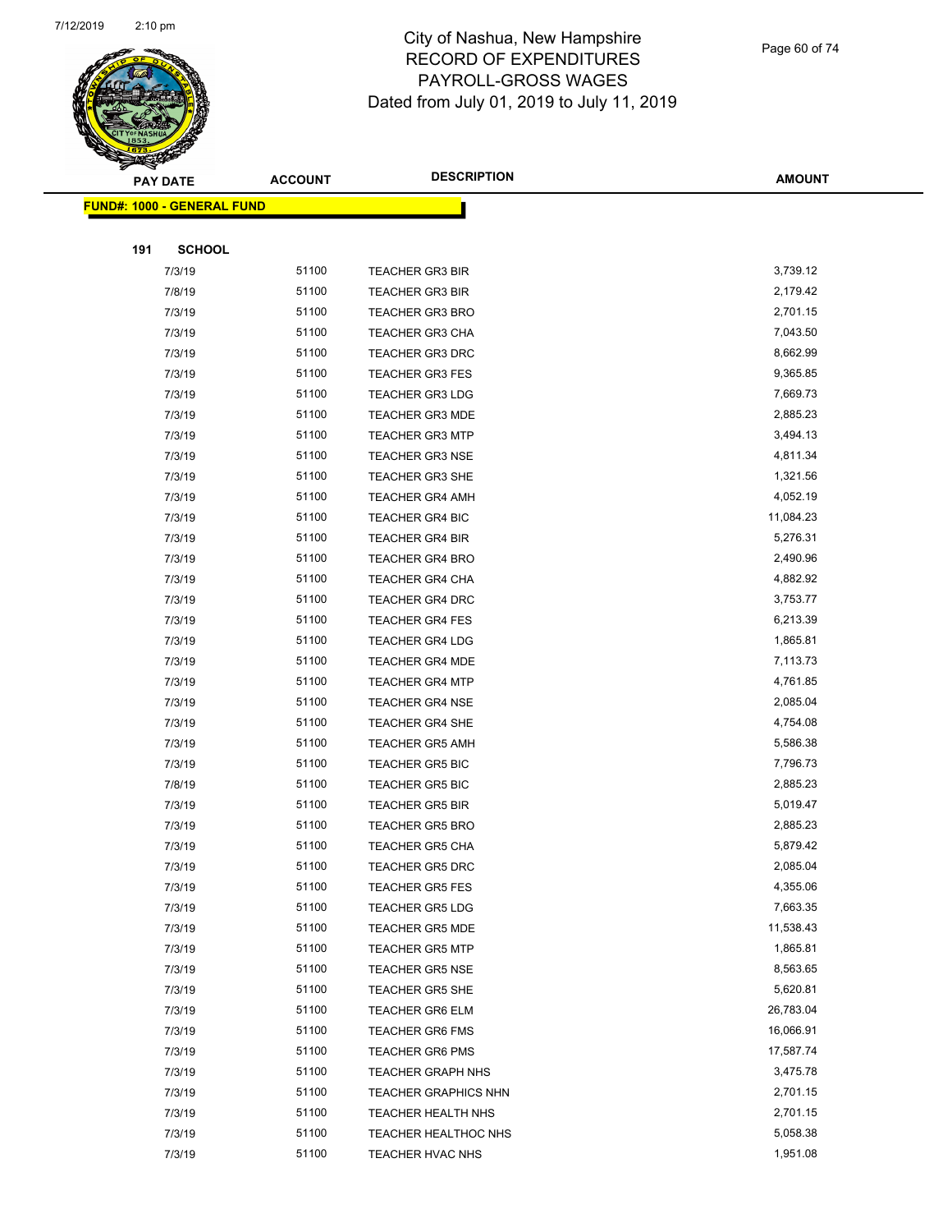

Page 60 of 74

| $\sim$ | <b>PAY DATE</b>                   | <b>ACCOUNT</b> | <b>DESCRIPTION</b>          | <b>AMOUNT</b> |
|--------|-----------------------------------|----------------|-----------------------------|---------------|
|        |                                   |                |                             |               |
|        | <b>FUND#: 1000 - GENERAL FUND</b> |                |                             |               |
|        |                                   |                |                             |               |
| 191    | <b>SCHOOL</b>                     |                |                             |               |
|        | 7/3/19                            | 51100          | <b>TEACHER GR3 BIR</b>      | 3,739.12      |
|        | 7/8/19                            | 51100          | <b>TEACHER GR3 BIR</b>      | 2,179.42      |
|        | 7/3/19                            | 51100          | <b>TEACHER GR3 BRO</b>      | 2,701.15      |
|        | 7/3/19                            | 51100          | TEACHER GR3 CHA             | 7,043.50      |
|        | 7/3/19                            | 51100          | <b>TEACHER GR3 DRC</b>      | 8,662.99      |
|        | 7/3/19                            | 51100          | <b>TEACHER GR3 FES</b>      | 9,365.85      |
|        | 7/3/19                            | 51100          | <b>TEACHER GR3 LDG</b>      | 7,669.73      |
|        | 7/3/19                            | 51100          | <b>TEACHER GR3 MDE</b>      | 2,885.23      |
|        | 7/3/19                            | 51100          | <b>TEACHER GR3 MTP</b>      | 3,494.13      |
|        | 7/3/19                            | 51100          | <b>TEACHER GR3 NSE</b>      | 4,811.34      |
|        | 7/3/19                            | 51100          | TEACHER GR3 SHE             | 1,321.56      |
|        | 7/3/19                            | 51100          | <b>TEACHER GR4 AMH</b>      | 4,052.19      |
|        | 7/3/19                            | 51100          | <b>TEACHER GR4 BIC</b>      | 11,084.23     |
|        | 7/3/19                            | 51100          | TEACHER GR4 BIR             | 5,276.31      |
|        | 7/3/19                            | 51100          | <b>TEACHER GR4 BRO</b>      | 2,490.96      |
|        | 7/3/19                            | 51100          | <b>TEACHER GR4 CHA</b>      | 4,882.92      |
|        | 7/3/19                            | 51100          | <b>TEACHER GR4 DRC</b>      | 3,753.77      |
|        | 7/3/19                            | 51100          | <b>TEACHER GR4 FES</b>      | 6,213.39      |
|        | 7/3/19                            | 51100          | <b>TEACHER GR4 LDG</b>      | 1,865.81      |
|        | 7/3/19                            | 51100          | <b>TEACHER GR4 MDE</b>      | 7,113.73      |
|        | 7/3/19                            | 51100          | <b>TEACHER GR4 MTP</b>      | 4,761.85      |
|        | 7/3/19                            | 51100          | <b>TEACHER GR4 NSE</b>      | 2,085.04      |
|        | 7/3/19                            | 51100          | <b>TEACHER GR4 SHE</b>      | 4,754.08      |
|        | 7/3/19                            | 51100          | <b>TEACHER GR5 AMH</b>      | 5,586.38      |
|        | 7/3/19                            | 51100          | <b>TEACHER GR5 BIC</b>      | 7,796.73      |
|        | 7/8/19                            | 51100          | <b>TEACHER GR5 BIC</b>      | 2,885.23      |
|        | 7/3/19                            | 51100          | <b>TEACHER GR5 BIR</b>      | 5,019.47      |
|        | 7/3/19                            | 51100          | <b>TEACHER GR5 BRO</b>      | 2,885.23      |
|        | 7/3/19                            | 51100          | <b>TEACHER GR5 CHA</b>      | 5,879.42      |
|        | 7/3/19                            | 51100          | TEACHER GR5 DRC             | 2,085.04      |
|        | 7/3/19                            | 51100          | <b>TEACHER GR5 FES</b>      | 4,355.06      |
|        | 7/3/19                            | 51100          | <b>TEACHER GR5 LDG</b>      | 7,663.35      |
|        | 7/3/19                            | 51100          | <b>TEACHER GR5 MDE</b>      | 11,538.43     |
|        | 7/3/19                            | 51100          | <b>TEACHER GR5 MTP</b>      | 1,865.81      |
|        | 7/3/19                            | 51100          | <b>TEACHER GR5 NSE</b>      | 8,563.65      |
|        | 7/3/19                            | 51100          | <b>TEACHER GR5 SHE</b>      | 5,620.81      |
|        | 7/3/19                            | 51100          | <b>TEACHER GR6 ELM</b>      | 26,783.04     |
|        | 7/3/19                            | 51100          | <b>TEACHER GR6 FMS</b>      | 16,066.91     |
|        | 7/3/19                            | 51100          | <b>TEACHER GR6 PMS</b>      | 17,587.74     |
|        | 7/3/19                            | 51100          | <b>TEACHER GRAPH NHS</b>    | 3,475.78      |
|        | 7/3/19                            | 51100          | <b>TEACHER GRAPHICS NHN</b> | 2,701.15      |
|        | 7/3/19                            | 51100          | TEACHER HEALTH NHS          | 2,701.15      |
|        | 7/3/19                            | 51100          | TEACHER HEALTHOC NHS        | 5,058.38      |
|        | 7/3/19                            | 51100          | TEACHER HVAC NHS            | 1,951.08      |
|        |                                   |                |                             |               |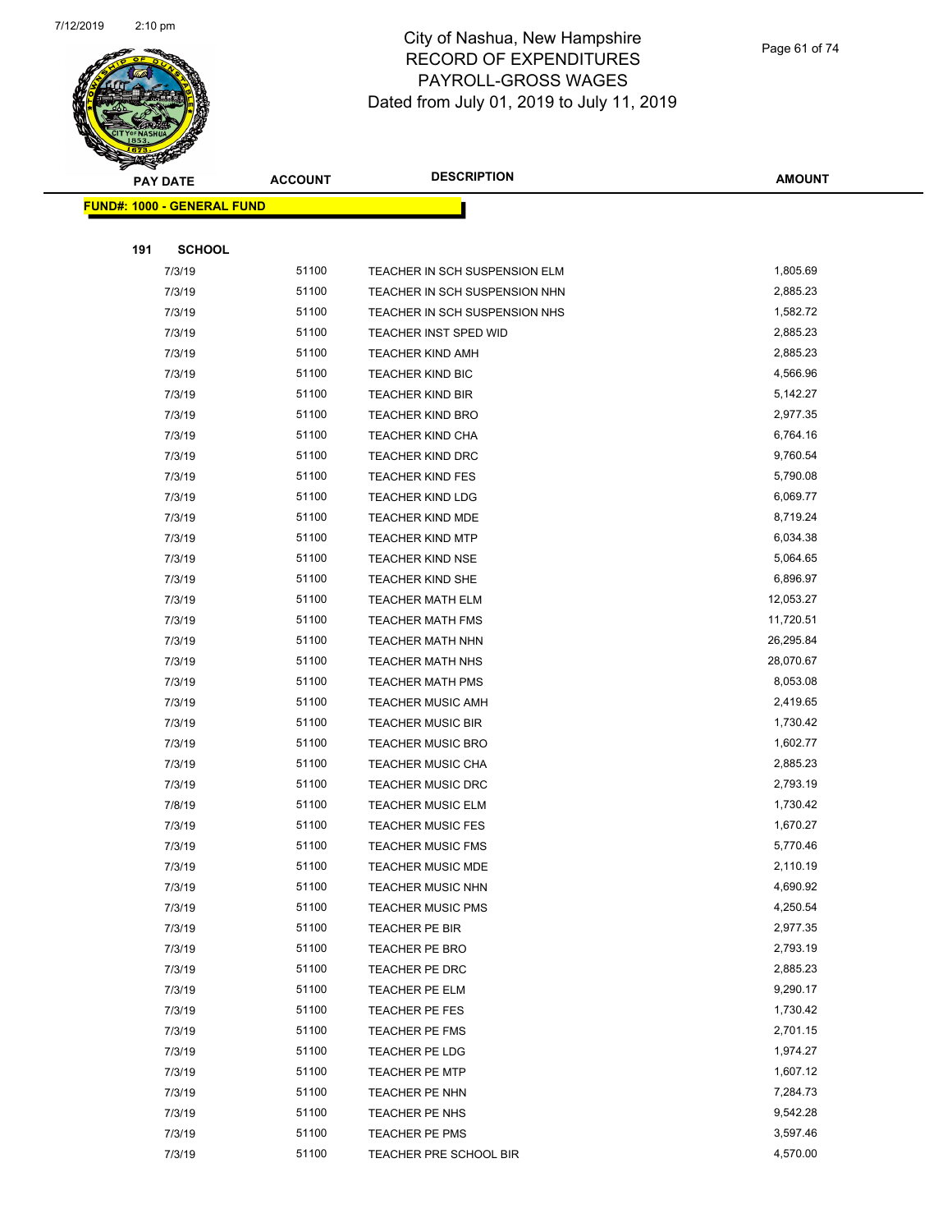

| ទ<br>$\blacktriangleleft$ . | <b>PAY DATE</b>                   | <b>ACCOUNT</b> | <b>DESCRIPTION</b>            | <b>AMOUNT</b> |
|-----------------------------|-----------------------------------|----------------|-------------------------------|---------------|
|                             | <b>FUND#: 1000 - GENERAL FUND</b> |                |                               |               |
|                             |                                   |                |                               |               |
| 191                         | <b>SCHOOL</b>                     |                |                               |               |
|                             | 7/3/19                            | 51100          | TEACHER IN SCH SUSPENSION ELM | 1,805.69      |
|                             | 7/3/19                            | 51100          | TEACHER IN SCH SUSPENSION NHN | 2,885.23      |
|                             | 7/3/19                            | 51100          | TEACHER IN SCH SUSPENSION NHS | 1,582.72      |
|                             | 7/3/19                            | 51100          | TEACHER INST SPED WID         | 2,885.23      |
|                             | 7/3/19                            | 51100          | TEACHER KIND AMH              | 2,885.23      |
|                             | 7/3/19                            | 51100          | TEACHER KIND BIC              | 4,566.96      |
|                             | 7/3/19                            | 51100          | <b>TEACHER KIND BIR</b>       | 5,142.27      |
|                             | 7/3/19                            | 51100          | <b>TEACHER KIND BRO</b>       | 2,977.35      |
|                             | 7/3/19                            | 51100          | <b>TEACHER KIND CHA</b>       | 6,764.16      |
|                             | 7/3/19                            | 51100          | TEACHER KIND DRC              | 9,760.54      |
|                             | 7/3/19                            | 51100          | <b>TEACHER KIND FES</b>       | 5,790.08      |
|                             | 7/3/19                            | 51100          | <b>TEACHER KIND LDG</b>       | 6,069.77      |
|                             | 7/3/19                            | 51100          | <b>TEACHER KIND MDE</b>       | 8,719.24      |
|                             | 7/3/19                            | 51100          | <b>TEACHER KIND MTP</b>       | 6,034.38      |
|                             | 7/3/19                            | 51100          | <b>TEACHER KIND NSE</b>       | 5,064.65      |
|                             | 7/3/19                            | 51100          | TEACHER KIND SHE              | 6,896.97      |
|                             | 7/3/19                            | 51100          | <b>TEACHER MATH ELM</b>       | 12,053.27     |
|                             | 7/3/19                            | 51100          | <b>TEACHER MATH FMS</b>       | 11,720.51     |
|                             | 7/3/19                            | 51100          | <b>TEACHER MATH NHN</b>       | 26,295.84     |
|                             | 7/3/19                            | 51100          | TEACHER MATH NHS              | 28,070.67     |
|                             | 7/3/19                            | 51100          | <b>TEACHER MATH PMS</b>       | 8,053.08      |
|                             | 7/3/19                            | 51100          | <b>TEACHER MUSIC AMH</b>      | 2,419.65      |
|                             | 7/3/19                            | 51100          | <b>TEACHER MUSIC BIR</b>      | 1,730.42      |
|                             | 7/3/19                            | 51100          | <b>TEACHER MUSIC BRO</b>      | 1,602.77      |
|                             | 7/3/19                            | 51100          | TEACHER MUSIC CHA             | 2,885.23      |
|                             | 7/3/19                            | 51100          | <b>TEACHER MUSIC DRC</b>      | 2,793.19      |
|                             | 7/8/19                            | 51100          | <b>TEACHER MUSIC ELM</b>      | 1,730.42      |
|                             | 7/3/19                            | 51100          | <b>TEACHER MUSIC FES</b>      | 1,670.27      |
|                             | 7/3/19                            | 51100          | <b>TEACHER MUSIC FMS</b>      | 5,770.46      |
|                             | 7/3/19                            | 51100          | TEACHER MUSIC MDE             | 2,110.19      |
|                             | 7/3/19                            | 51100          | <b>TEACHER MUSIC NHN</b>      | 4,690.92      |
|                             | 7/3/19                            | 51100          | <b>TEACHER MUSIC PMS</b>      | 4,250.54      |
|                             | 7/3/19                            | 51100          | TEACHER PE BIR                | 2,977.35      |
|                             | 7/3/19                            | 51100          | TEACHER PE BRO                | 2,793.19      |
|                             | 7/3/19                            | 51100          | TEACHER PE DRC                | 2,885.23      |
|                             | 7/3/19                            | 51100          | TEACHER PE ELM                | 9,290.17      |
|                             | 7/3/19                            | 51100          | TEACHER PE FES                | 1,730.42      |
|                             | 7/3/19                            | 51100          | TEACHER PE FMS                | 2,701.15      |
|                             | 7/3/19                            | 51100          | TEACHER PE LDG                | 1,974.27      |
|                             | 7/3/19                            | 51100          | TEACHER PE MTP                | 1,607.12      |
|                             | 7/3/19                            | 51100          | TEACHER PE NHN                | 7,284.73      |
|                             | 7/3/19                            | 51100          | TEACHER PE NHS                | 9,542.28      |
|                             | 7/3/19                            | 51100          | TEACHER PE PMS                | 3,597.46      |
|                             | 7/3/19                            | 51100          | TEACHER PRE SCHOOL BIR        | 4,570.00      |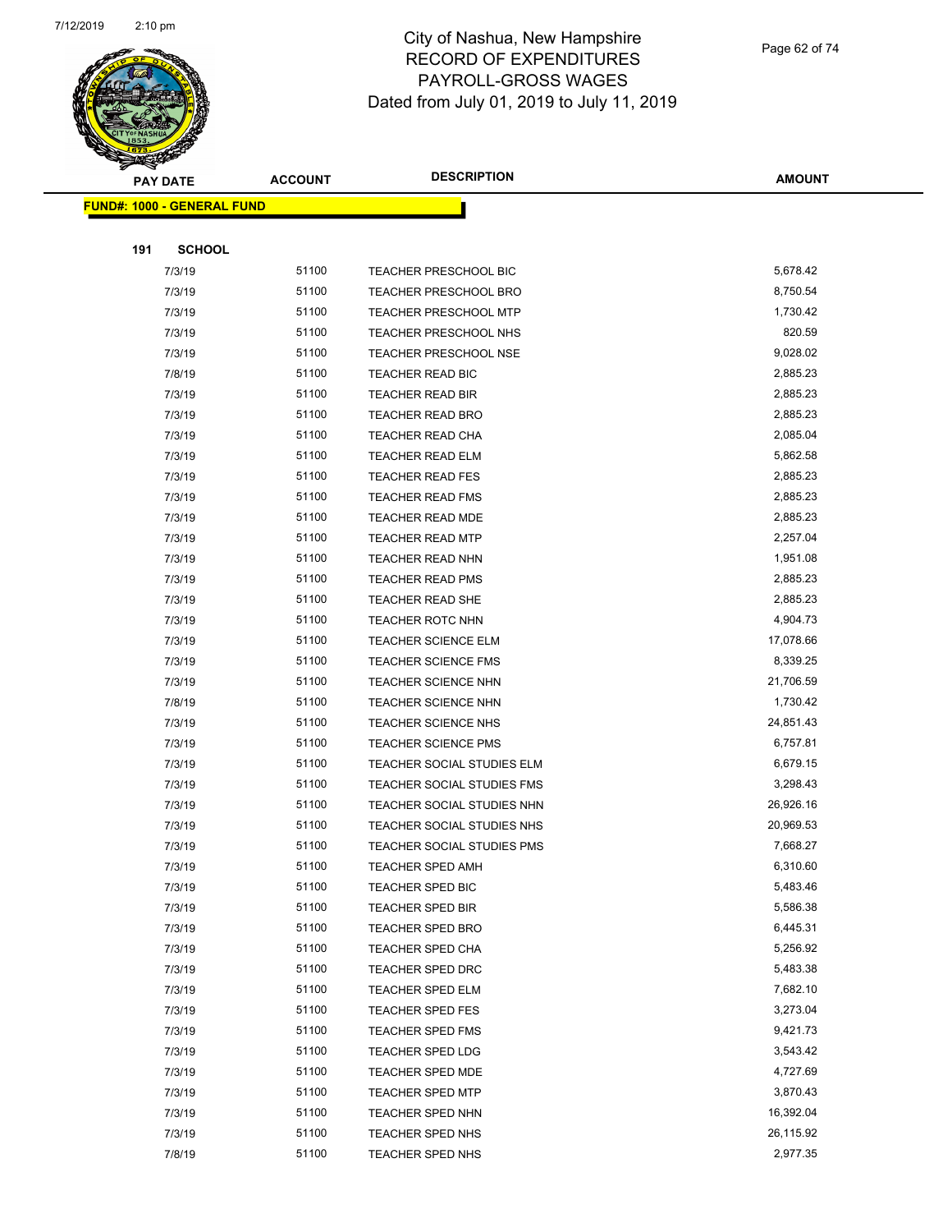

Page 62 of 74

|     | <b>PAY DATE</b>                   | <b>ACCOUNT</b> | <b>DESCRIPTION</b>           | <b>AMOUNT</b> |
|-----|-----------------------------------|----------------|------------------------------|---------------|
|     | <b>FUND#: 1000 - GENERAL FUND</b> |                |                              |               |
|     |                                   |                |                              |               |
| 191 | <b>SCHOOL</b>                     |                |                              |               |
|     | 7/3/19                            | 51100          | TEACHER PRESCHOOL BIC        | 5,678.42      |
|     | 7/3/19                            | 51100          | <b>TEACHER PRESCHOOL BRO</b> | 8,750.54      |
|     | 7/3/19                            | 51100          | <b>TEACHER PRESCHOOL MTP</b> | 1,730.42      |
|     | 7/3/19                            | 51100          | TEACHER PRESCHOOL NHS        | 820.59        |
|     | 7/3/19                            | 51100          | <b>TEACHER PRESCHOOL NSE</b> | 9,028.02      |
|     | 7/8/19                            | 51100          | TEACHER READ BIC             | 2,885.23      |
|     | 7/3/19                            | 51100          | <b>TEACHER READ BIR</b>      | 2,885.23      |
|     | 7/3/19                            | 51100          | <b>TEACHER READ BRO</b>      | 2,885.23      |
|     | 7/3/19                            | 51100          | TEACHER READ CHA             | 2,085.04      |
|     | 7/3/19                            | 51100          | <b>TEACHER READ ELM</b>      | 5,862.58      |
|     | 7/3/19                            | 51100          | <b>TEACHER READ FES</b>      | 2,885.23      |
|     | 7/3/19                            | 51100          | <b>TEACHER READ FMS</b>      | 2,885.23      |
|     | 7/3/19                            | 51100          | <b>TEACHER READ MDE</b>      | 2,885.23      |
|     | 7/3/19                            | 51100          | <b>TEACHER READ MTP</b>      | 2,257.04      |
|     | 7/3/19                            | 51100          | <b>TEACHER READ NHN</b>      | 1,951.08      |
|     | 7/3/19                            | 51100          | <b>TEACHER READ PMS</b>      | 2,885.23      |
|     | 7/3/19                            | 51100          | <b>TEACHER READ SHE</b>      | 2,885.23      |
|     | 7/3/19                            | 51100          | <b>TEACHER ROTC NHN</b>      | 4,904.73      |
|     | 7/3/19                            | 51100          | <b>TEACHER SCIENCE ELM</b>   | 17,078.66     |
|     | 7/3/19                            | 51100          | TEACHER SCIENCE FMS          | 8,339.25      |
|     | 7/3/19                            | 51100          | <b>TEACHER SCIENCE NHN</b>   | 21,706.59     |
|     | 7/8/19                            | 51100          | <b>TEACHER SCIENCE NHN</b>   | 1,730.42      |
|     | 7/3/19                            | 51100          | <b>TEACHER SCIENCE NHS</b>   | 24,851.43     |
|     | 7/3/19                            | 51100          | <b>TEACHER SCIENCE PMS</b>   | 6,757.81      |
|     | 7/3/19                            | 51100          | TEACHER SOCIAL STUDIES ELM   | 6,679.15      |
|     | 7/3/19                            | 51100          | TEACHER SOCIAL STUDIES FMS   | 3,298.43      |
|     | 7/3/19                            | 51100          | TEACHER SOCIAL STUDIES NHN   | 26,926.16     |
|     | 7/3/19                            | 51100          | TEACHER SOCIAL STUDIES NHS   | 20,969.53     |
|     | 7/3/19                            | 51100          | TEACHER SOCIAL STUDIES PMS   | 7,668.27      |
|     | 7/3/19                            | 51100          | TEACHER SPED AMH             | 6,310.60      |
|     | 7/3/19                            | 51100          | TEACHER SPED BIC             | 5,483.46      |
|     | 7/3/19                            | 51100          | <b>TEACHER SPED BIR</b>      | 5,586.38      |
|     | 7/3/19                            | 51100          | <b>TEACHER SPED BRO</b>      | 6,445.31      |
|     | 7/3/19                            | 51100          | <b>TEACHER SPED CHA</b>      | 5,256.92      |
|     | 7/3/19                            | 51100          | TEACHER SPED DRC             | 5,483.38      |
|     | 7/3/19                            | 51100          | TEACHER SPED ELM             | 7,682.10      |
|     | 7/3/19                            | 51100          | <b>TEACHER SPED FES</b>      | 3,273.04      |
|     | 7/3/19                            | 51100          | <b>TEACHER SPED FMS</b>      | 9,421.73      |
|     | 7/3/19                            | 51100          | TEACHER SPED LDG             | 3,543.42      |
|     | 7/3/19                            | 51100          | <b>TEACHER SPED MDE</b>      | 4,727.69      |
|     | 7/3/19                            | 51100          | <b>TEACHER SPED MTP</b>      | 3,870.43      |
|     | 7/3/19                            | 51100          | <b>TEACHER SPED NHN</b>      | 16,392.04     |
|     | 7/3/19                            | 51100          | TEACHER SPED NHS             | 26,115.92     |
|     | 7/8/19                            | 51100          | <b>TEACHER SPED NHS</b>      | 2,977.35      |
|     |                                   |                |                              |               |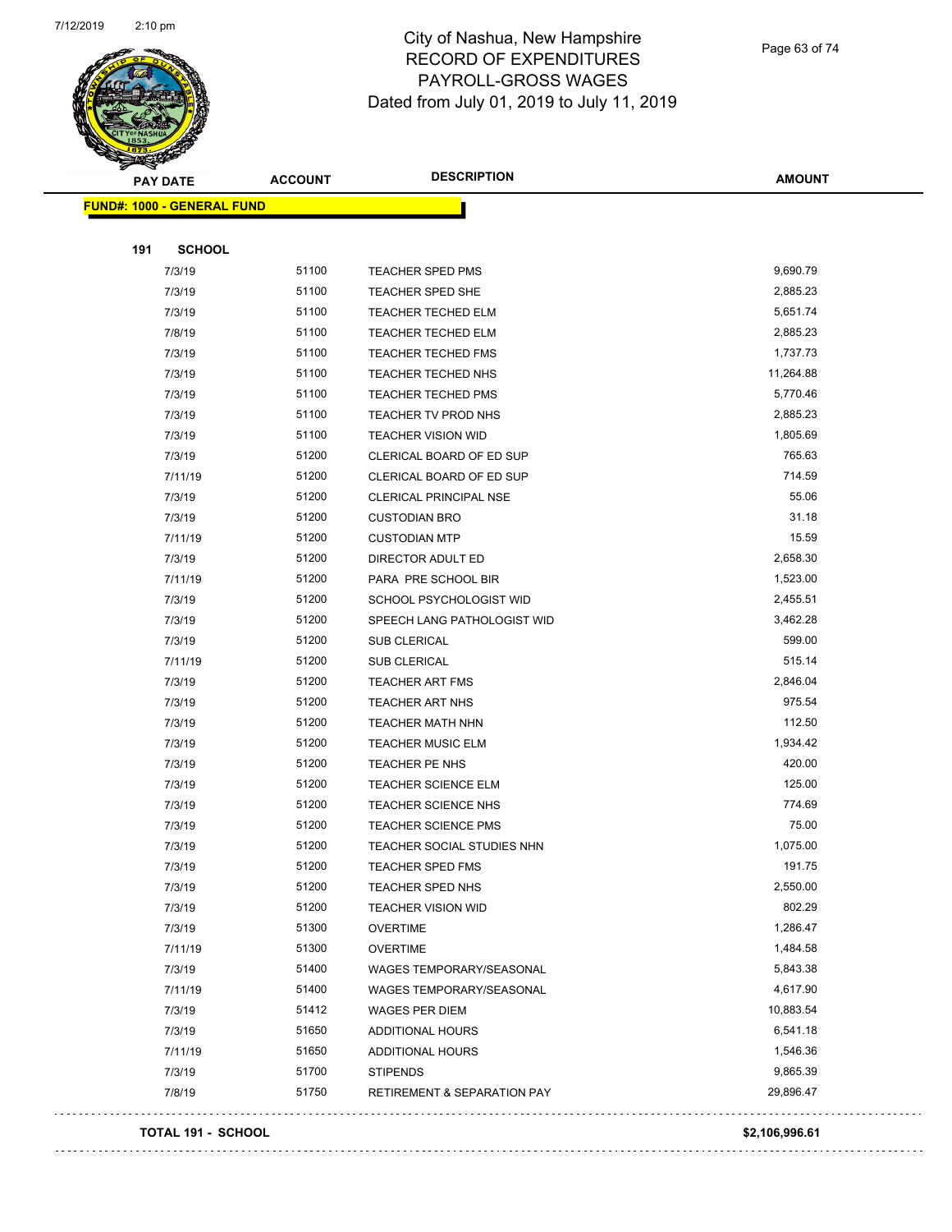

Page 63 of 74

| $\tilde{\phantom{a}}$<br><b>PAY DATE</b> | <b>ACCOUNT</b> | <b>DESCRIPTION</b>                     | AMOUNT    |
|------------------------------------------|----------------|----------------------------------------|-----------|
| <b>FUND#: 1000 - GENERAL FUND</b>        |                |                                        |           |
|                                          |                |                                        |           |
| 191<br><b>SCHOOL</b>                     |                |                                        |           |
| 7/3/19                                   | 51100          | <b>TEACHER SPED PMS</b>                | 9,690.79  |
| 7/3/19                                   | 51100          | TEACHER SPED SHE                       | 2,885.23  |
| 7/3/19                                   | 51100          | <b>TEACHER TECHED ELM</b>              | 5,651.74  |
| 7/8/19                                   | 51100          | <b>TEACHER TECHED ELM</b>              | 2,885.23  |
| 7/3/19                                   | 51100          | <b>TEACHER TECHED FMS</b>              | 1,737.73  |
| 7/3/19                                   | 51100          | TEACHER TECHED NHS                     | 11,264.88 |
| 7/3/19                                   | 51100          | TEACHER TECHED PMS                     | 5,770.46  |
| 7/3/19                                   | 51100          | TEACHER TV PROD NHS                    | 2,885.23  |
| 7/3/19                                   | 51100          | <b>TEACHER VISION WID</b>              | 1,805.69  |
| 7/3/19                                   | 51200          | CLERICAL BOARD OF ED SUP               | 765.63    |
| 7/11/19                                  | 51200          | CLERICAL BOARD OF ED SUP               | 714.59    |
| 7/3/19                                   | 51200          | CLERICAL PRINCIPAL NSE                 | 55.06     |
| 7/3/19                                   | 51200          | <b>CUSTODIAN BRO</b>                   | 31.18     |
| 7/11/19                                  | 51200          | <b>CUSTODIAN MTP</b>                   | 15.59     |
| 7/3/19                                   | 51200          | DIRECTOR ADULT ED                      | 2,658.30  |
| 7/11/19                                  | 51200          | PARA PRE SCHOOL BIR                    | 1,523.00  |
| 7/3/19                                   | 51200          | SCHOOL PSYCHOLOGIST WID                | 2,455.51  |
| 7/3/19                                   | 51200          | SPEECH LANG PATHOLOGIST WID            | 3,462.28  |
| 7/3/19                                   | 51200          | SUB CLERICAL                           | 599.00    |
| 7/11/19                                  | 51200          | SUB CLERICAL                           | 515.14    |
| 7/3/19                                   | 51200          | <b>TEACHER ART FMS</b>                 | 2,846.04  |
| 7/3/19                                   | 51200          | <b>TEACHER ART NHS</b>                 | 975.54    |
| 7/3/19                                   | 51200          | TEACHER MATH NHN                       | 112.50    |
| 7/3/19                                   | 51200          | <b>TEACHER MUSIC ELM</b>               | 1,934.42  |
| 7/3/19                                   | 51200          | TEACHER PE NHS                         | 420.00    |
| 7/3/19                                   | 51200          | <b>TEACHER SCIENCE ELM</b>             | 125.00    |
| 7/3/19                                   | 51200          | <b>TEACHER SCIENCE NHS</b>             | 774.69    |
| 7/3/19                                   | 51200          | <b>TEACHER SCIENCE PMS</b>             | 75.00     |
| 7/3/19                                   | 51200          | TEACHER SOCIAL STUDIES NHN             | 1,075.00  |
| 7/3/19                                   | 51200          | TEACHER SPED FMS                       | 191.75    |
| 7/3/19                                   | 51200          | TEACHER SPED NHS                       | 2,550.00  |
| 7/3/19                                   | 51200          | <b>TEACHER VISION WID</b>              | 802.29    |
| 7/3/19                                   | 51300          | <b>OVERTIME</b>                        | 1,286.47  |
| 7/11/19                                  | 51300          | <b>OVERTIME</b>                        | 1,484.58  |
| 7/3/19                                   | 51400          | WAGES TEMPORARY/SEASONAL               | 5,843.38  |
| 7/11/19                                  | 51400          | WAGES TEMPORARY/SEASONAL               | 4,617.90  |
| 7/3/19                                   | 51412          | WAGES PER DIEM                         | 10,883.54 |
| 7/3/19                                   | 51650          | <b>ADDITIONAL HOURS</b>                | 6,541.18  |
| 7/11/19                                  | 51650          | ADDITIONAL HOURS                       | 1,546.36  |
| 7/3/19                                   | 51700          | <b>STIPENDS</b>                        | 9,865.39  |
| 7/8/19                                   | 51750          | <b>RETIREMENT &amp; SEPARATION PAY</b> | 29,896.47 |
|                                          |                |                                        |           |

#### **TOTAL 191 - SCHOOL \$2,106,996.61**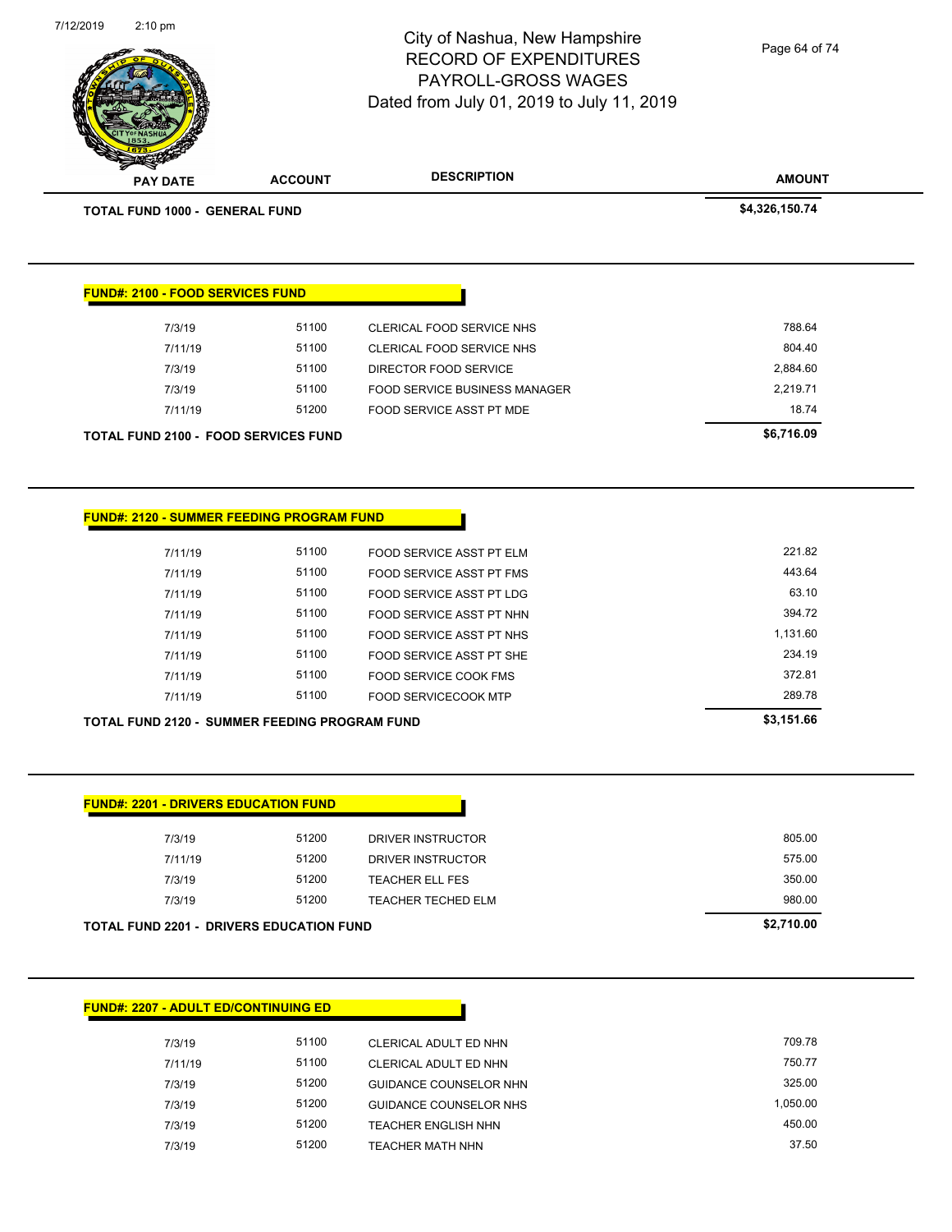Page 64 of 74

**AMOUNT** RECORD OF EXPENDITURES PAYROLL-GROSS WAGES Dated from July 01, 2019 to July 11, 2019 **PAY DATE ACCOUNT DESCRIPTION TOTAL FUND 1000 - GENERAL FUND \$4,326,150.74 FUND#: 2100 - FOOD SERVICES FUND** 7/3/19 51100 CLERICAL FOOD SERVICE NHS 788.64 7/11/19 51100 CLERICAL FOOD SERVICE NHS 804.40 7/3/19 51100 DIRECTOR FOOD SERVICE 2,884.60 7/3/19 51100 FOOD SERVICE BUSINESS MANAGER 2,219.71 7/11/19 51200 FOOD SERVICE ASST PT MDE 18.74 **TOTAL FUND 2100 - FOOD SERVICES FUND \$6,716.09 FUND#: 2120 - SUMMER FEEDING PROGRAM FUND** 7/11/19 51100 FOOD SERVICE ASST PT ELM 221.82 7/11/19 51100 FOOD SERVICE ASST PT FMS 443.64 7/11/19 51100 FOOD SERVICE ASST PT LDG 63.10 7/11/19 51100 FOOD SERVICE ASST PT NHN 394.72 7/11/19 51100 FOOD SERVICE ASST PT NHS 1,131.60 7/11/19 51100 FOOD SERVICE ASST PT SHE 234.19

City of Nashua, New Hampshire

7/12/2019 2:10 pm

| <b>TOTAL FUND 2120 - SUMMER FEEDING PROGRAM FUND</b> |       |                      | \$3.151.66 |
|------------------------------------------------------|-------|----------------------|------------|
| 7/11/19                                              | 51100 | FOOD SERVICECOOK MTP | 289.78     |

| 7/3/19  | 51200 | DRIVER INSTRUCTOR      | 805.00 |
|---------|-------|------------------------|--------|
| 7/11/19 | 51200 | DRIVER INSTRUCTOR      | 575.00 |
| 7/3/19  | 51200 | <b>TEACHER ELL FES</b> | 350.00 |
| 7/3/19  | 51200 | TEACHER TECHED ELM     | 980.00 |

7/11/19 51100 FOOD SERVICE COOK FMS 372.81

| <b>FUND#: 2207 - ADULT ED/CONTINUING ED</b> |       |                               |          |
|---------------------------------------------|-------|-------------------------------|----------|
|                                             |       |                               |          |
| 7/3/19                                      | 51100 | CLERICAL ADULT ED NHN         | 709.78   |
| 7/11/19                                     | 51100 | CLERICAL ADULT ED NHN         | 750.77   |
| 7/3/19                                      | 51200 | <b>GUIDANCE COUNSELOR NHN</b> | 325.00   |
| 7/3/19                                      | 51200 | GUIDANCE COUNSELOR NHS        | 1,050.00 |
| 7/3/19                                      | 51200 | TEACHER ENGLISH NHN           | 450.00   |
| 7/3/19                                      | 51200 | TEACHER MATH NHN              | 37.50    |
|                                             |       |                               |          |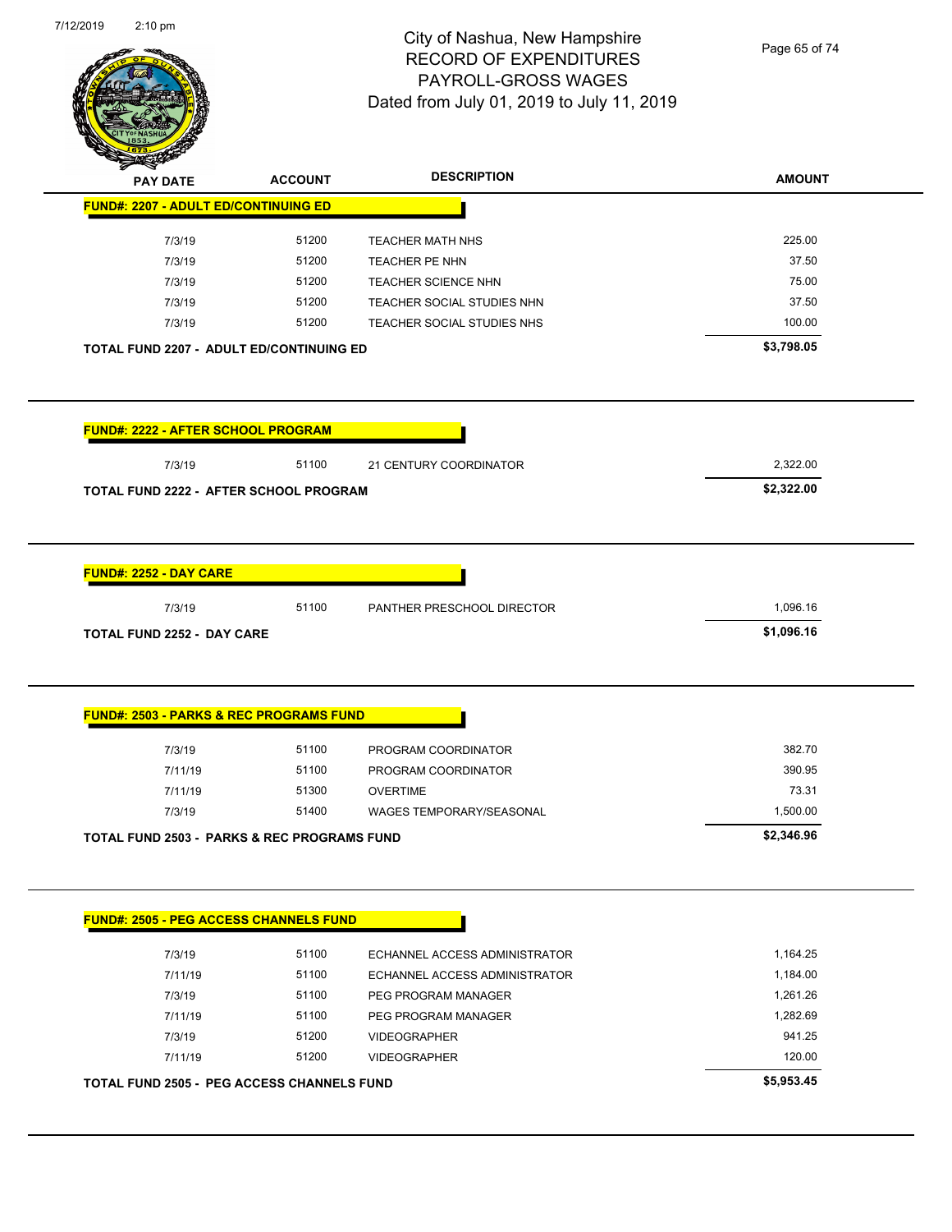

Page 65 of 74

| <b>PAY DATE</b>                                                                                              | <b>ACCOUNT</b> | <b>DESCRIPTION</b>            | <b>AMOUNT</b> |
|--------------------------------------------------------------------------------------------------------------|----------------|-------------------------------|---------------|
| <b>FUND#: 2207 - ADULT ED/CONTINUING ED</b>                                                                  |                |                               |               |
| 7/3/19                                                                                                       | 51200          | <b>TEACHER MATH NHS</b>       | 225.00        |
| 7/3/19                                                                                                       | 51200          | TEACHER PE NHN                | 37.50         |
| 7/3/19                                                                                                       | 51200          | <b>TEACHER SCIENCE NHN</b>    | 75.00         |
| 7/3/19                                                                                                       | 51200          | TEACHER SOCIAL STUDIES NHN    | 37.50         |
| 7/3/19                                                                                                       | 51200          | TEACHER SOCIAL STUDIES NHS    | 100.00        |
| TOTAL FUND 2207 - ADULT ED/CONTINUING ED                                                                     |                |                               | \$3,798.05    |
| <b>FUND#: 2222 - AFTER SCHOOL PROGRAM</b>                                                                    |                |                               |               |
| 7/3/19                                                                                                       | 51100          | 21 CENTURY COORDINATOR        | 2,322.00      |
| TOTAL FUND 2222 - AFTER SCHOOL PROGRAM                                                                       |                |                               | \$2,322.00    |
|                                                                                                              |                |                               |               |
|                                                                                                              |                |                               |               |
|                                                                                                              |                |                               |               |
| 7/3/19                                                                                                       | 51100          | PANTHER PRESCHOOL DIRECTOR    | 1,096.16      |
| <b>FUND#: 2252 - DAY CARE</b><br><b>TOTAL FUND 2252 - DAY CARE</b>                                           |                |                               | \$1,096.16    |
|                                                                                                              |                |                               |               |
| 7/3/19                                                                                                       | 51100          | PROGRAM COORDINATOR           | 382.70        |
| 7/11/19                                                                                                      | 51100          | PROGRAM COORDINATOR           | 390.95        |
| 7/11/19                                                                                                      | 51300          | <b>OVERTIME</b>               | 73.31         |
| 7/3/19                                                                                                       | 51400          | WAGES TEMPORARY/SEASONAL      | 1,500.00      |
| <b>FUND#: 2503 - PARKS &amp; REC PROGRAMS FUND</b><br><b>TOTAL FUND 2503 - PARKS &amp; REC PROGRAMS FUND</b> |                |                               | \$2,346.96    |
|                                                                                                              |                |                               |               |
| 7/3/19                                                                                                       | 51100          | ECHANNEL ACCESS ADMINISTRATOR | 1,164.25      |
| 7/11/19                                                                                                      | 51100          | ECHANNEL ACCESS ADMINISTRATOR | 1,184.00      |
| 7/3/19                                                                                                       | 51100          | PEG PROGRAM MANAGER           | 1,261.26      |
| 7/11/19                                                                                                      | 51100          | PEG PROGRAM MANAGER           | 1,282.69      |
| 7/3/19                                                                                                       | 51200          | <b>VIDEOGRAPHER</b>           | 941.25        |
| <b>FUND#: 2505 - PEG ACCESS CHANNELS FUND</b><br>7/11/19                                                     | 51200          | <b>VIDEOGRAPHER</b>           | 120.00        |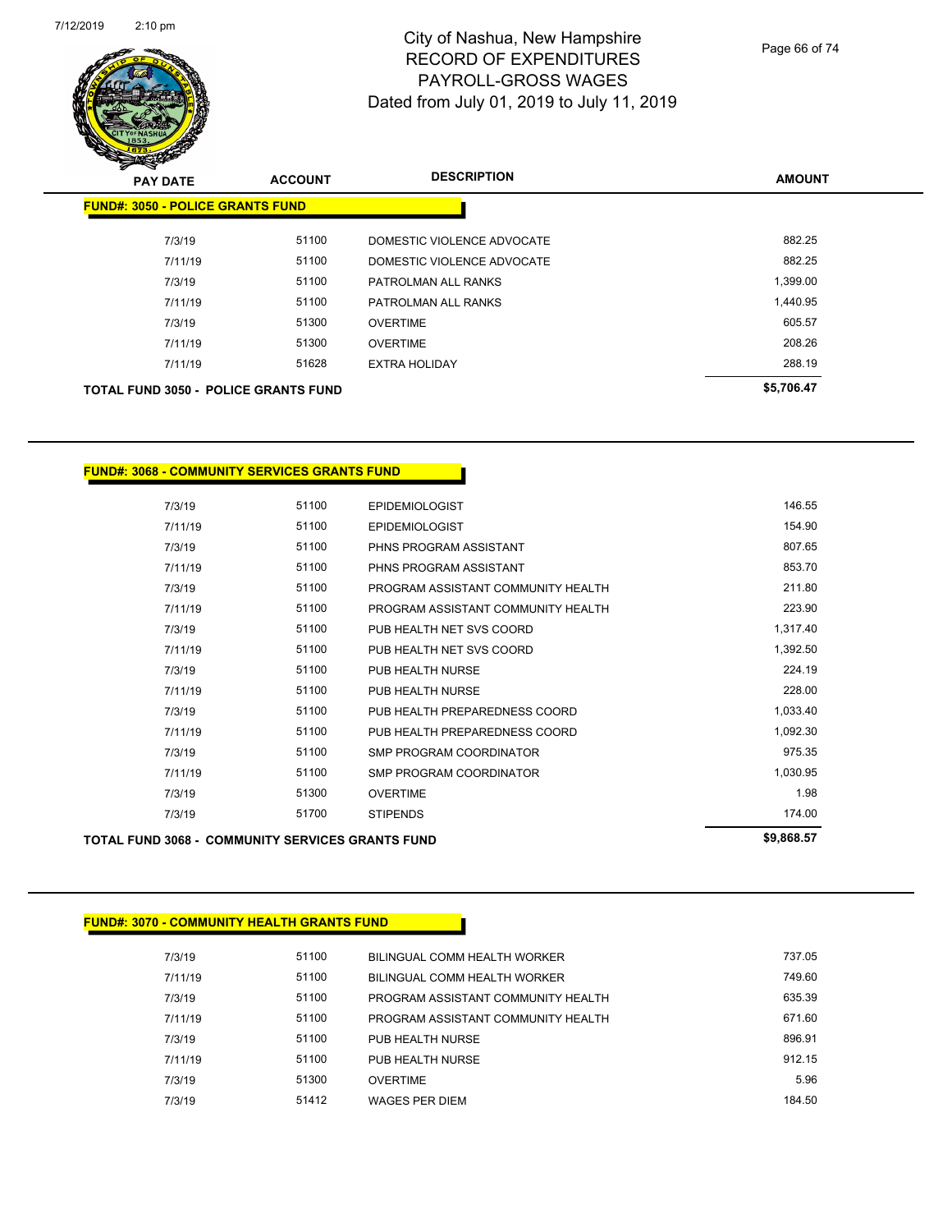

Page 66 of 74

| <b>PAY DATE</b>                         |         | <b>ACCOUNT</b>                              | <b>DESCRIPTION</b>         | <b>AMOUNT</b> |
|-----------------------------------------|---------|---------------------------------------------|----------------------------|---------------|
| <b>FUND#: 3050 - POLICE GRANTS FUND</b> |         |                                             |                            |               |
|                                         | 7/3/19  | 51100                                       | DOMESTIC VIOLENCE ADVOCATE | 882.25        |
|                                         | 7/11/19 | 51100                                       | DOMESTIC VIOLENCE ADVOCATE | 882.25        |
|                                         | 7/3/19  | 51100                                       | PATROLMAN ALL RANKS        | 1,399.00      |
|                                         | 7/11/19 | 51100                                       | PATROLMAN ALL RANKS        | 1,440.95      |
|                                         | 7/3/19  | 51300                                       | <b>OVERTIME</b>            | 605.57        |
|                                         | 7/11/19 | 51300                                       | <b>OVERTIME</b>            | 208.26        |
|                                         | 7/11/19 | 51628                                       | <b>EXTRA HOLIDAY</b>       | 288.19        |
|                                         |         | <b>TOTAL FUND 3050 - POLICE GRANTS FUND</b> |                            | \$5,706.47    |

#### **FUND#: 3068 - COMMUNITY SERVICES GRANTS FUND**

| <b>TOTAL FUND 3068 - COMMUNITY SERVICES GRANTS FUND</b> |       |                                    | \$9,868.57 |
|---------------------------------------------------------|-------|------------------------------------|------------|
| 7/3/19                                                  | 51700 | <b>STIPENDS</b>                    | 174.00     |
| 7/3/19                                                  | 51300 | <b>OVERTIME</b>                    | 1.98       |
| 7/11/19                                                 | 51100 | <b>SMP PROGRAM COORDINATOR</b>     | 1,030.95   |
| 7/3/19                                                  | 51100 | <b>SMP PROGRAM COORDINATOR</b>     | 975.35     |
| 7/11/19                                                 | 51100 | PUB HEALTH PREPAREDNESS COORD      | 1,092.30   |
| 7/3/19                                                  | 51100 | PUB HEALTH PREPAREDNESS COORD      | 1,033.40   |
| 7/11/19                                                 | 51100 | PUB HEALTH NURSE                   | 228.00     |
| 7/3/19                                                  | 51100 | PUB HEALTH NURSE                   | 224.19     |
| 7/11/19                                                 | 51100 | PUB HEALTH NET SVS COORD           | 1,392.50   |
| 7/3/19                                                  | 51100 | PUB HEALTH NET SVS COORD           | 1,317.40   |
| 7/11/19                                                 | 51100 | PROGRAM ASSISTANT COMMUNITY HEALTH | 223.90     |
| 7/3/19                                                  | 51100 | PROGRAM ASSISTANT COMMUNITY HEALTH | 211.80     |
| 7/11/19                                                 | 51100 | PHNS PROGRAM ASSISTANT             | 853.70     |
| 7/3/19                                                  | 51100 | PHNS PROGRAM ASSISTANT             | 807.65     |
| 7/11/19                                                 | 51100 | <b>EPIDEMIOLOGIST</b>              | 154.90     |
| 7/3/19                                                  | 51100 | <b>EPIDEMIOLOGIST</b>              | 146.55     |

#### **FUND#: 3070 - COMMUNITY HEALTH GRANTS FUND**

| 7/3/19  | 51100 | BILINGUAL COMM HEALTH WORKER       | 737.05 |
|---------|-------|------------------------------------|--------|
| 7/11/19 | 51100 | BILINGUAL COMM HEALTH WORKER       | 749.60 |
| 7/3/19  | 51100 | PROGRAM ASSISTANT COMMUNITY HEALTH | 635.39 |
| 7/11/19 | 51100 | PROGRAM ASSISTANT COMMUNITY HEALTH | 671.60 |
| 7/3/19  | 51100 | PUB HEALTH NURSE                   | 896.91 |
| 7/11/19 | 51100 | PUB HEALTH NURSE                   | 912.15 |
| 7/3/19  | 51300 | <b>OVERTIME</b>                    | 5.96   |
| 7/3/19  | 51412 | <b>WAGES PER DIEM</b>              | 184.50 |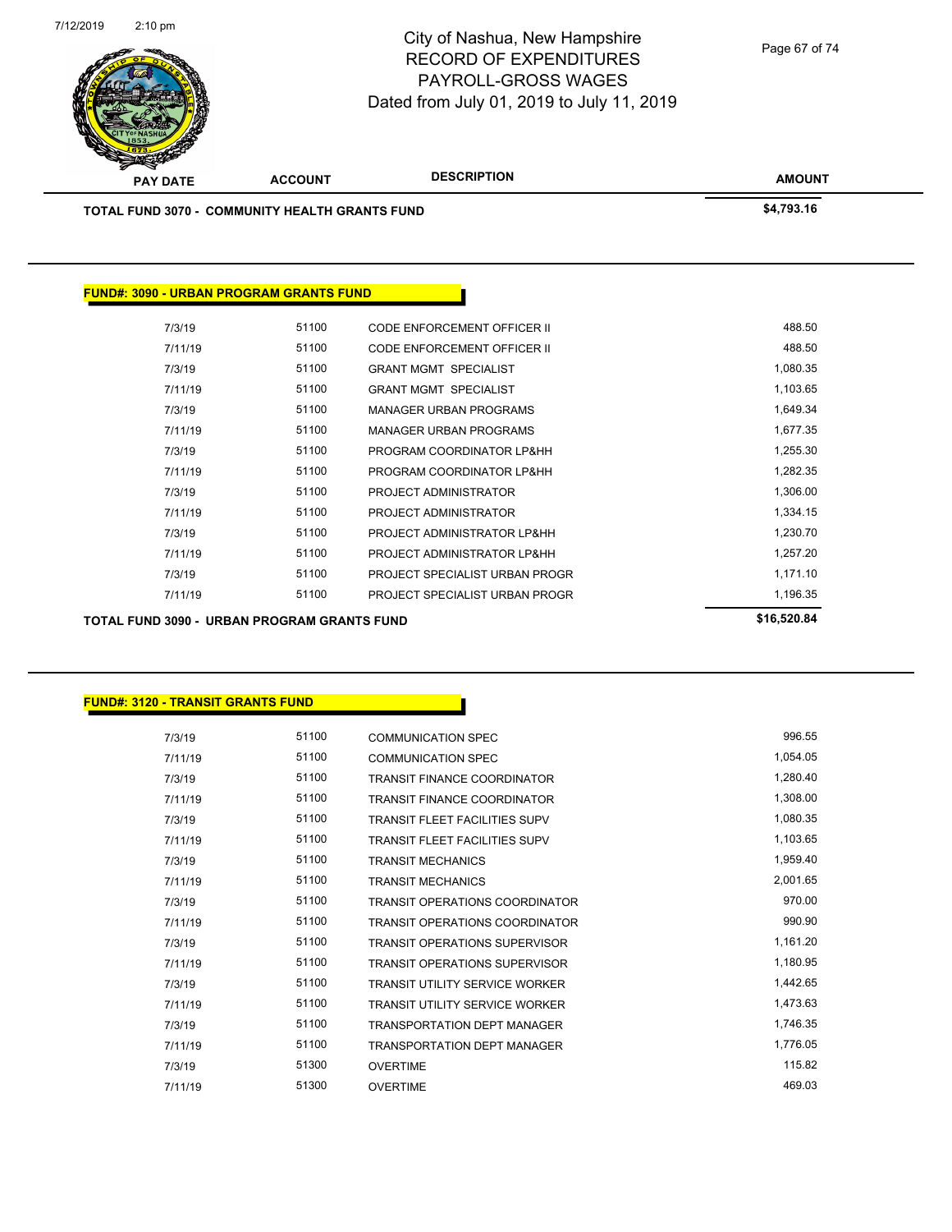7/12/2019 2:10 pm



## City of Nashua, New Hampshire RECORD OF EXPENDITURES PAYROLL-GROSS WAGES Dated from July 01, 2019 to July 11, 2019

Page 67 of 74

| <b>PAY DATE</b>                                       | <b>ACCOUNT</b> | <b>DESCRIPTION</b>                 | <b>AMOUNT</b> |
|-------------------------------------------------------|----------------|------------------------------------|---------------|
| <b>TOTAL FUND 3070 - COMMUNITY HEALTH GRANTS FUND</b> | \$4,793.16     |                                    |               |
|                                                       |                |                                    |               |
|                                                       |                |                                    |               |
| <b>FUND#: 3090 - URBAN PROGRAM GRANTS FUND</b>        |                |                                    |               |
| 7/3/19                                                | 51100          | <b>CODE ENFORCEMENT OFFICER II</b> | 488.50        |
| 7/11/19                                               | 51100          | <b>CODE ENFORCEMENT OFFICER II</b> | 488.50        |
| 7/3/19                                                | 51100          | <b>GRANT MGMT SPECIALIST</b>       | 1,080.35      |
| 7/11/19                                               | 51100          | <b>GRANT MGMT SPECIALIST</b>       | 1,103.65      |
| 7/3/19                                                | 51100          | MANAGER URBAN PROGRAMS             | 1,649.34      |
| 7/11/19                                               | 51100          | <b>MANAGER URBAN PROGRAMS</b>      | 1,677.35      |
| 7/3/19                                                | 51100          | PROGRAM COORDINATOR LP&HH          | 1,255.30      |
| 7/11/19                                               | 51100          | PROGRAM COORDINATOR LP&HH          | 1,282.35      |
| 7/3/19                                                | 51100          | PROJECT ADMINISTRATOR              | 1,306.00      |
| 7/11/19                                               | 51100          | PROJECT ADMINISTRATOR              | 1,334.15      |
| 7/3/19                                                | 51100          | PROJECT ADMINISTRATOR LP&HH        | 1,230.70      |
| 7/11/19                                               | 51100          | PROJECT ADMINISTRATOR LP&HH        | 1,257.20      |
| 7/3/19                                                | 51100          | PROJECT SPECIALIST URBAN PROGR     | 1,171.10      |
| 7/11/19                                               | 51100          | PROJECT SPECIALIST URBAN PROGR     | 1,196.35      |

TOTAL FUND 3090 - URBAN PROGRAM GRANTS FUND<br>
\$16,520.84

| 7/3/19  | 51100 | <b>COMMUNICATION SPEC</b>             | 996.55   |
|---------|-------|---------------------------------------|----------|
| 7/11/19 | 51100 | <b>COMMUNICATION SPEC</b>             | 1,054.05 |
| 7/3/19  | 51100 | <b>TRANSIT FINANCE COORDINATOR</b>    | 1,280.40 |
| 7/11/19 | 51100 | <b>TRANSIT FINANCE COORDINATOR</b>    | 1,308.00 |
| 7/3/19  | 51100 | <b>TRANSIT FLEET FACILITIES SUPV</b>  | 1,080.35 |
| 7/11/19 | 51100 | <b>TRANSIT FLEET FACILITIES SUPV</b>  | 1,103.65 |
| 7/3/19  | 51100 | <b>TRANSIT MECHANICS</b>              | 1,959.40 |
| 7/11/19 | 51100 | <b>TRANSIT MECHANICS</b>              | 2,001.65 |
| 7/3/19  | 51100 | <b>TRANSIT OPERATIONS COORDINATOR</b> | 970.00   |
| 7/11/19 | 51100 | <b>TRANSIT OPERATIONS COORDINATOR</b> | 990.90   |
| 7/3/19  | 51100 | <b>TRANSIT OPERATIONS SUPERVISOR</b>  | 1,161.20 |
| 7/11/19 | 51100 | <b>TRANSIT OPERATIONS SUPERVISOR</b>  | 1,180.95 |
| 7/3/19  | 51100 | <b>TRANSIT UTILITY SERVICE WORKER</b> | 1,442.65 |
| 7/11/19 | 51100 | <b>TRANSIT UTILITY SERVICE WORKER</b> | 1,473.63 |
| 7/3/19  | 51100 | <b>TRANSPORTATION DEPT MANAGER</b>    | 1,746.35 |
| 7/11/19 | 51100 | <b>TRANSPORTATION DEPT MANAGER</b>    | 1,776.05 |
| 7/3/19  | 51300 | <b>OVERTIME</b>                       | 115.82   |
| 7/11/19 | 51300 | <b>OVERTIME</b>                       | 469.03   |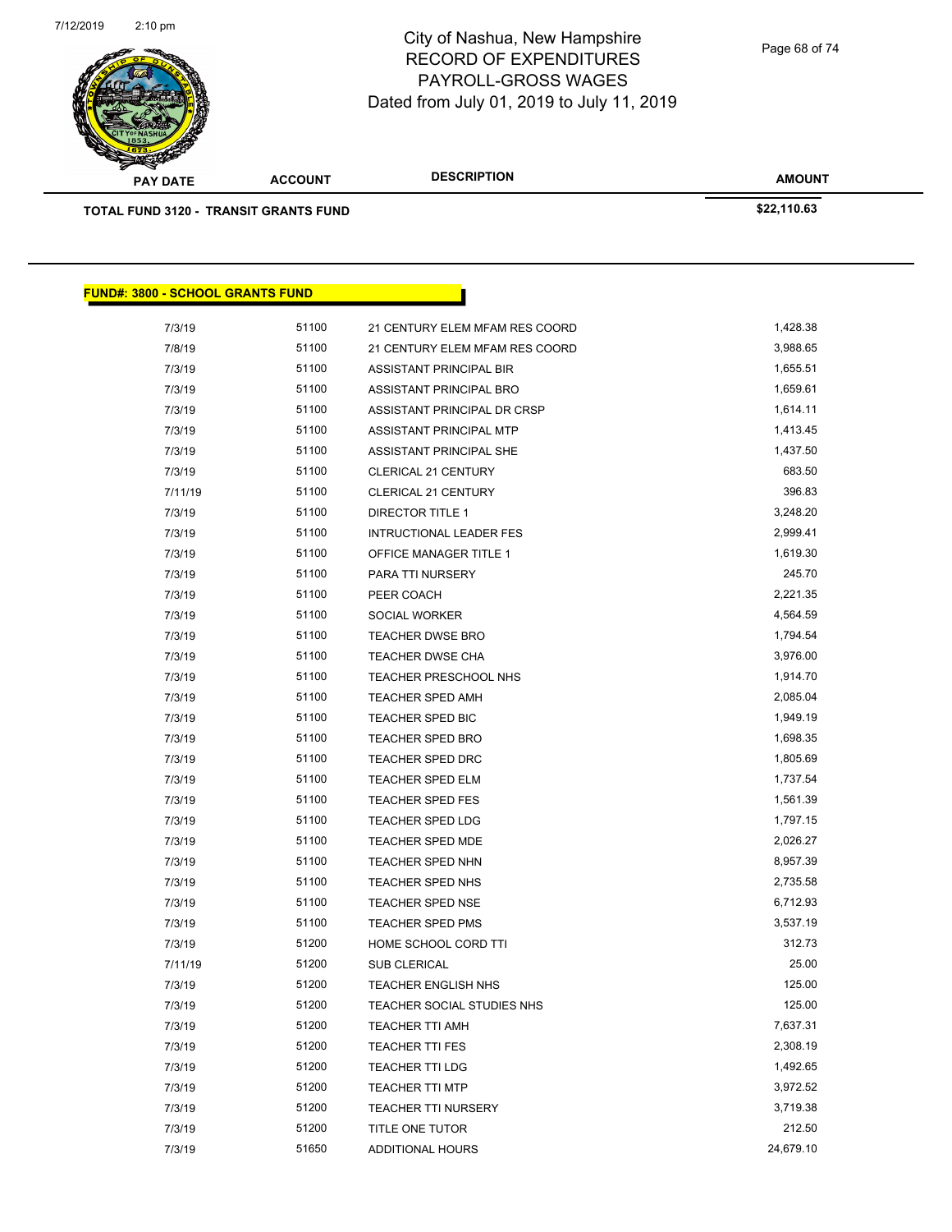7/12/2019 2:10 pm



#### City of Nashua, New Hampshire RECORD OF EXPENDITURES PAYROLL-GROSS WAGES Dated from July 01, 2019 to July 11, 2019

**TOTAL FUND 3120 - TRANSIT GRANTS FUND \$22,110.63 FUND#: 3800 - SCHOOL GRANTS FUND** 7/3/19 51100 21 CENTURY ELEM MFAM RES COORD 51,428.38 7/8/19 51100 21 CENTURY ELEM MFAM RES COORD 3,988.65 7/3/19 51100 ASSISTANT PRINCIPAL BIR 7/3/19 51100 ASSISTANT PRINCIPAL BRO 1,659.61 T/3/19 51100 ASSISTANT PRINCIPAL DR CRSP 1,614.11 7/3/19 51100 ASSISTANT PRINCIPAL MTP 1,413.45 7/3/19 51100 ASSISTANT PRINCIPAL SHE 1,437.50 7/3/19 51100 CLERICAL 21 CENTURY 683.50 7/11/19 51100 CLERICAL 21 CENTURY 396.83 7/3/19 51100 DIRECTOR TITLE 1 3,248.20 7/3/19 51100 INTRUCTIONAL LEADER FES 2,999.41 7/3/19 51100 OFFICE MANAGER TITLE 1 3/100 1,619.30 7/3/19 51100 PARA TTI NURSERY 245.70 7/3/19 51100 PEER COACH 2,221.35 7/3/19 51100 SOCIAL WORKER 4,564.59 7/3/19 51100 TEACHER DWSE BRO 1,794.54 7/3/19 51100 TEACHER DWSE CHA 3,976.00 7/3/19 51100 TEACHER PRESCHOOL NHS 1,914.70 7/3/19 51100 TEACHER SPED AMH 2,085.04 7/3/19 51100 TEACHER SPED BIC 1,949.19 7/3/19 51100 TEACHER SPED BRO 1,698.35 7/3/19 51100 TEACHER SPED DRC 1,805.69 7/3/19 51100 TEACHER SPED ELM 1,737.54 7/3/19 51100 TEACHER SPED FES 1,561.39 7/3/19 51100 TEACHER SPED LDG 1,797.15 7/3/19 51100 TEACHER SPED MDE 2,026.27 7/3/19 51100 TEACHER SPED NHN 573/19 58,957.39 7/3/19 51100 TEACHER SPED NHS 2,735.58 7/3/19 51100 TEACHER SPED NSE 6,712.93 7/3/19 51100 TEACHER SPED PMS 3,537.19 7/3/19 51200 HOME SCHOOL CORD TTI 312.73 7/11/19 51200 SUB CLERICAL 25.00 7/3/19 51200 TEACHER ENGLISH NHS 125.00 The Transition of the State of Teacher Social Studies NHS 125.00 125.00 7/3/19 51200 TEACHER TTI AMH 7,637.31 7/3/19 7,637.31 7/3/19 51200 TEACHER TTI FES 2,308.19 7/3/19 51200 TEACHER TTI LDG 1,492.65 7/3/19 51200 TEACHER TTI MTP 3,972.52 7/3/19 51200 TEACHER TTI NURSERY 3,719.38 7/3/19 51200 TITLE ONE TUTOR 212.50 7/3/19 51650 ADDITIONAL HOURS 24,679.10

**AMOUNT**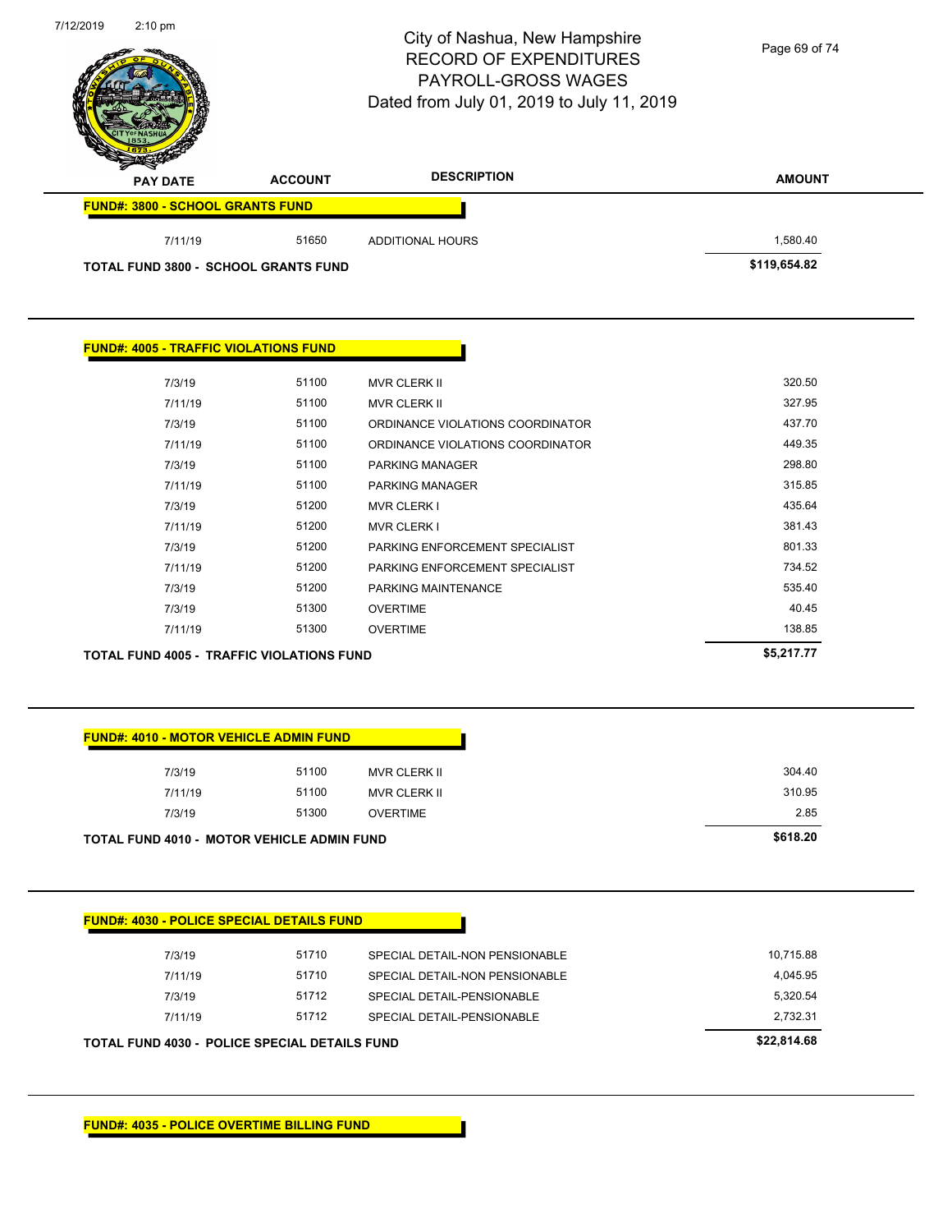| 7/12/2019 | $2:10$ pm                                    |                                                   | City of Nashua, New Hampshire<br><b>RECORD OF EXPENDITURES</b><br>PAYROLL-GROSS WAGES<br>Dated from July 01, 2019 to July 11, 2019 | Page 69 of 74 |
|-----------|----------------------------------------------|---------------------------------------------------|------------------------------------------------------------------------------------------------------------------------------------|---------------|
|           | PAY DATE                                     | <b>ACCOUNT</b>                                    | <b>DESCRIPTION</b>                                                                                                                 | <b>AMOUNT</b> |
|           | <b>FUND#: 3800 - SCHOOL GRANTS FUND</b>      |                                                   |                                                                                                                                    |               |
|           | 7/11/19                                      | 51650                                             | <b>ADDITIONAL HOURS</b>                                                                                                            | 1,580.40      |
|           |                                              | <b>TOTAL FUND 3800 - SCHOOL GRANTS FUND</b>       |                                                                                                                                    | \$119,654.82  |
|           | <b>FUND#: 4005 - TRAFFIC VIOLATIONS FUND</b> |                                                   |                                                                                                                                    |               |
|           | 7/3/19                                       | 51100                                             | MVR CLERK II                                                                                                                       | 320.50        |
|           | 7/11/19                                      | 51100                                             | <b>MVR CLERK II</b>                                                                                                                | 327.95        |
|           | 7/3/19                                       | 51100                                             | ORDINANCE VIOLATIONS COORDINATOR                                                                                                   | 437.70        |
|           | 7/11/19                                      | 51100                                             | ORDINANCE VIOLATIONS COORDINATOR                                                                                                   | 449.35        |
|           | 7/3/19                                       | 51100                                             | PARKING MANAGER                                                                                                                    | 298.80        |
|           | 7/11/19                                      | 51100                                             | PARKING MANAGER                                                                                                                    | 315.85        |
|           | 7/3/19                                       | 51200                                             | <b>MVR CLERK I</b>                                                                                                                 | 435.64        |
|           | 7/11/19                                      | 51200                                             | <b>MVR CLERK I</b>                                                                                                                 | 381.43        |
|           | 7/3/19                                       | 51200                                             | PARKING ENFORCEMENT SPECIALIST                                                                                                     | 801.33        |
|           | 7/11/19                                      | 51200                                             | PARKING ENFORCEMENT SPECIALIST                                                                                                     | 734.52        |
|           | 7/3/19                                       | 51200                                             | PARKING MAINTENANCE                                                                                                                | 535.40        |
|           | 7/3/19                                       | 51300                                             | <b>OVERTIME</b>                                                                                                                    | 40.45         |
|           | 7/11/19                                      | 51300                                             | <b>OVERTIME</b>                                                                                                                    | 138.85        |
|           |                                              | TOTAL FUND 4005 - TRAFFIC VIOLATIONS FUND         |                                                                                                                                    | \$5,217.77    |
|           |                                              | <b>FUND#: 4010 - MOTOR VEHICLE ADMIN FUND</b>     |                                                                                                                                    |               |
|           | 7/3/19                                       | 51100                                             | <b>MVR CLERK II</b>                                                                                                                | 304.40        |
|           | 7/11/19                                      | 51100                                             | <b>MVR CLERK II</b>                                                                                                                | 310.95        |
|           | 7/3/19                                       | 51300                                             | <b>OVERTIME</b>                                                                                                                    | 2.85          |
|           |                                              | <b>TOTAL FUND 4010 - MOTOR VEHICLE ADMIN FUND</b> |                                                                                                                                    | \$618.20      |
|           |                                              | <b>FUND#: 4030 - POLICE SPECIAL DETAILS FUND</b>  |                                                                                                                                    |               |
|           | 7/3/19                                       | 51710                                             | SPECIAL DETAIL-NON PENSIONABLE                                                                                                     | 10,715.88     |
|           |                                              |                                                   |                                                                                                                                    |               |
|           | 7/11/19                                      | 51710                                             | SPECIAL DETAIL-NON PENSIONABLE                                                                                                     | 4,045.95      |
|           | 7/3/19                                       | 51712                                             | SPECIAL DETAIL-PENSIONABLE                                                                                                         | 5,320.54      |
|           | 7/11/19                                      | 51712                                             | SPECIAL DETAIL-PENSIONABLE                                                                                                         | 2,732.31      |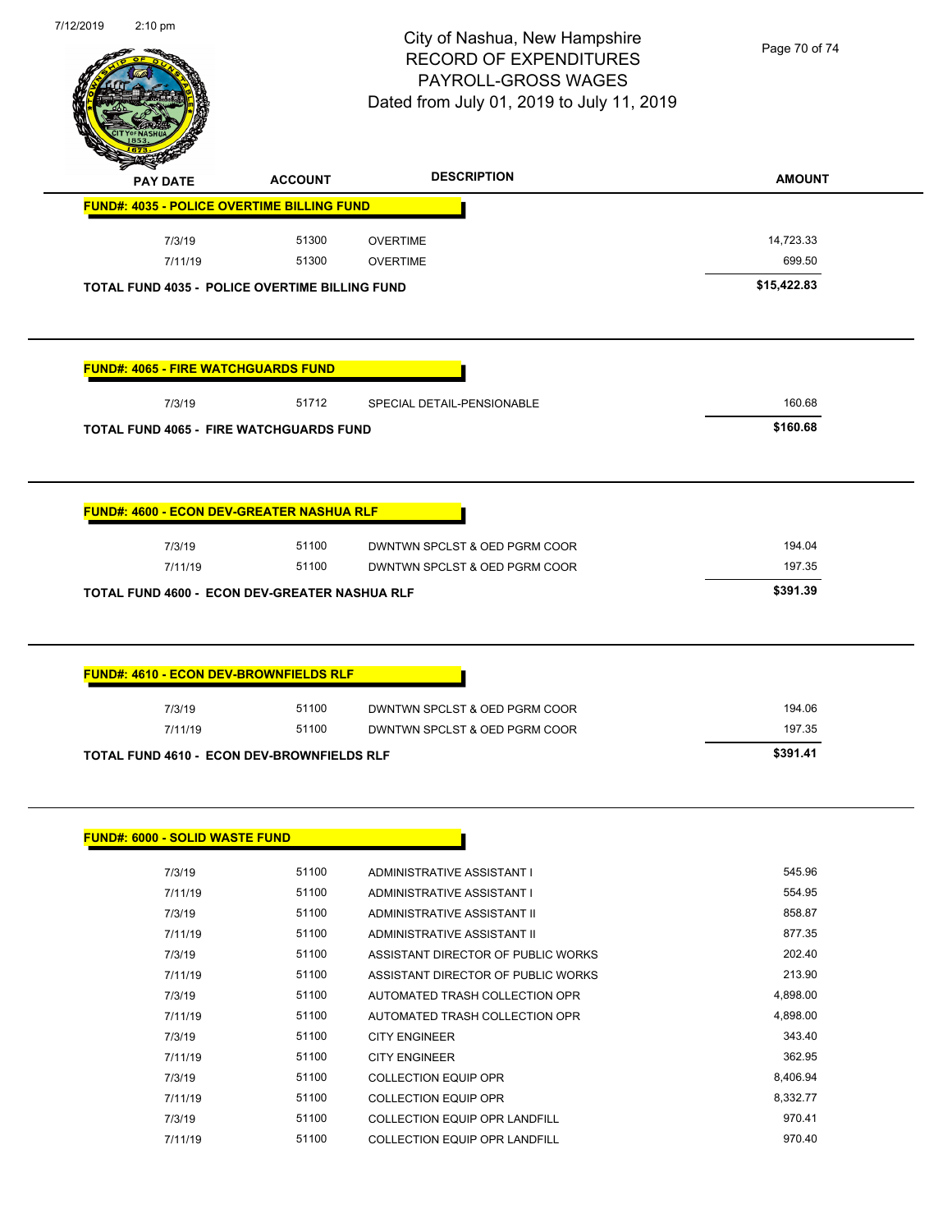

Page 70 of 74

| <b>PAY DATE</b>                                                                     | <b>ACCOUNT</b> | <b>DESCRIPTION</b>                                       | <b>AMOUNT</b>    |
|-------------------------------------------------------------------------------------|----------------|----------------------------------------------------------|------------------|
| <b>FUND#: 4035 - POLICE OVERTIME BILLING FUND</b>                                   |                |                                                          |                  |
| 7/3/19                                                                              | 51300          | <b>OVERTIME</b>                                          | 14,723.33        |
| 7/11/19                                                                             | 51300          | <b>OVERTIME</b>                                          | 699.50           |
| <b>TOTAL FUND 4035 - POLICE OVERTIME BILLING FUND</b>                               |                |                                                          | \$15,422.83      |
|                                                                                     |                |                                                          |                  |
| <b>FUND#: 4065 - FIRE WATCHGUARDS FUND</b>                                          |                |                                                          |                  |
| 7/3/19                                                                              | 51712          | SPECIAL DETAIL-PENSIONABLE                               | 160.68           |
| <b>TOTAL FUND 4065 - FIRE WATCHGUARDS FUND</b>                                      |                |                                                          | \$160.68         |
|                                                                                     |                |                                                          |                  |
| <b>FUND#: 4600 - ECON DEV-GREATER NASHUA RLF</b>                                    |                |                                                          |                  |
| 7/3/19                                                                              | 51100          | DWNTWN SPCLST & OED PGRM COOR                            | 194.04           |
| 7/11/19                                                                             | 51100          | DWNTWN SPCLST & OED PGRM COOR                            | 197.35           |
| TOTAL FUND 4600 - ECON DEV-GREATER NASHUA RLF                                       |                |                                                          | \$391.39         |
|                                                                                     |                |                                                          |                  |
|                                                                                     |                |                                                          |                  |
| 7/3/19                                                                              | 51100          | DWNTWN SPCLST & OED PGRM COOR                            | 194.06           |
| <b>FUND#: 4610 - ECON DEV-BROWNFIELDS RLF</b><br>7/11/19                            | 51100          | DWNTWN SPCLST & OED PGRM COOR                            | 197.35           |
|                                                                                     |                |                                                          | \$391.41         |
| <b>TOTAL FUND 4610 - ECON DEV-BROWNFIELDS RLF</b><br>FUND#: 6000 - SOLID WASTE FUND |                |                                                          |                  |
|                                                                                     |                |                                                          |                  |
| 7/3/19<br>7/11/19                                                                   | 51100<br>51100 | ADMINISTRATIVE ASSISTANT I<br>ADMINISTRATIVE ASSISTANT I | 545.96<br>554.95 |
| 7/3/19                                                                              | 51100          | ADMINISTRATIVE ASSISTANT II                              | 858.87           |
| 7/11/19                                                                             | 51100          | ADMINISTRATIVE ASSISTANT II                              | 877.35           |
| 7/3/19                                                                              | 51100          | ASSISTANT DIRECTOR OF PUBLIC WORKS                       | 202.40           |
| 7/11/19                                                                             | 51100          | ASSISTANT DIRECTOR OF PUBLIC WORKS                       | 213.90           |
| 7/3/19                                                                              | 51100          | AUTOMATED TRASH COLLECTION OPR                           | 4,898.00         |
| 7/11/19                                                                             | 51100          | AUTOMATED TRASH COLLECTION OPR                           | 4,898.00         |
| 7/3/19                                                                              | 51100          | <b>CITY ENGINEER</b>                                     | 343.40           |
| 7/11/19                                                                             | 51100          | <b>CITY ENGINEER</b>                                     | 362.95           |
| 7/3/19                                                                              | 51100          | <b>COLLECTION EQUIP OPR</b>                              | 8,406.94         |
| 7/11/19                                                                             | 51100          | <b>COLLECTION EQUIP OPR</b>                              | 8,332.77         |
| 7/3/19                                                                              | 51100          | COLLECTION EQUIP OPR LANDFILL                            | 970.41           |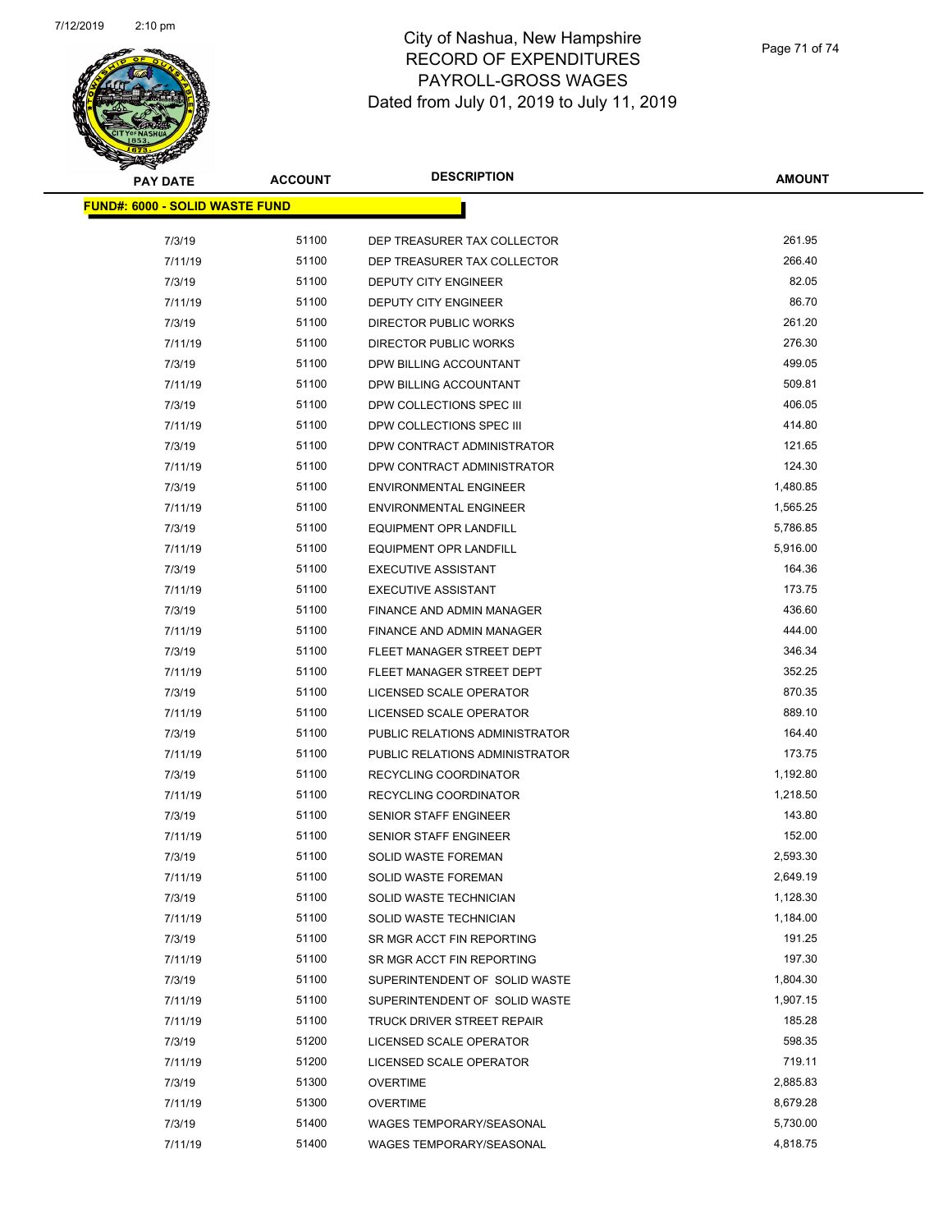

| <b>PAY DATE</b>                       | <b>ACCOUNT</b> | <b>DESCRIPTION</b>              | <b>AMOUNT</b>    |
|---------------------------------------|----------------|---------------------------------|------------------|
| <b>FUND#: 6000 - SOLID WASTE FUND</b> |                |                                 |                  |
| 7/3/19                                | 51100          | DEP TREASURER TAX COLLECTOR     | 261.95           |
| 7/11/19                               | 51100          | DEP TREASURER TAX COLLECTOR     | 266.40           |
| 7/3/19                                | 51100          | DEPUTY CITY ENGINEER            | 82.05            |
| 7/11/19                               | 51100          | <b>DEPUTY CITY ENGINEER</b>     | 86.70            |
| 7/3/19                                | 51100          | <b>DIRECTOR PUBLIC WORKS</b>    | 261.20           |
| 7/11/19                               | 51100          | <b>DIRECTOR PUBLIC WORKS</b>    | 276.30           |
| 7/3/19                                | 51100          | DPW BILLING ACCOUNTANT          | 499.05           |
| 7/11/19                               | 51100          | DPW BILLING ACCOUNTANT          | 509.81           |
| 7/3/19                                | 51100          | DPW COLLECTIONS SPEC III        | 406.05           |
| 7/11/19                               | 51100          | DPW COLLECTIONS SPEC III        | 414.80           |
| 7/3/19                                | 51100          | DPW CONTRACT ADMINISTRATOR      | 121.65           |
| 7/11/19                               | 51100          | DPW CONTRACT ADMINISTRATOR      | 124.30           |
| 7/3/19                                | 51100          | <b>ENVIRONMENTAL ENGINEER</b>   | 1,480.85         |
| 7/11/19                               | 51100          | <b>ENVIRONMENTAL ENGINEER</b>   | 1,565.25         |
| 7/3/19                                | 51100          | <b>EQUIPMENT OPR LANDFILL</b>   | 5,786.85         |
| 7/11/19                               | 51100          | EQUIPMENT OPR LANDFILL          | 5,916.00         |
| 7/3/19                                | 51100          | <b>EXECUTIVE ASSISTANT</b>      | 164.36           |
|                                       | 51100          | <b>EXECUTIVE ASSISTANT</b>      | 173.75           |
| 7/11/19<br>7/3/19                     | 51100          | FINANCE AND ADMIN MANAGER       | 436.60           |
|                                       | 51100          |                                 | 444.00           |
| 7/11/19                               |                | FINANCE AND ADMIN MANAGER       |                  |
| 7/3/19                                | 51100          | FLEET MANAGER STREET DEPT       | 346.34<br>352.25 |
| 7/11/19                               | 51100          | FLEET MANAGER STREET DEPT       |                  |
| 7/3/19                                | 51100          | LICENSED SCALE OPERATOR         | 870.35           |
| 7/11/19                               | 51100          | LICENSED SCALE OPERATOR         | 889.10           |
| 7/3/19                                | 51100          | PUBLIC RELATIONS ADMINISTRATOR  | 164.40           |
| 7/11/19                               | 51100          | PUBLIC RELATIONS ADMINISTRATOR  | 173.75           |
| 7/3/19                                | 51100          | <b>RECYCLING COORDINATOR</b>    | 1,192.80         |
| 7/11/19                               | 51100          | RECYCLING COORDINATOR           | 1,218.50         |
| 7/3/19                                | 51100          | <b>SENIOR STAFF ENGINEER</b>    | 143.80           |
| 7/11/19                               | 51100          | SENIOR STAFF ENGINEER           | 152.00           |
| 7/3/19                                | 51100          | <b>SOLID WASTE FOREMAN</b>      | 2,593.30         |
| 7/11/19                               | 51100          | SOLID WASTE FOREMAN             | 2,649.19         |
| 7/3/19                                | 51100          | SOLID WASTE TECHNICIAN          | 1,128.30         |
| 7/11/19                               | 51100          | SOLID WASTE TECHNICIAN          | 1,184.00         |
| 7/3/19                                | 51100          | SR MGR ACCT FIN REPORTING       | 191.25           |
| 7/11/19                               | 51100          | SR MGR ACCT FIN REPORTING       | 197.30           |
| 7/3/19                                | 51100          | SUPERINTENDENT OF SOLID WASTE   | 1,804.30         |
| 7/11/19                               | 51100          | SUPERINTENDENT OF SOLID WASTE   | 1,907.15         |
| 7/11/19                               | 51100          | TRUCK DRIVER STREET REPAIR      | 185.28           |
| 7/3/19                                | 51200          | LICENSED SCALE OPERATOR         | 598.35           |
| 7/11/19                               | 51200          | LICENSED SCALE OPERATOR         | 719.11           |
| 7/3/19                                | 51300          | <b>OVERTIME</b>                 | 2,885.83         |
| 7/11/19                               | 51300          | <b>OVERTIME</b>                 | 8,679.28         |
| 7/3/19                                | 51400          | WAGES TEMPORARY/SEASONAL        | 5,730.00         |
| 7/11/19                               | 51400          | <b>WAGES TEMPORARY/SEASONAL</b> | 4,818.75         |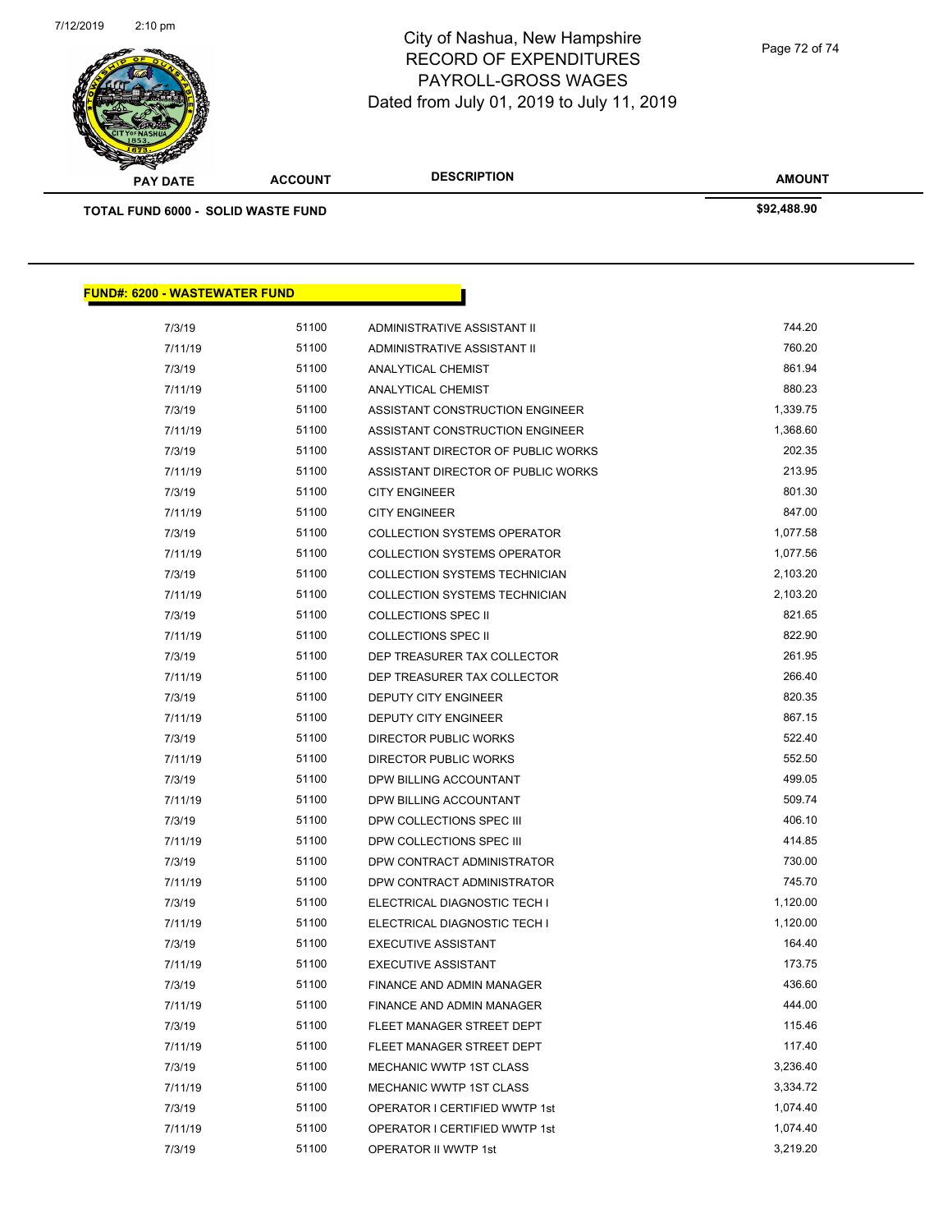

**AMOUNT PAY DATE ACCOUNT DESCRIPTION TOTAL FUND 6000 - SOLID WASTE FUND \$92,488.90 FUND#: 6200 - WASTEWATER FUND** 7/3/19 51100 ADMINISTRATIVE ASSISTANT II 744.20 7/11/19 51100 ADMINISTRATIVE ASSISTANT II 760.20 7/3/19 51100 ANALYTICAL CHEMIST 861.94 7/11/19 51100 ANALYTICAL CHEMIST 880.23 7/3/19 51100 ASSISTANT CONSTRUCTION ENGINEER 1,339.75 7/11/19 51100 ASSISTANT CONSTRUCTION ENGINEER 1,368.60 7/3/19 51100 ASSISTANT DIRECTOR OF PUBLIC WORKS 202.35 7/11/19 51100 ASSISTANT DIRECTOR OF PUBLIC WORKS 213.95 7/3/19 51100 CITY ENGINEER 801.30 7/11/19 51100 CITY ENGINEER 847.00 7/3/19 51100 COLLECTION SYSTEMS OPERATOR 1,077.58 7/11/19 51100 COLLECTION SYSTEMS OPERATOR 1,077.56 7/3/19 51100 COLLECTION SYSTEMS TECHNICIAN 2,103.20 7/11/19 51100 COLLECTION SYSTEMS TECHNICIAN 2,103.20 7/3/19 51100 COLLECTIONS SPEC II 821.65 7/11/19 51100 COLLECTIONS SPEC II 822.90 7/3/19 51100 DEP TREASURER TAX COLLECTOR 261.95 7/11/19 51100 DEP TREASURER TAX COLLECTOR 266.40 7/3/19 51100 DEPUTY CITY ENGINEER 820.35 7/11/19 51100 DEPUTY CITY ENGINEER 867.15 7/3/19 51100 DIRECTOR PUBLIC WORKS 522.40 7/11/19 51100 DIRECTOR PUBLIC WORKS 552.50 7/3/19 51100 DPW BILLING ACCOUNTANT 499.05 7/11/19 51100 DPW BILLING ACCOUNTANT 509.74 7/3/19 51100 DPW COLLECTIONS SPEC III 406.10 7/11/19 51100 DPW COLLECTIONS SPEC III 414.85 7/3/19 51100 DPW CONTRACT ADMINISTRATOR 730.00 7/11/19 51100 DPW CONTRACT ADMINISTRATOR 745.70 7/3/19 51100 ELECTRICAL DIAGNOSTIC TECH I 1,120.00 7/11/19 51100 ELECTRICAL DIAGNOSTIC TECH I 1,120.00 T/3/19 51100 EXECUTIVE ASSISTANT **164.40** 7/11/19 51100 EXECUTIVE ASSISTANT **173.75** 7/3/19 51100 FINANCE AND ADMIN MANAGER 436.60

> 7/11/19 51100 FINANCE AND ADMIN MANAGER 444.00 T/3/19 51100 FLEET MANAGER STREET DEPT **115.46** 7/11/19 51100 FLEET MANAGER STREET DEPT 117.40 7/3/19 51100 MECHANIC WWTP 1ST CLASS 3,236.40 7/11/19 51100 MECHANIC WWTP 1ST CLASS 3,334.72 7/3/19 51100 OPERATOR I CERTIFIED WWTP 1st 1,074.40 7/11/19 51100 OPERATOR I CERTIFIED WWTP 1st 1,074.40 7/3/19 51100 OPERATOR II WWTP 1st 3,219.20

Page 72 of 74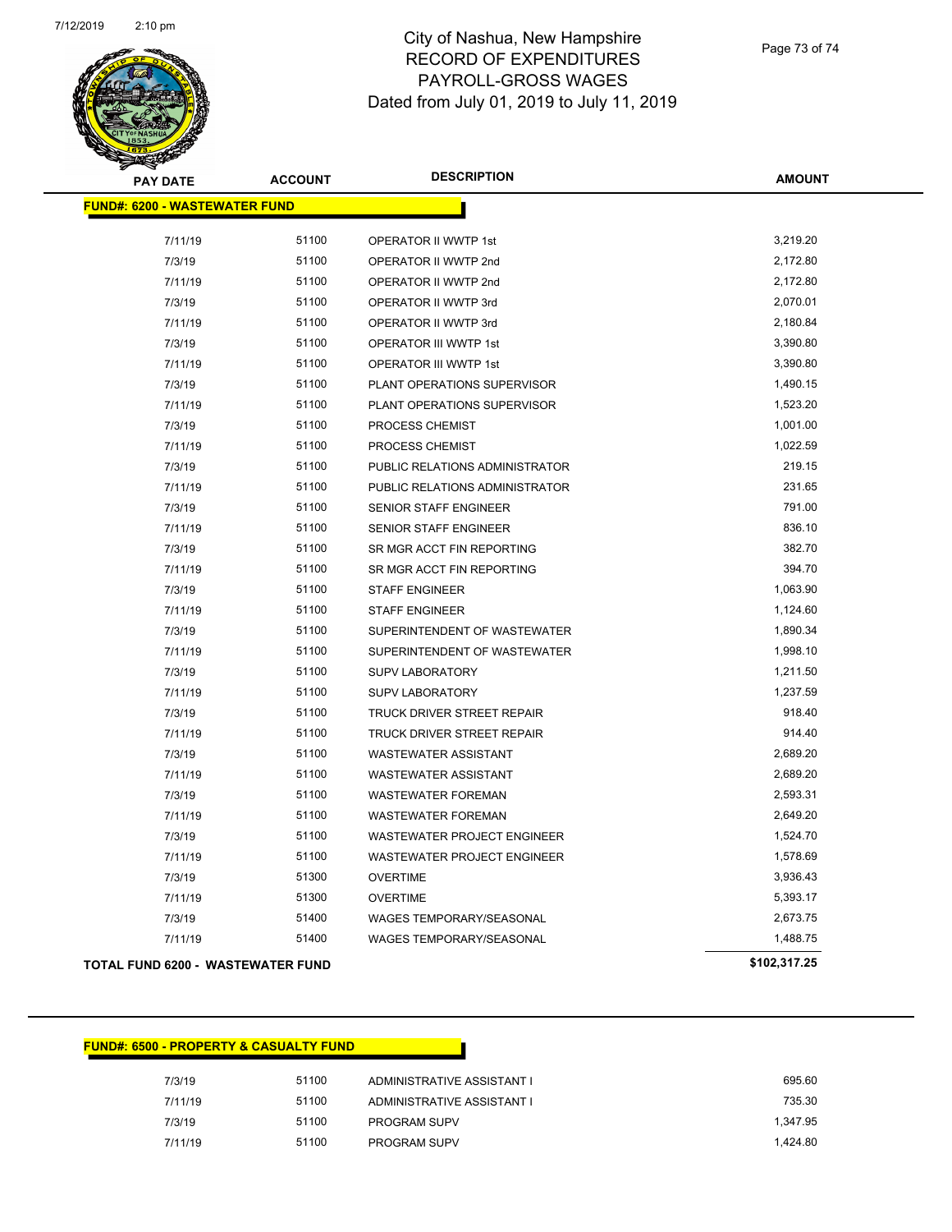

## City of Nashua, New Hampshire RECORD OF EXPENDITURES PAYROLL-GROSS WAGES Dated from July 01, 2019 to July 11, 2019

Page 73 of 74

| <b>PAY DATE</b>                          | <b>ACCOUNT</b> | <b>DESCRIPTION</b>                 | <b>AMOUNT</b> |
|------------------------------------------|----------------|------------------------------------|---------------|
| <b>FUND#: 6200 - WASTEWATER FUND</b>     |                |                                    |               |
|                                          |                |                                    |               |
| 7/11/19                                  | 51100          | OPERATOR II WWTP 1st               | 3,219.20      |
| 7/3/19                                   | 51100          | OPERATOR II WWTP 2nd               | 2,172.80      |
| 7/11/19                                  | 51100          | OPERATOR II WWTP 2nd               | 2,172.80      |
| 7/3/19                                   | 51100          | OPERATOR II WWTP 3rd               | 2,070.01      |
| 7/11/19                                  | 51100          | OPERATOR II WWTP 3rd               | 2,180.84      |
| 7/3/19                                   | 51100          | OPERATOR III WWTP 1st              | 3,390.80      |
| 7/11/19                                  | 51100          | OPERATOR III WWTP 1st              | 3,390.80      |
| 7/3/19                                   | 51100          | PLANT OPERATIONS SUPERVISOR        | 1,490.15      |
| 7/11/19                                  | 51100          | PLANT OPERATIONS SUPERVISOR        | 1,523.20      |
| 7/3/19                                   | 51100          | PROCESS CHEMIST                    | 1,001.00      |
| 7/11/19                                  | 51100          | PROCESS CHEMIST                    | 1,022.59      |
| 7/3/19                                   | 51100          | PUBLIC RELATIONS ADMINISTRATOR     | 219.15        |
| 7/11/19                                  | 51100          | PUBLIC RELATIONS ADMINISTRATOR     | 231.65        |
| 7/3/19                                   | 51100          | SENIOR STAFF ENGINEER              | 791.00        |
| 7/11/19                                  | 51100          | SENIOR STAFF ENGINEER              | 836.10        |
| 7/3/19                                   | 51100          | SR MGR ACCT FIN REPORTING          | 382.70        |
| 7/11/19                                  | 51100          | SR MGR ACCT FIN REPORTING          | 394.70        |
| 7/3/19                                   | 51100          | <b>STAFF ENGINEER</b>              | 1,063.90      |
| 7/11/19                                  | 51100          | <b>STAFF ENGINEER</b>              | 1,124.60      |
| 7/3/19                                   | 51100          | SUPERINTENDENT OF WASTEWATER       | 1,890.34      |
| 7/11/19                                  | 51100          | SUPERINTENDENT OF WASTEWATER       | 1,998.10      |
| 7/3/19                                   | 51100          | SUPV LABORATORY                    | 1,211.50      |
| 7/11/19                                  | 51100          | <b>SUPV LABORATORY</b>             | 1,237.59      |
| 7/3/19                                   | 51100          | TRUCK DRIVER STREET REPAIR         | 918.40        |
| 7/11/19                                  | 51100          | TRUCK DRIVER STREET REPAIR         | 914.40        |
| 7/3/19                                   | 51100          | <b>WASTEWATER ASSISTANT</b>        | 2,689.20      |
| 7/11/19                                  | 51100          | <b>WASTEWATER ASSISTANT</b>        | 2,689.20      |
| 7/3/19                                   | 51100          | <b>WASTEWATER FOREMAN</b>          | 2,593.31      |
| 7/11/19                                  | 51100          | <b>WASTEWATER FOREMAN</b>          | 2,649.20      |
| 7/3/19                                   | 51100          | <b>WASTEWATER PROJECT ENGINEER</b> | 1,524.70      |
| 7/11/19                                  | 51100          | WASTEWATER PROJECT ENGINEER        | 1,578.69      |
| 7/3/19                                   | 51300          | <b>OVERTIME</b>                    | 3,936.43      |
| 7/11/19                                  | 51300          | <b>OVERTIME</b>                    | 5,393.17      |
| 7/3/19                                   | 51400          | WAGES TEMPORARY/SEASONAL           | 2,673.75      |
| 7/11/19                                  | 51400          | WAGES TEMPORARY/SEASONAL           | 1,488.75      |
| <b>TOTAL FUND 6200 - WASTEWATER FUND</b> |                |                                    | \$102,317.25  |

|  |  | <u> FUND#: 6500 - PROPERTY &amp; CASUALTY FUND </u> |  |
|--|--|-----------------------------------------------------|--|
|  |  |                                                     |  |

| 51100                                  | ADMINISTRATIVE ASSISTANT I | 695.60   |
|----------------------------------------|----------------------------|----------|
| 51100                                  | ADMINISTRATIVE ASSISTANT I | 735.30   |
| 51100                                  | <b>PROGRAM SUPV</b>        | 1.347.95 |
| 51100                                  | <b>PROGRAM SUPV</b>        | 1.424.80 |
| 7/3/19<br>7/11/19<br>7/3/19<br>7/11/19 |                            |          |